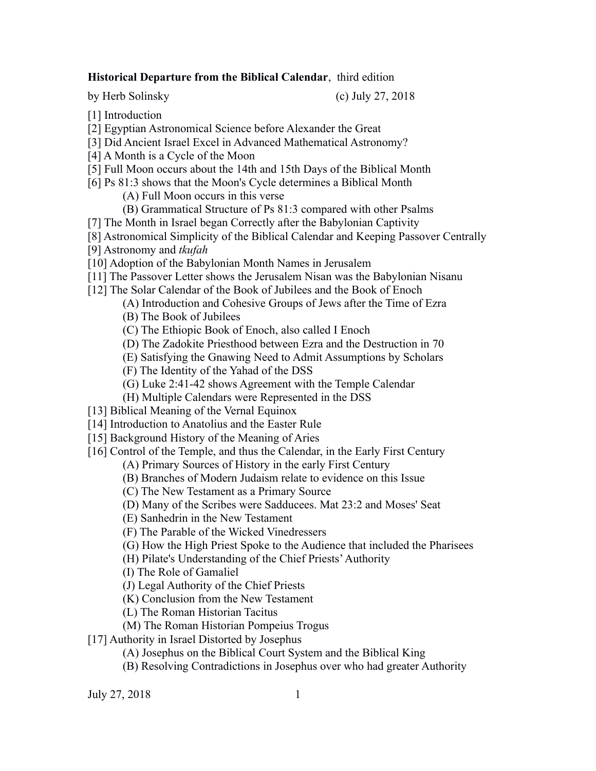# **Historical Departure from the Biblical Calendar**, third edition

by Herb Solinsky (c) July 27, 2018

- [1] Introduction
- [2] Egyptian Astronomical Science before Alexander the Great
- [3] Did Ancient Israel Excel in Advanced Mathematical Astronomy?
- [4] A Month is a Cycle of the Moon
- [5] Full Moon occurs about the 14th and 15th Days of the Biblical Month
- [6] Ps 81:3 shows that the Moon's Cycle determines a Biblical Month
	- (A) Full Moon occurs in this verse
	- (B) Grammatical Structure of Ps 81:3 compared with other Psalms
- [7] The Month in Israel began Correctly after the Babylonian Captivity
- [8] Astronomical Simplicity of the Biblical Calendar and Keeping Passover Centrally
- [9] Astronomy and *tkufah*
- [10] Adoption of the Babylonian Month Names in Jerusalem
- [11] The Passover Letter shows the Jerusalem Nisan was the Babylonian Nisanu
- [12] The Solar Calendar of the Book of Jubilees and the Book of Enoch
	- (A) Introduction and Cohesive Groups of Jews after the Time of Ezra
	- (B) The Book of Jubilees
	- (C) The Ethiopic Book of Enoch, also called I Enoch
	- (D) The Zadokite Priesthood between Ezra and the Destruction in 70
	- (E) Satisfying the Gnawing Need to Admit Assumptions by Scholars
	- (F) The Identity of the Yahad of the DSS
	- (G) Luke 2:41-42 shows Agreement with the Temple Calendar
	- (H) Multiple Calendars were Represented in the DSS
- [13] Biblical Meaning of the Vernal Equinox
- [14] Introduction to Anatolius and the Easter Rule
- [15] Background History of the Meaning of Aries
- [16] Control of the Temple, and thus the Calendar, in the Early First Century
	- (A) Primary Sources of History in the early First Century
	- (B) Branches of Modern Judaism relate to evidence on this Issue
	- (C) The New Testament as a Primary Source
	- (D) Many of the Scribes were Sadducees. Mat 23:2 and Moses' Seat
	- (E) Sanhedrin in the New Testament
	- (F) The Parable of the Wicked Vinedressers
	- (G) How the High Priest Spoke to the Audience that included the Pharisees
	- (H) Pilate's Understanding of the Chief Priests' Authority
	- (I) The Role of Gamaliel
	- (J) Legal Authority of the Chief Priests
	- (K) Conclusion from the New Testament
	- (L) The Roman Historian Tacitus
	- (M) The Roman Historian Pompeius Trogus
- [17] Authority in Israel Distorted by Josephus
	- (A) Josephus on the Biblical Court System and the Biblical King
	- (B) Resolving Contradictions in Josephus over who had greater Authority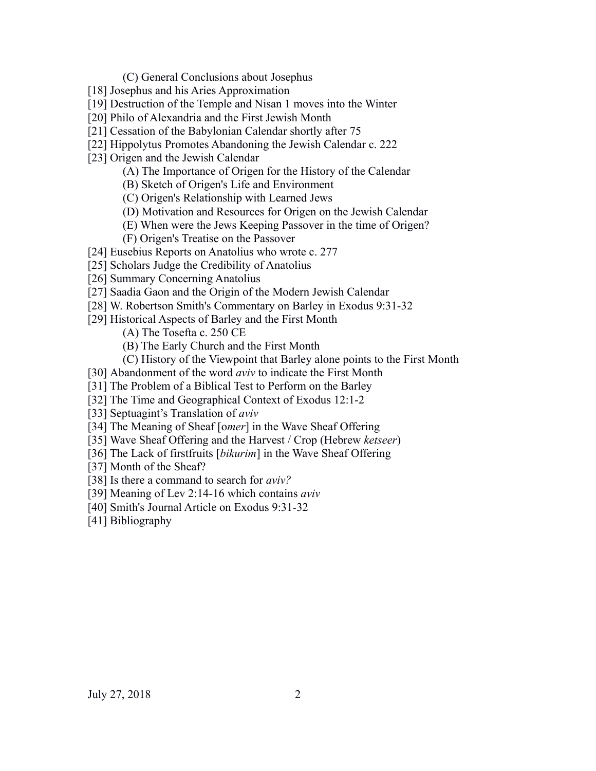(C) General Conclusions about Josephus

- [18] Josephus and his Aries Approximation
- [19] Destruction of the Temple and Nisan 1 moves into the Winter
- [20] Philo of Alexandria and the First Jewish Month
- [21] Cessation of the Babylonian Calendar shortly after 75
- [22] Hippolytus Promotes Abandoning the Jewish Calendar c. 222
- [23] Origen and the Jewish Calendar
	- (A) The Importance of Origen for the History of the Calendar
	- (B) Sketch of Origen's Life and Environment
	- (C) Origen's Relationship with Learned Jews
	- (D) Motivation and Resources for Origen on the Jewish Calendar
	- (E) When were the Jews Keeping Passover in the time of Origen?
	- (F) Origen's Treatise on the Passover
- [24] Eusebius Reports on Anatolius who wrote c. 277
- [25] Scholars Judge the Credibility of Anatolius
- [26] Summary Concerning Anatolius
- [27] Saadia Gaon and the Origin of the Modern Jewish Calendar
- [28] W. Robertson Smith's Commentary on Barley in Exodus 9:31-32
- [29] Historical Aspects of Barley and the First Month
	- (A) The Tosefta c. 250 CE
	- (B) The Early Church and the First Month
	- (C) History of the Viewpoint that Barley alone points to the First Month
- [30] Abandonment of the word *aviv* to indicate the First Month
- [31] The Problem of a Biblical Test to Perform on the Barley
- [32] The Time and Geographical Context of Exodus 12:1-2
- [33] Septuagint's Translation of *aviv*
- [34] The Meaning of Sheaf [o*mer*] in the Wave Sheaf Offering
- [35] Wave Sheaf Offering and the Harvest / Crop (Hebrew *ketseer*)
- [36] The Lack of firstfruits [*bikurim*] in the Wave Sheaf Offering
- [37] Month of the Sheaf?
- [38] Is there a command to search for *aviv?*
- [39] Meaning of Lev 2:14-16 which contains *aviv*
- [40] Smith's Journal Article on Exodus 9:31-32
- [41] Bibliography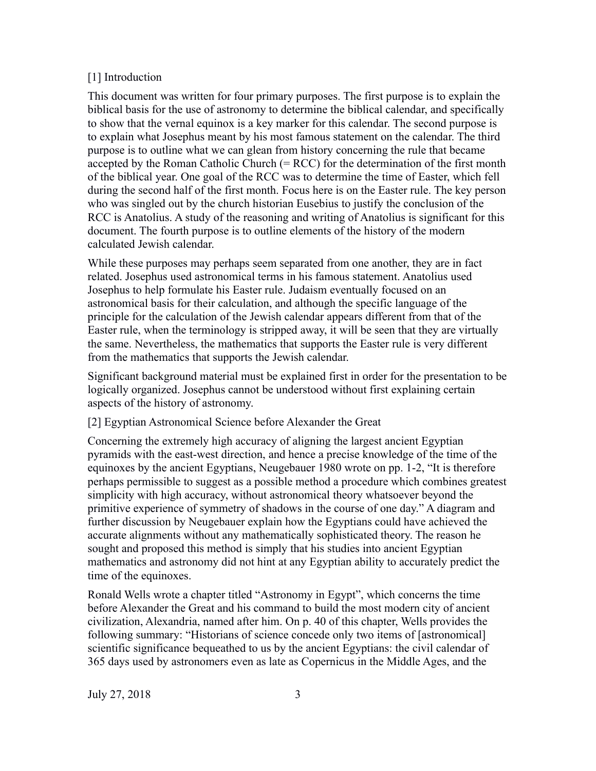# [1] Introduction

This document was written for four primary purposes. The first purpose is to explain the biblical basis for the use of astronomy to determine the biblical calendar, and specifically to show that the vernal equinox is a key marker for this calendar. The second purpose is to explain what Josephus meant by his most famous statement on the calendar. The third purpose is to outline what we can glean from history concerning the rule that became accepted by the Roman Catholic Church  $(= RCC)$  for the determination of the first month of the biblical year. One goal of the RCC was to determine the time of Easter, which fell during the second half of the first month. Focus here is on the Easter rule. The key person who was singled out by the church historian Eusebius to justify the conclusion of the RCC is Anatolius. A study of the reasoning and writing of Anatolius is significant for this document. The fourth purpose is to outline elements of the history of the modern calculated Jewish calendar.

While these purposes may perhaps seem separated from one another, they are in fact related. Josephus used astronomical terms in his famous statement. Anatolius used Josephus to help formulate his Easter rule. Judaism eventually focused on an astronomical basis for their calculation, and although the specific language of the principle for the calculation of the Jewish calendar appears different from that of the Easter rule, when the terminology is stripped away, it will be seen that they are virtually the same. Nevertheless, the mathematics that supports the Easter rule is very different from the mathematics that supports the Jewish calendar.

Significant background material must be explained first in order for the presentation to be logically organized. Josephus cannot be understood without first explaining certain aspects of the history of astronomy.

# [2] Egyptian Astronomical Science before Alexander the Great

Concerning the extremely high accuracy of aligning the largest ancient Egyptian pyramids with the east-west direction, and hence a precise knowledge of the time of the equinoxes by the ancient Egyptians, Neugebauer 1980 wrote on pp. 1-2, "It is therefore perhaps permissible to suggest as a possible method a procedure which combines greatest simplicity with high accuracy, without astronomical theory whatsoever beyond the primitive experience of symmetry of shadows in the course of one day." A diagram and further discussion by Neugebauer explain how the Egyptians could have achieved the accurate alignments without any mathematically sophisticated theory. The reason he sought and proposed this method is simply that his studies into ancient Egyptian mathematics and astronomy did not hint at any Egyptian ability to accurately predict the time of the equinoxes.

Ronald Wells wrote a chapter titled "Astronomy in Egypt", which concerns the time before Alexander the Great and his command to build the most modern city of ancient civilization, Alexandria, named after him. On p. 40 of this chapter, Wells provides the following summary: "Historians of science concede only two items of [astronomical] scientific significance bequeathed to us by the ancient Egyptians: the civil calendar of 365 days used by astronomers even as late as Copernicus in the Middle Ages, and the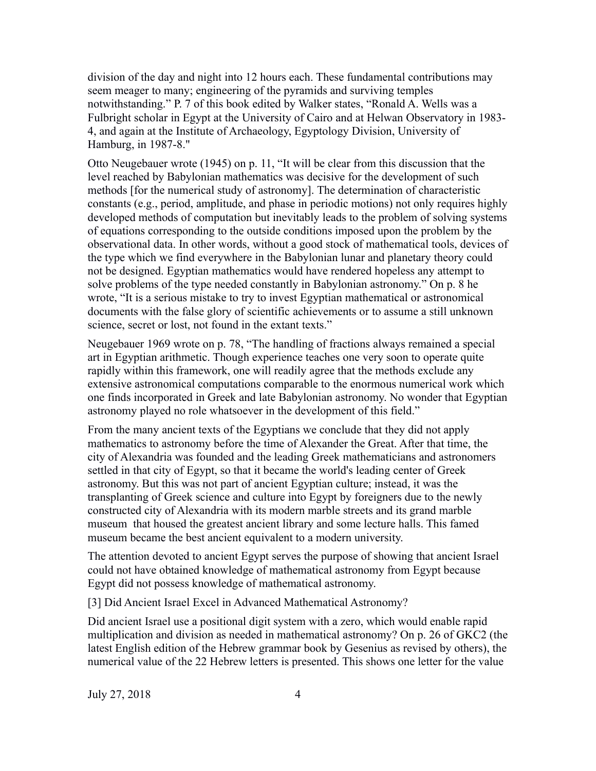division of the day and night into 12 hours each. These fundamental contributions may seem meager to many; engineering of the pyramids and surviving temples notwithstanding." P. 7 of this book edited by Walker states, "Ronald A. Wells was a Fulbright scholar in Egypt at the University of Cairo and at Helwan Observatory in 1983- 4, and again at the Institute of Archaeology, Egyptology Division, University of Hamburg, in 1987-8."

Otto Neugebauer wrote (1945) on p. 11, "It will be clear from this discussion that the level reached by Babylonian mathematics was decisive for the development of such methods [for the numerical study of astronomy]. The determination of characteristic constants (e.g., period, amplitude, and phase in periodic motions) not only requires highly developed methods of computation but inevitably leads to the problem of solving systems of equations corresponding to the outside conditions imposed upon the problem by the observational data. In other words, without a good stock of mathematical tools, devices of the type which we find everywhere in the Babylonian lunar and planetary theory could not be designed. Egyptian mathematics would have rendered hopeless any attempt to solve problems of the type needed constantly in Babylonian astronomy." On p. 8 he wrote, "It is a serious mistake to try to invest Egyptian mathematical or astronomical documents with the false glory of scientific achievements or to assume a still unknown science, secret or lost, not found in the extant texts."

Neugebauer 1969 wrote on p. 78, "The handling of fractions always remained a special art in Egyptian arithmetic. Though experience teaches one very soon to operate quite rapidly within this framework, one will readily agree that the methods exclude any extensive astronomical computations comparable to the enormous numerical work which one finds incorporated in Greek and late Babylonian astronomy. No wonder that Egyptian astronomy played no role whatsoever in the development of this field."

From the many ancient texts of the Egyptians we conclude that they did not apply mathematics to astronomy before the time of Alexander the Great. After that time, the city of Alexandria was founded and the leading Greek mathematicians and astronomers settled in that city of Egypt, so that it became the world's leading center of Greek astronomy. But this was not part of ancient Egyptian culture; instead, it was the transplanting of Greek science and culture into Egypt by foreigners due to the newly constructed city of Alexandria with its modern marble streets and its grand marble museum that housed the greatest ancient library and some lecture halls. This famed museum became the best ancient equivalent to a modern university.

The attention devoted to ancient Egypt serves the purpose of showing that ancient Israel could not have obtained knowledge of mathematical astronomy from Egypt because Egypt did not possess knowledge of mathematical astronomy.

[3] Did Ancient Israel Excel in Advanced Mathematical Astronomy?

Did ancient Israel use a positional digit system with a zero, which would enable rapid multiplication and division as needed in mathematical astronomy? On p. 26 of GKC2 (the latest English edition of the Hebrew grammar book by Gesenius as revised by others), the numerical value of the 22 Hebrew letters is presented. This shows one letter for the value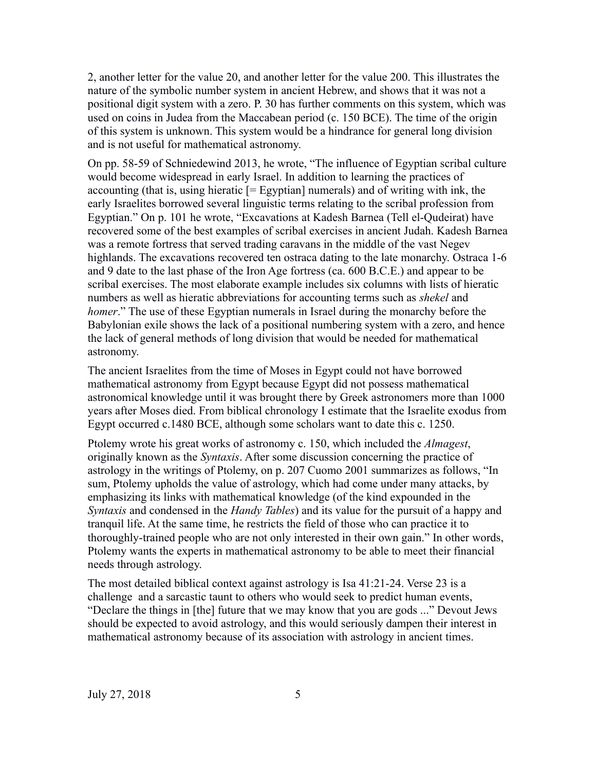2, another letter for the value 20, and another letter for the value 200. This illustrates the nature of the symbolic number system in ancient Hebrew, and shows that it was not a positional digit system with a zero. P. 30 has further comments on this system, which was used on coins in Judea from the Maccabean period (c. 150 BCE). The time of the origin of this system is unknown. This system would be a hindrance for general long division and is not useful for mathematical astronomy.

On pp. 58-59 of Schniedewind 2013, he wrote, "The influence of Egyptian scribal culture would become widespread in early Israel. In addition to learning the practices of accounting (that is, using hieratic  $[=$  Egyptian] numerals) and of writing with ink, the early Israelites borrowed several linguistic terms relating to the scribal profession from Egyptian." On p. 101 he wrote, "Excavations at Kadesh Barnea (Tell el-Qudeirat) have recovered some of the best examples of scribal exercises in ancient Judah. Kadesh Barnea was a remote fortress that served trading caravans in the middle of the vast Negev highlands. The excavations recovered ten ostraca dating to the late monarchy. Ostraca 1-6 and 9 date to the last phase of the Iron Age fortress (ca. 600 B.C.E.) and appear to be scribal exercises. The most elaborate example includes six columns with lists of hieratic numbers as well as hieratic abbreviations for accounting terms such as *shekel* and *homer*." The use of these Egyptian numerals in Israel during the monarchy before the Babylonian exile shows the lack of a positional numbering system with a zero, and hence the lack of general methods of long division that would be needed for mathematical astronomy.

The ancient Israelites from the time of Moses in Egypt could not have borrowed mathematical astronomy from Egypt because Egypt did not possess mathematical astronomical knowledge until it was brought there by Greek astronomers more than 1000 years after Moses died. From biblical chronology I estimate that the Israelite exodus from Egypt occurred c.1480 BCE, although some scholars want to date this c. 1250.

Ptolemy wrote his great works of astronomy c. 150, which included the *Almagest*, originally known as the *Syntaxis*. After some discussion concerning the practice of astrology in the writings of Ptolemy, on p. 207 Cuomo 2001 summarizes as follows, "In sum, Ptolemy upholds the value of astrology, which had come under many attacks, by emphasizing its links with mathematical knowledge (of the kind expounded in the *Syntaxis* and condensed in the *Handy Tables*) and its value for the pursuit of a happy and tranquil life. At the same time, he restricts the field of those who can practice it to thoroughly-trained people who are not only interested in their own gain." In other words, Ptolemy wants the experts in mathematical astronomy to be able to meet their financial needs through astrology.

The most detailed biblical context against astrology is Isa 41:21-24. Verse 23 is a challenge and a sarcastic taunt to others who would seek to predict human events, "Declare the things in [the] future that we may know that you are gods ..." Devout Jews should be expected to avoid astrology, and this would seriously dampen their interest in mathematical astronomy because of its association with astrology in ancient times.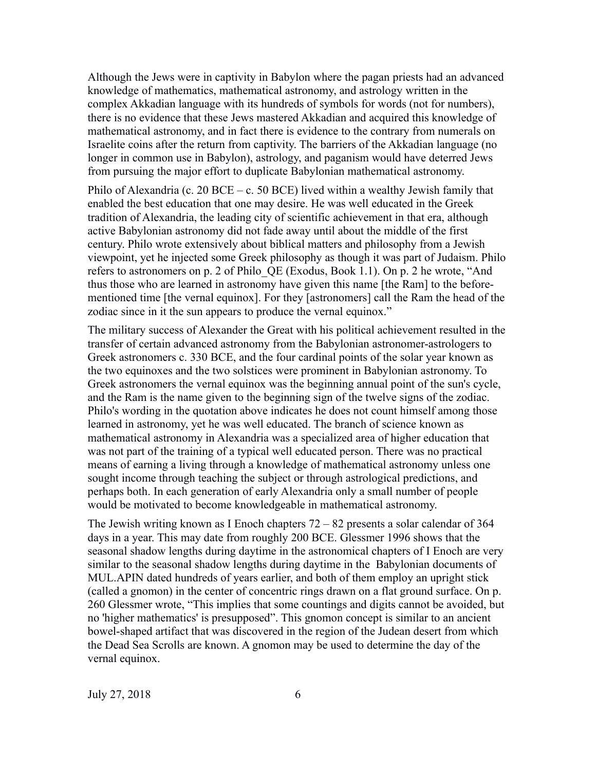Although the Jews were in captivity in Babylon where the pagan priests had an advanced knowledge of mathematics, mathematical astronomy, and astrology written in the complex Akkadian language with its hundreds of symbols for words (not for numbers), there is no evidence that these Jews mastered Akkadian and acquired this knowledge of mathematical astronomy, and in fact there is evidence to the contrary from numerals on Israelite coins after the return from captivity. The barriers of the Akkadian language (no longer in common use in Babylon), astrology, and paganism would have deterred Jews from pursuing the major effort to duplicate Babylonian mathematical astronomy.

Philo of Alexandria (c. 20 BCE – c. 50 BCE) lived within a wealthy Jewish family that enabled the best education that one may desire. He was well educated in the Greek tradition of Alexandria, the leading city of scientific achievement in that era, although active Babylonian astronomy did not fade away until about the middle of the first century. Philo wrote extensively about biblical matters and philosophy from a Jewish viewpoint, yet he injected some Greek philosophy as though it was part of Judaism. Philo refers to astronomers on p. 2 of Philo\_QE (Exodus, Book 1.1). On p. 2 he wrote, "And thus those who are learned in astronomy have given this name [the Ram] to the beforementioned time [the vernal equinox]. For they [astronomers] call the Ram the head of the zodiac since in it the sun appears to produce the vernal equinox."

The military success of Alexander the Great with his political achievement resulted in the transfer of certain advanced astronomy from the Babylonian astronomer-astrologers to Greek astronomers c. 330 BCE, and the four cardinal points of the solar year known as the two equinoxes and the two solstices were prominent in Babylonian astronomy. To Greek astronomers the vernal equinox was the beginning annual point of the sun's cycle, and the Ram is the name given to the beginning sign of the twelve signs of the zodiac. Philo's wording in the quotation above indicates he does not count himself among those learned in astronomy, yet he was well educated. The branch of science known as mathematical astronomy in Alexandria was a specialized area of higher education that was not part of the training of a typical well educated person. There was no practical means of earning a living through a knowledge of mathematical astronomy unless one sought income through teaching the subject or through astrological predictions, and perhaps both. In each generation of early Alexandria only a small number of people would be motivated to become knowledgeable in mathematical astronomy.

The Jewish writing known as I Enoch chapters  $72 - 82$  presents a solar calendar of 364 days in a year. This may date from roughly 200 BCE. Glessmer 1996 shows that the seasonal shadow lengths during daytime in the astronomical chapters of I Enoch are very similar to the seasonal shadow lengths during daytime in the Babylonian documents of MUL.APIN dated hundreds of years earlier, and both of them employ an upright stick (called a gnomon) in the center of concentric rings drawn on a flat ground surface. On p. 260 Glessmer wrote, "This implies that some countings and digits cannot be avoided, but no 'higher mathematics' is presupposed". This gnomon concept is similar to an ancient bowel-shaped artifact that was discovered in the region of the Judean desert from which the Dead Sea Scrolls are known. A gnomon may be used to determine the day of the vernal equinox.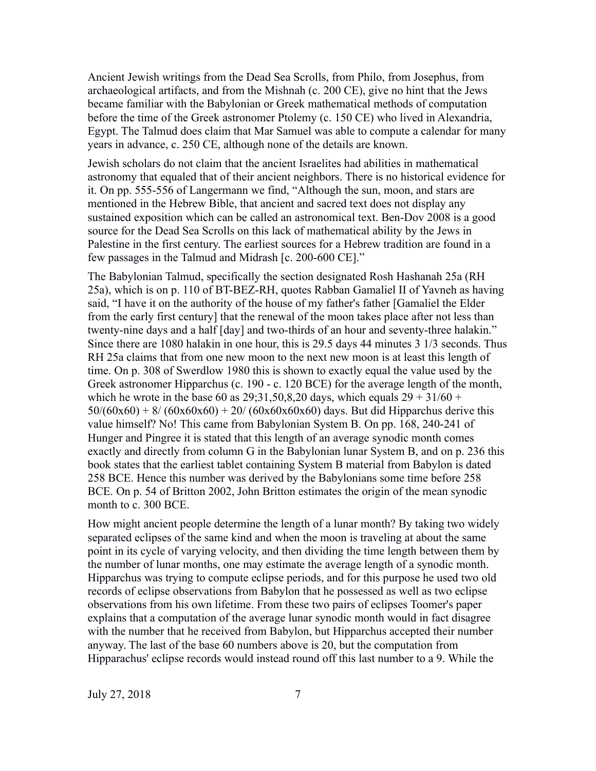Ancient Jewish writings from the Dead Sea Scrolls, from Philo, from Josephus, from archaeological artifacts, and from the Mishnah (c. 200 CE), give no hint that the Jews became familiar with the Babylonian or Greek mathematical methods of computation before the time of the Greek astronomer Ptolemy (c. 150 CE) who lived in Alexandria, Egypt. The Talmud does claim that Mar Samuel was able to compute a calendar for many years in advance, c. 250 CE, although none of the details are known.

Jewish scholars do not claim that the ancient Israelites had abilities in mathematical astronomy that equaled that of their ancient neighbors. There is no historical evidence for it. On pp. 555-556 of Langermann we find, "Although the sun, moon, and stars are mentioned in the Hebrew Bible, that ancient and sacred text does not display any sustained exposition which can be called an astronomical text. Ben-Dov 2008 is a good source for the Dead Sea Scrolls on this lack of mathematical ability by the Jews in Palestine in the first century. The earliest sources for a Hebrew tradition are found in a few passages in the Talmud and Midrash [c. 200-600 CE]."

The Babylonian Talmud, specifically the section designated Rosh Hashanah 25a (RH 25a), which is on p. 110 of BT-BEZ-RH, quotes Rabban Gamaliel II of Yavneh as having said, "I have it on the authority of the house of my father's father [Gamaliel the Elder from the early first century] that the renewal of the moon takes place after not less than twenty-nine days and a half [day] and two-thirds of an hour and seventy-three halakin." Since there are 1080 halakin in one hour, this is 29.5 days 44 minutes 3 1/3 seconds. Thus RH 25a claims that from one new moon to the next new moon is at least this length of time. On p. 308 of Swerdlow 1980 this is shown to exactly equal the value used by the Greek astronomer Hipparchus (c. 190 - c. 120 BCE) for the average length of the month, which he wrote in the base 60 as  $29;31,50,8,20$  days, which equals  $29 + 31/60 +$  $50/(60x60) + 8/(60x60x60) + 20/(60x60x60x60)$  days. But did Hipparchus derive this value himself? No! This came from Babylonian System B. On pp. 168, 240-241 of Hunger and Pingree it is stated that this length of an average synodic month comes exactly and directly from column G in the Babylonian lunar System B, and on p. 236 this book states that the earliest tablet containing System B material from Babylon is dated 258 BCE. Hence this number was derived by the Babylonians some time before 258 BCE. On p. 54 of Britton 2002, John Britton estimates the origin of the mean synodic month to c. 300 BCE.

How might ancient people determine the length of a lunar month? By taking two widely separated eclipses of the same kind and when the moon is traveling at about the same point in its cycle of varying velocity, and then dividing the time length between them by the number of lunar months, one may estimate the average length of a synodic month. Hipparchus was trying to compute eclipse periods, and for this purpose he used two old records of eclipse observations from Babylon that he possessed as well as two eclipse observations from his own lifetime. From these two pairs of eclipses Toomer's paper explains that a computation of the average lunar synodic month would in fact disagree with the number that he received from Babylon, but Hipparchus accepted their number anyway. The last of the base 60 numbers above is 20, but the computation from Hipparachus' eclipse records would instead round off this last number to a 9. While the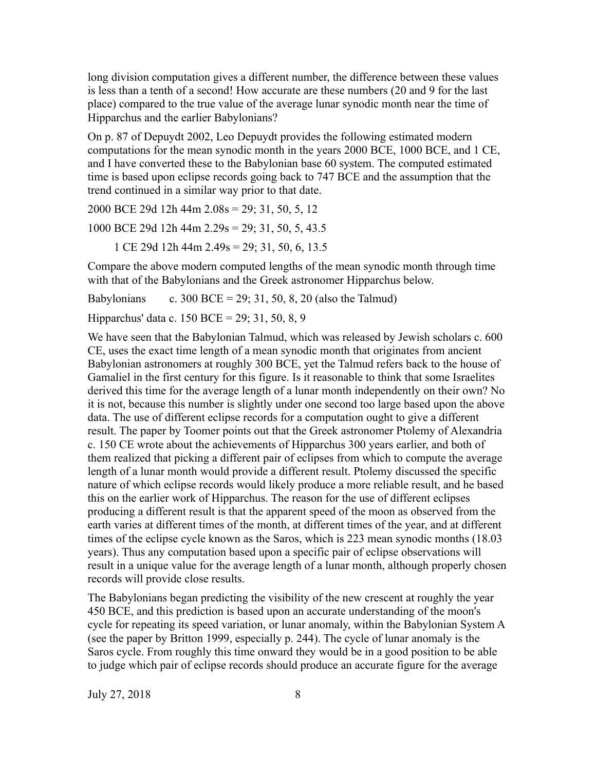long division computation gives a different number, the difference between these values is less than a tenth of a second! How accurate are these numbers (20 and 9 for the last place) compared to the true value of the average lunar synodic month near the time of Hipparchus and the earlier Babylonians?

On p. 87 of Depuydt 2002, Leo Depuydt provides the following estimated modern computations for the mean synodic month in the years 2000 BCE, 1000 BCE, and 1 CE, and I have converted these to the Babylonian base 60 system. The computed estimated time is based upon eclipse records going back to 747 BCE and the assumption that the trend continued in a similar way prior to that date.

2000 BCE 29d 12h 44m 2.08s = 29; 31, 50, 5, 12

1000 BCE 29d 12h 44m 2.29s = 29; 31, 50, 5, 43.5

1 CE 29d 12h 44m 2.49s = 29; 31, 50, 6, 13.5

Compare the above modern computed lengths of the mean synodic month through time with that of the Babylonians and the Greek astronomer Hipparchus below.

Babylonians c. 300 BCE = 29; 31, 50, 8, 20 (also the Talmud)

Hipparchus' data c. 150 BCE = 29; 31, 50, 8, 9

We have seen that the Babylonian Talmud, which was released by Jewish scholars c. 600 CE, uses the exact time length of a mean synodic month that originates from ancient Babylonian astronomers at roughly 300 BCE, yet the Talmud refers back to the house of Gamaliel in the first century for this figure. Is it reasonable to think that some Israelites derived this time for the average length of a lunar month independently on their own? No it is not, because this number is slightly under one second too large based upon the above data. The use of different eclipse records for a computation ought to give a different result. The paper by Toomer points out that the Greek astronomer Ptolemy of Alexandria c. 150 CE wrote about the achievements of Hipparchus 300 years earlier, and both of them realized that picking a different pair of eclipses from which to compute the average length of a lunar month would provide a different result. Ptolemy discussed the specific nature of which eclipse records would likely produce a more reliable result, and he based this on the earlier work of Hipparchus. The reason for the use of different eclipses producing a different result is that the apparent speed of the moon as observed from the earth varies at different times of the month, at different times of the year, and at different times of the eclipse cycle known as the Saros, which is 223 mean synodic months (18.03 years). Thus any computation based upon a specific pair of eclipse observations will result in a unique value for the average length of a lunar month, although properly chosen records will provide close results.

The Babylonians began predicting the visibility of the new crescent at roughly the year 450 BCE, and this prediction is based upon an accurate understanding of the moon's cycle for repeating its speed variation, or lunar anomaly, within the Babylonian System A (see the paper by Britton 1999, especially p. 244). The cycle of lunar anomaly is the Saros cycle. From roughly this time onward they would be in a good position to be able to judge which pair of eclipse records should produce an accurate figure for the average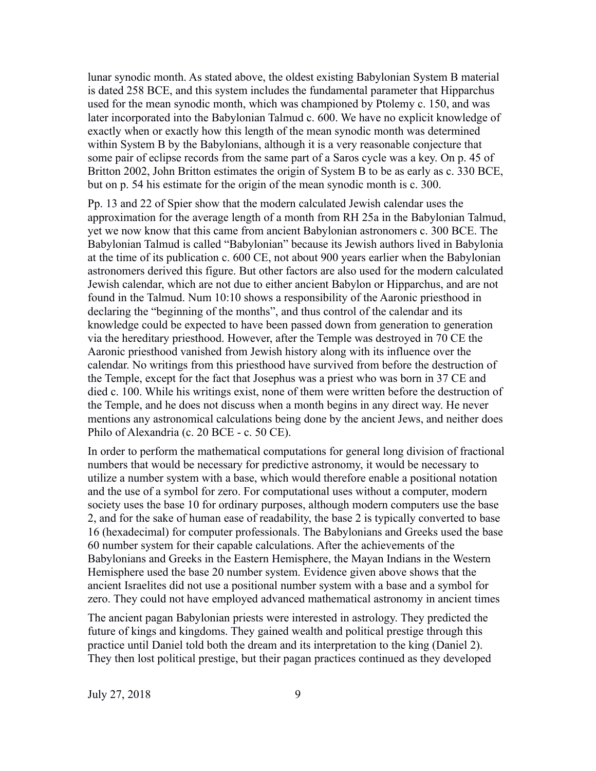lunar synodic month. As stated above, the oldest existing Babylonian System B material is dated 258 BCE, and this system includes the fundamental parameter that Hipparchus used for the mean synodic month, which was championed by Ptolemy c. 150, and was later incorporated into the Babylonian Talmud c. 600. We have no explicit knowledge of exactly when or exactly how this length of the mean synodic month was determined within System B by the Babylonians, although it is a very reasonable conjecture that some pair of eclipse records from the same part of a Saros cycle was a key. On p. 45 of Britton 2002, John Britton estimates the origin of System B to be as early as c. 330 BCE, but on p. 54 his estimate for the origin of the mean synodic month is c. 300.

Pp. 13 and 22 of Spier show that the modern calculated Jewish calendar uses the approximation for the average length of a month from RH 25a in the Babylonian Talmud, yet we now know that this came from ancient Babylonian astronomers c. 300 BCE. The Babylonian Talmud is called "Babylonian" because its Jewish authors lived in Babylonia at the time of its publication c. 600 CE, not about 900 years earlier when the Babylonian astronomers derived this figure. But other factors are also used for the modern calculated Jewish calendar, which are not due to either ancient Babylon or Hipparchus, and are not found in the Talmud. Num 10:10 shows a responsibility of the Aaronic priesthood in declaring the "beginning of the months", and thus control of the calendar and its knowledge could be expected to have been passed down from generation to generation via the hereditary priesthood. However, after the Temple was destroyed in 70 CE the Aaronic priesthood vanished from Jewish history along with its influence over the calendar. No writings from this priesthood have survived from before the destruction of the Temple, except for the fact that Josephus was a priest who was born in 37 CE and died c. 100. While his writings exist, none of them were written before the destruction of the Temple, and he does not discuss when a month begins in any direct way. He never mentions any astronomical calculations being done by the ancient Jews, and neither does Philo of Alexandria (c. 20 BCE - c. 50 CE).

In order to perform the mathematical computations for general long division of fractional numbers that would be necessary for predictive astronomy, it would be necessary to utilize a number system with a base, which would therefore enable a positional notation and the use of a symbol for zero. For computational uses without a computer, modern society uses the base 10 for ordinary purposes, although modern computers use the base 2, and for the sake of human ease of readability, the base 2 is typically converted to base 16 (hexadecimal) for computer professionals. The Babylonians and Greeks used the base 60 number system for their capable calculations. After the achievements of the Babylonians and Greeks in the Eastern Hemisphere, the Mayan Indians in the Western Hemisphere used the base 20 number system. Evidence given above shows that the ancient Israelites did not use a positional number system with a base and a symbol for zero. They could not have employed advanced mathematical astronomy in ancient times

The ancient pagan Babylonian priests were interested in astrology. They predicted the future of kings and kingdoms. They gained wealth and political prestige through this practice until Daniel told both the dream and its interpretation to the king (Daniel 2). They then lost political prestige, but their pagan practices continued as they developed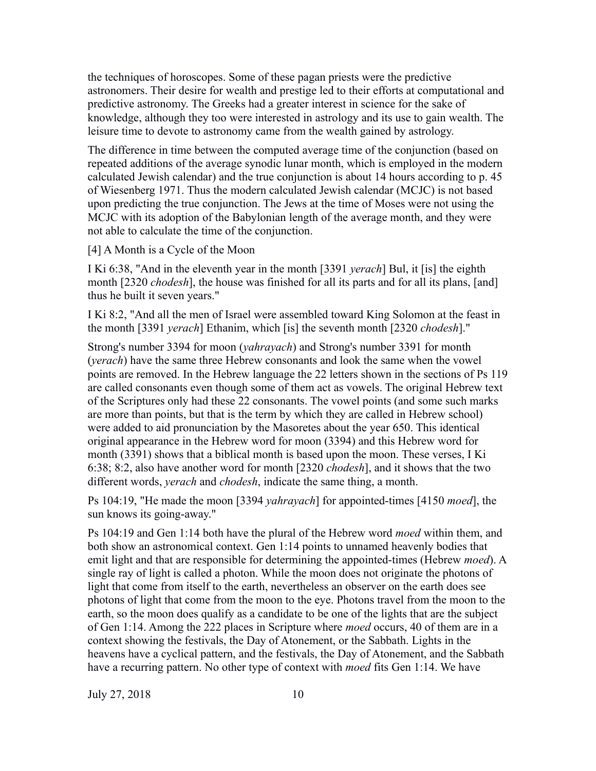the techniques of horoscopes. Some of these pagan priests were the predictive astronomers. Their desire for wealth and prestige led to their efforts at computational and predictive astronomy. The Greeks had a greater interest in science for the sake of knowledge, although they too were interested in astrology and its use to gain wealth. The leisure time to devote to astronomy came from the wealth gained by astrology.

The difference in time between the computed average time of the conjunction (based on repeated additions of the average synodic lunar month, which is employed in the modern calculated Jewish calendar) and the true conjunction is about 14 hours according to p. 45 of Wiesenberg 1971. Thus the modern calculated Jewish calendar (MCJC) is not based upon predicting the true conjunction. The Jews at the time of Moses were not using the MCJC with its adoption of the Babylonian length of the average month, and they were not able to calculate the time of the conjunction.

[4] A Month is a Cycle of the Moon

I Ki 6:38, "And in the eleventh year in the month [3391 *yerach*] Bul, it [is] the eighth month [2320 *chodesh*], the house was finished for all its parts and for all its plans, [and] thus he built it seven years."

I Ki 8:2, "And all the men of Israel were assembled toward King Solomon at the feast in the month [3391 *yerach*] Ethanim, which [is] the seventh month [2320 *chodesh*]."

Strong's number 3394 for moon (*yahrayach*) and Strong's number 3391 for month (*yerach*) have the same three Hebrew consonants and look the same when the vowel points are removed. In the Hebrew language the 22 letters shown in the sections of Ps 119 are called consonants even though some of them act as vowels. The original Hebrew text of the Scriptures only had these 22 consonants. The vowel points (and some such marks are more than points, but that is the term by which they are called in Hebrew school) were added to aid pronunciation by the Masoretes about the year 650. This identical original appearance in the Hebrew word for moon (3394) and this Hebrew word for month (3391) shows that a biblical month is based upon the moon. These verses, I Ki 6:38; 8:2, also have another word for month [2320 *chodesh*], and it shows that the two different words, *yerach* and *chodesh*, indicate the same thing, a month.

Ps 104:19, "He made the moon [3394 *yahrayach*] for appointed-times [4150 *moed*], the sun knows its going-away."

Ps 104:19 and Gen 1:14 both have the plural of the Hebrew word *moed* within them, and both show an astronomical context. Gen 1:14 points to unnamed heavenly bodies that emit light and that are responsible for determining the appointed-times (Hebrew *moed*). A single ray of light is called a photon. While the moon does not originate the photons of light that come from itself to the earth, nevertheless an observer on the earth does see photons of light that come from the moon to the eye. Photons travel from the moon to the earth, so the moon does qualify as a candidate to be one of the lights that are the subject of Gen 1:14. Among the 222 places in Scripture where *moed* occurs, 40 of them are in a context showing the festivals, the Day of Atonement, or the Sabbath. Lights in the heavens have a cyclical pattern, and the festivals, the Day of Atonement, and the Sabbath have a recurring pattern. No other type of context with *moed* fits Gen 1:14. We have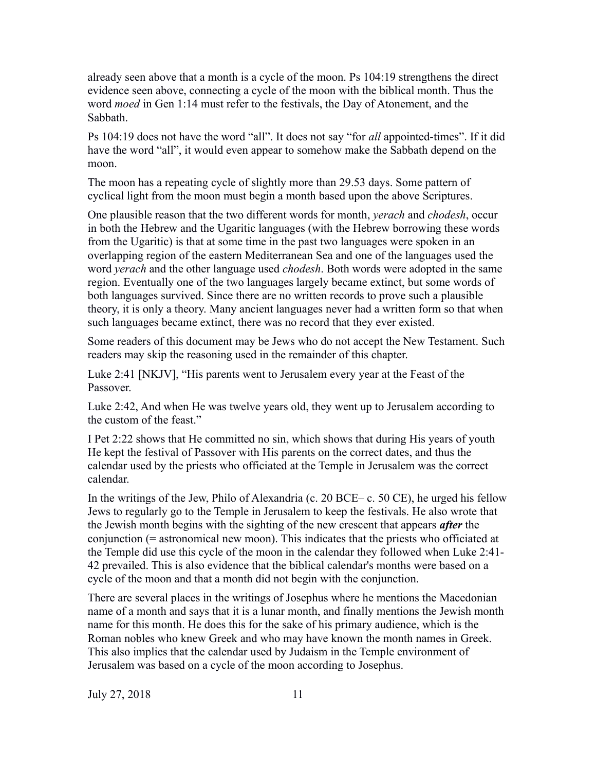already seen above that a month is a cycle of the moon. Ps 104:19 strengthens the direct evidence seen above, connecting a cycle of the moon with the biblical month. Thus the word *moed* in Gen 1:14 must refer to the festivals, the Day of Atonement, and the Sabbath.

Ps 104:19 does not have the word "all". It does not say "for *all* appointed-times". If it did have the word "all", it would even appear to somehow make the Sabbath depend on the moon.

The moon has a repeating cycle of slightly more than 29.53 days. Some pattern of cyclical light from the moon must begin a month based upon the above Scriptures.

One plausible reason that the two different words for month, *yerach* and *chodesh*, occur in both the Hebrew and the Ugaritic languages (with the Hebrew borrowing these words from the Ugaritic) is that at some time in the past two languages were spoken in an overlapping region of the eastern Mediterranean Sea and one of the languages used the word *yerach* and the other language used *chodesh*. Both words were adopted in the same region. Eventually one of the two languages largely became extinct, but some words of both languages survived. Since there are no written records to prove such a plausible theory, it is only a theory. Many ancient languages never had a written form so that when such languages became extinct, there was no record that they ever existed.

Some readers of this document may be Jews who do not accept the New Testament. Such readers may skip the reasoning used in the remainder of this chapter.

Luke 2:41 [NKJV], "His parents went to Jerusalem every year at the Feast of the Passover.

Luke 2:42, And when He was twelve years old, they went up to Jerusalem according to the custom of the feast."

I Pet 2:22 shows that He committed no sin, which shows that during His years of youth He kept the festival of Passover with His parents on the correct dates, and thus the calendar used by the priests who officiated at the Temple in Jerusalem was the correct calendar.

In the writings of the Jew, Philo of Alexandria (c. 20 BCE– c. 50 CE), he urged his fellow Jews to regularly go to the Temple in Jerusalem to keep the festivals. He also wrote that the Jewish month begins with the sighting of the new crescent that appears *after* the conjunction (= astronomical new moon). This indicates that the priests who officiated at the Temple did use this cycle of the moon in the calendar they followed when Luke 2:41- 42 prevailed. This is also evidence that the biblical calendar's months were based on a cycle of the moon and that a month did not begin with the conjunction.

There are several places in the writings of Josephus where he mentions the Macedonian name of a month and says that it is a lunar month, and finally mentions the Jewish month name for this month. He does this for the sake of his primary audience, which is the Roman nobles who knew Greek and who may have known the month names in Greek. This also implies that the calendar used by Judaism in the Temple environment of Jerusalem was based on a cycle of the moon according to Josephus.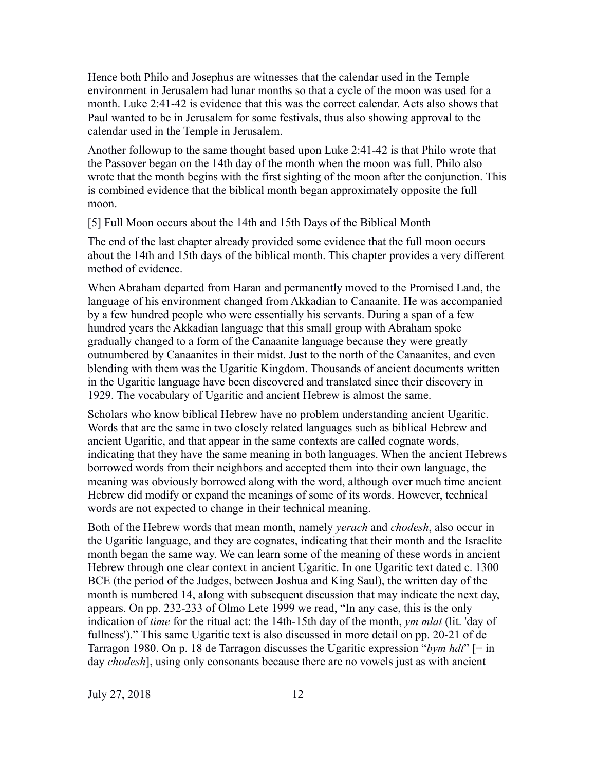Hence both Philo and Josephus are witnesses that the calendar used in the Temple environment in Jerusalem had lunar months so that a cycle of the moon was used for a month. Luke 2:41-42 is evidence that this was the correct calendar. Acts also shows that Paul wanted to be in Jerusalem for some festivals, thus also showing approval to the calendar used in the Temple in Jerusalem.

Another followup to the same thought based upon Luke 2:41-42 is that Philo wrote that the Passover began on the 14th day of the month when the moon was full. Philo also wrote that the month begins with the first sighting of the moon after the conjunction. This is combined evidence that the biblical month began approximately opposite the full moon.

[5] Full Moon occurs about the 14th and 15th Days of the Biblical Month

The end of the last chapter already provided some evidence that the full moon occurs about the 14th and 15th days of the biblical month. This chapter provides a very different method of evidence.

When Abraham departed from Haran and permanently moved to the Promised Land, the language of his environment changed from Akkadian to Canaanite. He was accompanied by a few hundred people who were essentially his servants. During a span of a few hundred years the Akkadian language that this small group with Abraham spoke gradually changed to a form of the Canaanite language because they were greatly outnumbered by Canaanites in their midst. Just to the north of the Canaanites, and even blending with them was the Ugaritic Kingdom. Thousands of ancient documents written in the Ugaritic language have been discovered and translated since their discovery in 1929. The vocabulary of Ugaritic and ancient Hebrew is almost the same.

Scholars who know biblical Hebrew have no problem understanding ancient Ugaritic. Words that are the same in two closely related languages such as biblical Hebrew and ancient Ugaritic, and that appear in the same contexts are called cognate words, indicating that they have the same meaning in both languages. When the ancient Hebrews borrowed words from their neighbors and accepted them into their own language, the meaning was obviously borrowed along with the word, although over much time ancient Hebrew did modify or expand the meanings of some of its words. However, technical words are not expected to change in their technical meaning.

Both of the Hebrew words that mean month, namely *yerach* and *chodesh*, also occur in the Ugaritic language, and they are cognates, indicating that their month and the Israelite month began the same way. We can learn some of the meaning of these words in ancient Hebrew through one clear context in ancient Ugaritic. In one Ugaritic text dated c. 1300 BCE (the period of the Judges, between Joshua and King Saul), the written day of the month is numbered 14, along with subsequent discussion that may indicate the next day, appears. On pp. 232-233 of Olmo Lete 1999 we read, "In any case, this is the only indication of *time* for the ritual act: the 14th-15th day of the month, *ym mlat* (lit. 'day of fullness')." This same Ugaritic text is also discussed in more detail on pp. 20-21 of de Tarragon 1980. On p. 18 de Tarragon discusses the Ugaritic expression "*bym hdt*" [= in day *chodesh*], using only consonants because there are no vowels just as with ancient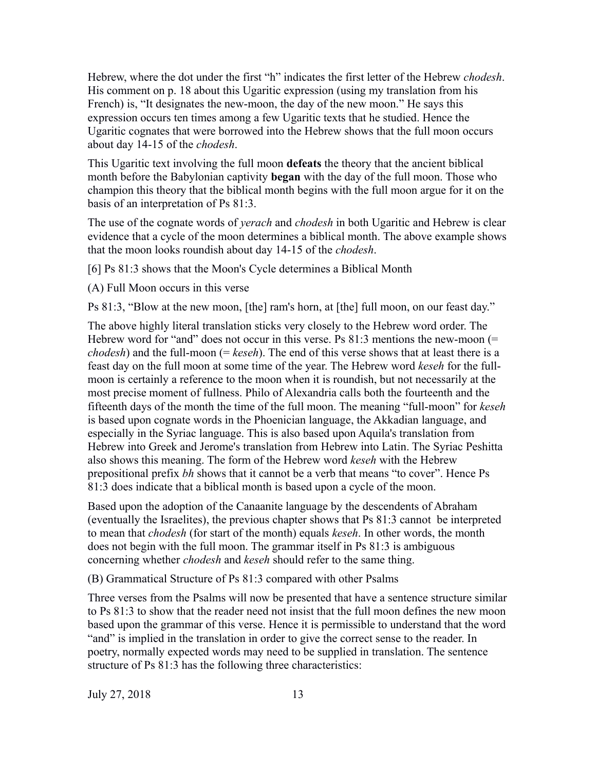Hebrew, where the dot under the first "h" indicates the first letter of the Hebrew *chodesh*. His comment on p. 18 about this Ugaritic expression (using my translation from his French) is, "It designates the new-moon, the day of the new moon." He says this expression occurs ten times among a few Ugaritic texts that he studied. Hence the Ugaritic cognates that were borrowed into the Hebrew shows that the full moon occurs about day 14-15 of the *chodesh*.

This Ugaritic text involving the full moon **defeats** the theory that the ancient biblical month before the Babylonian captivity **began** with the day of the full moon. Those who champion this theory that the biblical month begins with the full moon argue for it on the basis of an interpretation of Ps 81:3.

The use of the cognate words of *yerach* and *chodesh* in both Ugaritic and Hebrew is clear evidence that a cycle of the moon determines a biblical month. The above example shows that the moon looks roundish about day 14-15 of the *chodesh*.

[6] Ps 81:3 shows that the Moon's Cycle determines a Biblical Month

(A) Full Moon occurs in this verse

Ps 81:3, "Blow at the new moon, [the] ram's horn, at [the] full moon, on our feast day."

The above highly literal translation sticks very closely to the Hebrew word order. The Hebrew word for "and" does not occur in this verse. Ps  $81:3$  mentions the new-moon (= *chodesh*) and the full-moon (= *keseh*). The end of this verse shows that at least there is a feast day on the full moon at some time of the year. The Hebrew word *keseh* for the fullmoon is certainly a reference to the moon when it is roundish, but not necessarily at the most precise moment of fullness. Philo of Alexandria calls both the fourteenth and the fifteenth days of the month the time of the full moon. The meaning "full-moon" for *keseh* is based upon cognate words in the Phoenician language, the Akkadian language, and especially in the Syriac language. This is also based upon Aquila's translation from Hebrew into Greek and Jerome's translation from Hebrew into Latin. The Syriac Peshitta also shows this meaning. The form of the Hebrew word *keseh* with the Hebrew prepositional prefix *bh* shows that it cannot be a verb that means "to cover". Hence Ps 81:3 does indicate that a biblical month is based upon a cycle of the moon.

Based upon the adoption of the Canaanite language by the descendents of Abraham (eventually the Israelites), the previous chapter shows that Ps 81:3 cannot be interpreted to mean that *chodesh* (for start of the month) equals *keseh*. In other words, the month does not begin with the full moon. The grammar itself in Ps 81:3 is ambiguous concerning whether *chodesh* and *keseh* should refer to the same thing.

(B) Grammatical Structure of Ps 81:3 compared with other Psalms

Three verses from the Psalms will now be presented that have a sentence structure similar to Ps 81:3 to show that the reader need not insist that the full moon defines the new moon based upon the grammar of this verse. Hence it is permissible to understand that the word "and" is implied in the translation in order to give the correct sense to the reader. In poetry, normally expected words may need to be supplied in translation. The sentence structure of Ps 81:3 has the following three characteristics: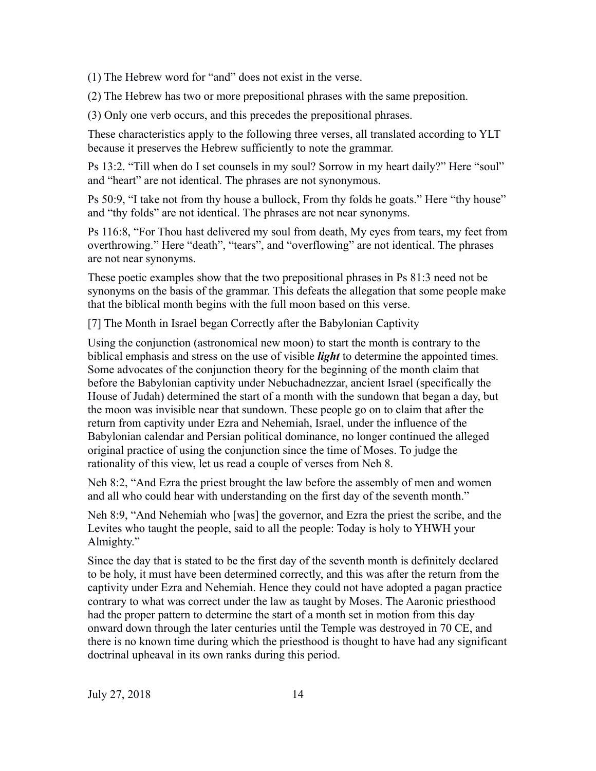(1) The Hebrew word for "and" does not exist in the verse.

(2) The Hebrew has two or more prepositional phrases with the same preposition.

(3) Only one verb occurs, and this precedes the prepositional phrases.

These characteristics apply to the following three verses, all translated according to YLT because it preserves the Hebrew sufficiently to note the grammar.

Ps 13:2. "Till when do I set counsels in my soul? Sorrow in my heart daily?" Here "soul" and "heart" are not identical. The phrases are not synonymous.

Ps 50:9, "I take not from thy house a bullock, From thy folds he goats." Here "thy house" and "thy folds" are not identical. The phrases are not near synonyms.

Ps 116:8, "For Thou hast delivered my soul from death, My eyes from tears, my feet from overthrowing." Here "death", "tears", and "overflowing" are not identical. The phrases are not near synonyms.

These poetic examples show that the two prepositional phrases in Ps 81:3 need not be synonyms on the basis of the grammar. This defeats the allegation that some people make that the biblical month begins with the full moon based on this verse.

[7] The Month in Israel began Correctly after the Babylonian Captivity

Using the conjunction (astronomical new moon) to start the month is contrary to the biblical emphasis and stress on the use of visible *light* to determine the appointed times. Some advocates of the conjunction theory for the beginning of the month claim that before the Babylonian captivity under Nebuchadnezzar, ancient Israel (specifically the House of Judah) determined the start of a month with the sundown that began a day, but the moon was invisible near that sundown. These people go on to claim that after the return from captivity under Ezra and Nehemiah, Israel, under the influence of the Babylonian calendar and Persian political dominance, no longer continued the alleged original practice of using the conjunction since the time of Moses. To judge the rationality of this view, let us read a couple of verses from Neh 8.

Neh 8:2, "And Ezra the priest brought the law before the assembly of men and women and all who could hear with understanding on the first day of the seventh month."

Neh 8:9, "And Nehemiah who [was] the governor, and Ezra the priest the scribe, and the Levites who taught the people, said to all the people: Today is holy to YHWH your Almighty."

Since the day that is stated to be the first day of the seventh month is definitely declared to be holy, it must have been determined correctly, and this was after the return from the captivity under Ezra and Nehemiah. Hence they could not have adopted a pagan practice contrary to what was correct under the law as taught by Moses. The Aaronic priesthood had the proper pattern to determine the start of a month set in motion from this day onward down through the later centuries until the Temple was destroyed in 70 CE, and there is no known time during which the priesthood is thought to have had any significant doctrinal upheaval in its own ranks during this period.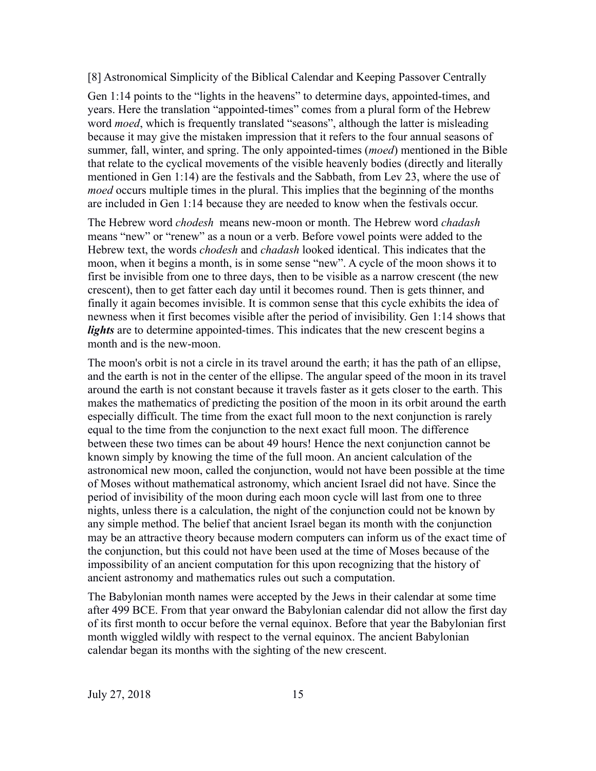[8] Astronomical Simplicity of the Biblical Calendar and Keeping Passover Centrally

Gen 1:14 points to the "lights in the heavens" to determine days, appointed-times, and years. Here the translation "appointed-times" comes from a plural form of the Hebrew word *moed*, which is frequently translated "seasons", although the latter is misleading because it may give the mistaken impression that it refers to the four annual seasons of summer, fall, winter, and spring. The only appointed-times (*moed*) mentioned in the Bible that relate to the cyclical movements of the visible heavenly bodies (directly and literally mentioned in Gen 1:14) are the festivals and the Sabbath, from Lev 23, where the use of *moed* occurs multiple times in the plural. This implies that the beginning of the months are included in Gen 1:14 because they are needed to know when the festivals occur.

The Hebrew word *chodesh* means new-moon or month. The Hebrew word *chadash* means "new" or "renew" as a noun or a verb. Before vowel points were added to the Hebrew text, the words *chodesh* and *chadash* looked identical. This indicates that the moon, when it begins a month, is in some sense "new". A cycle of the moon shows it to first be invisible from one to three days, then to be visible as a narrow crescent (the new crescent), then to get fatter each day until it becomes round. Then is gets thinner, and finally it again becomes invisible. It is common sense that this cycle exhibits the idea of newness when it first becomes visible after the period of invisibility. Gen 1:14 shows that *lights* are to determine appointed-times. This indicates that the new crescent begins a month and is the new-moon.

The moon's orbit is not a circle in its travel around the earth; it has the path of an ellipse, and the earth is not in the center of the ellipse. The angular speed of the moon in its travel around the earth is not constant because it travels faster as it gets closer to the earth. This makes the mathematics of predicting the position of the moon in its orbit around the earth especially difficult. The time from the exact full moon to the next conjunction is rarely equal to the time from the conjunction to the next exact full moon. The difference between these two times can be about 49 hours! Hence the next conjunction cannot be known simply by knowing the time of the full moon. An ancient calculation of the astronomical new moon, called the conjunction, would not have been possible at the time of Moses without mathematical astronomy, which ancient Israel did not have. Since the period of invisibility of the moon during each moon cycle will last from one to three nights, unless there is a calculation, the night of the conjunction could not be known by any simple method. The belief that ancient Israel began its month with the conjunction may be an attractive theory because modern computers can inform us of the exact time of the conjunction, but this could not have been used at the time of Moses because of the impossibility of an ancient computation for this upon recognizing that the history of ancient astronomy and mathematics rules out such a computation.

The Babylonian month names were accepted by the Jews in their calendar at some time after 499 BCE. From that year onward the Babylonian calendar did not allow the first day of its first month to occur before the vernal equinox. Before that year the Babylonian first month wiggled wildly with respect to the vernal equinox. The ancient Babylonian calendar began its months with the sighting of the new crescent.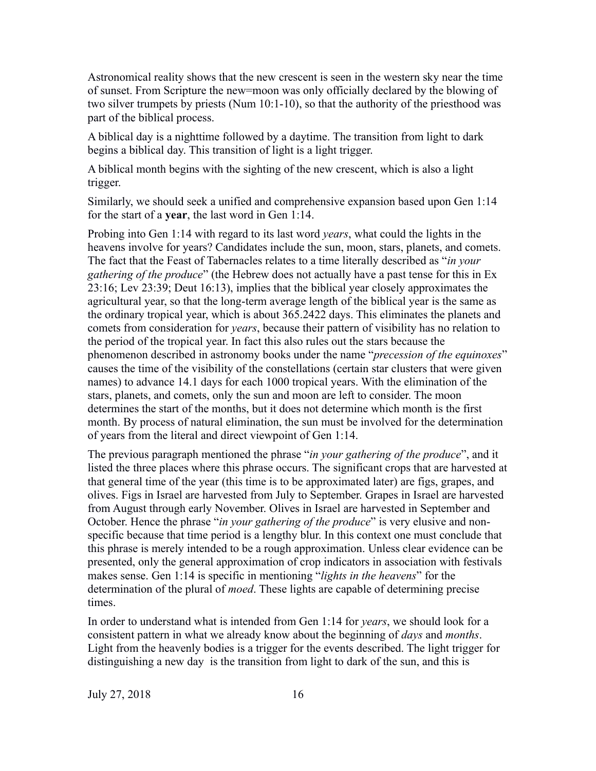Astronomical reality shows that the new crescent is seen in the western sky near the time of sunset. From Scripture the new=moon was only officially declared by the blowing of two silver trumpets by priests (Num 10:1-10), so that the authority of the priesthood was part of the biblical process.

A biblical day is a nighttime followed by a daytime. The transition from light to dark begins a biblical day. This transition of light is a light trigger.

A biblical month begins with the sighting of the new crescent, which is also a light trigger.

Similarly, we should seek a unified and comprehensive expansion based upon Gen 1:14 for the start of a **year**, the last word in Gen 1:14.

Probing into Gen 1:14 with regard to its last word *years*, what could the lights in the heavens involve for years? Candidates include the sun, moon, stars, planets, and comets. The fact that the Feast of Tabernacles relates to a time literally described as "*in your gathering of the produce*" (the Hebrew does not actually have a past tense for this in Ex 23:16; Lev 23:39; Deut 16:13), implies that the biblical year closely approximates the agricultural year, so that the long-term average length of the biblical year is the same as the ordinary tropical year, which is about 365.2422 days. This eliminates the planets and comets from consideration for *years*, because their pattern of visibility has no relation to the period of the tropical year. In fact this also rules out the stars because the phenomenon described in astronomy books under the name "*precession of the equinoxes*" causes the time of the visibility of the constellations (certain star clusters that were given names) to advance 14.1 days for each 1000 tropical years. With the elimination of the stars, planets, and comets, only the sun and moon are left to consider. The moon determines the start of the months, but it does not determine which month is the first month. By process of natural elimination, the sun must be involved for the determination of years from the literal and direct viewpoint of Gen 1:14.

The previous paragraph mentioned the phrase "*in your gathering of the produce*", and it listed the three places where this phrase occurs. The significant crops that are harvested at that general time of the year (this time is to be approximated later) are figs, grapes, and olives. Figs in Israel are harvested from July to September. Grapes in Israel are harvested from August through early November. Olives in Israel are harvested in September and October. Hence the phrase "*in your gathering of the produce*" is very elusive and nonspecific because that time period is a lengthy blur. In this context one must conclude that this phrase is merely intended to be a rough approximation. Unless clear evidence can be presented, only the general approximation of crop indicators in association with festivals makes sense. Gen 1:14 is specific in mentioning "*lights in the heavens*" for the determination of the plural of *moed*. These lights are capable of determining precise times.

In order to understand what is intended from Gen 1:14 for *years*, we should look for a consistent pattern in what we already know about the beginning of *days* and *months*. Light from the heavenly bodies is a trigger for the events described. The light trigger for distinguishing a new day is the transition from light to dark of the sun, and this is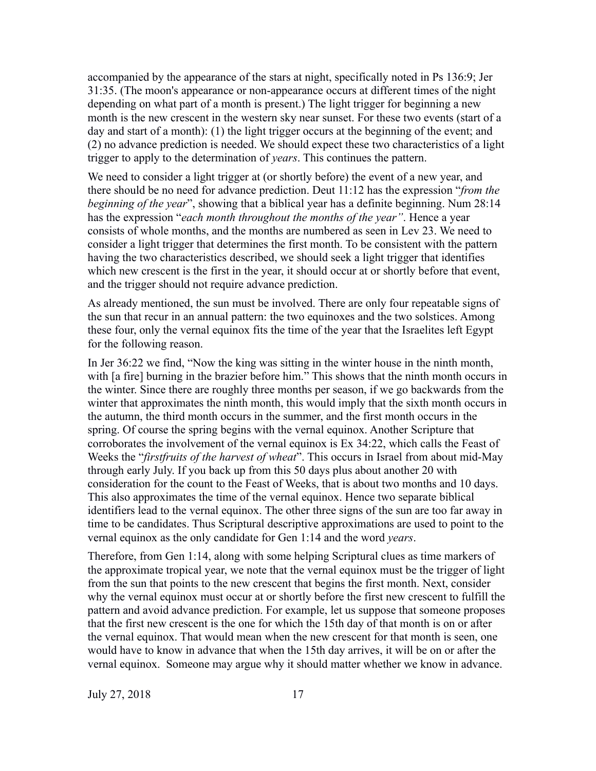accompanied by the appearance of the stars at night, specifically noted in Ps 136:9; Jer 31:35. (The moon's appearance or non-appearance occurs at different times of the night depending on what part of a month is present.) The light trigger for beginning a new month is the new crescent in the western sky near sunset. For these two events (start of a day and start of a month): (1) the light trigger occurs at the beginning of the event; and (2) no advance prediction is needed. We should expect these two characteristics of a light trigger to apply to the determination of *years*. This continues the pattern.

We need to consider a light trigger at (or shortly before) the event of a new year, and there should be no need for advance prediction. Deut 11:12 has the expression "*from the beginning of the year*", showing that a biblical year has a definite beginning. Num 28:14 has the expression "*each month throughout the months of the year"*. Hence a year consists of whole months, and the months are numbered as seen in Lev 23. We need to consider a light trigger that determines the first month. To be consistent with the pattern having the two characteristics described, we should seek a light trigger that identifies which new crescent is the first in the year, it should occur at or shortly before that event, and the trigger should not require advance prediction.

As already mentioned, the sun must be involved. There are only four repeatable signs of the sun that recur in an annual pattern: the two equinoxes and the two solstices. Among these four, only the vernal equinox fits the time of the year that the Israelites left Egypt for the following reason.

In Jer 36:22 we find, "Now the king was sitting in the winter house in the ninth month, with [a fire] burning in the brazier before him." This shows that the ninth month occurs in the winter. Since there are roughly three months per season, if we go backwards from the winter that approximates the ninth month, this would imply that the sixth month occurs in the autumn, the third month occurs in the summer, and the first month occurs in the spring. Of course the spring begins with the vernal equinox. Another Scripture that corroborates the involvement of the vernal equinox is Ex 34:22, which calls the Feast of Weeks the "*firstfruits of the harvest of wheat*". This occurs in Israel from about mid-May through early July. If you back up from this 50 days plus about another 20 with consideration for the count to the Feast of Weeks, that is about two months and 10 days. This also approximates the time of the vernal equinox. Hence two separate biblical identifiers lead to the vernal equinox. The other three signs of the sun are too far away in time to be candidates. Thus Scriptural descriptive approximations are used to point to the vernal equinox as the only candidate for Gen 1:14 and the word *years*.

Therefore, from Gen 1:14, along with some helping Scriptural clues as time markers of the approximate tropical year, we note that the vernal equinox must be the trigger of light from the sun that points to the new crescent that begins the first month. Next, consider why the vernal equinox must occur at or shortly before the first new crescent to fulfill the pattern and avoid advance prediction. For example, let us suppose that someone proposes that the first new crescent is the one for which the 15th day of that month is on or after the vernal equinox. That would mean when the new crescent for that month is seen, one would have to know in advance that when the 15th day arrives, it will be on or after the vernal equinox. Someone may argue why it should matter whether we know in advance.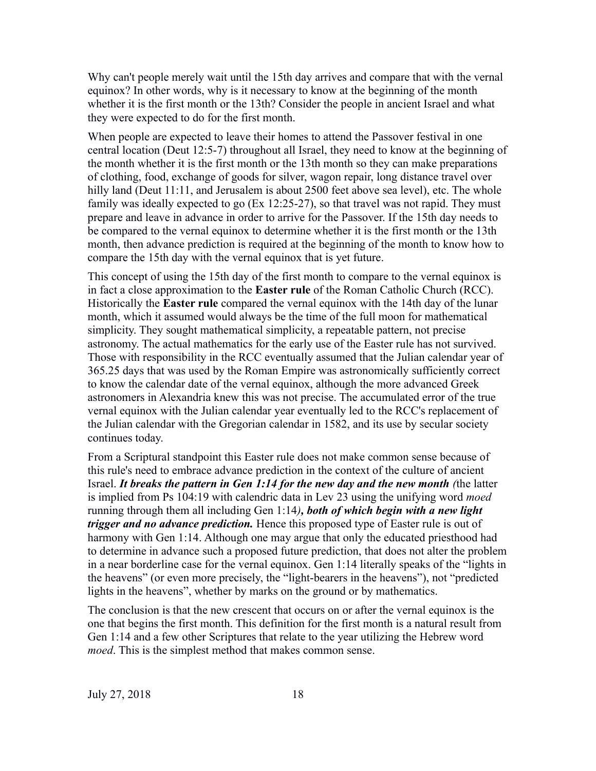Why can't people merely wait until the 15th day arrives and compare that with the vernal equinox? In other words, why is it necessary to know at the beginning of the month whether it is the first month or the 13th? Consider the people in ancient Israel and what they were expected to do for the first month.

When people are expected to leave their homes to attend the Passover festival in one central location (Deut 12:5-7) throughout all Israel, they need to know at the beginning of the month whether it is the first month or the 13th month so they can make preparations of clothing, food, exchange of goods for silver, wagon repair, long distance travel over hilly land (Deut 11:11, and Jerusalem is about 2500 feet above sea level), etc. The whole family was ideally expected to go (Ex 12:25-27), so that travel was not rapid. They must prepare and leave in advance in order to arrive for the Passover. If the 15th day needs to be compared to the vernal equinox to determine whether it is the first month or the 13th month, then advance prediction is required at the beginning of the month to know how to compare the 15th day with the vernal equinox that is yet future.

This concept of using the 15th day of the first month to compare to the vernal equinox is in fact a close approximation to the **Easter rule** of the Roman Catholic Church (RCC). Historically the **Easter rule** compared the vernal equinox with the 14th day of the lunar month, which it assumed would always be the time of the full moon for mathematical simplicity. They sought mathematical simplicity, a repeatable pattern, not precise astronomy. The actual mathematics for the early use of the Easter rule has not survived. Those with responsibility in the RCC eventually assumed that the Julian calendar year of 365.25 days that was used by the Roman Empire was astronomically sufficiently correct to know the calendar date of the vernal equinox, although the more advanced Greek astronomers in Alexandria knew this was not precise. The accumulated error of the true vernal equinox with the Julian calendar year eventually led to the RCC's replacement of the Julian calendar with the Gregorian calendar in 1582, and its use by secular society continues today.

From a Scriptural standpoint this Easter rule does not make common sense because of this rule's need to embrace advance prediction in the context of the culture of ancient Israel. *It breaks the pattern in Gen 1:14 for the new day and the new month (*the latter is implied from Ps 104:19 with calendric data in Lev 23 using the unifying word *moed* running through them all including Gen 1:14*), both of which begin with a new light trigger and no advance prediction.* Hence this proposed type of Easter rule is out of harmony with Gen 1:14. Although one may argue that only the educated priesthood had to determine in advance such a proposed future prediction, that does not alter the problem in a near borderline case for the vernal equinox. Gen 1:14 literally speaks of the "lights in the heavens" (or even more precisely, the "light-bearers in the heavens"), not "predicted lights in the heavens", whether by marks on the ground or by mathematics.

The conclusion is that the new crescent that occurs on or after the vernal equinox is the one that begins the first month. This definition for the first month is a natural result from Gen 1:14 and a few other Scriptures that relate to the year utilizing the Hebrew word *moed*. This is the simplest method that makes common sense.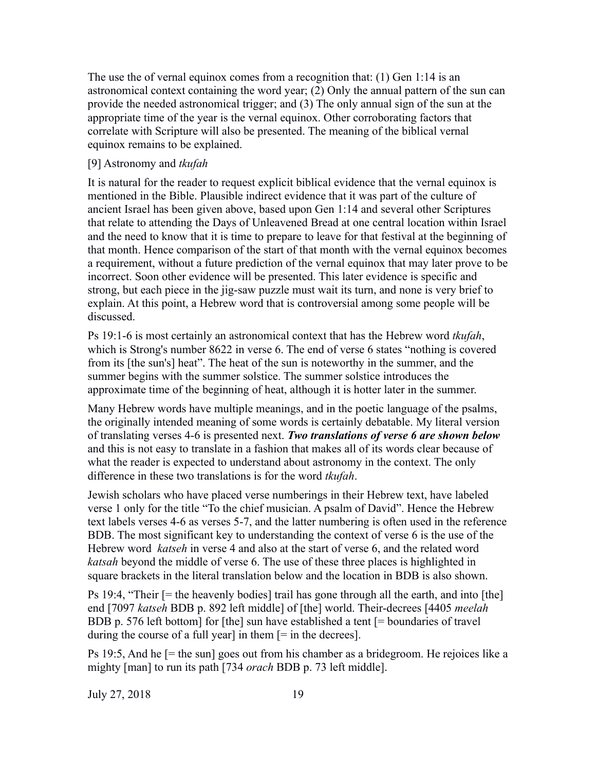The use the of vernal equinox comes from a recognition that: (1) Gen 1:14 is an astronomical context containing the word year; (2) Only the annual pattern of the sun can provide the needed astronomical trigger; and (3) The only annual sign of the sun at the appropriate time of the year is the vernal equinox. Other corroborating factors that correlate with Scripture will also be presented. The meaning of the biblical vernal equinox remains to be explained.

# [9] Astronomy and *tkufah*

It is natural for the reader to request explicit biblical evidence that the vernal equinox is mentioned in the Bible. Plausible indirect evidence that it was part of the culture of ancient Israel has been given above, based upon Gen 1:14 and several other Scriptures that relate to attending the Days of Unleavened Bread at one central location within Israel and the need to know that it is time to prepare to leave for that festival at the beginning of that month. Hence comparison of the start of that month with the vernal equinox becomes a requirement, without a future prediction of the vernal equinox that may later prove to be incorrect. Soon other evidence will be presented. This later evidence is specific and strong, but each piece in the jig-saw puzzle must wait its turn, and none is very brief to explain. At this point, a Hebrew word that is controversial among some people will be discussed.

Ps 19:1-6 is most certainly an astronomical context that has the Hebrew word *tkufah*, which is Strong's number 8622 in verse 6. The end of verse 6 states "nothing is covered from its [the sun's] heat". The heat of the sun is noteworthy in the summer, and the summer begins with the summer solstice. The summer solstice introduces the approximate time of the beginning of heat, although it is hotter later in the summer.

Many Hebrew words have multiple meanings, and in the poetic language of the psalms, the originally intended meaning of some words is certainly debatable. My literal version of translating verses 4-6 is presented next. *Two translations of verse 6 are shown below* and this is not easy to translate in a fashion that makes all of its words clear because of what the reader is expected to understand about astronomy in the context. The only difference in these two translations is for the word *tkufah*.

Jewish scholars who have placed verse numberings in their Hebrew text, have labeled verse 1 only for the title "To the chief musician. A psalm of David". Hence the Hebrew text labels verses 4-6 as verses 5-7, and the latter numbering is often used in the reference BDB. The most significant key to understanding the context of verse 6 is the use of the Hebrew word *katseh* in verse 4 and also at the start of verse 6, and the related word *katsah* beyond the middle of verse 6. The use of these three places is highlighted in square brackets in the literal translation below and the location in BDB is also shown.

Ps 19:4, "Their [= the heavenly bodies] trail has gone through all the earth, and into [the] end [7097 *katseh* BDB p. 892 left middle] of [the] world. Their-decrees [4405 *meelah* BDB p. 576 left bottom] for [the] sun have established a tent [= boundaries of travel during the course of a full year] in them  $[=$  in the decrees].

Ps 19:5, And he [= the sun] goes out from his chamber as a bridegroom. He rejoices like a mighty [man] to run its path [734 *orach* BDB p. 73 left middle].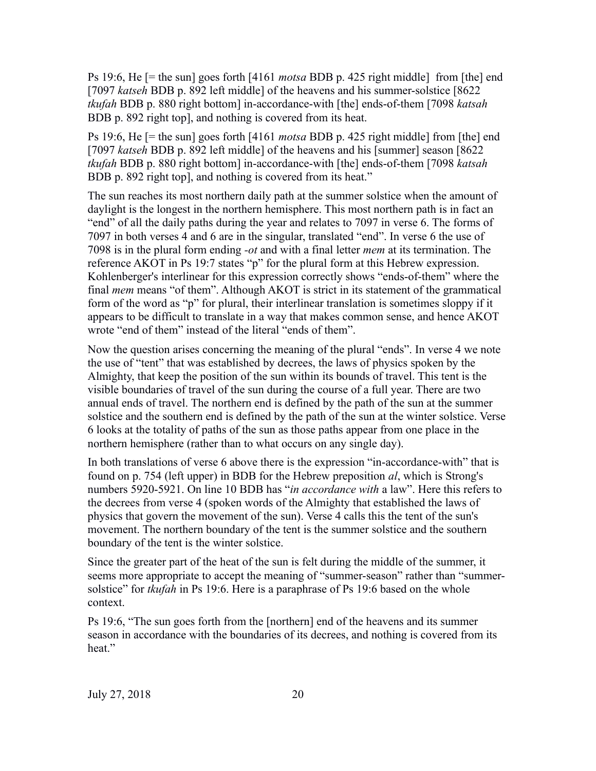Ps 19:6, He [= the sun] goes forth [4161 *motsa* BDB p. 425 right middle] from [the] end [7097 *katseh* BDB p. 892 left middle] of the heavens and his summer-solstice [8622 *tkufah* BDB p. 880 right bottom] in-accordance-with [the] ends-of-them [7098 *katsah*  BDB p. 892 right top], and nothing is covered from its heat.

Ps 19:6, He [= the sun] goes forth [4161 *motsa* BDB p. 425 right middle] from [the] end [7097 *katseh* BDB p. 892 left middle] of the heavens and his [summer] season [8622 *tkufah* BDB p. 880 right bottom] in-accordance-with [the] ends-of-them [7098 *katsah*  BDB p. 892 right top], and nothing is covered from its heat."

The sun reaches its most northern daily path at the summer solstice when the amount of daylight is the longest in the northern hemisphere. This most northern path is in fact an "end" of all the daily paths during the year and relates to 7097 in verse 6. The forms of 7097 in both verses 4 and 6 are in the singular, translated "end". In verse 6 the use of 7098 is in the plural form ending *-ot* and with a final letter *mem* at its termination. The reference AKOT in Ps 19:7 states "p" for the plural form at this Hebrew expression. Kohlenberger's interlinear for this expression correctly shows "ends-of-them" where the final *mem* means "of them". Although AKOT is strict in its statement of the grammatical form of the word as "p" for plural, their interlinear translation is sometimes sloppy if it appears to be difficult to translate in a way that makes common sense, and hence AKOT wrote "end of them" instead of the literal "ends of them".

Now the question arises concerning the meaning of the plural "ends". In verse 4 we note the use of "tent" that was established by decrees, the laws of physics spoken by the Almighty, that keep the position of the sun within its bounds of travel. This tent is the visible boundaries of travel of the sun during the course of a full year. There are two annual ends of travel. The northern end is defined by the path of the sun at the summer solstice and the southern end is defined by the path of the sun at the winter solstice. Verse 6 looks at the totality of paths of the sun as those paths appear from one place in the northern hemisphere (rather than to what occurs on any single day).

In both translations of verse 6 above there is the expression "in-accordance-with" that is found on p. 754 (left upper) in BDB for the Hebrew preposition *al*, which is Strong's numbers 5920-5921. On line 10 BDB has "*in accordance with* a law". Here this refers to the decrees from verse 4 (spoken words of the Almighty that established the laws of physics that govern the movement of the sun). Verse 4 calls this the tent of the sun's movement. The northern boundary of the tent is the summer solstice and the southern boundary of the tent is the winter solstice.

Since the greater part of the heat of the sun is felt during the middle of the summer, it seems more appropriate to accept the meaning of "summer-season" rather than "summersolstice" for *tkufah* in Ps 19:6. Here is a paraphrase of Ps 19:6 based on the whole context.

Ps 19:6, "The sun goes forth from the [northern] end of the heavens and its summer season in accordance with the boundaries of its decrees, and nothing is covered from its heat."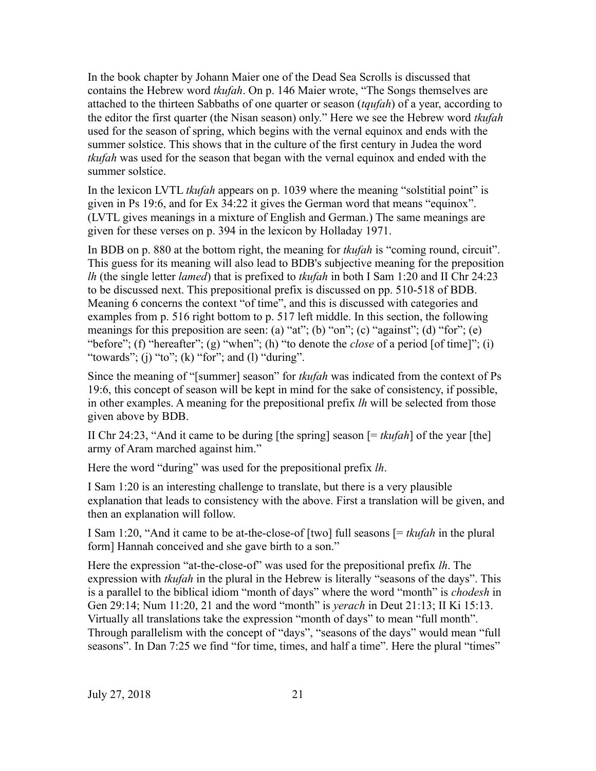In the book chapter by Johann Maier one of the Dead Sea Scrolls is discussed that contains the Hebrew word *tkufah*. On p. 146 Maier wrote, "The Songs themselves are attached to the thirteen Sabbaths of one quarter or season (*tqufah*) of a year, according to the editor the first quarter (the Nisan season) only." Here we see the Hebrew word *tkufah* used for the season of spring, which begins with the vernal equinox and ends with the summer solstice. This shows that in the culture of the first century in Judea the word *tkufah* was used for the season that began with the vernal equinox and ended with the summer solstice.

In the lexicon LVTL *tkufah* appears on p. 1039 where the meaning "solstitial point" is given in Ps 19:6, and for Ex 34:22 it gives the German word that means "equinox". (LVTL gives meanings in a mixture of English and German.) The same meanings are given for these verses on p. 394 in the lexicon by Holladay 1971.

In BDB on p. 880 at the bottom right, the meaning for *tkufah* is "coming round, circuit". This guess for its meaning will also lead to BDB's subjective meaning for the preposition *lh* (the single letter *lamed*) that is prefixed to *tkufah* in both I Sam 1:20 and II Chr 24:23 to be discussed next. This prepositional prefix is discussed on pp. 510-518 of BDB. Meaning 6 concerns the context "of time", and this is discussed with categories and examples from p. 516 right bottom to p. 517 left middle. In this section, the following meanings for this preposition are seen: (a) "at"; (b) "on"; (c) "against"; (d) "for"; (e) "before"; (f) "hereafter"; (g) "when"; (h) "to denote the *close* of a period [of time]"; (i) "towards"; (j) "to"; (k) "for"; and (l) "during".

Since the meaning of "[summer] season" for *tkufah* was indicated from the context of Ps 19:6, this concept of season will be kept in mind for the sake of consistency, if possible, in other examples. A meaning for the prepositional prefix *lh* will be selected from those given above by BDB.

II Chr 24:23, "And it came to be during [the spring] season [= *tkufah*] of the year [the] army of Aram marched against him."

Here the word "during" was used for the prepositional prefix *lh*.

I Sam 1:20 is an interesting challenge to translate, but there is a very plausible explanation that leads to consistency with the above. First a translation will be given, and then an explanation will follow.

I Sam 1:20, "And it came to be at-the-close-of [two] full seasons [= *tkufah* in the plural form] Hannah conceived and she gave birth to a son."

Here the expression "at-the-close-of" was used for the prepositional prefix *lh*. The expression with *tkufah* in the plural in the Hebrew is literally "seasons of the days". This is a parallel to the biblical idiom "month of days" where the word "month" is *chodesh* in Gen 29:14; Num 11:20, 21 and the word "month" is *yerach* in Deut 21:13; II Ki 15:13. Virtually all translations take the expression "month of days" to mean "full month". Through parallelism with the concept of "days", "seasons of the days" would mean "full seasons". In Dan 7:25 we find "for time, times, and half a time". Here the plural "times"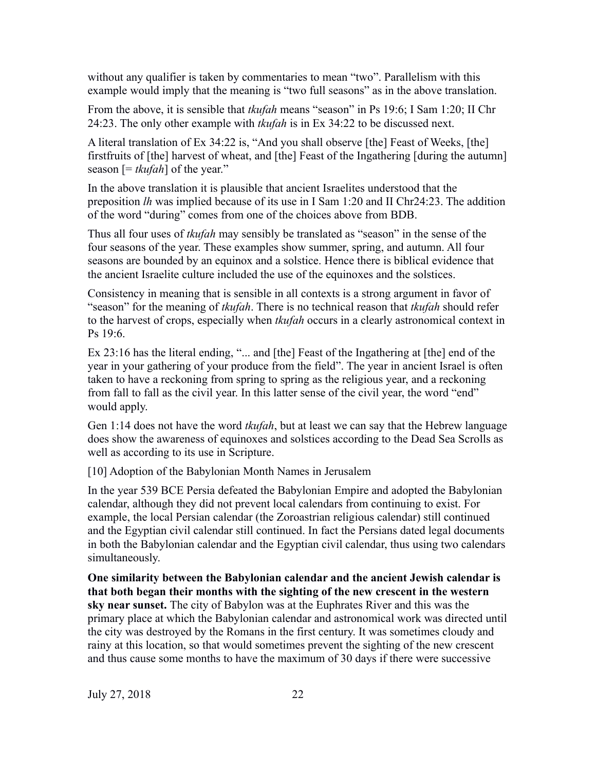without any qualifier is taken by commentaries to mean "two". Parallelism with this example would imply that the meaning is "two full seasons" as in the above translation.

From the above, it is sensible that *tkufah* means "season" in Ps 19:6; I Sam 1:20; II Chr 24:23. The only other example with *tkufah* is in Ex 34:22 to be discussed next.

A literal translation of Ex 34:22 is, "And you shall observe [the] Feast of Weeks, [the] firstfruits of [the] harvest of wheat, and [the] Feast of the Ingathering [during the autumn] season [= *tkufah*] of the year."

In the above translation it is plausible that ancient Israelites understood that the preposition *lh* was implied because of its use in I Sam 1:20 and II Chr24:23. The addition of the word "during" comes from one of the choices above from BDB.

Thus all four uses of *tkufah* may sensibly be translated as "season" in the sense of the four seasons of the year. These examples show summer, spring, and autumn. All four seasons are bounded by an equinox and a solstice. Hence there is biblical evidence that the ancient Israelite culture included the use of the equinoxes and the solstices.

Consistency in meaning that is sensible in all contexts is a strong argument in favor of "season" for the meaning of *tkufah*. There is no technical reason that *tkufah* should refer to the harvest of crops, especially when *tkufah* occurs in a clearly astronomical context in Ps 19:6.

Ex 23:16 has the literal ending, "... and [the] Feast of the Ingathering at [the] end of the year in your gathering of your produce from the field". The year in ancient Israel is often taken to have a reckoning from spring to spring as the religious year, and a reckoning from fall to fall as the civil year. In this latter sense of the civil year, the word "end" would apply.

Gen 1:14 does not have the word *tkufah*, but at least we can say that the Hebrew language does show the awareness of equinoxes and solstices according to the Dead Sea Scrolls as well as according to its use in Scripture.

[10] Adoption of the Babylonian Month Names in Jerusalem

In the year 539 BCE Persia defeated the Babylonian Empire and adopted the Babylonian calendar, although they did not prevent local calendars from continuing to exist. For example, the local Persian calendar (the Zoroastrian religious calendar) still continued and the Egyptian civil calendar still continued. In fact the Persians dated legal documents in both the Babylonian calendar and the Egyptian civil calendar, thus using two calendars simultaneously.

**One similarity between the Babylonian calendar and the ancient Jewish calendar is that both began their months with the sighting of the new crescent in the western sky near sunset.** The city of Babylon was at the Euphrates River and this was the primary place at which the Babylonian calendar and astronomical work was directed until the city was destroyed by the Romans in the first century. It was sometimes cloudy and rainy at this location, so that would sometimes prevent the sighting of the new crescent and thus cause some months to have the maximum of 30 days if there were successive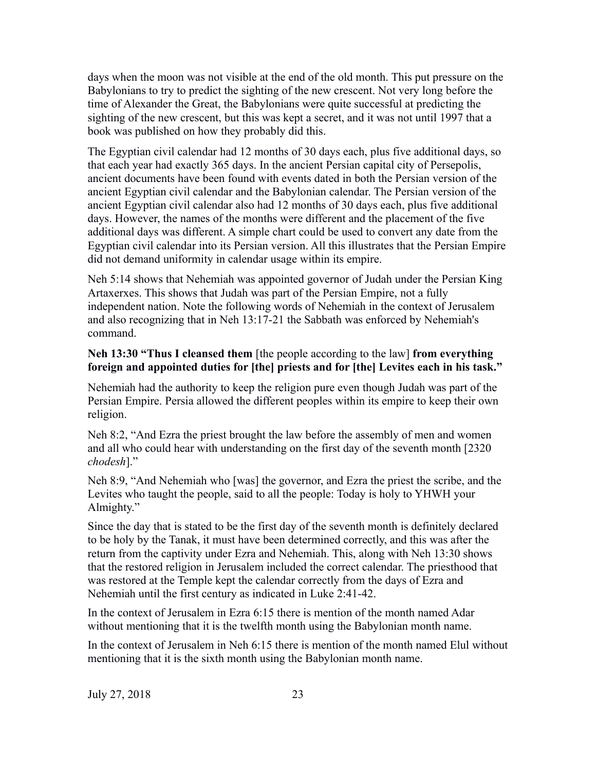days when the moon was not visible at the end of the old month. This put pressure on the Babylonians to try to predict the sighting of the new crescent. Not very long before the time of Alexander the Great, the Babylonians were quite successful at predicting the sighting of the new crescent, but this was kept a secret, and it was not until 1997 that a book was published on how they probably did this.

The Egyptian civil calendar had 12 months of 30 days each, plus five additional days, so that each year had exactly 365 days. In the ancient Persian capital city of Persepolis, ancient documents have been found with events dated in both the Persian version of the ancient Egyptian civil calendar and the Babylonian calendar. The Persian version of the ancient Egyptian civil calendar also had 12 months of 30 days each, plus five additional days. However, the names of the months were different and the placement of the five additional days was different. A simple chart could be used to convert any date from the Egyptian civil calendar into its Persian version. All this illustrates that the Persian Empire did not demand uniformity in calendar usage within its empire.

Neh 5:14 shows that Nehemiah was appointed governor of Judah under the Persian King Artaxerxes. This shows that Judah was part of the Persian Empire, not a fully independent nation. Note the following words of Nehemiah in the context of Jerusalem and also recognizing that in Neh 13:17-21 the Sabbath was enforced by Nehemiah's command.

# **Neh 13:30 "Thus I cleansed them** [the people according to the law] **from everything foreign and appointed duties for [the] priests and for [the] Levites each in his task."**

Nehemiah had the authority to keep the religion pure even though Judah was part of the Persian Empire. Persia allowed the different peoples within its empire to keep their own religion.

Neh 8:2, "And Ezra the priest brought the law before the assembly of men and women and all who could hear with understanding on the first day of the seventh month [2320 *chodesh*]."

Neh 8:9, "And Nehemiah who [was] the governor, and Ezra the priest the scribe, and the Levites who taught the people, said to all the people: Today is holy to YHWH your Almighty."

Since the day that is stated to be the first day of the seventh month is definitely declared to be holy by the Tanak, it must have been determined correctly, and this was after the return from the captivity under Ezra and Nehemiah. This, along with Neh 13:30 shows that the restored religion in Jerusalem included the correct calendar. The priesthood that was restored at the Temple kept the calendar correctly from the days of Ezra and Nehemiah until the first century as indicated in Luke 2:41-42.

In the context of Jerusalem in Ezra 6:15 there is mention of the month named Adar without mentioning that it is the twelfth month using the Babylonian month name.

In the context of Jerusalem in Neh 6:15 there is mention of the month named Elul without mentioning that it is the sixth month using the Babylonian month name.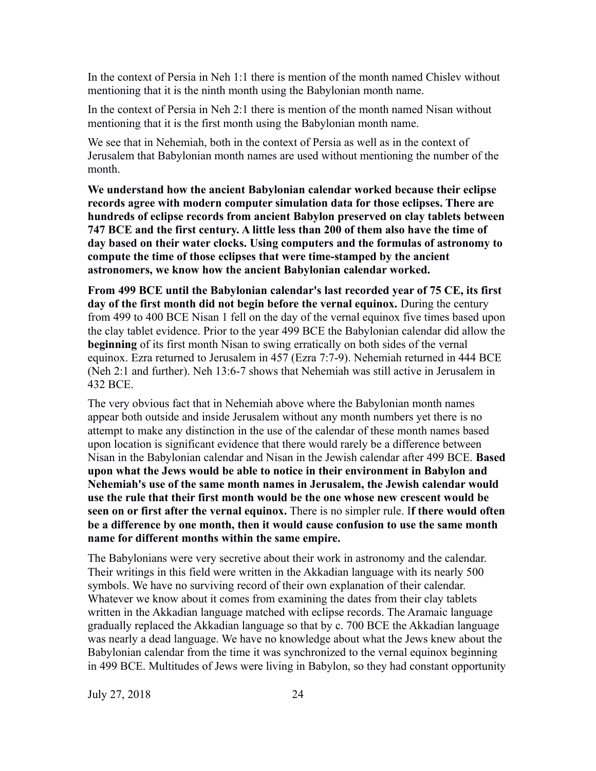In the context of Persia in Neh 1:1 there is mention of the month named Chislev without mentioning that it is the ninth month using the Babylonian month name.

In the context of Persia in Neh 2:1 there is mention of the month named Nisan without mentioning that it is the first month using the Babylonian month name.

We see that in Nehemiah, both in the context of Persia as well as in the context of Jerusalem that Babylonian month names are used without mentioning the number of the month.

**We understand how the ancient Babylonian calendar worked because their eclipse records agree with modern computer simulation data for those eclipses. There are hundreds of eclipse records from ancient Babylon preserved on clay tablets between 747 BCE and the first century. A little less than 200 of them also have the time of day based on their water clocks. Using computers and the formulas of astronomy to compute the time of those eclipses that were time-stamped by the ancient astronomers, we know how the ancient Babylonian calendar worked.**

**From 499 BCE until the Babylonian calendar's last recorded year of 75 CE, its first day of the first month did not begin before the vernal equinox.** During the century from 499 to 400 BCE Nisan 1 fell on the day of the vernal equinox five times based upon the clay tablet evidence. Prior to the year 499 BCE the Babylonian calendar did allow the **beginning** of its first month Nisan to swing erratically on both sides of the vernal equinox. Ezra returned to Jerusalem in 457 (Ezra 7:7-9). Nehemiah returned in 444 BCE (Neh 2:1 and further). Neh 13:6-7 shows that Nehemiah was still active in Jerusalem in 432 BCE.

The very obvious fact that in Nehemiah above where the Babylonian month names appear both outside and inside Jerusalem without any month numbers yet there is no attempt to make any distinction in the use of the calendar of these month names based upon location is significant evidence that there would rarely be a difference between Nisan in the Babylonian calendar and Nisan in the Jewish calendar after 499 BCE. **Based upon what the Jews would be able to notice in their environment in Babylon and Nehemiah's use of the same month names in Jerusalem, the Jewish calendar would use the rule that their first month would be the one whose new crescent would be seen on or first after the vernal equinox.** There is no simpler rule. I**f there would often be a difference by one month, then it would cause confusion to use the same month name for different months within the same empire.**

The Babylonians were very secretive about their work in astronomy and the calendar. Their writings in this field were written in the Akkadian language with its nearly 500 symbols. We have no surviving record of their own explanation of their calendar. Whatever we know about it comes from examining the dates from their clay tablets written in the Akkadian language matched with eclipse records. The Aramaic language gradually replaced the Akkadian language so that by c. 700 BCE the Akkadian language was nearly a dead language. We have no knowledge about what the Jews knew about the Babylonian calendar from the time it was synchronized to the vernal equinox beginning in 499 BCE. Multitudes of Jews were living in Babylon, so they had constant opportunity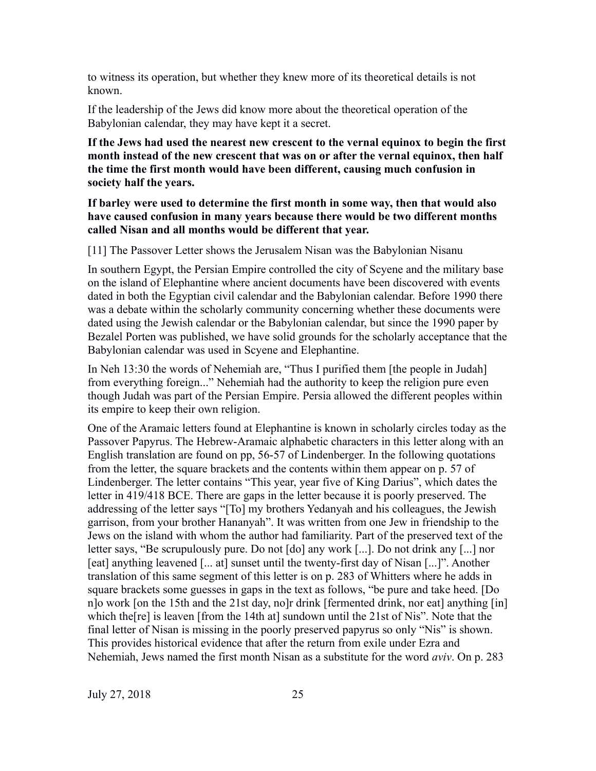to witness its operation, but whether they knew more of its theoretical details is not known.

If the leadership of the Jews did know more about the theoretical operation of the Babylonian calendar, they may have kept it a secret.

**If the Jews had used the nearest new crescent to the vernal equinox to begin the first month instead of the new crescent that was on or after the vernal equinox, then half the time the first month would have been different, causing much confusion in society half the years.**

**If barley were used to determine the first month in some way, then that would also have caused confusion in many years because there would be two different months called Nisan and all months would be different that year.**

[11] The Passover Letter shows the Jerusalem Nisan was the Babylonian Nisanu

In southern Egypt, the Persian Empire controlled the city of Scyene and the military base on the island of Elephantine where ancient documents have been discovered with events dated in both the Egyptian civil calendar and the Babylonian calendar. Before 1990 there was a debate within the scholarly community concerning whether these documents were dated using the Jewish calendar or the Babylonian calendar, but since the 1990 paper by Bezalel Porten was published, we have solid grounds for the scholarly acceptance that the Babylonian calendar was used in Scyene and Elephantine.

In Neh 13:30 the words of Nehemiah are, "Thus I purified them [the people in Judah] from everything foreign..." Nehemiah had the authority to keep the religion pure even though Judah was part of the Persian Empire. Persia allowed the different peoples within its empire to keep their own religion.

One of the Aramaic letters found at Elephantine is known in scholarly circles today as the Passover Papyrus. The Hebrew-Aramaic alphabetic characters in this letter along with an English translation are found on pp, 56-57 of Lindenberger. In the following quotations from the letter, the square brackets and the contents within them appear on p. 57 of Lindenberger. The letter contains "This year, year five of King Darius", which dates the letter in 419/418 BCE. There are gaps in the letter because it is poorly preserved. The addressing of the letter says "[To] my brothers Yedanyah and his colleagues, the Jewish garrison, from your brother Hananyah". It was written from one Jew in friendship to the Jews on the island with whom the author had familiarity. Part of the preserved text of the letter says, "Be scrupulously pure. Do not [do] any work [...]. Do not drink any [...] nor [eat] anything leavened [... at] sunset until the twenty-first day of Nisan [...]". Another translation of this same segment of this letter is on p. 283 of Whitters where he adds in square brackets some guesses in gaps in the text as follows, "be pure and take heed. [Do n]o work [on the 15th and the 21st day, no]r drink [fermented drink, nor eat] anything [in] which the[re] is leaven [from the 14th at] sundown until the 21st of Nis". Note that the final letter of Nisan is missing in the poorly preserved papyrus so only "Nis" is shown. This provides historical evidence that after the return from exile under Ezra and Nehemiah, Jews named the first month Nisan as a substitute for the word *aviv*. On p. 283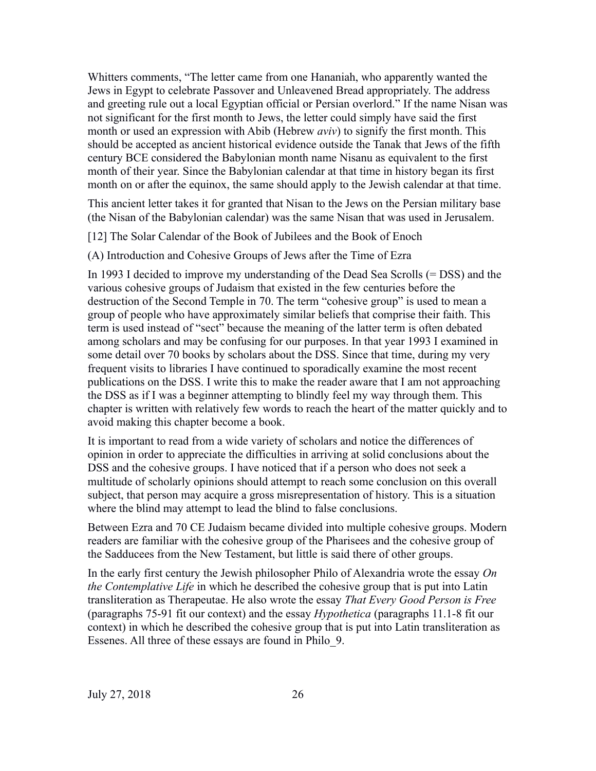Whitters comments, "The letter came from one Hananiah, who apparently wanted the Jews in Egypt to celebrate Passover and Unleavened Bread appropriately. The address and greeting rule out a local Egyptian official or Persian overlord." If the name Nisan was not significant for the first month to Jews, the letter could simply have said the first month or used an expression with Abib (Hebrew *aviv*) to signify the first month. This should be accepted as ancient historical evidence outside the Tanak that Jews of the fifth century BCE considered the Babylonian month name Nisanu as equivalent to the first month of their year. Since the Babylonian calendar at that time in history began its first month on or after the equinox, the same should apply to the Jewish calendar at that time.

This ancient letter takes it for granted that Nisan to the Jews on the Persian military base (the Nisan of the Babylonian calendar) was the same Nisan that was used in Jerusalem.

[12] The Solar Calendar of the Book of Jubilees and the Book of Enoch

(A) Introduction and Cohesive Groups of Jews after the Time of Ezra

In 1993 I decided to improve my understanding of the Dead Sea Scrolls (= DSS) and the various cohesive groups of Judaism that existed in the few centuries before the destruction of the Second Temple in 70. The term "cohesive group" is used to mean a group of people who have approximately similar beliefs that comprise their faith. This term is used instead of "sect" because the meaning of the latter term is often debated among scholars and may be confusing for our purposes. In that year 1993 I examined in some detail over 70 books by scholars about the DSS. Since that time, during my very frequent visits to libraries I have continued to sporadically examine the most recent publications on the DSS. I write this to make the reader aware that I am not approaching the DSS as if I was a beginner attempting to blindly feel my way through them. This chapter is written with relatively few words to reach the heart of the matter quickly and to avoid making this chapter become a book.

It is important to read from a wide variety of scholars and notice the differences of opinion in order to appreciate the difficulties in arriving at solid conclusions about the DSS and the cohesive groups. I have noticed that if a person who does not seek a multitude of scholarly opinions should attempt to reach some conclusion on this overall subject, that person may acquire a gross misrepresentation of history. This is a situation where the blind may attempt to lead the blind to false conclusions.

Between Ezra and 70 CE Judaism became divided into multiple cohesive groups. Modern readers are familiar with the cohesive group of the Pharisees and the cohesive group of the Sadducees from the New Testament, but little is said there of other groups.

In the early first century the Jewish philosopher Philo of Alexandria wrote the essay *On the Contemplative Life* in which he described the cohesive group that is put into Latin transliteration as Therapeutae. He also wrote the essay *That Every Good Person is Free* (paragraphs 75-91 fit our context) and the essay *Hypothetica* (paragraphs 11.1-8 fit our context) in which he described the cohesive group that is put into Latin transliteration as Essenes. All three of these essays are found in Philo\_9.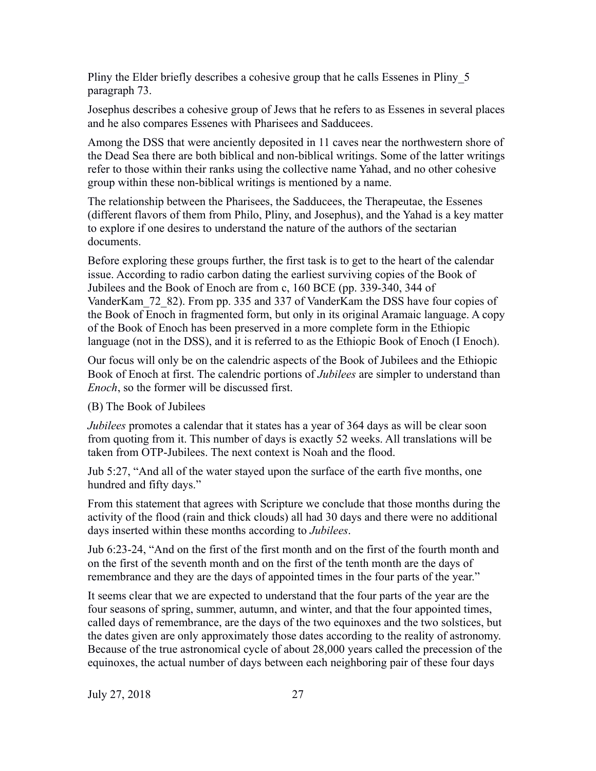Pliny the Elder briefly describes a cohesive group that he calls Essenes in Pliny\_5 paragraph 73.

Josephus describes a cohesive group of Jews that he refers to as Essenes in several places and he also compares Essenes with Pharisees and Sadducees.

Among the DSS that were anciently deposited in 11 caves near the northwestern shore of the Dead Sea there are both biblical and non-biblical writings. Some of the latter writings refer to those within their ranks using the collective name Yahad, and no other cohesive group within these non-biblical writings is mentioned by a name.

The relationship between the Pharisees, the Sadducees, the Therapeutae, the Essenes (different flavors of them from Philo, Pliny, and Josephus), and the Yahad is a key matter to explore if one desires to understand the nature of the authors of the sectarian documents.

Before exploring these groups further, the first task is to get to the heart of the calendar issue. According to radio carbon dating the earliest surviving copies of the Book of Jubilees and the Book of Enoch are from c, 160 BCE (pp. 339-340, 344 of VanderKam\_72\_82). From pp. 335 and 337 of VanderKam the DSS have four copies of the Book of Enoch in fragmented form, but only in its original Aramaic language. A copy of the Book of Enoch has been preserved in a more complete form in the Ethiopic language (not in the DSS), and it is referred to as the Ethiopic Book of Enoch (I Enoch).

Our focus will only be on the calendric aspects of the Book of Jubilees and the Ethiopic Book of Enoch at first. The calendric portions of *Jubilees* are simpler to understand than *Enoch*, so the former will be discussed first.

(B) The Book of Jubilees

*Jubilees* promotes a calendar that it states has a year of 364 days as will be clear soon from quoting from it. This number of days is exactly 52 weeks. All translations will be taken from OTP-Jubilees. The next context is Noah and the flood.

Jub 5:27, "And all of the water stayed upon the surface of the earth five months, one hundred and fifty days."

From this statement that agrees with Scripture we conclude that those months during the activity of the flood (rain and thick clouds) all had 30 days and there were no additional days inserted within these months according to *Jubilees*.

Jub 6:23-24, "And on the first of the first month and on the first of the fourth month and on the first of the seventh month and on the first of the tenth month are the days of remembrance and they are the days of appointed times in the four parts of the year."

It seems clear that we are expected to understand that the four parts of the year are the four seasons of spring, summer, autumn, and winter, and that the four appointed times, called days of remembrance, are the days of the two equinoxes and the two solstices, but the dates given are only approximately those dates according to the reality of astronomy. Because of the true astronomical cycle of about 28,000 years called the precession of the equinoxes, the actual number of days between each neighboring pair of these four days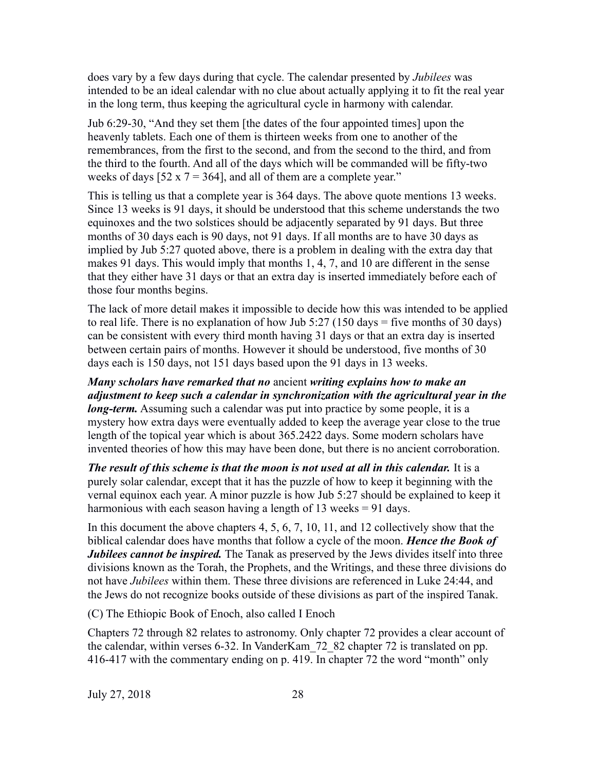does vary by a few days during that cycle. The calendar presented by *Jubilees* was intended to be an ideal calendar with no clue about actually applying it to fit the real year in the long term, thus keeping the agricultural cycle in harmony with calendar.

Jub 6:29-30, "And they set them [the dates of the four appointed times] upon the heavenly tablets. Each one of them is thirteen weeks from one to another of the remembrances, from the first to the second, and from the second to the third, and from the third to the fourth. And all of the days which will be commanded will be fifty-two weeks of days [52 x  $7 = 364$ ], and all of them are a complete year."

This is telling us that a complete year is 364 days. The above quote mentions 13 weeks. Since 13 weeks is 91 days, it should be understood that this scheme understands the two equinoxes and the two solstices should be adjacently separated by 91 days. But three months of 30 days each is 90 days, not 91 days. If all months are to have 30 days as implied by Jub 5:27 quoted above, there is a problem in dealing with the extra day that makes 91 days. This would imply that months 1, 4, 7, and 10 are different in the sense that they either have 31 days or that an extra day is inserted immediately before each of those four months begins.

The lack of more detail makes it impossible to decide how this was intended to be applied to real life. There is no explanation of how Jub 5:27 (150 days = five months of 30 days) can be consistent with every third month having 31 days or that an extra day is inserted between certain pairs of months. However it should be understood, five months of 30 days each is 150 days, not 151 days based upon the 91 days in 13 weeks.

*Many scholars have remarked that no* ancient *writing explains how to make an adjustment to keep such a calendar in synchronization with the agricultural year in the long-term.* Assuming such a calendar was put into practice by some people, it is a mystery how extra days were eventually added to keep the average year close to the true length of the topical year which is about 365.2422 days. Some modern scholars have invented theories of how this may have been done, but there is no ancient corroboration.

*The result of this scheme is that the moon is not used at all in this calendar.* It is a purely solar calendar, except that it has the puzzle of how to keep it beginning with the vernal equinox each year. A minor puzzle is how Jub 5:27 should be explained to keep it harmonious with each season having a length of 13 weeks = 91 days.

In this document the above chapters 4, 5, 6, 7, 10, 11, and 12 collectively show that the biblical calendar does have months that follow a cycle of the moon. *Hence the Book of Jubilees cannot be inspired.* The Tanak as preserved by the Jews divides itself into three divisions known as the Torah, the Prophets, and the Writings, and these three divisions do not have *Jubilees* within them. These three divisions are referenced in Luke 24:44, and the Jews do not recognize books outside of these divisions as part of the inspired Tanak.

(C) The Ethiopic Book of Enoch, also called I Enoch

Chapters 72 through 82 relates to astronomy. Only chapter 72 provides a clear account of the calendar, within verses 6-32. In VanderKam\_72\_82 chapter 72 is translated on pp. 416-417 with the commentary ending on p. 419. In chapter 72 the word "month" only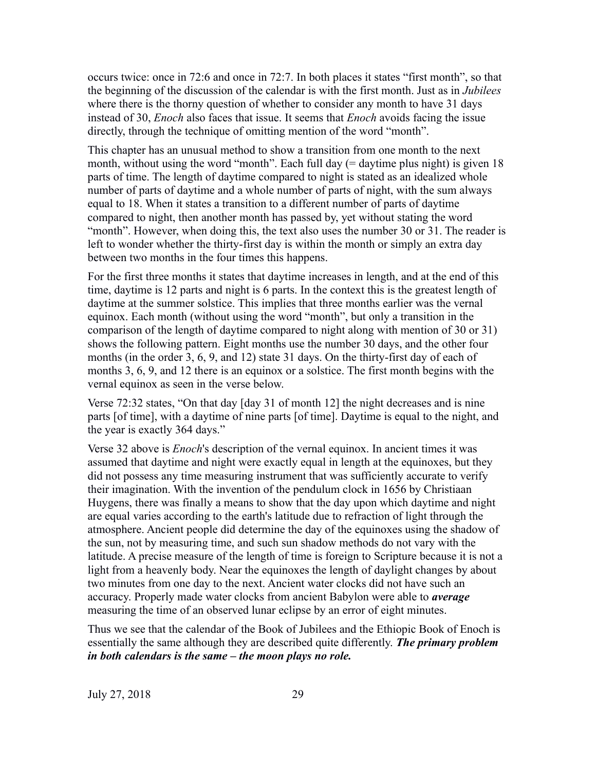occurs twice: once in 72:6 and once in 72:7. In both places it states "first month", so that the beginning of the discussion of the calendar is with the first month. Just as in *Jubilees* where there is the thorny question of whether to consider any month to have 31 days instead of 30, *Enoch* also faces that issue. It seems that *Enoch* avoids facing the issue directly, through the technique of omitting mention of the word "month".

This chapter has an unusual method to show a transition from one month to the next month, without using the word "month". Each full day  $(=$  daytime plus night) is given 18 parts of time. The length of daytime compared to night is stated as an idealized whole number of parts of daytime and a whole number of parts of night, with the sum always equal to 18. When it states a transition to a different number of parts of daytime compared to night, then another month has passed by, yet without stating the word "month". However, when doing this, the text also uses the number 30 or 31. The reader is left to wonder whether the thirty-first day is within the month or simply an extra day between two months in the four times this happens.

For the first three months it states that daytime increases in length, and at the end of this time, daytime is 12 parts and night is 6 parts. In the context this is the greatest length of daytime at the summer solstice. This implies that three months earlier was the vernal equinox. Each month (without using the word "month", but only a transition in the comparison of the length of daytime compared to night along with mention of 30 or 31) shows the following pattern. Eight months use the number 30 days, and the other four months (in the order 3, 6, 9, and 12) state 31 days. On the thirty-first day of each of months 3, 6, 9, and 12 there is an equinox or a solstice. The first month begins with the vernal equinox as seen in the verse below.

Verse 72:32 states, "On that day [day 31 of month 12] the night decreases and is nine parts [of time], with a daytime of nine parts [of time]. Daytime is equal to the night, and the year is exactly 364 days."

Verse 32 above is *Enoch*'s description of the vernal equinox. In ancient times it was assumed that daytime and night were exactly equal in length at the equinoxes, but they did not possess any time measuring instrument that was sufficiently accurate to verify their imagination. With the invention of the pendulum clock in 1656 by Christiaan Huygens, there was finally a means to show that the day upon which daytime and night are equal varies according to the earth's latitude due to refraction of light through the atmosphere. Ancient people did determine the day of the equinoxes using the shadow of the sun, not by measuring time, and such sun shadow methods do not vary with the latitude. A precise measure of the length of time is foreign to Scripture because it is not a light from a heavenly body. Near the equinoxes the length of daylight changes by about two minutes from one day to the next. Ancient water clocks did not have such an accuracy. Properly made water clocks from ancient Babylon were able to *average* measuring the time of an observed lunar eclipse by an error of eight minutes.

Thus we see that the calendar of the Book of Jubilees and the Ethiopic Book of Enoch is essentially the same although they are described quite differently. *The primary problem in both calendars is the same – the moon plays no role.*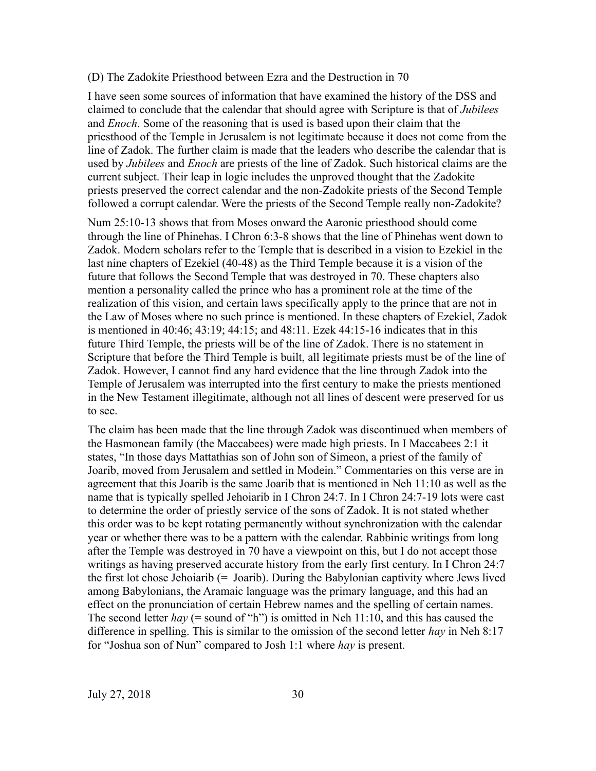### (D) The Zadokite Priesthood between Ezra and the Destruction in 70

I have seen some sources of information that have examined the history of the DSS and claimed to conclude that the calendar that should agree with Scripture is that of *Jubilees* and *Enoch*. Some of the reasoning that is used is based upon their claim that the priesthood of the Temple in Jerusalem is not legitimate because it does not come from the line of Zadok. The further claim is made that the leaders who describe the calendar that is used by *Jubilees* and *Enoch* are priests of the line of Zadok. Such historical claims are the current subject. Their leap in logic includes the unproved thought that the Zadokite priests preserved the correct calendar and the non-Zadokite priests of the Second Temple followed a corrupt calendar. Were the priests of the Second Temple really non-Zadokite?

Num 25:10-13 shows that from Moses onward the Aaronic priesthood should come through the line of Phinehas. I Chron 6:3-8 shows that the line of Phinehas went down to Zadok. Modern scholars refer to the Temple that is described in a vision to Ezekiel in the last nine chapters of Ezekiel (40-48) as the Third Temple because it is a vision of the future that follows the Second Temple that was destroyed in 70. These chapters also mention a personality called the prince who has a prominent role at the time of the realization of this vision, and certain laws specifically apply to the prince that are not in the Law of Moses where no such prince is mentioned. In these chapters of Ezekiel, Zadok is mentioned in 40:46; 43:19; 44:15; and 48:11. Ezek 44:15-16 indicates that in this future Third Temple, the priests will be of the line of Zadok. There is no statement in Scripture that before the Third Temple is built, all legitimate priests must be of the line of Zadok. However, I cannot find any hard evidence that the line through Zadok into the Temple of Jerusalem was interrupted into the first century to make the priests mentioned in the New Testament illegitimate, although not all lines of descent were preserved for us to see.

The claim has been made that the line through Zadok was discontinued when members of the Hasmonean family (the Maccabees) were made high priests. In I Maccabees 2:1 it states, "In those days Mattathias son of John son of Simeon, a priest of the family of Joarib, moved from Jerusalem and settled in Modein." Commentaries on this verse are in agreement that this Joarib is the same Joarib that is mentioned in Neh 11:10 as well as the name that is typically spelled Jehoiarib in I Chron 24:7. In I Chron 24:7-19 lots were cast to determine the order of priestly service of the sons of Zadok. It is not stated whether this order was to be kept rotating permanently without synchronization with the calendar year or whether there was to be a pattern with the calendar. Rabbinic writings from long after the Temple was destroyed in 70 have a viewpoint on this, but I do not accept those writings as having preserved accurate history from the early first century. In I Chron 24:7 the first lot chose Jehoiarib  $(=$  Joarib). During the Babylonian captivity where Jews lived among Babylonians, the Aramaic language was the primary language, and this had an effect on the pronunciation of certain Hebrew names and the spelling of certain names. The second letter *hay* (= sound of "h") is omitted in Neh 11:10, and this has caused the difference in spelling. This is similar to the omission of the second letter *hay* in Neh 8:17 for "Joshua son of Nun" compared to Josh 1:1 where *hay* is present.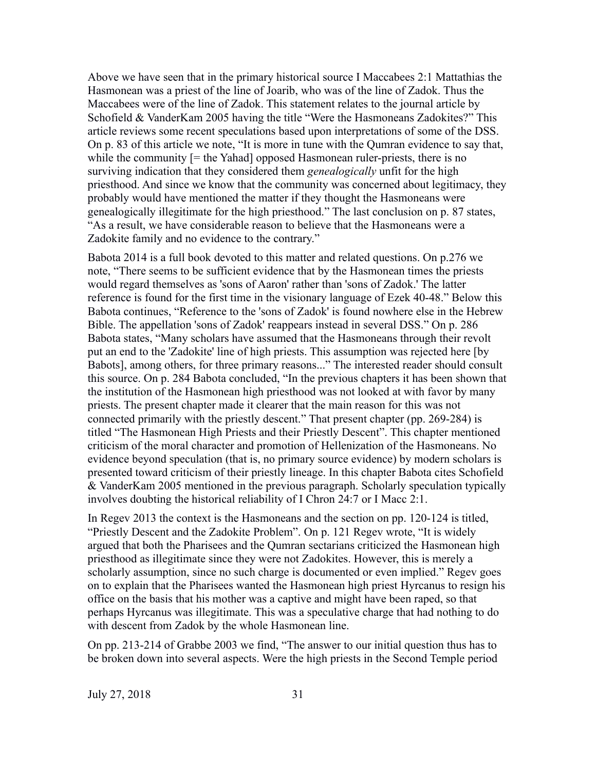Above we have seen that in the primary historical source I Maccabees 2:1 Mattathias the Hasmonean was a priest of the line of Joarib, who was of the line of Zadok. Thus the Maccabees were of the line of Zadok. This statement relates to the journal article by Schofield & VanderKam 2005 having the title "Were the Hasmoneans Zadokites?" This article reviews some recent speculations based upon interpretations of some of the DSS. On p. 83 of this article we note, "It is more in tune with the Qumran evidence to say that, while the community  $[=$  the Yahad] opposed Hasmonean ruler-priests, there is no surviving indication that they considered them *genealogically* unfit for the high priesthood. And since we know that the community was concerned about legitimacy, they probably would have mentioned the matter if they thought the Hasmoneans were genealogically illegitimate for the high priesthood." The last conclusion on p. 87 states, "As a result, we have considerable reason to believe that the Hasmoneans were a Zadokite family and no evidence to the contrary."

Babota 2014 is a full book devoted to this matter and related questions. On p.276 we note, "There seems to be sufficient evidence that by the Hasmonean times the priests would regard themselves as 'sons of Aaron' rather than 'sons of Zadok.' The latter reference is found for the first time in the visionary language of Ezek 40-48." Below this Babota continues, "Reference to the 'sons of Zadok' is found nowhere else in the Hebrew Bible. The appellation 'sons of Zadok' reappears instead in several DSS." On p. 286 Babota states, "Many scholars have assumed that the Hasmoneans through their revolt put an end to the 'Zadokite' line of high priests. This assumption was rejected here [by Babots], among others, for three primary reasons..." The interested reader should consult this source. On p. 284 Babota concluded, "In the previous chapters it has been shown that the institution of the Hasmonean high priesthood was not looked at with favor by many priests. The present chapter made it clearer that the main reason for this was not connected primarily with the priestly descent." That present chapter (pp. 269-284) is titled "The Hasmonean High Priests and their Priestly Descent". This chapter mentioned criticism of the moral character and promotion of Hellenization of the Hasmoneans. No evidence beyond speculation (that is, no primary source evidence) by modern scholars is presented toward criticism of their priestly lineage. In this chapter Babota cites Schofield & VanderKam 2005 mentioned in the previous paragraph. Scholarly speculation typically involves doubting the historical reliability of I Chron 24:7 or I Macc 2:1.

In Regev 2013 the context is the Hasmoneans and the section on pp. 120-124 is titled, "Priestly Descent and the Zadokite Problem". On p. 121 Regev wrote, "It is widely argued that both the Pharisees and the Qumran sectarians criticized the Hasmonean high priesthood as illegitimate since they were not Zadokites. However, this is merely a scholarly assumption, since no such charge is documented or even implied." Regev goes on to explain that the Pharisees wanted the Hasmonean high priest Hyrcanus to resign his office on the basis that his mother was a captive and might have been raped, so that perhaps Hyrcanus was illegitimate. This was a speculative charge that had nothing to do with descent from Zadok by the whole Hasmonean line.

On pp. 213-214 of Grabbe 2003 we find, "The answer to our initial question thus has to be broken down into several aspects. Were the high priests in the Second Temple period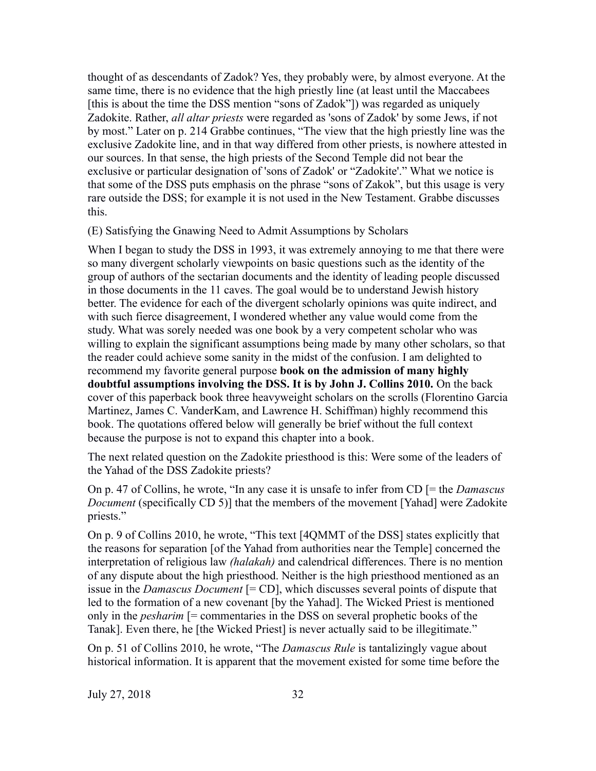thought of as descendants of Zadok? Yes, they probably were, by almost everyone. At the same time, there is no evidence that the high priestly line (at least until the Maccabees [this is about the time the DSS mention "sons of Zadok"]) was regarded as uniquely Zadokite. Rather, *all altar priests* were regarded as 'sons of Zadok' by some Jews, if not by most." Later on p. 214 Grabbe continues, "The view that the high priestly line was the exclusive Zadokite line, and in that way differed from other priests, is nowhere attested in our sources. In that sense, the high priests of the Second Temple did not bear the exclusive or particular designation of 'sons of Zadok' or "Zadokite'." What we notice is that some of the DSS puts emphasis on the phrase "sons of Zakok", but this usage is very rare outside the DSS; for example it is not used in the New Testament. Grabbe discusses this.

(E) Satisfying the Gnawing Need to Admit Assumptions by Scholars

When I began to study the DSS in 1993, it was extremely annoying to me that there were so many divergent scholarly viewpoints on basic questions such as the identity of the group of authors of the sectarian documents and the identity of leading people discussed in those documents in the 11 caves. The goal would be to understand Jewish history better. The evidence for each of the divergent scholarly opinions was quite indirect, and with such fierce disagreement, I wondered whether any value would come from the study. What was sorely needed was one book by a very competent scholar who was willing to explain the significant assumptions being made by many other scholars, so that the reader could achieve some sanity in the midst of the confusion. I am delighted to recommend my favorite general purpose **book on the admission of many highly doubtful assumptions involving the DSS. It is by John J. Collins 2010.** On the back cover of this paperback book three heavyweight scholars on the scrolls (Florentino Garcia Martinez, James C. VanderKam, and Lawrence H. Schiffman) highly recommend this book. The quotations offered below will generally be brief without the full context because the purpose is not to expand this chapter into a book.

The next related question on the Zadokite priesthood is this: Were some of the leaders of the Yahad of the DSS Zadokite priests?

On p. 47 of Collins, he wrote, "In any case it is unsafe to infer from CD [= the *Damascus Document* (specifically CD 5)] that the members of the movement [Yahad] were Zadokite priests."

On p. 9 of Collins 2010, he wrote, "This text [4QMMT of the DSS] states explicitly that the reasons for separation [of the Yahad from authorities near the Temple] concerned the interpretation of religious law *(halakah)* and calendrical differences. There is no mention of any dispute about the high priesthood. Neither is the high priesthood mentioned as an issue in the *Damascus Document* [= CD], which discusses several points of dispute that led to the formation of a new covenant [by the Yahad]. The Wicked Priest is mentioned only in the *pesharim* [= commentaries in the DSS on several prophetic books of the Tanak]. Even there, he [the Wicked Priest] is never actually said to be illegitimate."

On p. 51 of Collins 2010, he wrote, "The *Damascus Rule* is tantalizingly vague about historical information. It is apparent that the movement existed for some time before the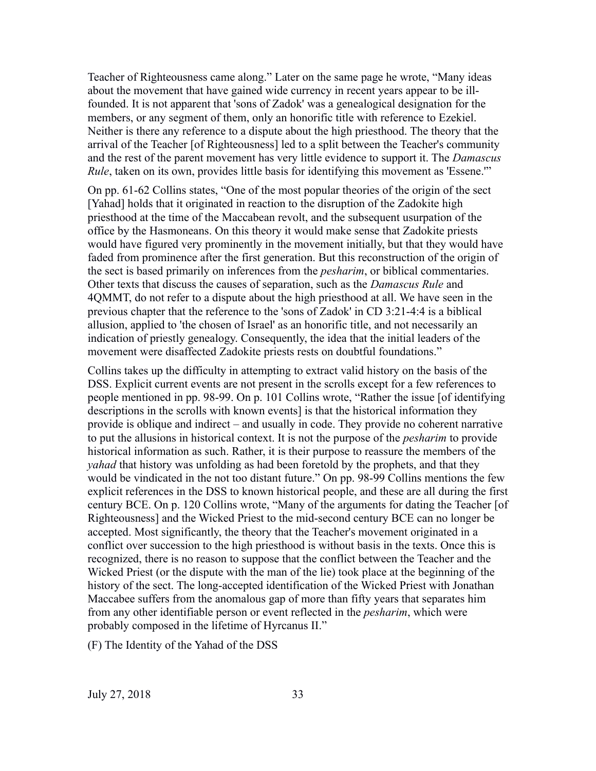Teacher of Righteousness came along." Later on the same page he wrote, "Many ideas about the movement that have gained wide currency in recent years appear to be illfounded. It is not apparent that 'sons of Zadok' was a genealogical designation for the members, or any segment of them, only an honorific title with reference to Ezekiel. Neither is there any reference to a dispute about the high priesthood. The theory that the arrival of the Teacher [of Righteousness] led to a split between the Teacher's community and the rest of the parent movement has very little evidence to support it. The *Damascus Rule*, taken on its own, provides little basis for identifying this movement as 'Essene.'"

On pp. 61-62 Collins states, "One of the most popular theories of the origin of the sect [Yahad] holds that it originated in reaction to the disruption of the Zadokite high priesthood at the time of the Maccabean revolt, and the subsequent usurpation of the office by the Hasmoneans. On this theory it would make sense that Zadokite priests would have figured very prominently in the movement initially, but that they would have faded from prominence after the first generation. But this reconstruction of the origin of the sect is based primarily on inferences from the *pesharim*, or biblical commentaries. Other texts that discuss the causes of separation, such as the *Damascus Rule* and 4QMMT, do not refer to a dispute about the high priesthood at all. We have seen in the previous chapter that the reference to the 'sons of Zadok' in CD 3:21-4:4 is a biblical allusion, applied to 'the chosen of Israel' as an honorific title, and not necessarily an indication of priestly genealogy. Consequently, the idea that the initial leaders of the movement were disaffected Zadokite priests rests on doubtful foundations."

Collins takes up the difficulty in attempting to extract valid history on the basis of the DSS. Explicit current events are not present in the scrolls except for a few references to people mentioned in pp. 98-99. On p. 101 Collins wrote, "Rather the issue [of identifying descriptions in the scrolls with known events] is that the historical information they provide is oblique and indirect – and usually in code. They provide no coherent narrative to put the allusions in historical context. It is not the purpose of the *pesharim* to provide historical information as such. Rather, it is their purpose to reassure the members of the *yahad* that history was unfolding as had been foretold by the prophets, and that they would be vindicated in the not too distant future." On pp. 98-99 Collins mentions the few explicit references in the DSS to known historical people, and these are all during the first century BCE. On p. 120 Collins wrote, "Many of the arguments for dating the Teacher [of Righteousness] and the Wicked Priest to the mid-second century BCE can no longer be accepted. Most significantly, the theory that the Teacher's movement originated in a conflict over succession to the high priesthood is without basis in the texts. Once this is recognized, there is no reason to suppose that the conflict between the Teacher and the Wicked Priest (or the dispute with the man of the lie) took place at the beginning of the history of the sect. The long-accepted identification of the Wicked Priest with Jonathan Maccabee suffers from the anomalous gap of more than fifty years that separates him from any other identifiable person or event reflected in the *pesharim*, which were probably composed in the lifetime of Hyrcanus II."

(F) The Identity of the Yahad of the DSS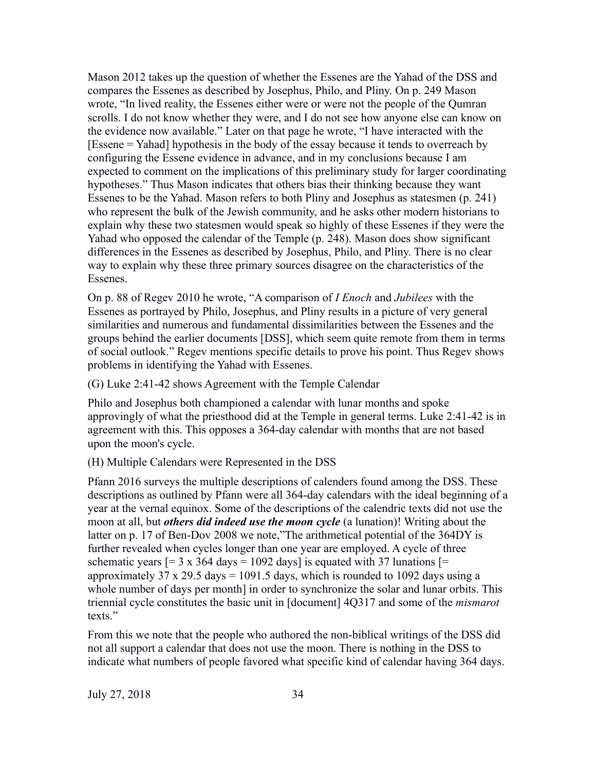Mason 2012 takes up the question of whether the Essenes are the Yahad of the DSS and compares the Essenes as described by Josephus, Philo, and Pliny. On p. 249 Mason wrote, "In lived reality, the Essenes either were or were not the people of the Qumran scrolls. I do not know whether they were, and I do not see how anyone else can know on the evidence now available." Later on that page he wrote, "I have interacted with the [Essene = Yahad] hypothesis in the body of the essay because it tends to overreach by configuring the Essene evidence in advance, and in my conclusions because I am expected to comment on the implications of this preliminary study for larger coordinating hypotheses." Thus Mason indicates that others bias their thinking because they want Essenes to be the Yahad. Mason refers to both Pliny and Josephus as statesmen (p. 241) who represent the bulk of the Jewish community, and he asks other modern historians to explain why these two statesmen would speak so highly of these Essenes if they were the Yahad who opposed the calendar of the Temple (p. 248). Mason does show significant differences in the Essenes as described by Josephus, Philo, and Pliny. There is no clear way to explain why these three primary sources disagree on the characteristics of the Essenes.

On p. 88 of Regev 2010 he wrote, "A comparison of *I Enoch* and *Jubilees* with the Essenes as portrayed by Philo, Josephus, and Pliny results in a picture of very general similarities and numerous and fundamental dissimilarities between the Essenes and the groups behind the earlier documents [DSS], which seem quite remote from them in terms of social outlook." Regev mentions specific details to prove his point. Thus Regev shows problems in identifying the Yahad with Essenes.

## (G) Luke 2:41-42 shows Agreement with the Temple Calendar

Philo and Josephus both championed a calendar with lunar months and spoke approvingly of what the priesthood did at the Temple in general terms. Luke 2:41-42 is in agreement with this. This opposes a 364-day calendar with months that are not based upon the moon's cycle.

## (H) Multiple Calendars were Represented in the DSS

Pfann 2016 surveys the multiple descriptions of calenders found among the DSS. These descriptions as outlined by Pfann were all 364-day calendars with the ideal beginning of a year at the vernal equinox. Some of the descriptions of the calendric texts did not use the moon at all, but *others did indeed use the moon cycle* (a lunation)! Writing about the latter on p. 17 of Ben-Dov 2008 we note,"The arithmetical potential of the 364DY is further revealed when cycles longer than one year are employed. A cycle of three schematic years  $[= 3 \times 364 \text{ days} = 1092 \text{ days}]$  is equated with 37 lunations  $[=$ approximately 37 x 29.5 days = 1091.5 days, which is rounded to 1092 days using a whole number of days per month] in order to synchronize the solar and lunar orbits. This triennial cycle constitutes the basic unit in [document] 4Q317 and some of the *mismarot* texts."

From this we note that the people who authored the non-biblical writings of the DSS did not all support a calendar that does not use the moon. There is nothing in the DSS to indicate what numbers of people favored what specific kind of calendar having 364 days.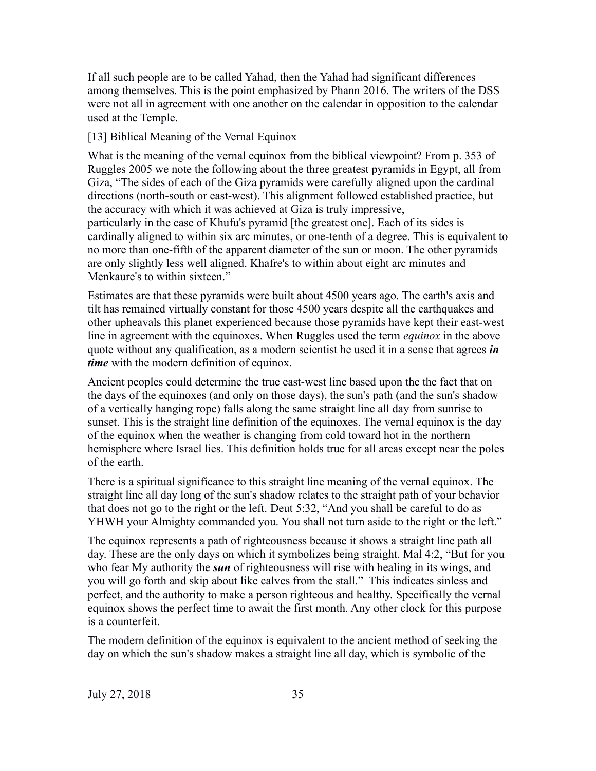If all such people are to be called Yahad, then the Yahad had significant differences among themselves. This is the point emphasized by Phann 2016. The writers of the DSS were not all in agreement with one another on the calendar in opposition to the calendar used at the Temple.

# [13] Biblical Meaning of the Vernal Equinox

What is the meaning of the vernal equinox from the biblical viewpoint? From p. 353 of Ruggles 2005 we note the following about the three greatest pyramids in Egypt, all from Giza, "The sides of each of the Giza pyramids were carefully aligned upon the cardinal directions (north-south or east-west). This alignment followed established practice, but the accuracy with which it was achieved at Giza is truly impressive, particularly in the case of Khufu's pyramid [the greatest one]. Each of its sides is cardinally aligned to within six arc minutes, or one-tenth of a degree. This is equivalent to no more than one-fifth of the apparent diameter of the sun or moon. The other pyramids are only slightly less well aligned. Khafre's to within about eight arc minutes and Menkaure's to within sixteen."

Estimates are that these pyramids were built about 4500 years ago. The earth's axis and tilt has remained virtually constant for those 4500 years despite all the earthquakes and other upheavals this planet experienced because those pyramids have kept their east-west line in agreement with the equinoxes. When Ruggles used the term *equinox* in the above quote without any qualification, as a modern scientist he used it in a sense that agrees *in time* with the modern definition of equinox.

Ancient peoples could determine the true east-west line based upon the the fact that on the days of the equinoxes (and only on those days), the sun's path (and the sun's shadow of a vertically hanging rope) falls along the same straight line all day from sunrise to sunset. This is the straight line definition of the equinoxes. The vernal equinox is the day of the equinox when the weather is changing from cold toward hot in the northern hemisphere where Israel lies. This definition holds true for all areas except near the poles of the earth.

There is a spiritual significance to this straight line meaning of the vernal equinox. The straight line all day long of the sun's shadow relates to the straight path of your behavior that does not go to the right or the left. Deut 5:32, "And you shall be careful to do as YHWH your Almighty commanded you. You shall not turn aside to the right or the left."

The equinox represents a path of righteousness because it shows a straight line path all day. These are the only days on which it symbolizes being straight. Mal 4:2, "But for you who fear My authority the *sun* of righteousness will rise with healing in its wings, and you will go forth and skip about like calves from the stall." This indicates sinless and perfect, and the authority to make a person righteous and healthy. Specifically the vernal equinox shows the perfect time to await the first month. Any other clock for this purpose is a counterfeit.

The modern definition of the equinox is equivalent to the ancient method of seeking the day on which the sun's shadow makes a straight line all day, which is symbolic of the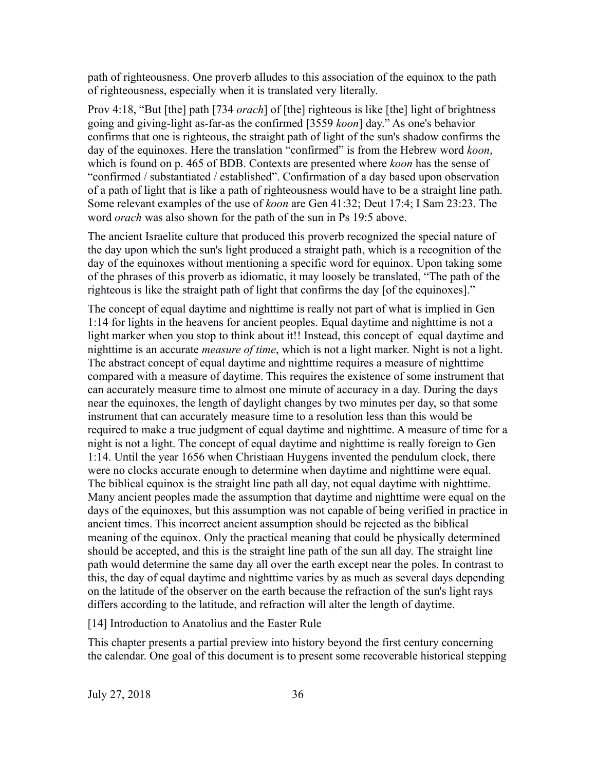path of righteousness. One proverb alludes to this association of the equinox to the path of righteousness, especially when it is translated very literally.

Prov 4:18, "But [the] path [734 *orach*] of [the] righteous is like [the] light of brightness going and giving-light as-far-as the confirmed [3559 *koon*] day." As one's behavior confirms that one is righteous, the straight path of light of the sun's shadow confirms the day of the equinoxes. Here the translation "confirmed" is from the Hebrew word *koon*, which is found on p. 465 of BDB. Contexts are presented where *koon* has the sense of "confirmed / substantiated / established". Confirmation of a day based upon observation of a path of light that is like a path of righteousness would have to be a straight line path. Some relevant examples of the use of *koon* are Gen 41:32; Deut 17:4; I Sam 23:23. The word *orach* was also shown for the path of the sun in Ps 19:5 above.

The ancient Israelite culture that produced this proverb recognized the special nature of the day upon which the sun's light produced a straight path, which is a recognition of the day of the equinoxes without mentioning a specific word for equinox. Upon taking some of the phrases of this proverb as idiomatic, it may loosely be translated, "The path of the righteous is like the straight path of light that confirms the day [of the equinoxes]."

The concept of equal daytime and nighttime is really not part of what is implied in Gen 1:14 for lights in the heavens for ancient peoples. Equal daytime and nighttime is not a light marker when you stop to think about it!! Instead, this concept of equal daytime and nighttime is an accurate *measure of time*, which is not a light marker. Night is not a light. The abstract concept of equal daytime and nighttime requires a measure of nighttime compared with a measure of daytime. This requires the existence of some instrument that can accurately measure time to almost one minute of accuracy in a day. During the days near the equinoxes, the length of daylight changes by two minutes per day, so that some instrument that can accurately measure time to a resolution less than this would be required to make a true judgment of equal daytime and nighttime. A measure of time for a night is not a light. The concept of equal daytime and nighttime is really foreign to Gen 1:14. Until the year 1656 when Christiaan Huygens invented the pendulum clock, there were no clocks accurate enough to determine when daytime and nighttime were equal. The biblical equinox is the straight line path all day, not equal daytime with nighttime. Many ancient peoples made the assumption that daytime and nighttime were equal on the days of the equinoxes, but this assumption was not capable of being verified in practice in ancient times. This incorrect ancient assumption should be rejected as the biblical meaning of the equinox. Only the practical meaning that could be physically determined should be accepted, and this is the straight line path of the sun all day. The straight line path would determine the same day all over the earth except near the poles. In contrast to this, the day of equal daytime and nighttime varies by as much as several days depending on the latitude of the observer on the earth because the refraction of the sun's light rays differs according to the latitude, and refraction will alter the length of daytime.

[14] Introduction to Anatolius and the Easter Rule

This chapter presents a partial preview into history beyond the first century concerning the calendar. One goal of this document is to present some recoverable historical stepping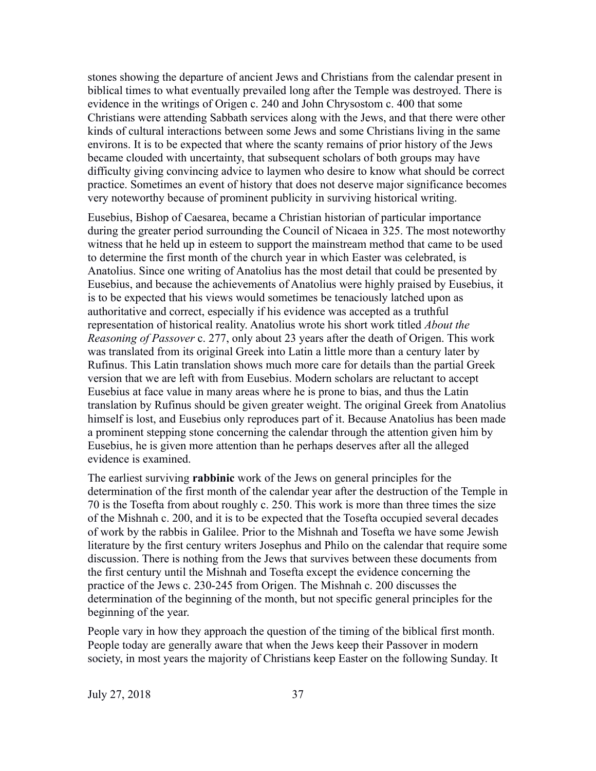stones showing the departure of ancient Jews and Christians from the calendar present in biblical times to what eventually prevailed long after the Temple was destroyed. There is evidence in the writings of Origen c. 240 and John Chrysostom c. 400 that some Christians were attending Sabbath services along with the Jews, and that there were other kinds of cultural interactions between some Jews and some Christians living in the same environs. It is to be expected that where the scanty remains of prior history of the Jews became clouded with uncertainty, that subsequent scholars of both groups may have difficulty giving convincing advice to laymen who desire to know what should be correct practice. Sometimes an event of history that does not deserve major significance becomes very noteworthy because of prominent publicity in surviving historical writing.

Eusebius, Bishop of Caesarea, became a Christian historian of particular importance during the greater period surrounding the Council of Nicaea in 325. The most noteworthy witness that he held up in esteem to support the mainstream method that came to be used to determine the first month of the church year in which Easter was celebrated, is Anatolius. Since one writing of Anatolius has the most detail that could be presented by Eusebius, and because the achievements of Anatolius were highly praised by Eusebius, it is to be expected that his views would sometimes be tenaciously latched upon as authoritative and correct, especially if his evidence was accepted as a truthful representation of historical reality. Anatolius wrote his short work titled *About the Reasoning of Passover* c. 277, only about 23 years after the death of Origen. This work was translated from its original Greek into Latin a little more than a century later by Rufinus. This Latin translation shows much more care for details than the partial Greek version that we are left with from Eusebius. Modern scholars are reluctant to accept Eusebius at face value in many areas where he is prone to bias, and thus the Latin translation by Rufinus should be given greater weight. The original Greek from Anatolius himself is lost, and Eusebius only reproduces part of it. Because Anatolius has been made a prominent stepping stone concerning the calendar through the attention given him by Eusebius, he is given more attention than he perhaps deserves after all the alleged evidence is examined.

The earliest surviving **rabbinic** work of the Jews on general principles for the determination of the first month of the calendar year after the destruction of the Temple in 70 is the Tosefta from about roughly c. 250. This work is more than three times the size of the Mishnah c. 200, and it is to be expected that the Tosefta occupied several decades of work by the rabbis in Galilee. Prior to the Mishnah and Tosefta we have some Jewish literature by the first century writers Josephus and Philo on the calendar that require some discussion. There is nothing from the Jews that survives between these documents from the first century until the Mishnah and Tosefta except the evidence concerning the practice of the Jews c. 230-245 from Origen. The Mishnah c. 200 discusses the determination of the beginning of the month, but not specific general principles for the beginning of the year.

People vary in how they approach the question of the timing of the biblical first month. People today are generally aware that when the Jews keep their Passover in modern society, in most years the majority of Christians keep Easter on the following Sunday. It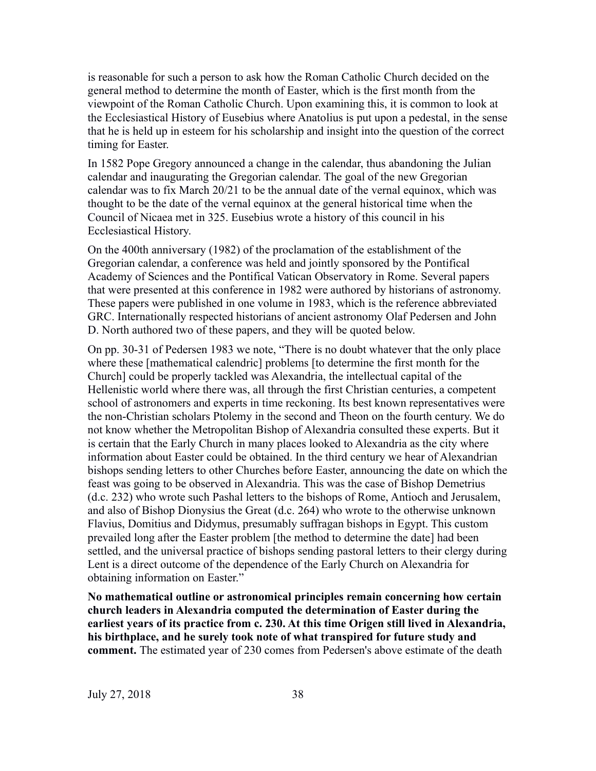is reasonable for such a person to ask how the Roman Catholic Church decided on the general method to determine the month of Easter, which is the first month from the viewpoint of the Roman Catholic Church. Upon examining this, it is common to look at the Ecclesiastical History of Eusebius where Anatolius is put upon a pedestal, in the sense that he is held up in esteem for his scholarship and insight into the question of the correct timing for Easter.

In 1582 Pope Gregory announced a change in the calendar, thus abandoning the Julian calendar and inaugurating the Gregorian calendar. The goal of the new Gregorian calendar was to fix March 20/21 to be the annual date of the vernal equinox, which was thought to be the date of the vernal equinox at the general historical time when the Council of Nicaea met in 325. Eusebius wrote a history of this council in his Ecclesiastical History.

On the 400th anniversary (1982) of the proclamation of the establishment of the Gregorian calendar, a conference was held and jointly sponsored by the Pontifical Academy of Sciences and the Pontifical Vatican Observatory in Rome. Several papers that were presented at this conference in 1982 were authored by historians of astronomy. These papers were published in one volume in 1983, which is the reference abbreviated GRC. Internationally respected historians of ancient astronomy Olaf Pedersen and John D. North authored two of these papers, and they will be quoted below.

On pp. 30-31 of Pedersen 1983 we note, "There is no doubt whatever that the only place where these [mathematical calendric] problems [to determine the first month for the Church] could be properly tackled was Alexandria, the intellectual capital of the Hellenistic world where there was, all through the first Christian centuries, a competent school of astronomers and experts in time reckoning. Its best known representatives were the non-Christian scholars Ptolemy in the second and Theon on the fourth century. We do not know whether the Metropolitan Bishop of Alexandria consulted these experts. But it is certain that the Early Church in many places looked to Alexandria as the city where information about Easter could be obtained. In the third century we hear of Alexandrian bishops sending letters to other Churches before Easter, announcing the date on which the feast was going to be observed in Alexandria. This was the case of Bishop Demetrius (d.c. 232) who wrote such Pashal letters to the bishops of Rome, Antioch and Jerusalem, and also of Bishop Dionysius the Great (d.c. 264) who wrote to the otherwise unknown Flavius, Domitius and Didymus, presumably suffragan bishops in Egypt. This custom prevailed long after the Easter problem [the method to determine the date] had been settled, and the universal practice of bishops sending pastoral letters to their clergy during Lent is a direct outcome of the dependence of the Early Church on Alexandria for obtaining information on Easter."

**No mathematical outline or astronomical principles remain concerning how certain church leaders in Alexandria computed the determination of Easter during the earliest years of its practice from c. 230. At this time Origen still lived in Alexandria, his birthplace, and he surely took note of what transpired for future study and comment.** The estimated year of 230 comes from Pedersen's above estimate of the death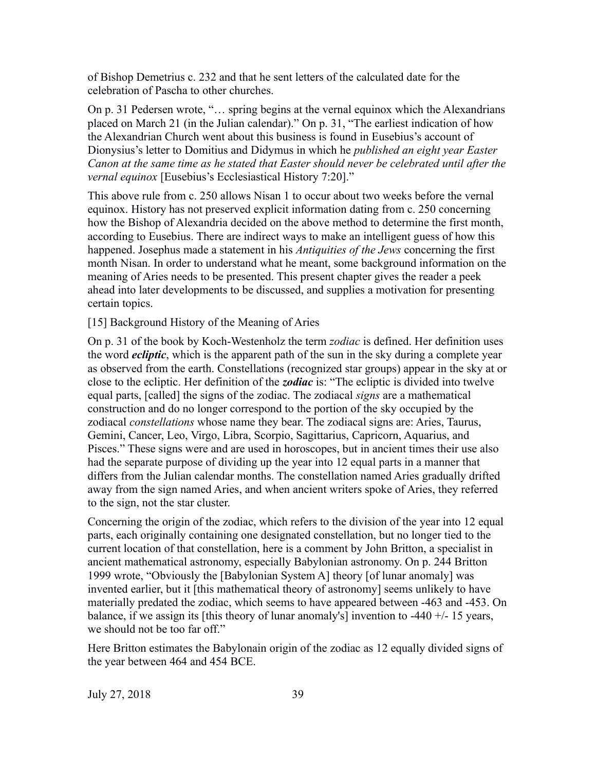of Bishop Demetrius c. 232 and that he sent letters of the calculated date for the celebration of Pascha to other churches.

On p. 31 Pedersen wrote, "… spring begins at the vernal equinox which the Alexandrians placed on March 21 (in the Julian calendar)." On p. 31, "The earliest indication of how the Alexandrian Church went about this business is found in Eusebius's account of Dionysius's letter to Domitius and Didymus in which he *published an eight year Easter Canon at the same time as he stated that Easter should never be celebrated until after the vernal equinox* [Eusebius's Ecclesiastical History 7:20]."

This above rule from c. 250 allows Nisan 1 to occur about two weeks before the vernal equinox. History has not preserved explicit information dating from c. 250 concerning how the Bishop of Alexandria decided on the above method to determine the first month, according to Eusebius. There are indirect ways to make an intelligent guess of how this happened. Josephus made a statement in his *Antiquities of the Jews* concerning the first month Nisan. In order to understand what he meant, some background information on the meaning of Aries needs to be presented. This present chapter gives the reader a peek ahead into later developments to be discussed, and supplies a motivation for presenting certain topics.

[15] Background History of the Meaning of Aries

On p. 31 of the book by Koch-Westenholz the term *zodiac* is defined. Her definition uses the word *ecliptic*, which is the apparent path of the sun in the sky during a complete year as observed from the earth. Constellations (recognized star groups) appear in the sky at or close to the ecliptic. Her definition of the *zodiac* is: "The ecliptic is divided into twelve equal parts, [called] the signs of the zodiac. The zodiacal *signs* are a mathematical construction and do no longer correspond to the portion of the sky occupied by the zodiacal *constellations* whose name they bear. The zodiacal signs are: Aries, Taurus, Gemini, Cancer, Leo, Virgo, Libra, Scorpio, Sagittarius, Capricorn, Aquarius, and Pisces." These signs were and are used in horoscopes, but in ancient times their use also had the separate purpose of dividing up the year into 12 equal parts in a manner that differs from the Julian calendar months. The constellation named Aries gradually drifted away from the sign named Aries, and when ancient writers spoke of Aries, they referred to the sign, not the star cluster.

Concerning the origin of the zodiac, which refers to the division of the year into 12 equal parts, each originally containing one designated constellation, but no longer tied to the current location of that constellation, here is a comment by John Britton, a specialist in ancient mathematical astronomy, especially Babylonian astronomy. On p. 244 Britton 1999 wrote, "Obviously the [Babylonian System A] theory [of lunar anomaly] was invented earlier, but it [this mathematical theory of astronomy] seems unlikely to have materially predated the zodiac, which seems to have appeared between -463 and -453. On balance, if we assign its [this theory of lunar anomaly's] invention to -440 +/- 15 years, we should not be too far off."

Here Britton estimates the Babylonain origin of the zodiac as 12 equally divided signs of the year between 464 and 454 BCE.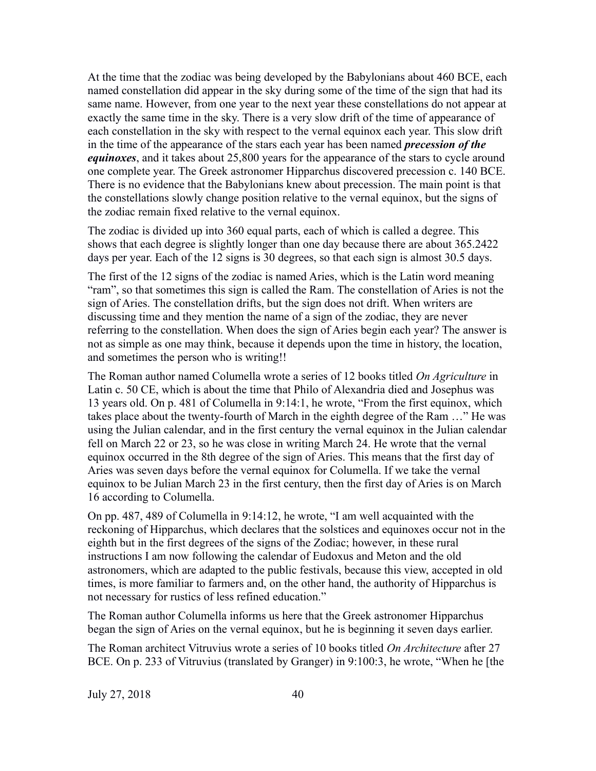At the time that the zodiac was being developed by the Babylonians about 460 BCE, each named constellation did appear in the sky during some of the time of the sign that had its same name. However, from one year to the next year these constellations do not appear at exactly the same time in the sky. There is a very slow drift of the time of appearance of each constellation in the sky with respect to the vernal equinox each year. This slow drift in the time of the appearance of the stars each year has been named *precession of the equinoxes*, and it takes about 25,800 years for the appearance of the stars to cycle around one complete year. The Greek astronomer Hipparchus discovered precession c. 140 BCE. There is no evidence that the Babylonians knew about precession. The main point is that the constellations slowly change position relative to the vernal equinox, but the signs of the zodiac remain fixed relative to the vernal equinox.

The zodiac is divided up into 360 equal parts, each of which is called a degree. This shows that each degree is slightly longer than one day because there are about 365.2422 days per year. Each of the 12 signs is 30 degrees, so that each sign is almost 30.5 days.

The first of the 12 signs of the zodiac is named Aries, which is the Latin word meaning "ram", so that sometimes this sign is called the Ram. The constellation of Aries is not the sign of Aries. The constellation drifts, but the sign does not drift. When writers are discussing time and they mention the name of a sign of the zodiac, they are never referring to the constellation. When does the sign of Aries begin each year? The answer is not as simple as one may think, because it depends upon the time in history, the location, and sometimes the person who is writing!!

The Roman author named Columella wrote a series of 12 books titled *On Agriculture* in Latin c. 50 CE, which is about the time that Philo of Alexandria died and Josephus was 13 years old. On p. 481 of Columella in 9:14:1, he wrote, "From the first equinox, which takes place about the twenty-fourth of March in the eighth degree of the Ram …" He was using the Julian calendar, and in the first century the vernal equinox in the Julian calendar fell on March 22 or 23, so he was close in writing March 24. He wrote that the vernal equinox occurred in the 8th degree of the sign of Aries. This means that the first day of Aries was seven days before the vernal equinox for Columella. If we take the vernal equinox to be Julian March 23 in the first century, then the first day of Aries is on March 16 according to Columella.

On pp. 487, 489 of Columella in 9:14:12, he wrote, "I am well acquainted with the reckoning of Hipparchus, which declares that the solstices and equinoxes occur not in the eighth but in the first degrees of the signs of the Zodiac; however, in these rural instructions I am now following the calendar of Eudoxus and Meton and the old astronomers, which are adapted to the public festivals, because this view, accepted in old times, is more familiar to farmers and, on the other hand, the authority of Hipparchus is not necessary for rustics of less refined education."

The Roman author Columella informs us here that the Greek astronomer Hipparchus began the sign of Aries on the vernal equinox, but he is beginning it seven days earlier.

The Roman architect Vitruvius wrote a series of 10 books titled *On Architecture* after 27 BCE. On p. 233 of Vitruvius (translated by Granger) in 9:100:3, he wrote, "When he [the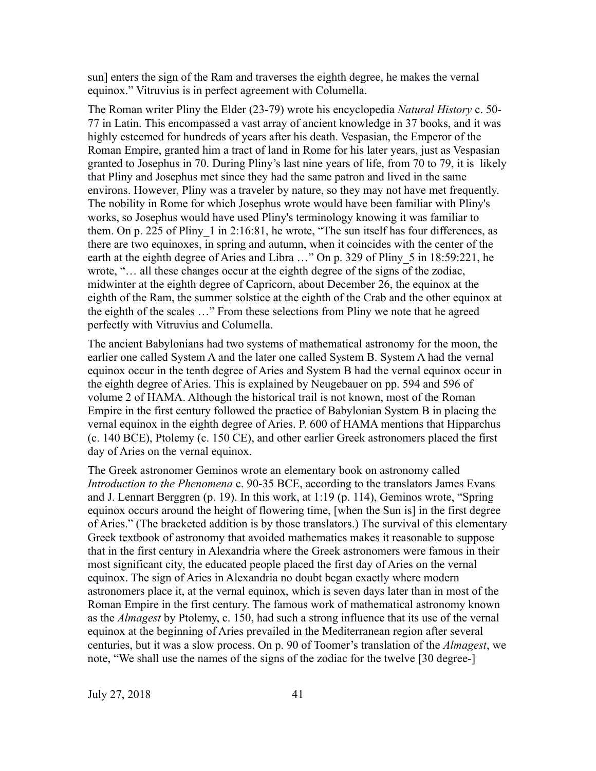sun] enters the sign of the Ram and traverses the eighth degree, he makes the vernal equinox." Vitruvius is in perfect agreement with Columella.

The Roman writer Pliny the Elder (23-79) wrote his encyclopedia *Natural History* c. 50- 77 in Latin. This encompassed a vast array of ancient knowledge in 37 books, and it was highly esteemed for hundreds of years after his death. Vespasian, the Emperor of the Roman Empire, granted him a tract of land in Rome for his later years, just as Vespasian granted to Josephus in 70. During Pliny's last nine years of life, from 70 to 79, it is likely that Pliny and Josephus met since they had the same patron and lived in the same environs. However, Pliny was a traveler by nature, so they may not have met frequently. The nobility in Rome for which Josephus wrote would have been familiar with Pliny's works, so Josephus would have used Pliny's terminology knowing it was familiar to them. On p. 225 of Pliny 1 in 2:16:81, he wrote, "The sun itself has four differences, as there are two equinoxes, in spring and autumn, when it coincides with the center of the earth at the eighth degree of Aries and Libra ..." On p. 329 of Pliny 5 in 18:59:221, he wrote, "… all these changes occur at the eighth degree of the signs of the zodiac, midwinter at the eighth degree of Capricorn, about December 26, the equinox at the eighth of the Ram, the summer solstice at the eighth of the Crab and the other equinox at the eighth of the scales …" From these selections from Pliny we note that he agreed perfectly with Vitruvius and Columella.

The ancient Babylonians had two systems of mathematical astronomy for the moon, the earlier one called System A and the later one called System B. System A had the vernal equinox occur in the tenth degree of Aries and System B had the vernal equinox occur in the eighth degree of Aries. This is explained by Neugebauer on pp. 594 and 596 of volume 2 of HAMA. Although the historical trail is not known, most of the Roman Empire in the first century followed the practice of Babylonian System B in placing the vernal equinox in the eighth degree of Aries. P. 600 of HAMA mentions that Hipparchus (c. 140 BCE), Ptolemy (c. 150 CE), and other earlier Greek astronomers placed the first day of Aries on the vernal equinox.

The Greek astronomer Geminos wrote an elementary book on astronomy called *Introduction to the Phenomena* c. 90-35 BCE, according to the translators James Evans and J. Lennart Berggren (p. 19). In this work, at 1:19 (p. 114), Geminos wrote, "Spring equinox occurs around the height of flowering time, [when the Sun is] in the first degree of Aries." (The bracketed addition is by those translators.) The survival of this elementary Greek textbook of astronomy that avoided mathematics makes it reasonable to suppose that in the first century in Alexandria where the Greek astronomers were famous in their most significant city, the educated people placed the first day of Aries on the vernal equinox. The sign of Aries in Alexandria no doubt began exactly where modern astronomers place it, at the vernal equinox, which is seven days later than in most of the Roman Empire in the first century. The famous work of mathematical astronomy known as the *Almagest* by Ptolemy, c. 150, had such a strong influence that its use of the vernal equinox at the beginning of Aries prevailed in the Mediterranean region after several centuries, but it was a slow process. On p. 90 of Toomer's translation of the *Almagest*, we note, "We shall use the names of the signs of the zodiac for the twelve [30 degree-]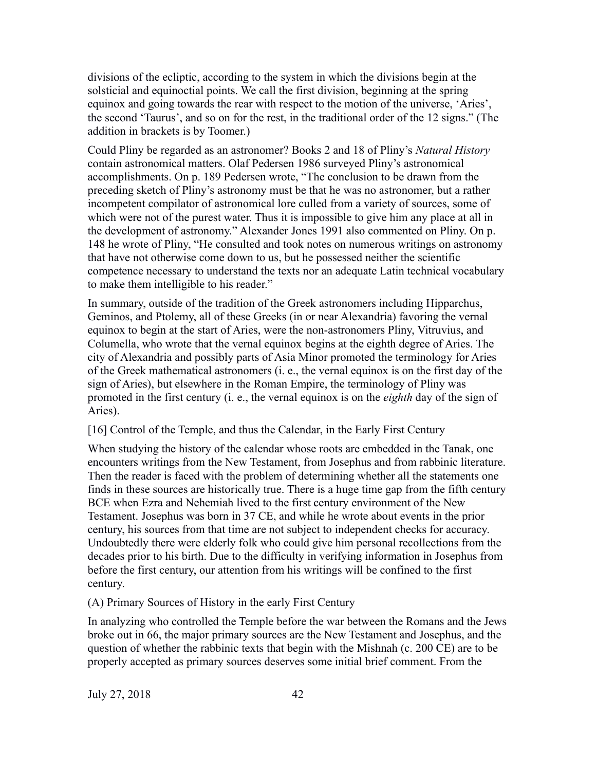divisions of the ecliptic, according to the system in which the divisions begin at the solsticial and equinoctial points. We call the first division, beginning at the spring equinox and going towards the rear with respect to the motion of the universe, 'Aries', the second 'Taurus', and so on for the rest, in the traditional order of the 12 signs." (The addition in brackets is by Toomer.)

Could Pliny be regarded as an astronomer? Books 2 and 18 of Pliny's *Natural History* contain astronomical matters. Olaf Pedersen 1986 surveyed Pliny's astronomical accomplishments. On p. 189 Pedersen wrote, "The conclusion to be drawn from the preceding sketch of Pliny's astronomy must be that he was no astronomer, but a rather incompetent compilator of astronomical lore culled from a variety of sources, some of which were not of the purest water. Thus it is impossible to give him any place at all in the development of astronomy." Alexander Jones 1991 also commented on Pliny. On p. 148 he wrote of Pliny, "He consulted and took notes on numerous writings on astronomy that have not otherwise come down to us, but he possessed neither the scientific competence necessary to understand the texts nor an adequate Latin technical vocabulary to make them intelligible to his reader."

In summary, outside of the tradition of the Greek astronomers including Hipparchus, Geminos, and Ptolemy, all of these Greeks (in or near Alexandria) favoring the vernal equinox to begin at the start of Aries, were the non-astronomers Pliny, Vitruvius, and Columella, who wrote that the vernal equinox begins at the eighth degree of Aries. The city of Alexandria and possibly parts of Asia Minor promoted the terminology for Aries of the Greek mathematical astronomers (i. e., the vernal equinox is on the first day of the sign of Aries), but elsewhere in the Roman Empire, the terminology of Pliny was promoted in the first century (i. e., the vernal equinox is on the *eighth* day of the sign of Aries).

[16] Control of the Temple, and thus the Calendar, in the Early First Century

When studying the history of the calendar whose roots are embedded in the Tanak, one encounters writings from the New Testament, from Josephus and from rabbinic literature. Then the reader is faced with the problem of determining whether all the statements one finds in these sources are historically true. There is a huge time gap from the fifth century BCE when Ezra and Nehemiah lived to the first century environment of the New Testament. Josephus was born in 37 CE, and while he wrote about events in the prior century, his sources from that time are not subject to independent checks for accuracy. Undoubtedly there were elderly folk who could give him personal recollections from the decades prior to his birth. Due to the difficulty in verifying information in Josephus from before the first century, our attention from his writings will be confined to the first century.

(A) Primary Sources of History in the early First Century

In analyzing who controlled the Temple before the war between the Romans and the Jews broke out in 66, the major primary sources are the New Testament and Josephus, and the question of whether the rabbinic texts that begin with the Mishnah (c. 200 CE) are to be properly accepted as primary sources deserves some initial brief comment. From the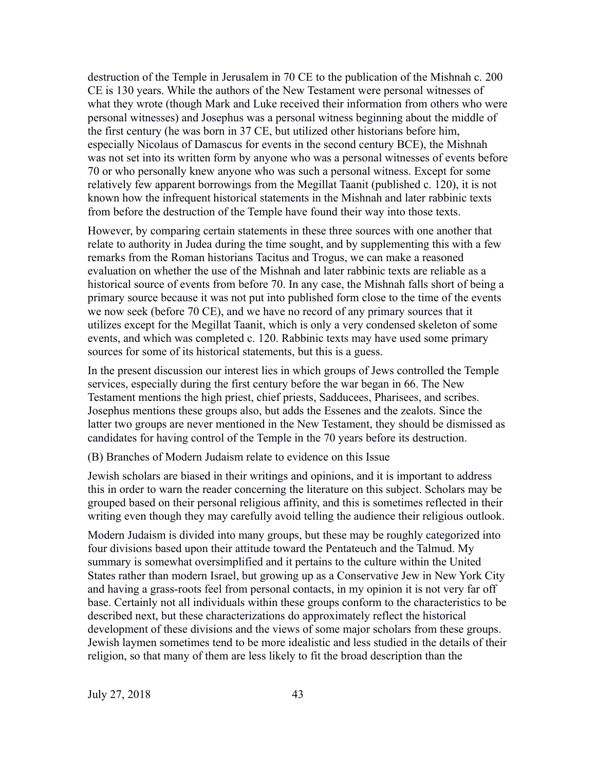destruction of the Temple in Jerusalem in 70 CE to the publication of the Mishnah c. 200 CE is 130 years. While the authors of the New Testament were personal witnesses of what they wrote (though Mark and Luke received their information from others who were personal witnesses) and Josephus was a personal witness beginning about the middle of the first century (he was born in 37 CE, but utilized other historians before him, especially Nicolaus of Damascus for events in the second century BCE), the Mishnah was not set into its written form by anyone who was a personal witnesses of events before 70 or who personally knew anyone who was such a personal witness. Except for some relatively few apparent borrowings from the Megillat Taanit (published c. 120), it is not known how the infrequent historical statements in the Mishnah and later rabbinic texts from before the destruction of the Temple have found their way into those texts.

However, by comparing certain statements in these three sources with one another that relate to authority in Judea during the time sought, and by supplementing this with a few remarks from the Roman historians Tacitus and Trogus, we can make a reasoned evaluation on whether the use of the Mishnah and later rabbinic texts are reliable as a historical source of events from before 70. In any case, the Mishnah falls short of being a primary source because it was not put into published form close to the time of the events we now seek (before 70 CE), and we have no record of any primary sources that it utilizes except for the Megillat Taanit, which is only a very condensed skeleton of some events, and which was completed c. 120. Rabbinic texts may have used some primary sources for some of its historical statements, but this is a guess.

In the present discussion our interest lies in which groups of Jews controlled the Temple services, especially during the first century before the war began in 66. The New Testament mentions the high priest, chief priests, Sadducees, Pharisees, and scribes. Josephus mentions these groups also, but adds the Essenes and the zealots. Since the latter two groups are never mentioned in the New Testament, they should be dismissed as candidates for having control of the Temple in the 70 years before its destruction.

(B) Branches of Modern Judaism relate to evidence on this Issue

Jewish scholars are biased in their writings and opinions, and it is important to address this in order to warn the reader concerning the literature on this subject. Scholars may be grouped based on their personal religious affinity, and this is sometimes reflected in their writing even though they may carefully avoid telling the audience their religious outlook.

Modern Judaism is divided into many groups, but these may be roughly categorized into four divisions based upon their attitude toward the Pentateuch and the Talmud. My summary is somewhat oversimplified and it pertains to the culture within the United States rather than modern Israel, but growing up as a Conservative Jew in New York City and having a grass-roots feel from personal contacts, in my opinion it is not very far off base. Certainly not all individuals within these groups conform to the characteristics to be described next, but these characterizations do approximately reflect the historical development of these divisions and the views of some major scholars from these groups. Jewish laymen sometimes tend to be more idealistic and less studied in the details of their religion, so that many of them are less likely to fit the broad description than the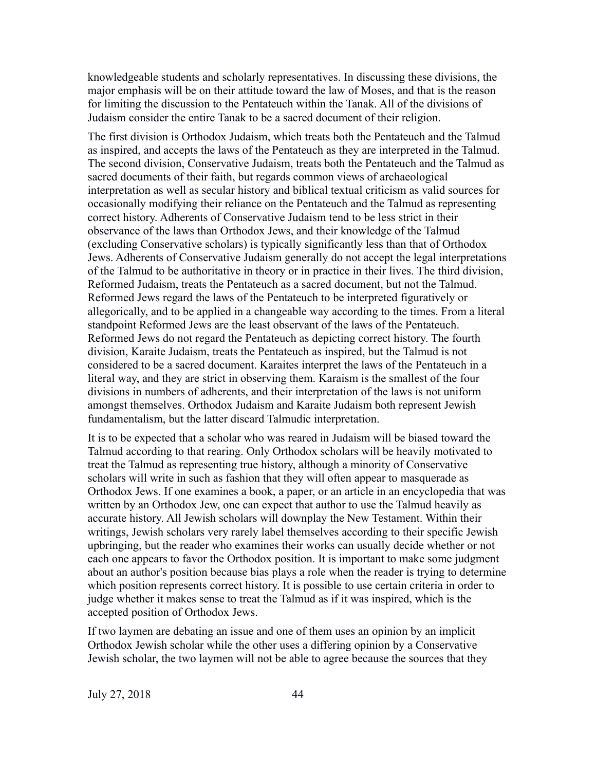knowledgeable students and scholarly representatives. In discussing these divisions, the major emphasis will be on their attitude toward the law of Moses, and that is the reason for limiting the discussion to the Pentateuch within the Tanak. All of the divisions of Judaism consider the entire Tanak to be a sacred document of their religion.

The first division is Orthodox Judaism, which treats both the Pentateuch and the Talmud as inspired, and accepts the laws of the Pentateuch as they are interpreted in the Talmud. The second division, Conservative Judaism, treats both the Pentateuch and the Talmud as sacred documents of their faith, but regards common views of archaeological interpretation as well as secular history and biblical textual criticism as valid sources for occasionally modifying their reliance on the Pentateuch and the Talmud as representing correct history. Adherents of Conservative Judaism tend to be less strict in their observance of the laws than Orthodox Jews, and their knowledge of the Talmud (excluding Conservative scholars) is typically significantly less than that of Orthodox Jews. Adherents of Conservative Judaism generally do not accept the legal interpretations of the Talmud to be authoritative in theory or in practice in their lives. The third division, Reformed Judaism, treats the Pentateuch as a sacred document, but not the Talmud. Reformed Jews regard the laws of the Pentateuch to be interpreted figuratively or allegorically, and to be applied in a changeable way according to the times. From a literal standpoint Reformed Jews are the least observant of the laws of the Pentateuch. Reformed Jews do not regard the Pentateuch as depicting correct history. The fourth division, Karaite Judaism, treats the Pentateuch as inspired, but the Talmud is not considered to be a sacred document. Karaites interpret the laws of the Pentateuch in a literal way, and they are strict in observing them. Karaism is the smallest of the four divisions in numbers of adherents, and their interpretation of the laws is not uniform amongst themselves. Orthodox Judaism and Karaite Judaism both represent Jewish fundamentalism, but the latter discard Talmudic interpretation.

It is to be expected that a scholar who was reared in Judaism will be biased toward the Talmud according to that rearing. Only Orthodox scholars will be heavily motivated to treat the Talmud as representing true history, although a minority of Conservative scholars will write in such as fashion that they will often appear to masquerade as Orthodox Jews. If one examines a book, a paper, or an article in an encyclopedia that was written by an Orthodox Jew, one can expect that author to use the Talmud heavily as accurate history. All Jewish scholars will downplay the New Testament. Within their writings, Jewish scholars very rarely label themselves according to their specific Jewish upbringing, but the reader who examines their works can usually decide whether or not each one appears to favor the Orthodox position. It is important to make some judgment about an author's position because bias plays a role when the reader is trying to determine which position represents correct history. It is possible to use certain criteria in order to judge whether it makes sense to treat the Talmud as if it was inspired, which is the accepted position of Orthodox Jews.

If two laymen are debating an issue and one of them uses an opinion by an implicit Orthodox Jewish scholar while the other uses a differing opinion by a Conservative Jewish scholar, the two laymen will not be able to agree because the sources that they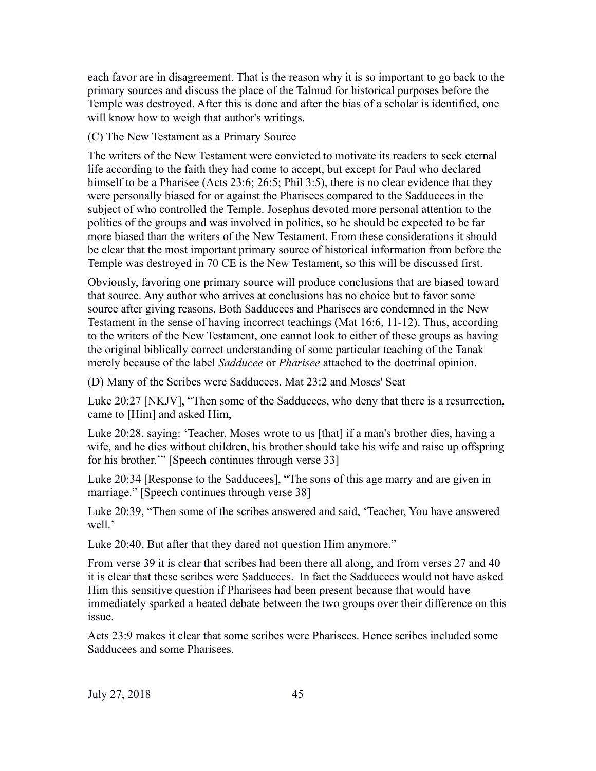each favor are in disagreement. That is the reason why it is so important to go back to the primary sources and discuss the place of the Talmud for historical purposes before the Temple was destroyed. After this is done and after the bias of a scholar is identified, one will know how to weigh that author's writings.

(C) The New Testament as a Primary Source

The writers of the New Testament were convicted to motivate its readers to seek eternal life according to the faith they had come to accept, but except for Paul who declared himself to be a Pharisee (Acts 23:6; 26:5; Phil 3:5), there is no clear evidence that they were personally biased for or against the Pharisees compared to the Sadducees in the subject of who controlled the Temple. Josephus devoted more personal attention to the politics of the groups and was involved in politics, so he should be expected to be far more biased than the writers of the New Testament. From these considerations it should be clear that the most important primary source of historical information from before the Temple was destroyed in 70 CE is the New Testament, so this will be discussed first.

Obviously, favoring one primary source will produce conclusions that are biased toward that source. Any author who arrives at conclusions has no choice but to favor some source after giving reasons. Both Sadducees and Pharisees are condemned in the New Testament in the sense of having incorrect teachings (Mat 16:6, 11-12). Thus, according to the writers of the New Testament, one cannot look to either of these groups as having the original biblically correct understanding of some particular teaching of the Tanak merely because of the label *Sadducee* or *Pharisee* attached to the doctrinal opinion.

(D) Many of the Scribes were Sadducees. Mat 23:2 and Moses' Seat

Luke 20:27 [NKJV], "Then some of the Sadducees, who deny that there is a resurrection, came to [Him] and asked Him,

Luke 20:28, saying: 'Teacher, Moses wrote to us [that] if a man's brother dies, having a wife, and he dies without children, his brother should take his wife and raise up offspring for his brother.'" [Speech continues through verse 33]

Luke 20:34 [Response to the Sadducees], "The sons of this age marry and are given in marriage." [Speech continues through verse 38]

Luke 20:39, "Then some of the scribes answered and said, 'Teacher, You have answered well.'

Luke 20:40, But after that they dared not question Him anymore."

From verse 39 it is clear that scribes had been there all along, and from verses 27 and 40 it is clear that these scribes were Sadducees. In fact the Sadducees would not have asked Him this sensitive question if Pharisees had been present because that would have immediately sparked a heated debate between the two groups over their difference on this issue.

Acts 23:9 makes it clear that some scribes were Pharisees. Hence scribes included some Sadducees and some Pharisees.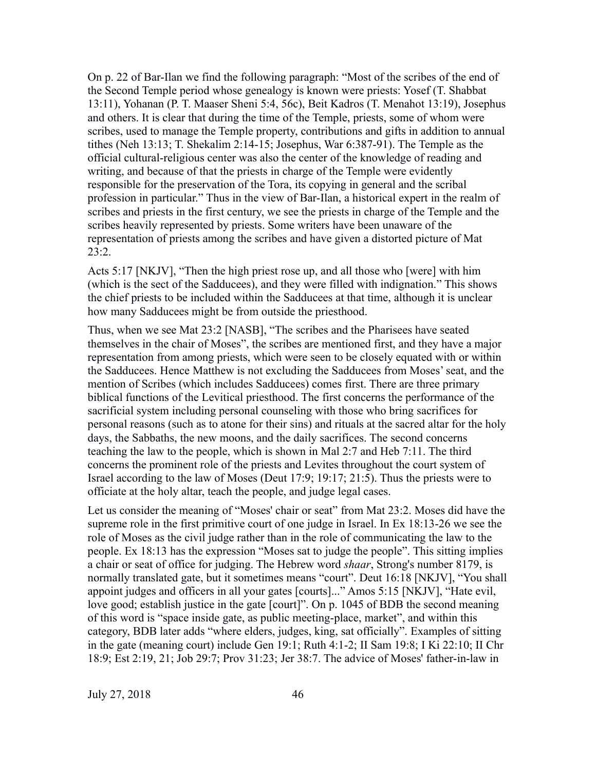On p. 22 of Bar-Ilan we find the following paragraph: "Most of the scribes of the end of the Second Temple period whose genealogy is known were priests: Yosef (T. Shabbat 13:11), Yohanan (P. T. Maaser Sheni 5:4, 56c), Beit Kadros (T. Menahot 13:19), Josephus and others. It is clear that during the time of the Temple, priests, some of whom were scribes, used to manage the Temple property, contributions and gifts in addition to annual tithes (Neh 13:13; T. Shekalim 2:14-15; Josephus, War 6:387-91). The Temple as the official cultural-religious center was also the center of the knowledge of reading and writing, and because of that the priests in charge of the Temple were evidently responsible for the preservation of the Tora, its copying in general and the scribal profession in particular." Thus in the view of Bar-Ilan, a historical expert in the realm of scribes and priests in the first century, we see the priests in charge of the Temple and the scribes heavily represented by priests. Some writers have been unaware of the representation of priests among the scribes and have given a distorted picture of Mat 23:2.

Acts 5:17 [NKJV], "Then the high priest rose up, and all those who [were] with him (which is the sect of the Sadducees), and they were filled with indignation." This shows the chief priests to be included within the Sadducees at that time, although it is unclear how many Sadducees might be from outside the priesthood.

Thus, when we see Mat 23:2 [NASB], "The scribes and the Pharisees have seated themselves in the chair of Moses", the scribes are mentioned first, and they have a major representation from among priests, which were seen to be closely equated with or within the Sadducees. Hence Matthew is not excluding the Sadducees from Moses' seat, and the mention of Scribes (which includes Sadducees) comes first. There are three primary biblical functions of the Levitical priesthood. The first concerns the performance of the sacrificial system including personal counseling with those who bring sacrifices for personal reasons (such as to atone for their sins) and rituals at the sacred altar for the holy days, the Sabbaths, the new moons, and the daily sacrifices. The second concerns teaching the law to the people, which is shown in Mal 2:7 and Heb 7:11. The third concerns the prominent role of the priests and Levites throughout the court system of Israel according to the law of Moses (Deut 17:9; 19:17; 21:5). Thus the priests were to officiate at the holy altar, teach the people, and judge legal cases.

Let us consider the meaning of "Moses' chair or seat" from Mat 23:2. Moses did have the supreme role in the first primitive court of one judge in Israel. In Ex 18:13-26 we see the role of Moses as the civil judge rather than in the role of communicating the law to the people. Ex 18:13 has the expression "Moses sat to judge the people". This sitting implies a chair or seat of office for judging. The Hebrew word *shaar*, Strong's number 8179, is normally translated gate, but it sometimes means "court". Deut 16:18 [NKJV], "You shall appoint judges and officers in all your gates [courts]..." Amos 5:15 [NKJV], "Hate evil, love good; establish justice in the gate [court]". On p. 1045 of BDB the second meaning of this word is "space inside gate, as public meeting-place, market", and within this category, BDB later adds "where elders, judges, king, sat officially". Examples of sitting in the gate (meaning court) include Gen 19:1; Ruth 4:1-2; II Sam 19:8; I Ki 22:10; II Chr 18:9; Est 2:19, 21; Job 29:7; Prov 31:23; Jer 38:7. The advice of Moses' father-in-law in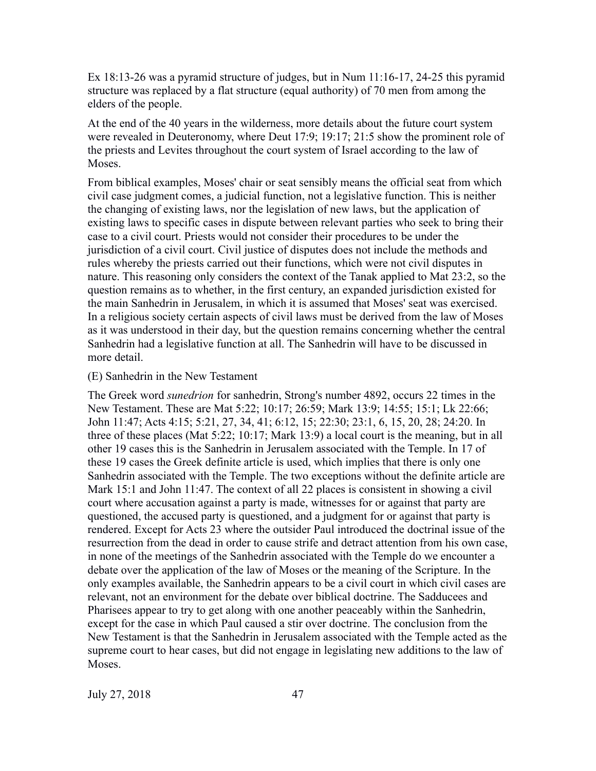Ex 18:13-26 was a pyramid structure of judges, but in Num 11:16-17, 24-25 this pyramid structure was replaced by a flat structure (equal authority) of 70 men from among the elders of the people.

At the end of the 40 years in the wilderness, more details about the future court system were revealed in Deuteronomy, where Deut 17:9; 19:17; 21:5 show the prominent role of the priests and Levites throughout the court system of Israel according to the law of Moses.

From biblical examples, Moses' chair or seat sensibly means the official seat from which civil case judgment comes, a judicial function, not a legislative function. This is neither the changing of existing laws, nor the legislation of new laws, but the application of existing laws to specific cases in dispute between relevant parties who seek to bring their case to a civil court. Priests would not consider their procedures to be under the jurisdiction of a civil court. Civil justice of disputes does not include the methods and rules whereby the priests carried out their functions, which were not civil disputes in nature. This reasoning only considers the context of the Tanak applied to Mat 23:2, so the question remains as to whether, in the first century, an expanded jurisdiction existed for the main Sanhedrin in Jerusalem, in which it is assumed that Moses' seat was exercised. In a religious society certain aspects of civil laws must be derived from the law of Moses as it was understood in their day, but the question remains concerning whether the central Sanhedrin had a legislative function at all. The Sanhedrin will have to be discussed in more detail.

#### (E) Sanhedrin in the New Testament

The Greek word *sunedrion* for sanhedrin, Strong's number 4892, occurs 22 times in the New Testament. These are Mat 5:22; 10:17; 26:59; Mark 13:9; 14:55; 15:1; Lk 22:66; John 11:47; Acts 4:15; 5:21, 27, 34, 41; 6:12, 15; 22:30; 23:1, 6, 15, 20, 28; 24:20. In three of these places (Mat 5:22; 10:17; Mark 13:9) a local court is the meaning, but in all other 19 cases this is the Sanhedrin in Jerusalem associated with the Temple. In 17 of these 19 cases the Greek definite article is used, which implies that there is only one Sanhedrin associated with the Temple. The two exceptions without the definite article are Mark 15:1 and John 11:47. The context of all 22 places is consistent in showing a civil court where accusation against a party is made, witnesses for or against that party are questioned, the accused party is questioned, and a judgment for or against that party is rendered. Except for Acts 23 where the outsider Paul introduced the doctrinal issue of the resurrection from the dead in order to cause strife and detract attention from his own case, in none of the meetings of the Sanhedrin associated with the Temple do we encounter a debate over the application of the law of Moses or the meaning of the Scripture. In the only examples available, the Sanhedrin appears to be a civil court in which civil cases are relevant, not an environment for the debate over biblical doctrine. The Sadducees and Pharisees appear to try to get along with one another peaceably within the Sanhedrin, except for the case in which Paul caused a stir over doctrine. The conclusion from the New Testament is that the Sanhedrin in Jerusalem associated with the Temple acted as the supreme court to hear cases, but did not engage in legislating new additions to the law of Moses.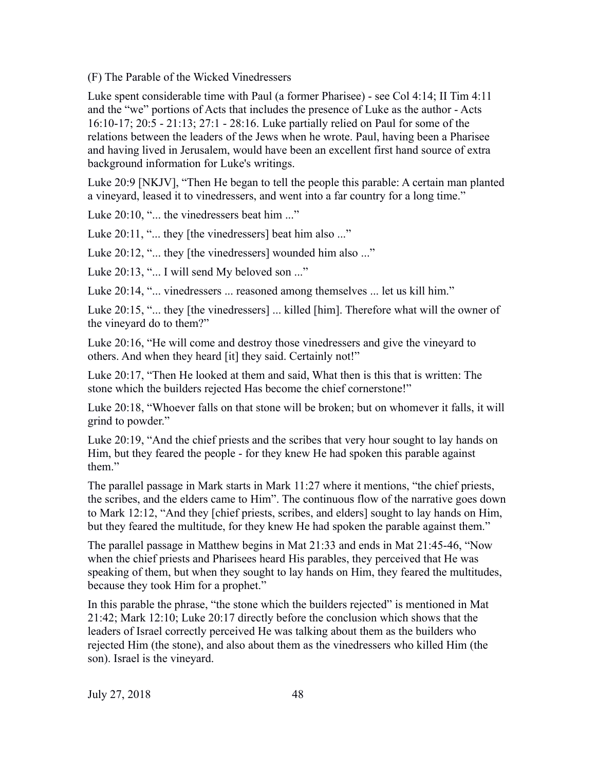(F) The Parable of the Wicked Vinedressers

Luke spent considerable time with Paul (a former Pharisee) - see Col 4:14; II Tim 4:11 and the "we" portions of Acts that includes the presence of Luke as the author - Acts 16:10-17; 20:5 - 21:13; 27:1 - 28:16. Luke partially relied on Paul for some of the relations between the leaders of the Jews when he wrote. Paul, having been a Pharisee and having lived in Jerusalem, would have been an excellent first hand source of extra background information for Luke's writings.

Luke 20:9 [NKJV], "Then He began to tell the people this parable: A certain man planted a vineyard, leased it to vinedressers, and went into a far country for a long time."

Luke 20:10, "... the vinedressers beat him ..."

Luke 20:11, "... they [the vinedressers] beat him also ..."

Luke 20:12, "... they [the vinedressers] wounded him also ..."

Luke 20:13, "... I will send My beloved son ..."

Luke 20:14, "... vinedressers ... reasoned among themselves ... let us kill him."

Luke 20:15, "... they [the vinedressers] ... killed [him]. Therefore what will the owner of the vineyard do to them?"

Luke 20:16, "He will come and destroy those vinedressers and give the vineyard to others. And when they heard [it] they said. Certainly not!"

Luke 20:17, "Then He looked at them and said, What then is this that is written: The stone which the builders rejected Has become the chief cornerstone!"

Luke 20:18, "Whoever falls on that stone will be broken; but on whomever it falls, it will grind to powder."

Luke 20:19, "And the chief priests and the scribes that very hour sought to lay hands on Him, but they feared the people - for they knew He had spoken this parable against them."

The parallel passage in Mark starts in Mark 11:27 where it mentions, "the chief priests, the scribes, and the elders came to Him". The continuous flow of the narrative goes down to Mark 12:12, "And they [chief priests, scribes, and elders] sought to lay hands on Him, but they feared the multitude, for they knew He had spoken the parable against them."

The parallel passage in Matthew begins in Mat 21:33 and ends in Mat 21:45-46, "Now when the chief priests and Pharisees heard His parables, they perceived that He was speaking of them, but when they sought to lay hands on Him, they feared the multitudes, because they took Him for a prophet."

In this parable the phrase, "the stone which the builders rejected" is mentioned in Mat 21:42; Mark 12:10; Luke 20:17 directly before the conclusion which shows that the leaders of Israel correctly perceived He was talking about them as the builders who rejected Him (the stone), and also about them as the vinedressers who killed Him (the son). Israel is the vineyard.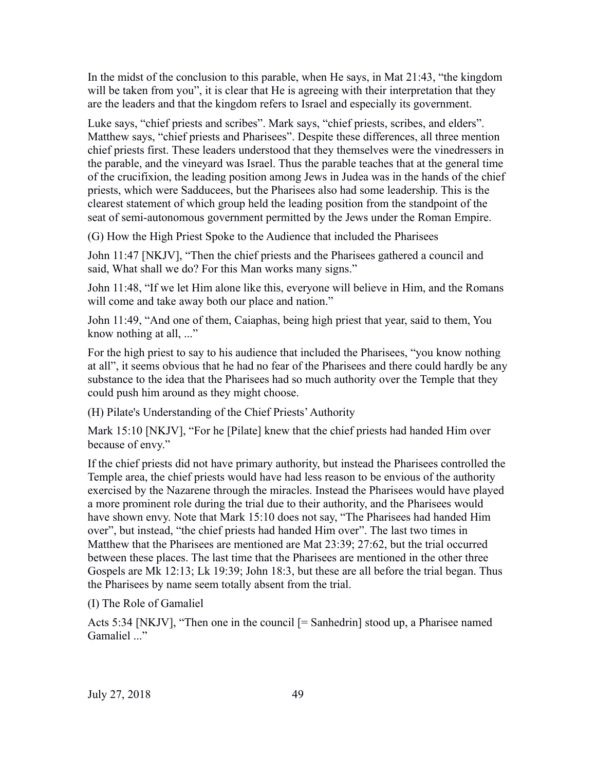In the midst of the conclusion to this parable, when He says, in Mat 21:43, "the kingdom will be taken from you", it is clear that He is agreeing with their interpretation that they are the leaders and that the kingdom refers to Israel and especially its government.

Luke says, "chief priests and scribes". Mark says, "chief priests, scribes, and elders". Matthew says, "chief priests and Pharisees". Despite these differences, all three mention chief priests first. These leaders understood that they themselves were the vinedressers in the parable, and the vineyard was Israel. Thus the parable teaches that at the general time of the crucifixion, the leading position among Jews in Judea was in the hands of the chief priests, which were Sadducees, but the Pharisees also had some leadership. This is the clearest statement of which group held the leading position from the standpoint of the seat of semi-autonomous government permitted by the Jews under the Roman Empire.

(G) How the High Priest Spoke to the Audience that included the Pharisees

John 11:47 [NKJV], "Then the chief priests and the Pharisees gathered a council and said, What shall we do? For this Man works many signs."

John 11:48, "If we let Him alone like this, everyone will believe in Him, and the Romans will come and take away both our place and nation."

John 11:49, "And one of them, Caiaphas, being high priest that year, said to them, You know nothing at all, ..."

For the high priest to say to his audience that included the Pharisees, "you know nothing at all", it seems obvious that he had no fear of the Pharisees and there could hardly be any substance to the idea that the Pharisees had so much authority over the Temple that they could push him around as they might choose.

(H) Pilate's Understanding of the Chief Priests' Authority

Mark 15:10 [NKJV], "For he [Pilate] knew that the chief priests had handed Him over because of envy."

If the chief priests did not have primary authority, but instead the Pharisees controlled the Temple area, the chief priests would have had less reason to be envious of the authority exercised by the Nazarene through the miracles. Instead the Pharisees would have played a more prominent role during the trial due to their authority, and the Pharisees would have shown envy. Note that Mark 15:10 does not say, "The Pharisees had handed Him over", but instead, "the chief priests had handed Him over". The last two times in Matthew that the Pharisees are mentioned are Mat 23:39; 27:62, but the trial occurred between these places. The last time that the Pharisees are mentioned in the other three Gospels are Mk 12:13; Lk 19:39; John 18:3, but these are all before the trial began. Thus the Pharisees by name seem totally absent from the trial.

(I) The Role of Gamaliel

Acts 5:34 [NKJV], "Then one in the council [= Sanhedrin] stood up, a Pharisee named Gamaliel ..."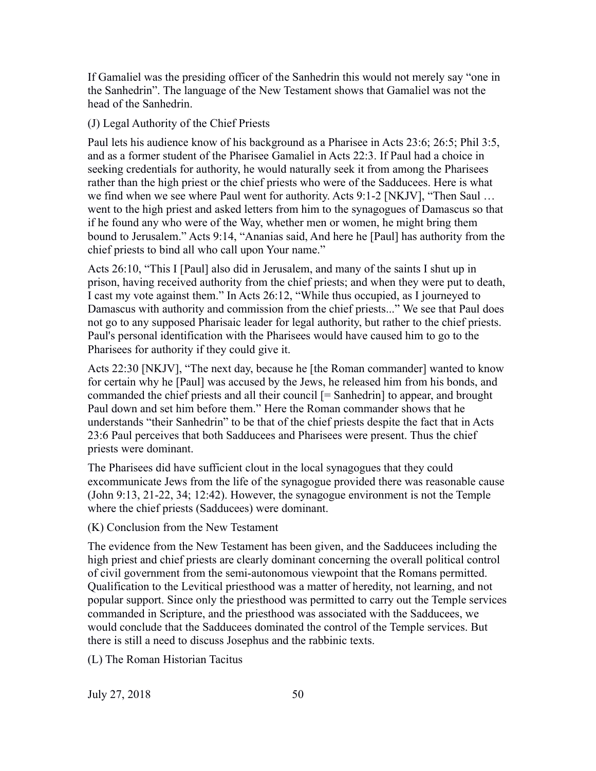If Gamaliel was the presiding officer of the Sanhedrin this would not merely say "one in the Sanhedrin". The language of the New Testament shows that Gamaliel was not the head of the Sanhedrin.

(J) Legal Authority of the Chief Priests

Paul lets his audience know of his background as a Pharisee in Acts 23:6; 26:5; Phil 3:5, and as a former student of the Pharisee Gamaliel in Acts 22:3. If Paul had a choice in seeking credentials for authority, he would naturally seek it from among the Pharisees rather than the high priest or the chief priests who were of the Sadducees. Here is what we find when we see where Paul went for authority. Acts 9:1-2 [NKJV], "Then Saul … went to the high priest and asked letters from him to the synagogues of Damascus so that if he found any who were of the Way, whether men or women, he might bring them bound to Jerusalem." Acts 9:14, "Ananias said, And here he [Paul] has authority from the chief priests to bind all who call upon Your name."

Acts 26:10, "This I [Paul] also did in Jerusalem, and many of the saints I shut up in prison, having received authority from the chief priests; and when they were put to death, I cast my vote against them." In Acts 26:12, "While thus occupied, as I journeyed to Damascus with authority and commission from the chief priests..." We see that Paul does not go to any supposed Pharisaic leader for legal authority, but rather to the chief priests. Paul's personal identification with the Pharisees would have caused him to go to the Pharisees for authority if they could give it.

Acts 22:30 [NKJV], "The next day, because he [the Roman commander] wanted to know for certain why he [Paul] was accused by the Jews, he released him from his bonds, and commanded the chief priests and all their council [= Sanhedrin] to appear, and brought Paul down and set him before them." Here the Roman commander shows that he understands "their Sanhedrin" to be that of the chief priests despite the fact that in Acts 23:6 Paul perceives that both Sadducees and Pharisees were present. Thus the chief priests were dominant.

The Pharisees did have sufficient clout in the local synagogues that they could excommunicate Jews from the life of the synagogue provided there was reasonable cause (John 9:13, 21-22, 34; 12:42). However, the synagogue environment is not the Temple where the chief priests (Sadducees) were dominant.

(K) Conclusion from the New Testament

The evidence from the New Testament has been given, and the Sadducees including the high priest and chief priests are clearly dominant concerning the overall political control of civil government from the semi-autonomous viewpoint that the Romans permitted. Qualification to the Levitical priesthood was a matter of heredity, not learning, and not popular support. Since only the priesthood was permitted to carry out the Temple services commanded in Scripture, and the priesthood was associated with the Sadducees, we would conclude that the Sadducees dominated the control of the Temple services. But there is still a need to discuss Josephus and the rabbinic texts.

(L) The Roman Historian Tacitus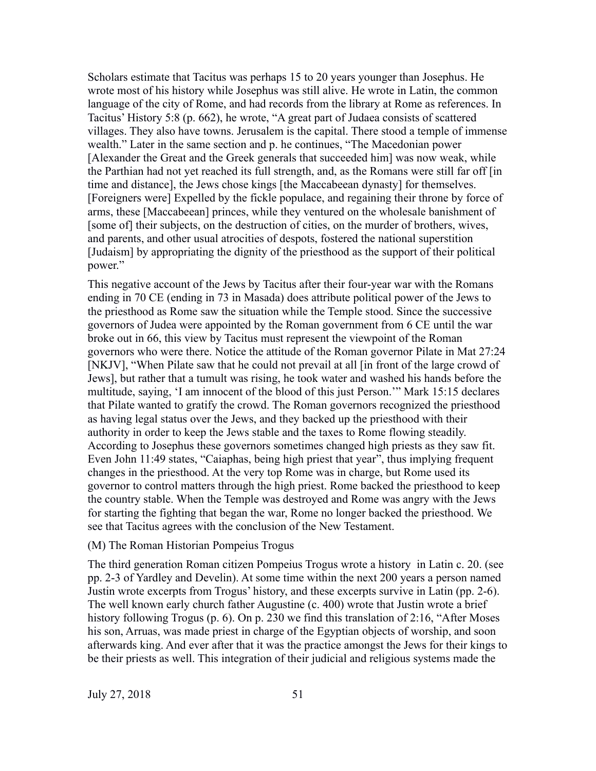Scholars estimate that Tacitus was perhaps 15 to 20 years younger than Josephus. He wrote most of his history while Josephus was still alive. He wrote in Latin, the common language of the city of Rome, and had records from the library at Rome as references. In Tacitus' History 5:8 (p. 662), he wrote, "A great part of Judaea consists of scattered villages. They also have towns. Jerusalem is the capital. There stood a temple of immense wealth." Later in the same section and p. he continues, "The Macedonian power [Alexander the Great and the Greek generals that succeeded him] was now weak, while the Parthian had not yet reached its full strength, and, as the Romans were still far off [in time and distance], the Jews chose kings [the Maccabeean dynasty] for themselves. [Foreigners were] Expelled by the fickle populace, and regaining their throne by force of arms, these [Maccabeean] princes, while they ventured on the wholesale banishment of [some of] their subjects, on the destruction of cities, on the murder of brothers, wives, and parents, and other usual atrocities of despots, fostered the national superstition [Judaism] by appropriating the dignity of the priesthood as the support of their political power."

This negative account of the Jews by Tacitus after their four-year war with the Romans ending in 70 CE (ending in 73 in Masada) does attribute political power of the Jews to the priesthood as Rome saw the situation while the Temple stood. Since the successive governors of Judea were appointed by the Roman government from 6 CE until the war broke out in 66, this view by Tacitus must represent the viewpoint of the Roman governors who were there. Notice the attitude of the Roman governor Pilate in Mat 27:24 [NKJV], "When Pilate saw that he could not prevail at all [in front of the large crowd of Jews], but rather that a tumult was rising, he took water and washed his hands before the multitude, saying, 'I am innocent of the blood of this just Person.'" Mark 15:15 declares that Pilate wanted to gratify the crowd. The Roman governors recognized the priesthood as having legal status over the Jews, and they backed up the priesthood with their authority in order to keep the Jews stable and the taxes to Rome flowing steadily. According to Josephus these governors sometimes changed high priests as they saw fit. Even John 11:49 states, "Caiaphas, being high priest that year", thus implying frequent changes in the priesthood. At the very top Rome was in charge, but Rome used its governor to control matters through the high priest. Rome backed the priesthood to keep the country stable. When the Temple was destroyed and Rome was angry with the Jews for starting the fighting that began the war, Rome no longer backed the priesthood. We see that Tacitus agrees with the conclusion of the New Testament.

## (M) The Roman Historian Pompeius Trogus

The third generation Roman citizen Pompeius Trogus wrote a history in Latin c. 20. (see pp. 2-3 of Yardley and Develin). At some time within the next 200 years a person named Justin wrote excerpts from Trogus' history, and these excerpts survive in Latin (pp. 2-6). The well known early church father Augustine (c. 400) wrote that Justin wrote a brief history following Trogus (p. 6). On p. 230 we find this translation of 2:16, "After Moses" his son, Arruas, was made priest in charge of the Egyptian objects of worship, and soon afterwards king. And ever after that it was the practice amongst the Jews for their kings to be their priests as well. This integration of their judicial and religious systems made the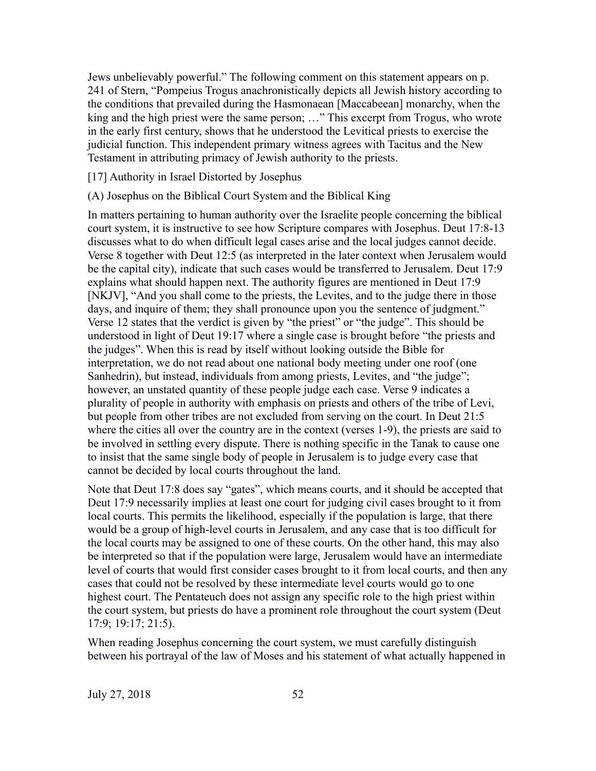Jews unbelievably powerful." The following comment on this statement appears on p. 241 of Stern, "Pompeius Trogus anachronistically depicts all Jewish history according to the conditions that prevailed during the Hasmonaean [Maccabeean] monarchy, when the king and the high priest were the same person; …" This excerpt from Trogus, who wrote in the early first century, shows that he understood the Levitical priests to exercise the judicial function. This independent primary witness agrees with Tacitus and the New Testament in attributing primacy of Jewish authority to the priests.

[17] Authority in Israel Distorted by Josephus

(A) Josephus on the Biblical Court System and the Biblical King

In matters pertaining to human authority over the Israelite people concerning the biblical court system, it is instructive to see how Scripture compares with Josephus. Deut 17:8-13 discusses what to do when difficult legal cases arise and the local judges cannot decide. Verse 8 together with Deut 12:5 (as interpreted in the later context when Jerusalem would be the capital city), indicate that such cases would be transferred to Jerusalem. Deut 17:9 explains what should happen next. The authority figures are mentioned in Deut 17:9 [NKJV], "And you shall come to the priests, the Levites, and to the judge there in those days, and inquire of them; they shall pronounce upon you the sentence of judgment." Verse 12 states that the verdict is given by "the priest" or "the judge". This should be understood in light of Deut 19:17 where a single case is brought before "the priests and the judges". When this is read by itself without looking outside the Bible for interpretation, we do not read about one national body meeting under one roof (one Sanhedrin), but instead, individuals from among priests, Levites, and "the judge"; however, an unstated quantity of these people judge each case. Verse 9 indicates a plurality of people in authority with emphasis on priests and others of the tribe of Levi, but people from other tribes are not excluded from serving on the court. In Deut 21:5 where the cities all over the country are in the context (verses 1-9), the priests are said to be involved in settling every dispute. There is nothing specific in the Tanak to cause one to insist that the same single body of people in Jerusalem is to judge every case that cannot be decided by local courts throughout the land.

Note that Deut 17:8 does say "gates", which means courts, and it should be accepted that Deut 17:9 necessarily implies at least one court for judging civil cases brought to it from local courts. This permits the likelihood, especially if the population is large, that there would be a group of high-level courts in Jerusalem, and any case that is too difficult for the local courts may be assigned to one of these courts. On the other hand, this may also be interpreted so that if the population were large, Jerusalem would have an intermediate level of courts that would first consider cases brought to it from local courts, and then any cases that could not be resolved by these intermediate level courts would go to one highest court. The Pentateuch does not assign any specific role to the high priest within the court system, but priests do have a prominent role throughout the court system (Deut 17:9; 19:17; 21:5).

When reading Josephus concerning the court system, we must carefully distinguish between his portrayal of the law of Moses and his statement of what actually happened in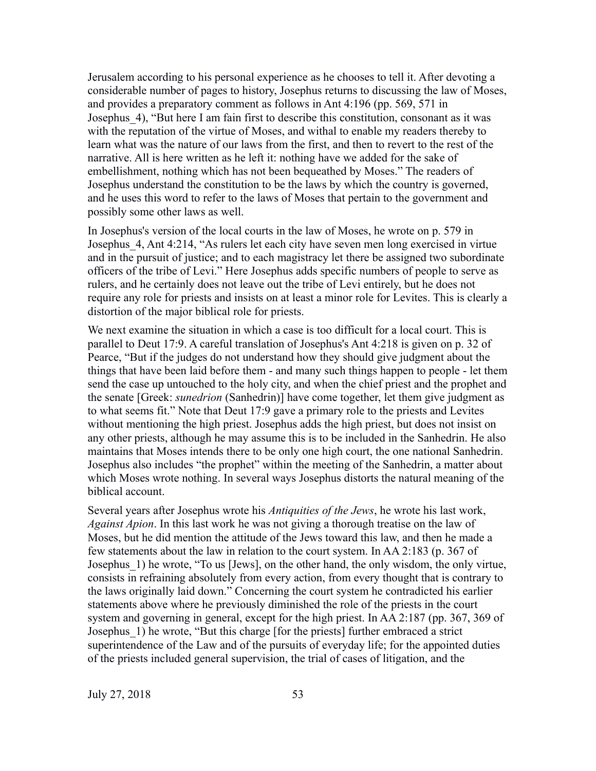Jerusalem according to his personal experience as he chooses to tell it. After devoting a considerable number of pages to history, Josephus returns to discussing the law of Moses, and provides a preparatory comment as follows in Ant 4:196 (pp. 569, 571 in Josephus 4), "But here I am fain first to describe this constitution, consonant as it was with the reputation of the virtue of Moses, and withal to enable my readers thereby to learn what was the nature of our laws from the first, and then to revert to the rest of the narrative. All is here written as he left it: nothing have we added for the sake of embellishment, nothing which has not been bequeathed by Moses." The readers of Josephus understand the constitution to be the laws by which the country is governed, and he uses this word to refer to the laws of Moses that pertain to the government and possibly some other laws as well.

In Josephus's version of the local courts in the law of Moses, he wrote on p. 579 in Josephus\_4, Ant 4:214, "As rulers let each city have seven men long exercised in virtue and in the pursuit of justice; and to each magistracy let there be assigned two subordinate officers of the tribe of Levi." Here Josephus adds specific numbers of people to serve as rulers, and he certainly does not leave out the tribe of Levi entirely, but he does not require any role for priests and insists on at least a minor role for Levites. This is clearly a distortion of the major biblical role for priests.

We next examine the situation in which a case is too difficult for a local court. This is parallel to Deut 17:9. A careful translation of Josephus's Ant 4:218 is given on p. 32 of Pearce, "But if the judges do not understand how they should give judgment about the things that have been laid before them - and many such things happen to people - let them send the case up untouched to the holy city, and when the chief priest and the prophet and the senate [Greek: *sunedrion* (Sanhedrin)] have come together, let them give judgment as to what seems fit." Note that Deut 17:9 gave a primary role to the priests and Levites without mentioning the high priest. Josephus adds the high priest, but does not insist on any other priests, although he may assume this is to be included in the Sanhedrin. He also maintains that Moses intends there to be only one high court, the one national Sanhedrin. Josephus also includes "the prophet" within the meeting of the Sanhedrin, a matter about which Moses wrote nothing. In several ways Josephus distorts the natural meaning of the biblical account.

Several years after Josephus wrote his *Antiquities of the Jews*, he wrote his last work, *Against Apion*. In this last work he was not giving a thorough treatise on the law of Moses, but he did mention the attitude of the Jews toward this law, and then he made a few statements about the law in relation to the court system. In AA 2:183 (p. 367 of Josephus 1) he wrote, "To us [Jews], on the other hand, the only wisdom, the only virtue, consists in refraining absolutely from every action, from every thought that is contrary to the laws originally laid down." Concerning the court system he contradicted his earlier statements above where he previously diminished the role of the priests in the court system and governing in general, except for the high priest. In AA 2:187 (pp. 367, 369 of Josephus\_1) he wrote, "But this charge [for the priests] further embraced a strict superintendence of the Law and of the pursuits of everyday life; for the appointed duties of the priests included general supervision, the trial of cases of litigation, and the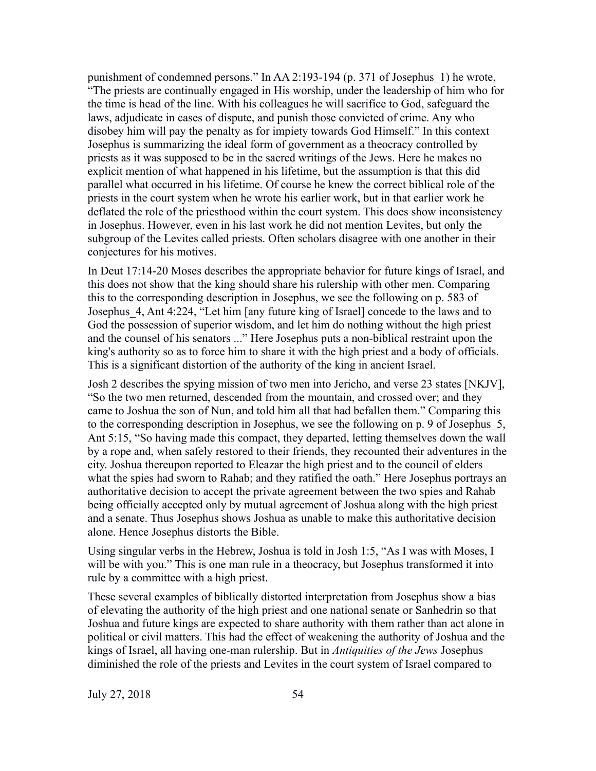punishment of condemned persons." In AA 2:193-194 (p. 371 of Josephus\_1) he wrote, "The priests are continually engaged in His worship, under the leadership of him who for the time is head of the line. With his colleagues he will sacrifice to God, safeguard the laws, adjudicate in cases of dispute, and punish those convicted of crime. Any who disobey him will pay the penalty as for impiety towards God Himself." In this context Josephus is summarizing the ideal form of government as a theocracy controlled by priests as it was supposed to be in the sacred writings of the Jews. Here he makes no explicit mention of what happened in his lifetime, but the assumption is that this did parallel what occurred in his lifetime. Of course he knew the correct biblical role of the priests in the court system when he wrote his earlier work, but in that earlier work he deflated the role of the priesthood within the court system. This does show inconsistency in Josephus. However, even in his last work he did not mention Levites, but only the subgroup of the Levites called priests. Often scholars disagree with one another in their conjectures for his motives.

In Deut 17:14-20 Moses describes the appropriate behavior for future kings of Israel, and this does not show that the king should share his rulership with other men. Comparing this to the corresponding description in Josephus, we see the following on p. 583 of Josephus\_4, Ant 4:224, "Let him [any future king of Israel] concede to the laws and to God the possession of superior wisdom, and let him do nothing without the high priest and the counsel of his senators ..." Here Josephus puts a non-biblical restraint upon the king's authority so as to force him to share it with the high priest and a body of officials. This is a significant distortion of the authority of the king in ancient Israel.

Josh 2 describes the spying mission of two men into Jericho, and verse 23 states [NKJV], "So the two men returned, descended from the mountain, and crossed over; and they came to Joshua the son of Nun, and told him all that had befallen them." Comparing this to the corresponding description in Josephus, we see the following on p. 9 of Josephus\_5, Ant 5:15, "So having made this compact, they departed, letting themselves down the wall by a rope and, when safely restored to their friends, they recounted their adventures in the city. Joshua thereupon reported to Eleazar the high priest and to the council of elders what the spies had sworn to Rahab; and they ratified the oath." Here Josephus portrays an authoritative decision to accept the private agreement between the two spies and Rahab being officially accepted only by mutual agreement of Joshua along with the high priest and a senate. Thus Josephus shows Joshua as unable to make this authoritative decision alone. Hence Josephus distorts the Bible.

Using singular verbs in the Hebrew, Joshua is told in Josh 1:5, "As I was with Moses, I will be with you." This is one man rule in a theocracy, but Josephus transformed it into rule by a committee with a high priest.

These several examples of biblically distorted interpretation from Josephus show a bias of elevating the authority of the high priest and one national senate or Sanhedrin so that Joshua and future kings are expected to share authority with them rather than act alone in political or civil matters. This had the effect of weakening the authority of Joshua and the kings of Israel, all having one-man rulership. But in *Antiquities of the Jews* Josephus diminished the role of the priests and Levites in the court system of Israel compared to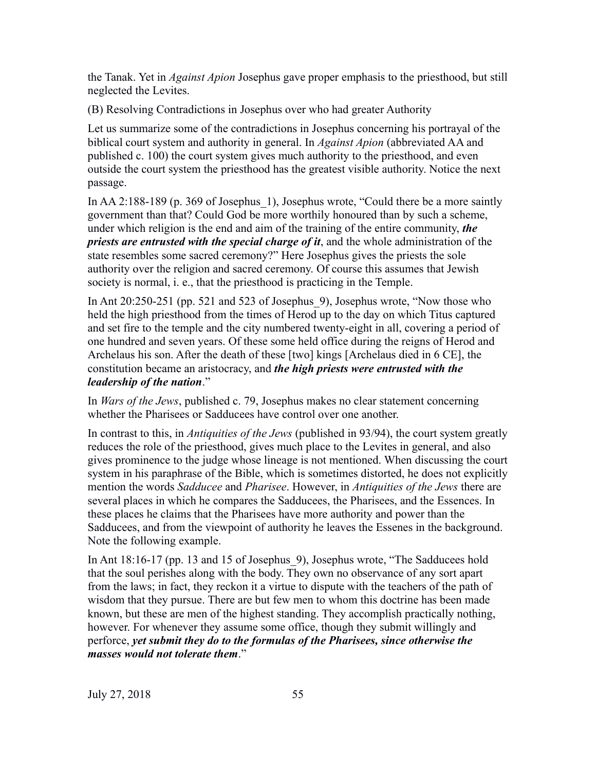the Tanak. Yet in *Against Apion* Josephus gave proper emphasis to the priesthood, but still neglected the Levites.

(B) Resolving Contradictions in Josephus over who had greater Authority

Let us summarize some of the contradictions in Josephus concerning his portrayal of the biblical court system and authority in general. In *Against Apion* (abbreviated AA and published c. 100) the court system gives much authority to the priesthood, and even outside the court system the priesthood has the greatest visible authority. Notice the next passage.

In AA 2:188-189 (p. 369 of Josephus\_1), Josephus wrote, "Could there be a more saintly government than that? Could God be more worthily honoured than by such a scheme, under which religion is the end and aim of the training of the entire community, *the priests are entrusted with the special charge of it*, and the whole administration of the state resembles some sacred ceremony?" Here Josephus gives the priests the sole authority over the religion and sacred ceremony. Of course this assumes that Jewish society is normal, i. e., that the priesthood is practicing in the Temple.

In Ant 20:250-251 (pp. 521 and 523 of Josephus\_9), Josephus wrote, "Now those who held the high priesthood from the times of Herod up to the day on which Titus captured and set fire to the temple and the city numbered twenty-eight in all, covering a period of one hundred and seven years. Of these some held office during the reigns of Herod and Archelaus his son. After the death of these [two] kings [Archelaus died in 6 CE], the constitution became an aristocracy, and *the high priests were entrusted with the leadership of the nation*."

In *Wars of the Jews*, published c. 79, Josephus makes no clear statement concerning whether the Pharisees or Sadducees have control over one another.

In contrast to this, in *Antiquities of the Jews* (published in 93/94), the court system greatly reduces the role of the priesthood, gives much place to the Levites in general, and also gives prominence to the judge whose lineage is not mentioned. When discussing the court system in his paraphrase of the Bible, which is sometimes distorted, he does not explicitly mention the words *Sadducee* and *Pharisee*. However, in *Antiquities of the Jews* there are several places in which he compares the Sadducees, the Pharisees, and the Essences. In these places he claims that the Pharisees have more authority and power than the Sadducees, and from the viewpoint of authority he leaves the Essenes in the background. Note the following example.

In Ant 18:16-17 (pp. 13 and 15 of Josephus\_9), Josephus wrote, "The Sadducees hold that the soul perishes along with the body. They own no observance of any sort apart from the laws; in fact, they reckon it a virtue to dispute with the teachers of the path of wisdom that they pursue. There are but few men to whom this doctrine has been made known, but these are men of the highest standing. They accomplish practically nothing, however. For whenever they assume some office, though they submit willingly and perforce, *yet submit they do to the formulas of the Pharisees, since otherwise the masses would not tolerate them*."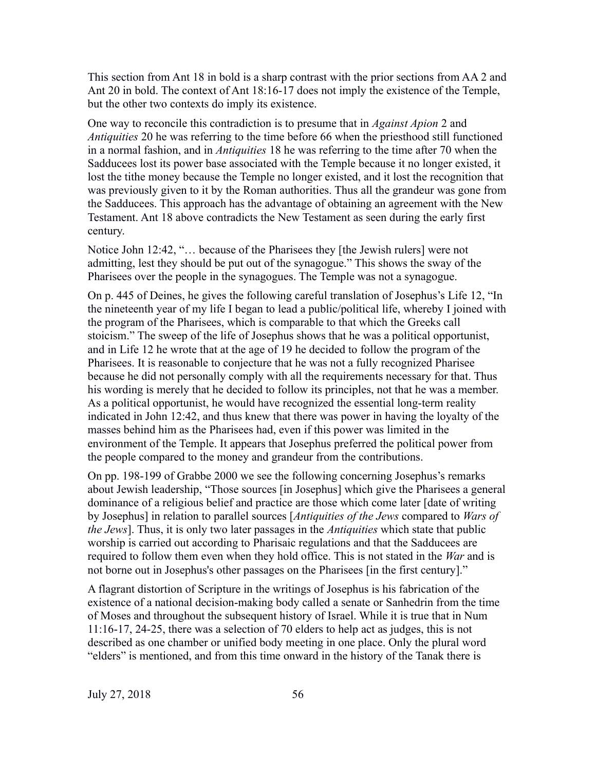This section from Ant 18 in bold is a sharp contrast with the prior sections from AA 2 and Ant 20 in bold. The context of Ant 18:16-17 does not imply the existence of the Temple, but the other two contexts do imply its existence.

One way to reconcile this contradiction is to presume that in *Against Apion* 2 and *Antiquities* 20 he was referring to the time before 66 when the priesthood still functioned in a normal fashion, and in *Antiquities* 18 he was referring to the time after 70 when the Sadducees lost its power base associated with the Temple because it no longer existed, it lost the tithe money because the Temple no longer existed, and it lost the recognition that was previously given to it by the Roman authorities. Thus all the grandeur was gone from the Sadducees. This approach has the advantage of obtaining an agreement with the New Testament. Ant 18 above contradicts the New Testament as seen during the early first century.

Notice John 12:42, "… because of the Pharisees they [the Jewish rulers] were not admitting, lest they should be put out of the synagogue." This shows the sway of the Pharisees over the people in the synagogues. The Temple was not a synagogue.

On p. 445 of Deines, he gives the following careful translation of Josephus's Life 12, "In the nineteenth year of my life I began to lead a public/political life, whereby I joined with the program of the Pharisees, which is comparable to that which the Greeks call stoicism." The sweep of the life of Josephus shows that he was a political opportunist, and in Life 12 he wrote that at the age of 19 he decided to follow the program of the Pharisees. It is reasonable to conjecture that he was not a fully recognized Pharisee because he did not personally comply with all the requirements necessary for that. Thus his wording is merely that he decided to follow its principles, not that he was a member. As a political opportunist, he would have recognized the essential long-term reality indicated in John 12:42, and thus knew that there was power in having the loyalty of the masses behind him as the Pharisees had, even if this power was limited in the environment of the Temple. It appears that Josephus preferred the political power from the people compared to the money and grandeur from the contributions.

On pp. 198-199 of Grabbe 2000 we see the following concerning Josephus's remarks about Jewish leadership, "Those sources [in Josephus] which give the Pharisees a general dominance of a religious belief and practice are those which come later [date of writing by Josephus] in relation to parallel sources [*Antiquities of the Jews* compared to *Wars of the Jews*]. Thus, it is only two later passages in the *Antiquities* which state that public worship is carried out according to Pharisaic regulations and that the Sadducees are required to follow them even when they hold office. This is not stated in the *War* and is not borne out in Josephus's other passages on the Pharisees [in the first century]."

A flagrant distortion of Scripture in the writings of Josephus is his fabrication of the existence of a national decision-making body called a senate or Sanhedrin from the time of Moses and throughout the subsequent history of Israel. While it is true that in Num 11:16-17, 24-25, there was a selection of 70 elders to help act as judges, this is not described as one chamber or unified body meeting in one place. Only the plural word "elders" is mentioned, and from this time onward in the history of the Tanak there is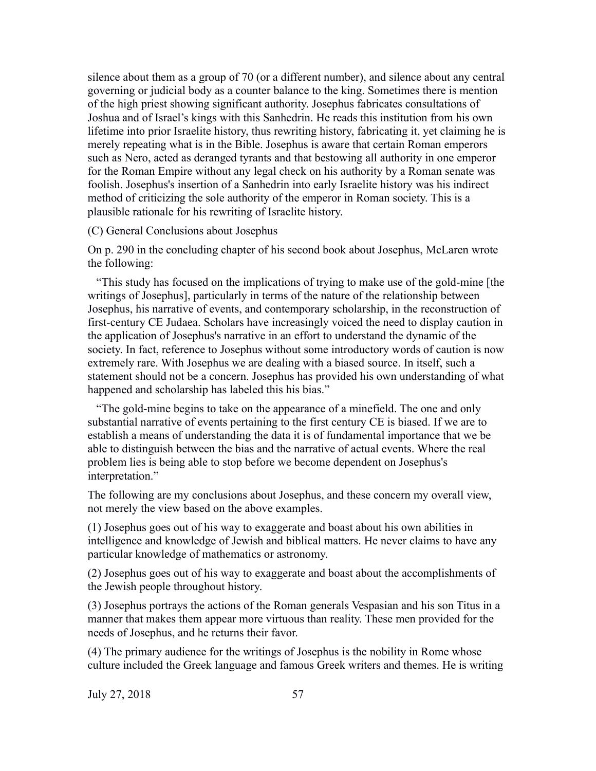silence about them as a group of 70 (or a different number), and silence about any central governing or judicial body as a counter balance to the king. Sometimes there is mention of the high priest showing significant authority. Josephus fabricates consultations of Joshua and of Israel's kings with this Sanhedrin. He reads this institution from his own lifetime into prior Israelite history, thus rewriting history, fabricating it, yet claiming he is merely repeating what is in the Bible. Josephus is aware that certain Roman emperors such as Nero, acted as deranged tyrants and that bestowing all authority in one emperor for the Roman Empire without any legal check on his authority by a Roman senate was foolish. Josephus's insertion of a Sanhedrin into early Israelite history was his indirect method of criticizing the sole authority of the emperor in Roman society. This is a plausible rationale for his rewriting of Israelite history.

### (C) General Conclusions about Josephus

On p. 290 in the concluding chapter of his second book about Josephus, McLaren wrote the following:

 "This study has focused on the implications of trying to make use of the gold-mine [the writings of Josephus], particularly in terms of the nature of the relationship between Josephus, his narrative of events, and contemporary scholarship, in the reconstruction of first-century CE Judaea. Scholars have increasingly voiced the need to display caution in the application of Josephus's narrative in an effort to understand the dynamic of the society. In fact, reference to Josephus without some introductory words of caution is now extremely rare. With Josephus we are dealing with a biased source. In itself, such a statement should not be a concern. Josephus has provided his own understanding of what happened and scholarship has labeled this his bias."

 "The gold-mine begins to take on the appearance of a minefield. The one and only substantial narrative of events pertaining to the first century CE is biased. If we are to establish a means of understanding the data it is of fundamental importance that we be able to distinguish between the bias and the narrative of actual events. Where the real problem lies is being able to stop before we become dependent on Josephus's interpretation."

The following are my conclusions about Josephus, and these concern my overall view, not merely the view based on the above examples.

(1) Josephus goes out of his way to exaggerate and boast about his own abilities in intelligence and knowledge of Jewish and biblical matters. He never claims to have any particular knowledge of mathematics or astronomy.

(2) Josephus goes out of his way to exaggerate and boast about the accomplishments of the Jewish people throughout history.

(3) Josephus portrays the actions of the Roman generals Vespasian and his son Titus in a manner that makes them appear more virtuous than reality. These men provided for the needs of Josephus, and he returns their favor.

(4) The primary audience for the writings of Josephus is the nobility in Rome whose culture included the Greek language and famous Greek writers and themes. He is writing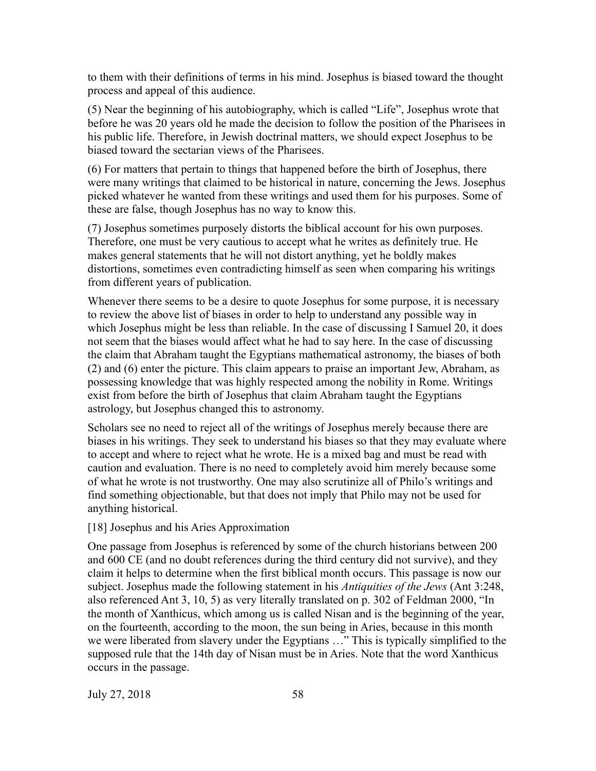to them with their definitions of terms in his mind. Josephus is biased toward the thought process and appeal of this audience.

(5) Near the beginning of his autobiography, which is called "Life", Josephus wrote that before he was 20 years old he made the decision to follow the position of the Pharisees in his public life. Therefore, in Jewish doctrinal matters, we should expect Josephus to be biased toward the sectarian views of the Pharisees.

(6) For matters that pertain to things that happened before the birth of Josephus, there were many writings that claimed to be historical in nature, concerning the Jews. Josephus picked whatever he wanted from these writings and used them for his purposes. Some of these are false, though Josephus has no way to know this.

(7) Josephus sometimes purposely distorts the biblical account for his own purposes. Therefore, one must be very cautious to accept what he writes as definitely true. He makes general statements that he will not distort anything, yet he boldly makes distortions, sometimes even contradicting himself as seen when comparing his writings from different years of publication.

Whenever there seems to be a desire to quote Josephus for some purpose, it is necessary to review the above list of biases in order to help to understand any possible way in which Josephus might be less than reliable. In the case of discussing I Samuel 20, it does not seem that the biases would affect what he had to say here. In the case of discussing the claim that Abraham taught the Egyptians mathematical astronomy, the biases of both (2) and (6) enter the picture. This claim appears to praise an important Jew, Abraham, as possessing knowledge that was highly respected among the nobility in Rome. Writings exist from before the birth of Josephus that claim Abraham taught the Egyptians astrology, but Josephus changed this to astronomy.

Scholars see no need to reject all of the writings of Josephus merely because there are biases in his writings. They seek to understand his biases so that they may evaluate where to accept and where to reject what he wrote. He is a mixed bag and must be read with caution and evaluation. There is no need to completely avoid him merely because some of what he wrote is not trustworthy. One may also scrutinize all of Philo's writings and find something objectionable, but that does not imply that Philo may not be used for anything historical.

#### [18] Josephus and his Aries Approximation

One passage from Josephus is referenced by some of the church historians between 200 and 600 CE (and no doubt references during the third century did not survive), and they claim it helps to determine when the first biblical month occurs. This passage is now our subject. Josephus made the following statement in his *Antiquities of the Jews* (Ant 3:248, also referenced Ant 3, 10, 5) as very literally translated on p. 302 of Feldman 2000, "In the month of Xanthicus, which among us is called Nisan and is the beginning of the year, on the fourteenth, according to the moon, the sun being in Aries, because in this month we were liberated from slavery under the Egyptians …" This is typically simplified to the supposed rule that the 14th day of Nisan must be in Aries. Note that the word Xanthicus occurs in the passage.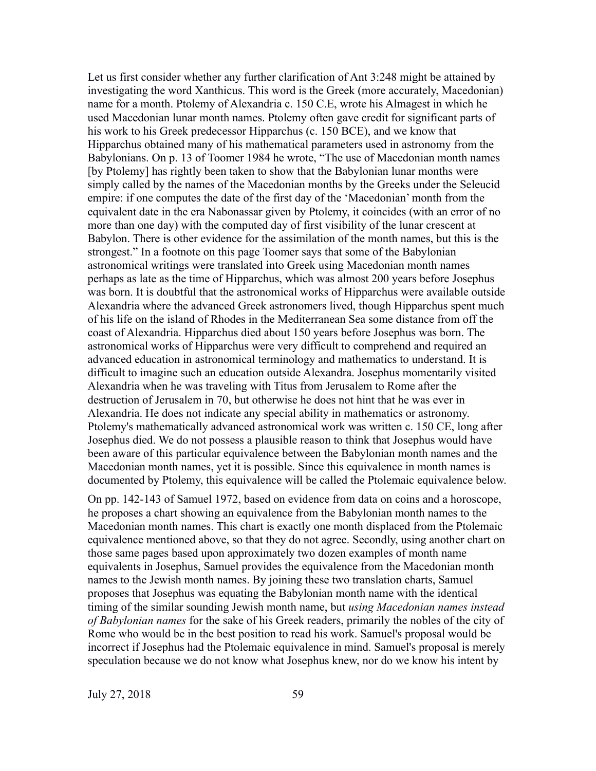Let us first consider whether any further clarification of Ant 3:248 might be attained by investigating the word Xanthicus. This word is the Greek (more accurately, Macedonian) name for a month. Ptolemy of Alexandria c. 150 C.E, wrote his Almagest in which he used Macedonian lunar month names. Ptolemy often gave credit for significant parts of his work to his Greek predecessor Hipparchus (c. 150 BCE), and we know that Hipparchus obtained many of his mathematical parameters used in astronomy from the Babylonians. On p. 13 of Toomer 1984 he wrote, "The use of Macedonian month names [by Ptolemy] has rightly been taken to show that the Babylonian lunar months were simply called by the names of the Macedonian months by the Greeks under the Seleucid empire: if one computes the date of the first day of the 'Macedonian' month from the equivalent date in the era Nabonassar given by Ptolemy, it coincides (with an error of no more than one day) with the computed day of first visibility of the lunar crescent at Babylon. There is other evidence for the assimilation of the month names, but this is the strongest." In a footnote on this page Toomer says that some of the Babylonian astronomical writings were translated into Greek using Macedonian month names perhaps as late as the time of Hipparchus, which was almost 200 years before Josephus was born. It is doubtful that the astronomical works of Hipparchus were available outside Alexandria where the advanced Greek astronomers lived, though Hipparchus spent much of his life on the island of Rhodes in the Mediterranean Sea some distance from off the coast of Alexandria. Hipparchus died about 150 years before Josephus was born. The astronomical works of Hipparchus were very difficult to comprehend and required an advanced education in astronomical terminology and mathematics to understand. It is difficult to imagine such an education outside Alexandra. Josephus momentarily visited Alexandria when he was traveling with Titus from Jerusalem to Rome after the destruction of Jerusalem in 70, but otherwise he does not hint that he was ever in Alexandria. He does not indicate any special ability in mathematics or astronomy. Ptolemy's mathematically advanced astronomical work was written c. 150 CE, long after Josephus died. We do not possess a plausible reason to think that Josephus would have been aware of this particular equivalence between the Babylonian month names and the Macedonian month names, yet it is possible. Since this equivalence in month names is documented by Ptolemy, this equivalence will be called the Ptolemaic equivalence below.

On pp. 142-143 of Samuel 1972, based on evidence from data on coins and a horoscope, he proposes a chart showing an equivalence from the Babylonian month names to the Macedonian month names. This chart is exactly one month displaced from the Ptolemaic equivalence mentioned above, so that they do not agree. Secondly, using another chart on those same pages based upon approximately two dozen examples of month name equivalents in Josephus, Samuel provides the equivalence from the Macedonian month names to the Jewish month names. By joining these two translation charts, Samuel proposes that Josephus was equating the Babylonian month name with the identical timing of the similar sounding Jewish month name, but *using Macedonian names instead of Babylonian names* for the sake of his Greek readers, primarily the nobles of the city of Rome who would be in the best position to read his work. Samuel's proposal would be incorrect if Josephus had the Ptolemaic equivalence in mind. Samuel's proposal is merely speculation because we do not know what Josephus knew, nor do we know his intent by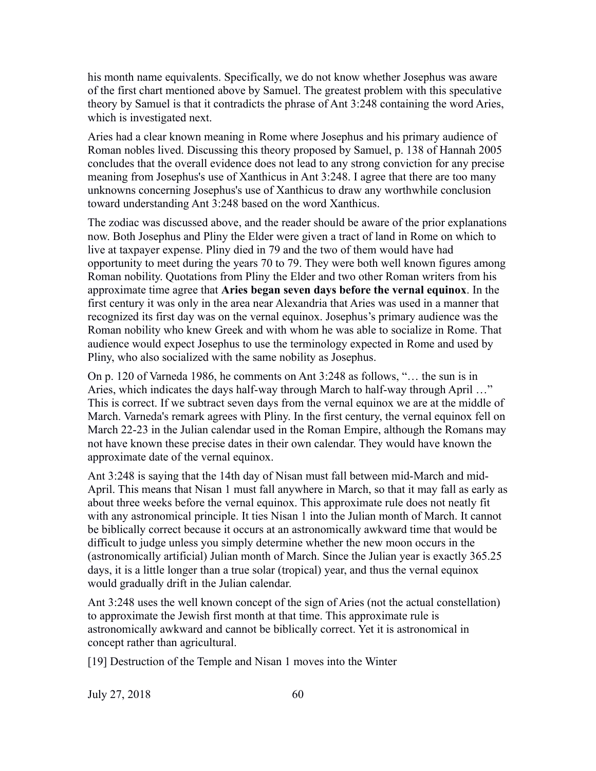his month name equivalents. Specifically, we do not know whether Josephus was aware of the first chart mentioned above by Samuel. The greatest problem with this speculative theory by Samuel is that it contradicts the phrase of Ant 3:248 containing the word Aries, which is investigated next.

Aries had a clear known meaning in Rome where Josephus and his primary audience of Roman nobles lived. Discussing this theory proposed by Samuel, p. 138 of Hannah 2005 concludes that the overall evidence does not lead to any strong conviction for any precise meaning from Josephus's use of Xanthicus in Ant 3:248. I agree that there are too many unknowns concerning Josephus's use of Xanthicus to draw any worthwhile conclusion toward understanding Ant 3:248 based on the word Xanthicus.

The zodiac was discussed above, and the reader should be aware of the prior explanations now. Both Josephus and Pliny the Elder were given a tract of land in Rome on which to live at taxpayer expense. Pliny died in 79 and the two of them would have had opportunity to meet during the years 70 to 79. They were both well known figures among Roman nobility. Quotations from Pliny the Elder and two other Roman writers from his approximate time agree that **Aries began seven days before the vernal equinox**. In the first century it was only in the area near Alexandria that Aries was used in a manner that recognized its first day was on the vernal equinox. Josephus's primary audience was the Roman nobility who knew Greek and with whom he was able to socialize in Rome. That audience would expect Josephus to use the terminology expected in Rome and used by Pliny, who also socialized with the same nobility as Josephus.

On p. 120 of Varneda 1986, he comments on Ant 3:248 as follows, "… the sun is in Aries, which indicates the days half-way through March to half-way through April …" This is correct. If we subtract seven days from the vernal equinox we are at the middle of March. Varneda's remark agrees with Pliny. In the first century, the vernal equinox fell on March 22-23 in the Julian calendar used in the Roman Empire, although the Romans may not have known these precise dates in their own calendar. They would have known the approximate date of the vernal equinox.

Ant 3:248 is saying that the 14th day of Nisan must fall between mid-March and mid-April. This means that Nisan 1 must fall anywhere in March, so that it may fall as early as about three weeks before the vernal equinox. This approximate rule does not neatly fit with any astronomical principle. It ties Nisan 1 into the Julian month of March. It cannot be biblically correct because it occurs at an astronomically awkward time that would be difficult to judge unless you simply determine whether the new moon occurs in the (astronomically artificial) Julian month of March. Since the Julian year is exactly 365.25 days, it is a little longer than a true solar (tropical) year, and thus the vernal equinox would gradually drift in the Julian calendar.

Ant 3:248 uses the well known concept of the sign of Aries (not the actual constellation) to approximate the Jewish first month at that time. This approximate rule is astronomically awkward and cannot be biblically correct. Yet it is astronomical in concept rather than agricultural.

[19] Destruction of the Temple and Nisan 1 moves into the Winter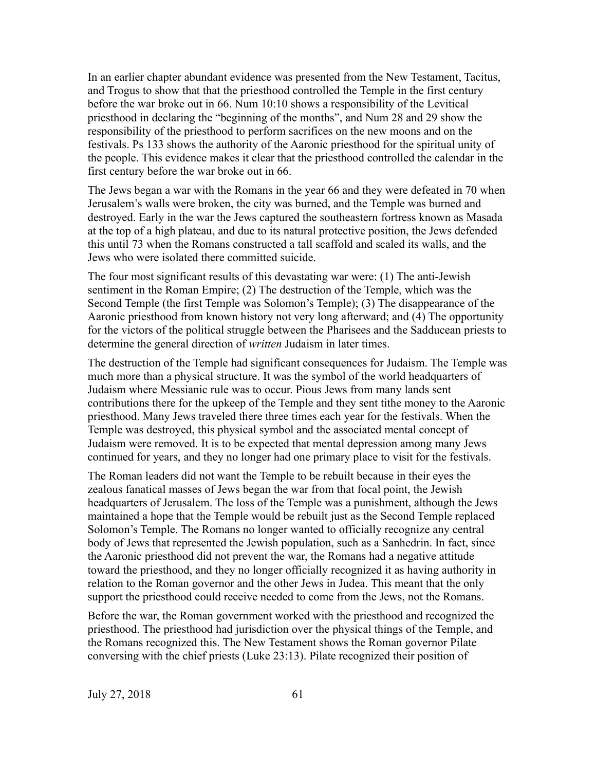In an earlier chapter abundant evidence was presented from the New Testament, Tacitus, and Trogus to show that that the priesthood controlled the Temple in the first century before the war broke out in 66. Num 10:10 shows a responsibility of the Levitical priesthood in declaring the "beginning of the months", and Num 28 and 29 show the responsibility of the priesthood to perform sacrifices on the new moons and on the festivals. Ps 133 shows the authority of the Aaronic priesthood for the spiritual unity of the people. This evidence makes it clear that the priesthood controlled the calendar in the first century before the war broke out in 66.

The Jews began a war with the Romans in the year 66 and they were defeated in 70 when Jerusalem's walls were broken, the city was burned, and the Temple was burned and destroyed. Early in the war the Jews captured the southeastern fortress known as Masada at the top of a high plateau, and due to its natural protective position, the Jews defended this until 73 when the Romans constructed a tall scaffold and scaled its walls, and the Jews who were isolated there committed suicide.

The four most significant results of this devastating war were: (1) The anti-Jewish sentiment in the Roman Empire; (2) The destruction of the Temple, which was the Second Temple (the first Temple was Solomon's Temple); (3) The disappearance of the Aaronic priesthood from known history not very long afterward; and (4) The opportunity for the victors of the political struggle between the Pharisees and the Sadducean priests to determine the general direction of *written* Judaism in later times.

The destruction of the Temple had significant consequences for Judaism. The Temple was much more than a physical structure. It was the symbol of the world headquarters of Judaism where Messianic rule was to occur. Pious Jews from many lands sent contributions there for the upkeep of the Temple and they sent tithe money to the Aaronic priesthood. Many Jews traveled there three times each year for the festivals. When the Temple was destroyed, this physical symbol and the associated mental concept of Judaism were removed. It is to be expected that mental depression among many Jews continued for years, and they no longer had one primary place to visit for the festivals.

The Roman leaders did not want the Temple to be rebuilt because in their eyes the zealous fanatical masses of Jews began the war from that focal point, the Jewish headquarters of Jerusalem. The loss of the Temple was a punishment, although the Jews maintained a hope that the Temple would be rebuilt just as the Second Temple replaced Solomon's Temple. The Romans no longer wanted to officially recognize any central body of Jews that represented the Jewish population, such as a Sanhedrin. In fact, since the Aaronic priesthood did not prevent the war, the Romans had a negative attitude toward the priesthood, and they no longer officially recognized it as having authority in relation to the Roman governor and the other Jews in Judea. This meant that the only support the priesthood could receive needed to come from the Jews, not the Romans.

Before the war, the Roman government worked with the priesthood and recognized the priesthood. The priesthood had jurisdiction over the physical things of the Temple, and the Romans recognized this. The New Testament shows the Roman governor Pilate conversing with the chief priests (Luke 23:13). Pilate recognized their position of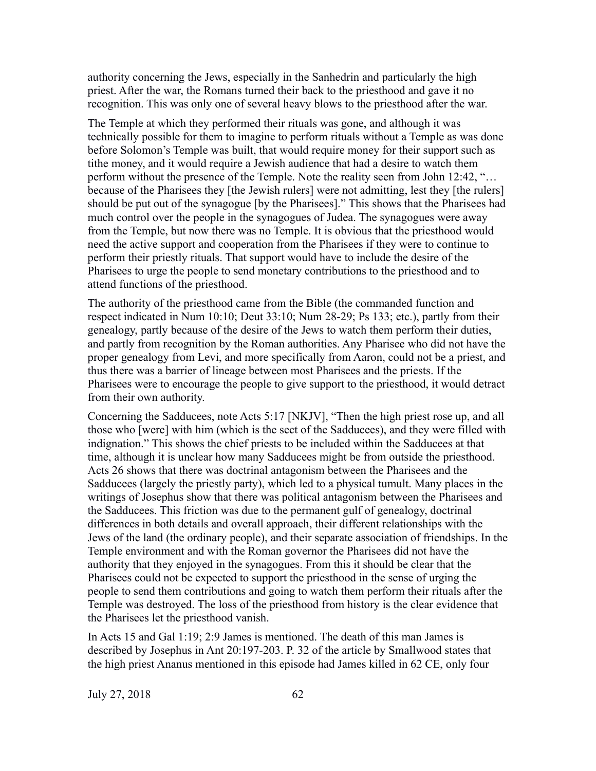authority concerning the Jews, especially in the Sanhedrin and particularly the high priest. After the war, the Romans turned their back to the priesthood and gave it no recognition. This was only one of several heavy blows to the priesthood after the war.

The Temple at which they performed their rituals was gone, and although it was technically possible for them to imagine to perform rituals without a Temple as was done before Solomon's Temple was built, that would require money for their support such as tithe money, and it would require a Jewish audience that had a desire to watch them perform without the presence of the Temple. Note the reality seen from John 12:42, "… because of the Pharisees they [the Jewish rulers] were not admitting, lest they [the rulers] should be put out of the synagogue [by the Pharisees]." This shows that the Pharisees had much control over the people in the synagogues of Judea. The synagogues were away from the Temple, but now there was no Temple. It is obvious that the priesthood would need the active support and cooperation from the Pharisees if they were to continue to perform their priestly rituals. That support would have to include the desire of the Pharisees to urge the people to send monetary contributions to the priesthood and to attend functions of the priesthood.

The authority of the priesthood came from the Bible (the commanded function and respect indicated in Num 10:10; Deut 33:10; Num 28-29; Ps 133; etc.), partly from their genealogy, partly because of the desire of the Jews to watch them perform their duties, and partly from recognition by the Roman authorities. Any Pharisee who did not have the proper genealogy from Levi, and more specifically from Aaron, could not be a priest, and thus there was a barrier of lineage between most Pharisees and the priests. If the Pharisees were to encourage the people to give support to the priesthood, it would detract from their own authority.

Concerning the Sadducees, note Acts 5:17 [NKJV], "Then the high priest rose up, and all those who [were] with him (which is the sect of the Sadducees), and they were filled with indignation." This shows the chief priests to be included within the Sadducees at that time, although it is unclear how many Sadducees might be from outside the priesthood. Acts 26 shows that there was doctrinal antagonism between the Pharisees and the Sadducees (largely the priestly party), which led to a physical tumult. Many places in the writings of Josephus show that there was political antagonism between the Pharisees and the Sadducees. This friction was due to the permanent gulf of genealogy, doctrinal differences in both details and overall approach, their different relationships with the Jews of the land (the ordinary people), and their separate association of friendships. In the Temple environment and with the Roman governor the Pharisees did not have the authority that they enjoyed in the synagogues. From this it should be clear that the Pharisees could not be expected to support the priesthood in the sense of urging the people to send them contributions and going to watch them perform their rituals after the Temple was destroyed. The loss of the priesthood from history is the clear evidence that the Pharisees let the priesthood vanish.

In Acts 15 and Gal 1:19; 2:9 James is mentioned. The death of this man James is described by Josephus in Ant 20:197-203. P. 32 of the article by Smallwood states that the high priest Ananus mentioned in this episode had James killed in 62 CE, only four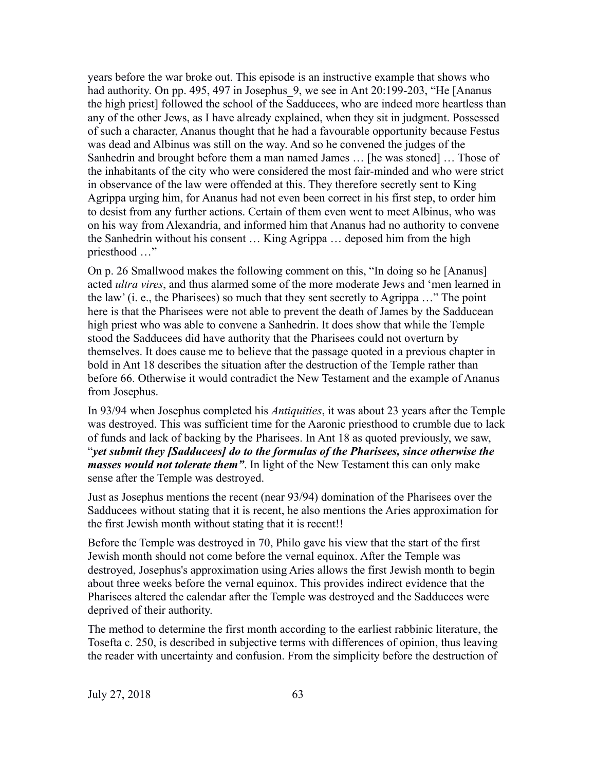years before the war broke out. This episode is an instructive example that shows who had authority. On pp. 495, 497 in Josephus 9, we see in Ant 20:199-203, "He [Ananus the high priest] followed the school of the Sadducees, who are indeed more heartless than any of the other Jews, as I have already explained, when they sit in judgment. Possessed of such a character, Ananus thought that he had a favourable opportunity because Festus was dead and Albinus was still on the way. And so he convened the judges of the Sanhedrin and brought before them a man named James … [he was stoned] … Those of the inhabitants of the city who were considered the most fair-minded and who were strict in observance of the law were offended at this. They therefore secretly sent to King Agrippa urging him, for Ananus had not even been correct in his first step, to order him to desist from any further actions. Certain of them even went to meet Albinus, who was on his way from Alexandria, and informed him that Ananus had no authority to convene the Sanhedrin without his consent … King Agrippa … deposed him from the high priesthood …"

On p. 26 Smallwood makes the following comment on this, "In doing so he [Ananus] acted *ultra vires*, and thus alarmed some of the more moderate Jews and 'men learned in the law' (i. e., the Pharisees) so much that they sent secretly to Agrippa …" The point here is that the Pharisees were not able to prevent the death of James by the Sadducean high priest who was able to convene a Sanhedrin. It does show that while the Temple stood the Sadducees did have authority that the Pharisees could not overturn by themselves. It does cause me to believe that the passage quoted in a previous chapter in bold in Ant 18 describes the situation after the destruction of the Temple rather than before 66. Otherwise it would contradict the New Testament and the example of Ananus from Josephus.

In 93/94 when Josephus completed his *Antiquities*, it was about 23 years after the Temple was destroyed. This was sufficient time for the Aaronic priesthood to crumble due to lack of funds and lack of backing by the Pharisees. In Ant 18 as quoted previously, we saw, "*yet submit they [Sadducees] do to the formulas of the Pharisees, since otherwise the masses would not tolerate them"*. In light of the New Testament this can only make sense after the Temple was destroyed.

Just as Josephus mentions the recent (near 93/94) domination of the Pharisees over the Sadducees without stating that it is recent, he also mentions the Aries approximation for the first Jewish month without stating that it is recent!!

Before the Temple was destroyed in 70, Philo gave his view that the start of the first Jewish month should not come before the vernal equinox. After the Temple was destroyed, Josephus's approximation using Aries allows the first Jewish month to begin about three weeks before the vernal equinox. This provides indirect evidence that the Pharisees altered the calendar after the Temple was destroyed and the Sadducees were deprived of their authority.

The method to determine the first month according to the earliest rabbinic literature, the Tosefta c. 250, is described in subjective terms with differences of opinion, thus leaving the reader with uncertainty and confusion. From the simplicity before the destruction of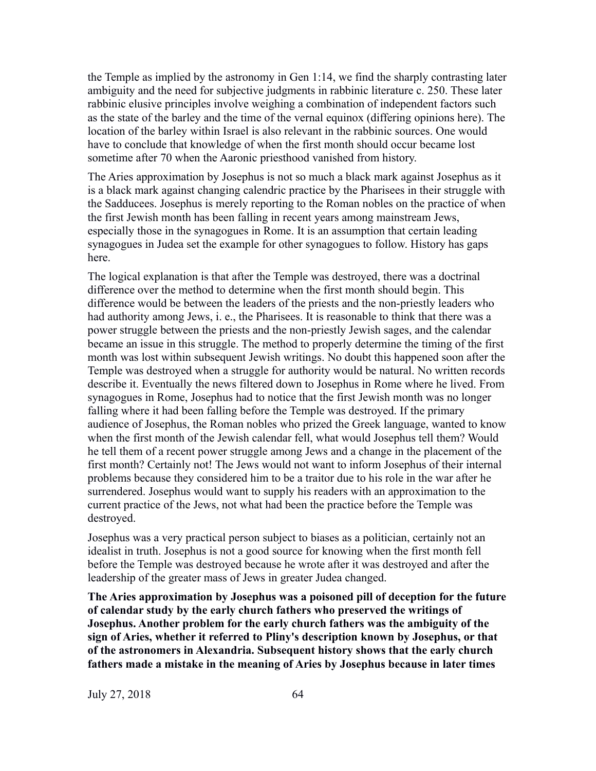the Temple as implied by the astronomy in Gen 1:14, we find the sharply contrasting later ambiguity and the need for subjective judgments in rabbinic literature c. 250. These later rabbinic elusive principles involve weighing a combination of independent factors such as the state of the barley and the time of the vernal equinox (differing opinions here). The location of the barley within Israel is also relevant in the rabbinic sources. One would have to conclude that knowledge of when the first month should occur became lost sometime after 70 when the Aaronic priesthood vanished from history.

The Aries approximation by Josephus is not so much a black mark against Josephus as it is a black mark against changing calendric practice by the Pharisees in their struggle with the Sadducees. Josephus is merely reporting to the Roman nobles on the practice of when the first Jewish month has been falling in recent years among mainstream Jews, especially those in the synagogues in Rome. It is an assumption that certain leading synagogues in Judea set the example for other synagogues to follow. History has gaps here.

The logical explanation is that after the Temple was destroyed, there was a doctrinal difference over the method to determine when the first month should begin. This difference would be between the leaders of the priests and the non-priestly leaders who had authority among Jews, i. e., the Pharisees. It is reasonable to think that there was a power struggle between the priests and the non-priestly Jewish sages, and the calendar became an issue in this struggle. The method to properly determine the timing of the first month was lost within subsequent Jewish writings. No doubt this happened soon after the Temple was destroyed when a struggle for authority would be natural. No written records describe it. Eventually the news filtered down to Josephus in Rome where he lived. From synagogues in Rome, Josephus had to notice that the first Jewish month was no longer falling where it had been falling before the Temple was destroyed. If the primary audience of Josephus, the Roman nobles who prized the Greek language, wanted to know when the first month of the Jewish calendar fell, what would Josephus tell them? Would he tell them of a recent power struggle among Jews and a change in the placement of the first month? Certainly not! The Jews would not want to inform Josephus of their internal problems because they considered him to be a traitor due to his role in the war after he surrendered. Josephus would want to supply his readers with an approximation to the current practice of the Jews, not what had been the practice before the Temple was destroyed.

Josephus was a very practical person subject to biases as a politician, certainly not an idealist in truth. Josephus is not a good source for knowing when the first month fell before the Temple was destroyed because he wrote after it was destroyed and after the leadership of the greater mass of Jews in greater Judea changed.

**The Aries approximation by Josephus was a poisoned pill of deception for the future of calendar study by the early church fathers who preserved the writings of Josephus. Another problem for the early church fathers was the ambiguity of the sign of Aries, whether it referred to Pliny's description known by Josephus, or that of the astronomers in Alexandria. Subsequent history shows that the early church fathers made a mistake in the meaning of Aries by Josephus because in later times**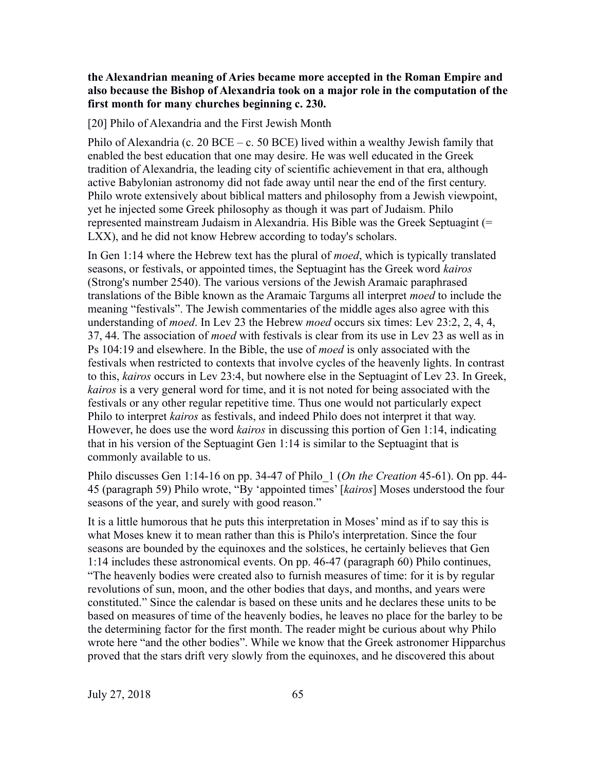# **the Alexandrian meaning of Aries became more accepted in the Roman Empire and also because the Bishop of Alexandria took on a major role in the computation of the first month for many churches beginning c. 230.**

[20] Philo of Alexandria and the First Jewish Month

Philo of Alexandria (c. 20 BCE – c. 50 BCE) lived within a wealthy Jewish family that enabled the best education that one may desire. He was well educated in the Greek tradition of Alexandria, the leading city of scientific achievement in that era, although active Babylonian astronomy did not fade away until near the end of the first century. Philo wrote extensively about biblical matters and philosophy from a Jewish viewpoint, yet he injected some Greek philosophy as though it was part of Judaism. Philo represented mainstream Judaism in Alexandria. His Bible was the Greek Septuagint (= LXX), and he did not know Hebrew according to today's scholars.

In Gen 1:14 where the Hebrew text has the plural of *moed*, which is typically translated seasons, or festivals, or appointed times, the Septuagint has the Greek word *kairos* (Strong's number 2540). The various versions of the Jewish Aramaic paraphrased translations of the Bible known as the Aramaic Targums all interpret *moed* to include the meaning "festivals". The Jewish commentaries of the middle ages also agree with this understanding of *moed*. In Lev 23 the Hebrew *moed* occurs six times: Lev 23:2, 2, 4, 4, 37, 44. The association of *moed* with festivals is clear from its use in Lev 23 as well as in Ps 104:19 and elsewhere. In the Bible, the use of *moed* is only associated with the festivals when restricted to contexts that involve cycles of the heavenly lights. In contrast to this, *kairos* occurs in Lev 23:4, but nowhere else in the Septuagint of Lev 23. In Greek, *kairos* is a very general word for time, and it is not noted for being associated with the festivals or any other regular repetitive time. Thus one would not particularly expect Philo to interpret *kairos* as festivals, and indeed Philo does not interpret it that way. However, he does use the word *kairos* in discussing this portion of Gen 1:14, indicating that in his version of the Septuagint Gen 1:14 is similar to the Septuagint that is commonly available to us.

Philo discusses Gen 1:14-16 on pp. 34-47 of Philo\_1 (*On the Creation* 45-61). On pp. 44- 45 (paragraph 59) Philo wrote, "By 'appointed times' [*kairos*] Moses understood the four seasons of the year, and surely with good reason."

It is a little humorous that he puts this interpretation in Moses' mind as if to say this is what Moses knew it to mean rather than this is Philo's interpretation. Since the four seasons are bounded by the equinoxes and the solstices, he certainly believes that Gen 1:14 includes these astronomical events. On pp. 46-47 (paragraph 60) Philo continues, "The heavenly bodies were created also to furnish measures of time: for it is by regular revolutions of sun, moon, and the other bodies that days, and months, and years were constituted." Since the calendar is based on these units and he declares these units to be based on measures of time of the heavenly bodies, he leaves no place for the barley to be the determining factor for the first month. The reader might be curious about why Philo wrote here "and the other bodies". While we know that the Greek astronomer Hipparchus proved that the stars drift very slowly from the equinoxes, and he discovered this about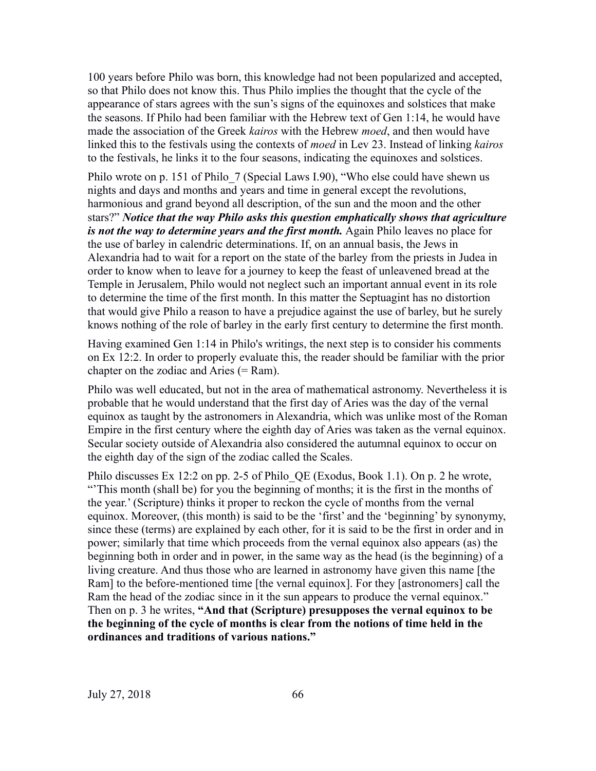100 years before Philo was born, this knowledge had not been popularized and accepted, so that Philo does not know this. Thus Philo implies the thought that the cycle of the appearance of stars agrees with the sun's signs of the equinoxes and solstices that make the seasons. If Philo had been familiar with the Hebrew text of Gen 1:14, he would have made the association of the Greek *kairos* with the Hebrew *moed*, and then would have linked this to the festivals using the contexts of *moed* in Lev 23. Instead of linking *kairos* to the festivals, he links it to the four seasons, indicating the equinoxes and solstices.

Philo wrote on p. 151 of Philo 7 (Special Laws I.90), "Who else could have shewn us nights and days and months and years and time in general except the revolutions, harmonious and grand beyond all description, of the sun and the moon and the other stars?" *Notice that the way Philo asks this question emphatically shows that agriculture is not the way to determine years and the first month.* Again Philo leaves no place for the use of barley in calendric determinations. If, on an annual basis, the Jews in Alexandria had to wait for a report on the state of the barley from the priests in Judea in order to know when to leave for a journey to keep the feast of unleavened bread at the Temple in Jerusalem, Philo would not neglect such an important annual event in its role to determine the time of the first month. In this matter the Septuagint has no distortion that would give Philo a reason to have a prejudice against the use of barley, but he surely knows nothing of the role of barley in the early first century to determine the first month.

Having examined Gen 1:14 in Philo's writings, the next step is to consider his comments on Ex 12:2. In order to properly evaluate this, the reader should be familiar with the prior chapter on the zodiac and Aries  $(= Ram)$ .

Philo was well educated, but not in the area of mathematical astronomy. Nevertheless it is probable that he would understand that the first day of Aries was the day of the vernal equinox as taught by the astronomers in Alexandria, which was unlike most of the Roman Empire in the first century where the eighth day of Aries was taken as the vernal equinox. Secular society outside of Alexandria also considered the autumnal equinox to occur on the eighth day of the sign of the zodiac called the Scales.

Philo discusses Ex 12:2 on pp. 2-5 of Philo\_QE (Exodus, Book 1.1). On p. 2 he wrote, "'This month (shall be) for you the beginning of months; it is the first in the months of the year.' (Scripture) thinks it proper to reckon the cycle of months from the vernal equinox. Moreover, (this month) is said to be the 'first' and the 'beginning' by synonymy, since these (terms) are explained by each other, for it is said to be the first in order and in power; similarly that time which proceeds from the vernal equinox also appears (as) the beginning both in order and in power, in the same way as the head (is the beginning) of a living creature. And thus those who are learned in astronomy have given this name [the Ram] to the before-mentioned time [the vernal equinox]. For they [astronomers] call the Ram the head of the zodiac since in it the sun appears to produce the vernal equinox." Then on p. 3 he writes, **"And that (Scripture) presupposes the vernal equinox to be the beginning of the cycle of months is clear from the notions of time held in the ordinances and traditions of various nations."**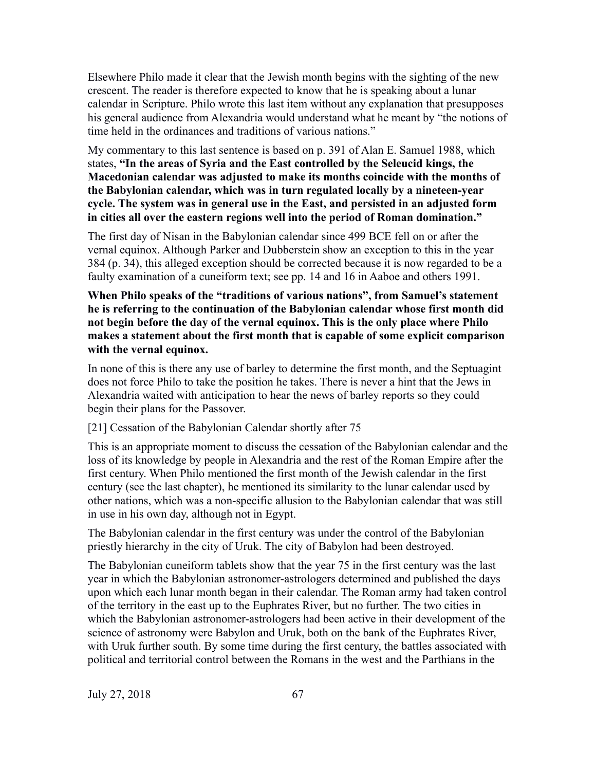Elsewhere Philo made it clear that the Jewish month begins with the sighting of the new crescent. The reader is therefore expected to know that he is speaking about a lunar calendar in Scripture. Philo wrote this last item without any explanation that presupposes his general audience from Alexandria would understand what he meant by "the notions of time held in the ordinances and traditions of various nations."

My commentary to this last sentence is based on p. 391 of Alan E. Samuel 1988, which states, **"In the areas of Syria and the East controlled by the Seleucid kings, the Macedonian calendar was adjusted to make its months coincide with the months of the Babylonian calendar, which was in turn regulated locally by a nineteen-year cycle. The system was in general use in the East, and persisted in an adjusted form in cities all over the eastern regions well into the period of Roman domination."**

The first day of Nisan in the Babylonian calendar since 499 BCE fell on or after the vernal equinox. Although Parker and Dubberstein show an exception to this in the year 384 (p. 34), this alleged exception should be corrected because it is now regarded to be a faulty examination of a cuneiform text; see pp. 14 and 16 in Aaboe and others 1991.

**When Philo speaks of the "traditions of various nations", from Samuel's statement he is referring to the continuation of the Babylonian calendar whose first month did not begin before the day of the vernal equinox. This is the only place where Philo makes a statement about the first month that is capable of some explicit comparison with the vernal equinox.**

In none of this is there any use of barley to determine the first month, and the Septuagint does not force Philo to take the position he takes. There is never a hint that the Jews in Alexandria waited with anticipation to hear the news of barley reports so they could begin their plans for the Passover.

[21] Cessation of the Babylonian Calendar shortly after 75

This is an appropriate moment to discuss the cessation of the Babylonian calendar and the loss of its knowledge by people in Alexandria and the rest of the Roman Empire after the first century. When Philo mentioned the first month of the Jewish calendar in the first century (see the last chapter), he mentioned its similarity to the lunar calendar used by other nations, which was a non-specific allusion to the Babylonian calendar that was still in use in his own day, although not in Egypt.

The Babylonian calendar in the first century was under the control of the Babylonian priestly hierarchy in the city of Uruk. The city of Babylon had been destroyed.

The Babylonian cuneiform tablets show that the year 75 in the first century was the last year in which the Babylonian astronomer-astrologers determined and published the days upon which each lunar month began in their calendar. The Roman army had taken control of the territory in the east up to the Euphrates River, but no further. The two cities in which the Babylonian astronomer-astrologers had been active in their development of the science of astronomy were Babylon and Uruk, both on the bank of the Euphrates River, with Uruk further south. By some time during the first century, the battles associated with political and territorial control between the Romans in the west and the Parthians in the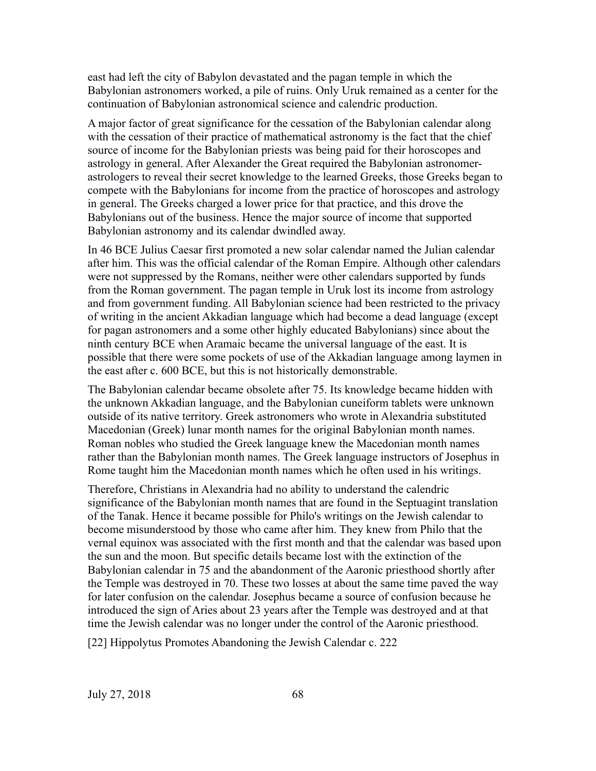east had left the city of Babylon devastated and the pagan temple in which the Babylonian astronomers worked, a pile of ruins. Only Uruk remained as a center for the continuation of Babylonian astronomical science and calendric production.

A major factor of great significance for the cessation of the Babylonian calendar along with the cessation of their practice of mathematical astronomy is the fact that the chief source of income for the Babylonian priests was being paid for their horoscopes and astrology in general. After Alexander the Great required the Babylonian astronomerastrologers to reveal their secret knowledge to the learned Greeks, those Greeks began to compete with the Babylonians for income from the practice of horoscopes and astrology in general. The Greeks charged a lower price for that practice, and this drove the Babylonians out of the business. Hence the major source of income that supported Babylonian astronomy and its calendar dwindled away.

In 46 BCE Julius Caesar first promoted a new solar calendar named the Julian calendar after him. This was the official calendar of the Roman Empire. Although other calendars were not suppressed by the Romans, neither were other calendars supported by funds from the Roman government. The pagan temple in Uruk lost its income from astrology and from government funding. All Babylonian science had been restricted to the privacy of writing in the ancient Akkadian language which had become a dead language (except for pagan astronomers and a some other highly educated Babylonians) since about the ninth century BCE when Aramaic became the universal language of the east. It is possible that there were some pockets of use of the Akkadian language among laymen in the east after c. 600 BCE, but this is not historically demonstrable.

The Babylonian calendar became obsolete after 75. Its knowledge became hidden with the unknown Akkadian language, and the Babylonian cuneiform tablets were unknown outside of its native territory. Greek astronomers who wrote in Alexandria substituted Macedonian (Greek) lunar month names for the original Babylonian month names. Roman nobles who studied the Greek language knew the Macedonian month names rather than the Babylonian month names. The Greek language instructors of Josephus in Rome taught him the Macedonian month names which he often used in his writings.

Therefore, Christians in Alexandria had no ability to understand the calendric significance of the Babylonian month names that are found in the Septuagint translation of the Tanak. Hence it became possible for Philo's writings on the Jewish calendar to become misunderstood by those who came after him. They knew from Philo that the vernal equinox was associated with the first month and that the calendar was based upon the sun and the moon. But specific details became lost with the extinction of the Babylonian calendar in 75 and the abandonment of the Aaronic priesthood shortly after the Temple was destroyed in 70. These two losses at about the same time paved the way for later confusion on the calendar. Josephus became a source of confusion because he introduced the sign of Aries about 23 years after the Temple was destroyed and at that time the Jewish calendar was no longer under the control of the Aaronic priesthood.

[22] Hippolytus Promotes Abandoning the Jewish Calendar c. 222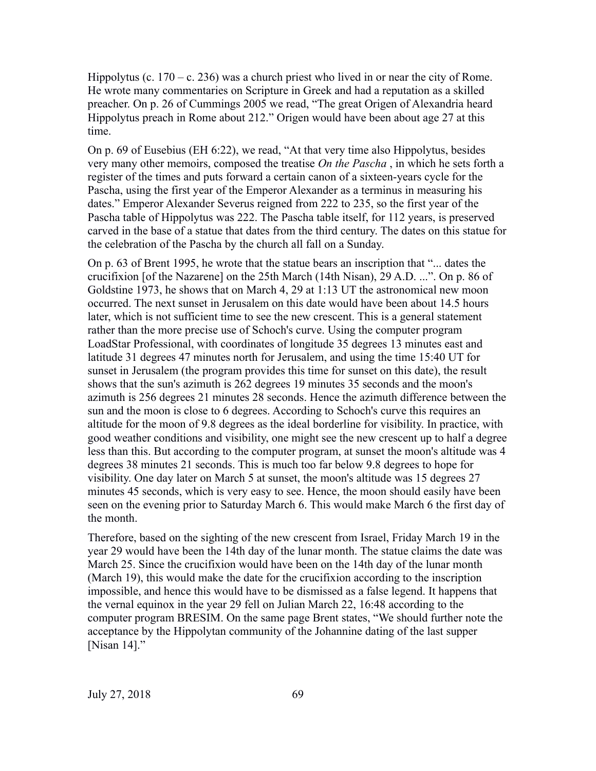Hippolytus (c.  $170 - c$ . 236) was a church priest who lived in or near the city of Rome. He wrote many commentaries on Scripture in Greek and had a reputation as a skilled preacher. On p. 26 of Cummings 2005 we read, "The great Origen of Alexandria heard Hippolytus preach in Rome about 212." Origen would have been about age 27 at this time.

On p. 69 of Eusebius (EH 6:22), we read, "At that very time also Hippolytus, besides very many other memoirs, composed the treatise *On the Pascha* , in which he sets forth a register of the times and puts forward a certain canon of a sixteen-years cycle for the Pascha, using the first year of the Emperor Alexander as a terminus in measuring his dates." Emperor Alexander Severus reigned from 222 to 235, so the first year of the Pascha table of Hippolytus was 222. The Pascha table itself, for 112 years, is preserved carved in the base of a statue that dates from the third century. The dates on this statue for the celebration of the Pascha by the church all fall on a Sunday.

On p. 63 of Brent 1995, he wrote that the statue bears an inscription that "... dates the crucifixion [of the Nazarene] on the 25th March (14th Nisan), 29 A.D. ...". On p. 86 of Goldstine 1973, he shows that on March 4, 29 at 1:13 UT the astronomical new moon occurred. The next sunset in Jerusalem on this date would have been about 14.5 hours later, which is not sufficient time to see the new crescent. This is a general statement rather than the more precise use of Schoch's curve. Using the computer program LoadStar Professional, with coordinates of longitude 35 degrees 13 minutes east and latitude 31 degrees 47 minutes north for Jerusalem, and using the time 15:40 UT for sunset in Jerusalem (the program provides this time for sunset on this date), the result shows that the sun's azimuth is 262 degrees 19 minutes 35 seconds and the moon's azimuth is 256 degrees 21 minutes 28 seconds. Hence the azimuth difference between the sun and the moon is close to 6 degrees. According to Schoch's curve this requires an altitude for the moon of 9.8 degrees as the ideal borderline for visibility. In practice, with good weather conditions and visibility, one might see the new crescent up to half a degree less than this. But according to the computer program, at sunset the moon's altitude was 4 degrees 38 minutes 21 seconds. This is much too far below 9.8 degrees to hope for visibility. One day later on March 5 at sunset, the moon's altitude was 15 degrees 27 minutes 45 seconds, which is very easy to see. Hence, the moon should easily have been seen on the evening prior to Saturday March 6. This would make March 6 the first day of the month.

Therefore, based on the sighting of the new crescent from Israel, Friday March 19 in the year 29 would have been the 14th day of the lunar month. The statue claims the date was March 25. Since the crucifixion would have been on the 14th day of the lunar month (March 19), this would make the date for the crucifixion according to the inscription impossible, and hence this would have to be dismissed as a false legend. It happens that the vernal equinox in the year 29 fell on Julian March 22, 16:48 according to the computer program BRESIM. On the same page Brent states, "We should further note the acceptance by the Hippolytan community of the Johannine dating of the last supper [Nisan 14]."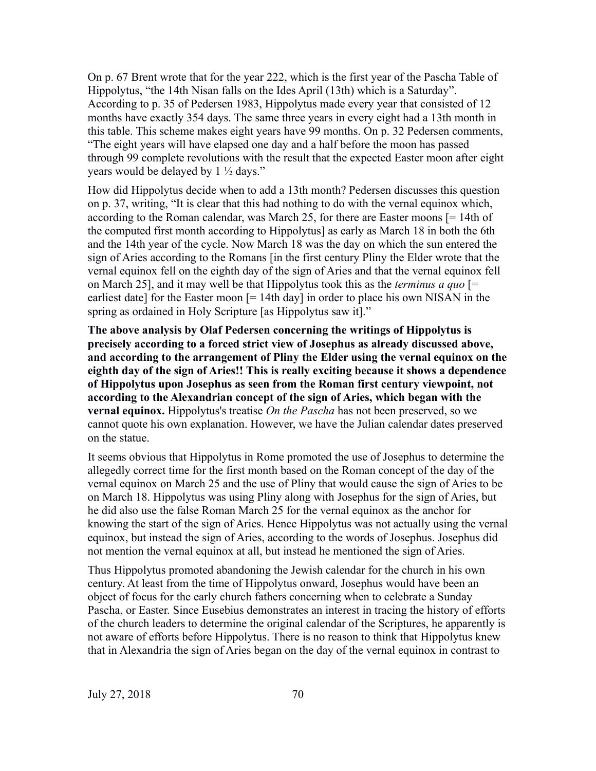On p. 67 Brent wrote that for the year 222, which is the first year of the Pascha Table of Hippolytus, "the 14th Nisan falls on the Ides April (13th) which is a Saturday". According to p. 35 of Pedersen 1983, Hippolytus made every year that consisted of 12 months have exactly 354 days. The same three years in every eight had a 13th month in this table. This scheme makes eight years have 99 months. On p. 32 Pedersen comments, "The eight years will have elapsed one day and a half before the moon has passed through 99 complete revolutions with the result that the expected Easter moon after eight years would be delayed by 1 ½ days."

How did Hippolytus decide when to add a 13th month? Pedersen discusses this question on p. 37, writing, "It is clear that this had nothing to do with the vernal equinox which, according to the Roman calendar, was March 25, for there are Easter moons [= 14th of the computed first month according to Hippolytus] as early as March 18 in both the 6th and the 14th year of the cycle. Now March 18 was the day on which the sun entered the sign of Aries according to the Romans [in the first century Pliny the Elder wrote that the vernal equinox fell on the eighth day of the sign of Aries and that the vernal equinox fell on March 25], and it may well be that Hippolytus took this as the *terminus a quo* [= earliest date] for the Easter moon  $[= 14$ th day] in order to place his own NISAN in the spring as ordained in Holy Scripture [as Hippolytus saw it]."

**The above analysis by Olaf Pedersen concerning the writings of Hippolytus is precisely according to a forced strict view of Josephus as already discussed above, and according to the arrangement of Pliny the Elder using the vernal equinox on the eighth day of the sign of Aries!! This is really exciting because it shows a dependence of Hippolytus upon Josephus as seen from the Roman first century viewpoint, not according to the Alexandrian concept of the sign of Aries, which began with the vernal equinox.** Hippolytus's treatise *On the Pascha* has not been preserved, so we cannot quote his own explanation. However, we have the Julian calendar dates preserved on the statue.

It seems obvious that Hippolytus in Rome promoted the use of Josephus to determine the allegedly correct time for the first month based on the Roman concept of the day of the vernal equinox on March 25 and the use of Pliny that would cause the sign of Aries to be on March 18. Hippolytus was using Pliny along with Josephus for the sign of Aries, but he did also use the false Roman March 25 for the vernal equinox as the anchor for knowing the start of the sign of Aries. Hence Hippolytus was not actually using the vernal equinox, but instead the sign of Aries, according to the words of Josephus. Josephus did not mention the vernal equinox at all, but instead he mentioned the sign of Aries.

Thus Hippolytus promoted abandoning the Jewish calendar for the church in his own century. At least from the time of Hippolytus onward, Josephus would have been an object of focus for the early church fathers concerning when to celebrate a Sunday Pascha, or Easter. Since Eusebius demonstrates an interest in tracing the history of efforts of the church leaders to determine the original calendar of the Scriptures, he apparently is not aware of efforts before Hippolytus. There is no reason to think that Hippolytus knew that in Alexandria the sign of Aries began on the day of the vernal equinox in contrast to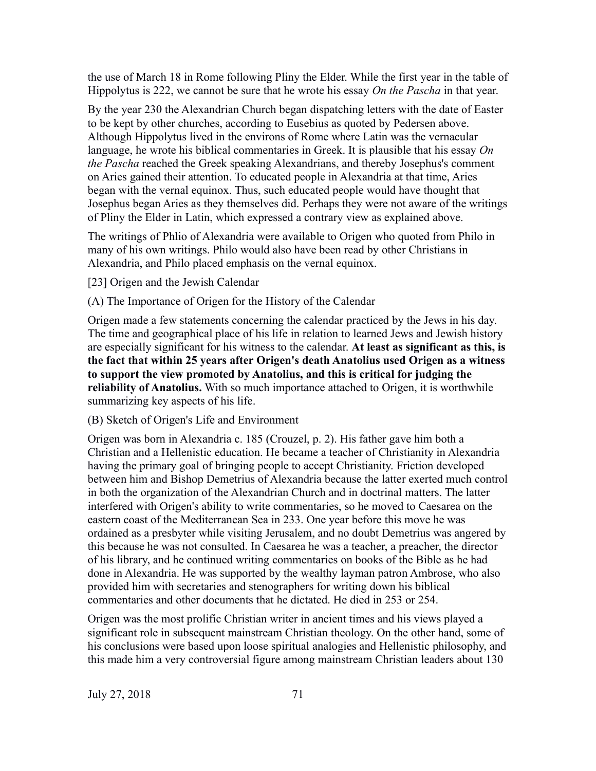the use of March 18 in Rome following Pliny the Elder. While the first year in the table of Hippolytus is 222, we cannot be sure that he wrote his essay *On the Pascha* in that year.

By the year 230 the Alexandrian Church began dispatching letters with the date of Easter to be kept by other churches, according to Eusebius as quoted by Pedersen above. Although Hippolytus lived in the environs of Rome where Latin was the vernacular language, he wrote his biblical commentaries in Greek. It is plausible that his essay *On the Pascha* reached the Greek speaking Alexandrians, and thereby Josephus's comment on Aries gained their attention. To educated people in Alexandria at that time, Aries began with the vernal equinox. Thus, such educated people would have thought that Josephus began Aries as they themselves did. Perhaps they were not aware of the writings of Pliny the Elder in Latin, which expressed a contrary view as explained above.

The writings of Phlio of Alexandria were available to Origen who quoted from Philo in many of his own writings. Philo would also have been read by other Christians in Alexandria, and Philo placed emphasis on the vernal equinox.

[23] Origen and the Jewish Calendar

(A) The Importance of Origen for the History of the Calendar

Origen made a few statements concerning the calendar practiced by the Jews in his day. The time and geographical place of his life in relation to learned Jews and Jewish history are especially significant for his witness to the calendar. **At least as significant as this, is the fact that within 25 years after Origen's death Anatolius used Origen as a witness to support the view promoted by Anatolius, and this is critical for judging the reliability of Anatolius.** With so much importance attached to Origen, it is worthwhile summarizing key aspects of his life.

(B) Sketch of Origen's Life and Environment

Origen was born in Alexandria c. 185 (Crouzel, p. 2). His father gave him both a Christian and a Hellenistic education. He became a teacher of Christianity in Alexandria having the primary goal of bringing people to accept Christianity. Friction developed between him and Bishop Demetrius of Alexandria because the latter exerted much control in both the organization of the Alexandrian Church and in doctrinal matters. The latter interfered with Origen's ability to write commentaries, so he moved to Caesarea on the eastern coast of the Mediterranean Sea in 233. One year before this move he was ordained as a presbyter while visiting Jerusalem, and no doubt Demetrius was angered by this because he was not consulted. In Caesarea he was a teacher, a preacher, the director of his library, and he continued writing commentaries on books of the Bible as he had done in Alexandria. He was supported by the wealthy layman patron Ambrose, who also provided him with secretaries and stenographers for writing down his biblical commentaries and other documents that he dictated. He died in 253 or 254.

Origen was the most prolific Christian writer in ancient times and his views played a significant role in subsequent mainstream Christian theology. On the other hand, some of his conclusions were based upon loose spiritual analogies and Hellenistic philosophy, and this made him a very controversial figure among mainstream Christian leaders about 130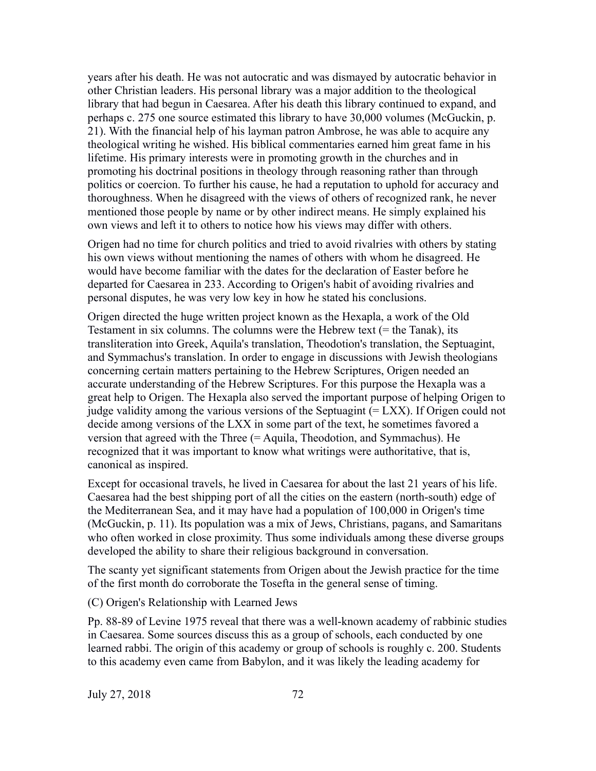years after his death. He was not autocratic and was dismayed by autocratic behavior in other Christian leaders. His personal library was a major addition to the theological library that had begun in Caesarea. After his death this library continued to expand, and perhaps c. 275 one source estimated this library to have 30,000 volumes (McGuckin, p. 21). With the financial help of his layman patron Ambrose, he was able to acquire any theological writing he wished. His biblical commentaries earned him great fame in his lifetime. His primary interests were in promoting growth in the churches and in promoting his doctrinal positions in theology through reasoning rather than through politics or coercion. To further his cause, he had a reputation to uphold for accuracy and thoroughness. When he disagreed with the views of others of recognized rank, he never mentioned those people by name or by other indirect means. He simply explained his own views and left it to others to notice how his views may differ with others.

Origen had no time for church politics and tried to avoid rivalries with others by stating his own views without mentioning the names of others with whom he disagreed. He would have become familiar with the dates for the declaration of Easter before he departed for Caesarea in 233. According to Origen's habit of avoiding rivalries and personal disputes, he was very low key in how he stated his conclusions.

Origen directed the huge written project known as the Hexapla, a work of the Old Testament in six columns. The columns were the Hebrew text (= the Tanak), its transliteration into Greek, Aquila's translation, Theodotion's translation, the Septuagint, and Symmachus's translation. In order to engage in discussions with Jewish theologians concerning certain matters pertaining to the Hebrew Scriptures, Origen needed an accurate understanding of the Hebrew Scriptures. For this purpose the Hexapla was a great help to Origen. The Hexapla also served the important purpose of helping Origen to judge validity among the various versions of the Septuagint  $(= LXX)$ . If Origen could not decide among versions of the LXX in some part of the text, he sometimes favored a version that agreed with the Three (= Aquila, Theodotion, and Symmachus). He recognized that it was important to know what writings were authoritative, that is, canonical as inspired.

Except for occasional travels, he lived in Caesarea for about the last 21 years of his life. Caesarea had the best shipping port of all the cities on the eastern (north-south) edge of the Mediterranean Sea, and it may have had a population of 100,000 in Origen's time (McGuckin, p. 11). Its population was a mix of Jews, Christians, pagans, and Samaritans who often worked in close proximity. Thus some individuals among these diverse groups developed the ability to share their religious background in conversation.

The scanty yet significant statements from Origen about the Jewish practice for the time of the first month do corroborate the Tosefta in the general sense of timing.

(C) Origen's Relationship with Learned Jews

Pp. 88-89 of Levine 1975 reveal that there was a well-known academy of rabbinic studies in Caesarea. Some sources discuss this as a group of schools, each conducted by one learned rabbi. The origin of this academy or group of schools is roughly c. 200. Students to this academy even came from Babylon, and it was likely the leading academy for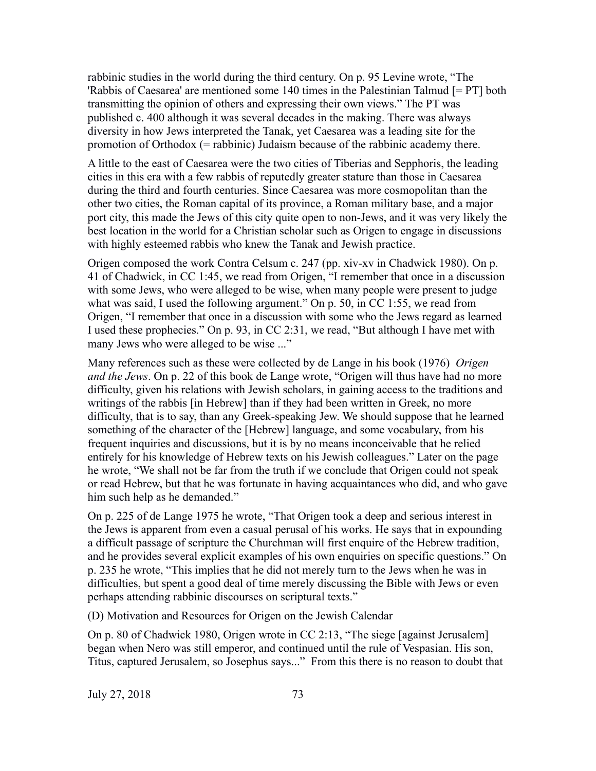rabbinic studies in the world during the third century. On p. 95 Levine wrote, "The 'Rabbis of Caesarea' are mentioned some 140 times in the Palestinian Talmud [= PT] both transmitting the opinion of others and expressing their own views." The PT was published c. 400 although it was several decades in the making. There was always diversity in how Jews interpreted the Tanak, yet Caesarea was a leading site for the promotion of Orthodox (= rabbinic) Judaism because of the rabbinic academy there.

A little to the east of Caesarea were the two cities of Tiberias and Sepphoris, the leading cities in this era with a few rabbis of reputedly greater stature than those in Caesarea during the third and fourth centuries. Since Caesarea was more cosmopolitan than the other two cities, the Roman capital of its province, a Roman military base, and a major port city, this made the Jews of this city quite open to non-Jews, and it was very likely the best location in the world for a Christian scholar such as Origen to engage in discussions with highly esteemed rabbis who knew the Tanak and Jewish practice.

Origen composed the work Contra Celsum c. 247 (pp. xiv-xv in Chadwick 1980). On p. 41 of Chadwick, in CC 1:45, we read from Origen, "I remember that once in a discussion with some Jews, who were alleged to be wise, when many people were present to judge what was said, I used the following argument." On p. 50, in CC 1:55, we read from Origen, "I remember that once in a discussion with some who the Jews regard as learned I used these prophecies." On p. 93, in CC 2:31, we read, "But although I have met with many Jews who were alleged to be wise ..."

Many references such as these were collected by de Lange in his book (1976) *Origen and the Jews*. On p. 22 of this book de Lange wrote, "Origen will thus have had no more difficulty, given his relations with Jewish scholars, in gaining access to the traditions and writings of the rabbis [in Hebrew] than if they had been written in Greek, no more difficulty, that is to say, than any Greek-speaking Jew. We should suppose that he learned something of the character of the [Hebrew] language, and some vocabulary, from his frequent inquiries and discussions, but it is by no means inconceivable that he relied entirely for his knowledge of Hebrew texts on his Jewish colleagues." Later on the page he wrote, "We shall not be far from the truth if we conclude that Origen could not speak or read Hebrew, but that he was fortunate in having acquaintances who did, and who gave him such help as he demanded."

On p. 225 of de Lange 1975 he wrote, "That Origen took a deep and serious interest in the Jews is apparent from even a casual perusal of his works. He says that in expounding a difficult passage of scripture the Churchman will first enquire of the Hebrew tradition, and he provides several explicit examples of his own enquiries on specific questions." On p. 235 he wrote, "This implies that he did not merely turn to the Jews when he was in difficulties, but spent a good deal of time merely discussing the Bible with Jews or even perhaps attending rabbinic discourses on scriptural texts."

(D) Motivation and Resources for Origen on the Jewish Calendar

On p. 80 of Chadwick 1980, Origen wrote in CC 2:13, "The siege [against Jerusalem] began when Nero was still emperor, and continued until the rule of Vespasian. His son, Titus, captured Jerusalem, so Josephus says..." From this there is no reason to doubt that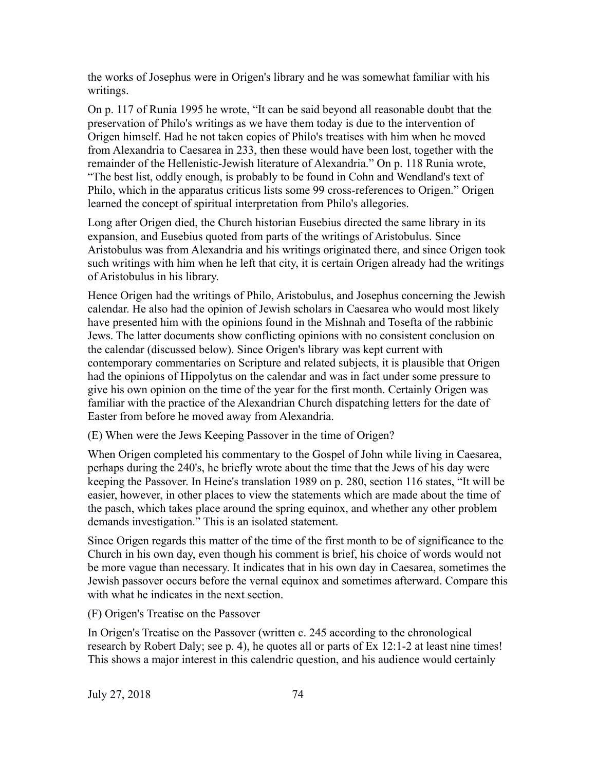the works of Josephus were in Origen's library and he was somewhat familiar with his writings.

On p. 117 of Runia 1995 he wrote, "It can be said beyond all reasonable doubt that the preservation of Philo's writings as we have them today is due to the intervention of Origen himself. Had he not taken copies of Philo's treatises with him when he moved from Alexandria to Caesarea in 233, then these would have been lost, together with the remainder of the Hellenistic-Jewish literature of Alexandria." On p. 118 Runia wrote, "The best list, oddly enough, is probably to be found in Cohn and Wendland's text of Philo, which in the apparatus criticus lists some 99 cross-references to Origen." Origen learned the concept of spiritual interpretation from Philo's allegories.

Long after Origen died, the Church historian Eusebius directed the same library in its expansion, and Eusebius quoted from parts of the writings of Aristobulus. Since Aristobulus was from Alexandria and his writings originated there, and since Origen took such writings with him when he left that city, it is certain Origen already had the writings of Aristobulus in his library.

Hence Origen had the writings of Philo, Aristobulus, and Josephus concerning the Jewish calendar. He also had the opinion of Jewish scholars in Caesarea who would most likely have presented him with the opinions found in the Mishnah and Tosefta of the rabbinic Jews. The latter documents show conflicting opinions with no consistent conclusion on the calendar (discussed below). Since Origen's library was kept current with contemporary commentaries on Scripture and related subjects, it is plausible that Origen had the opinions of Hippolytus on the calendar and was in fact under some pressure to give his own opinion on the time of the year for the first month. Certainly Origen was familiar with the practice of the Alexandrian Church dispatching letters for the date of Easter from before he moved away from Alexandria.

(E) When were the Jews Keeping Passover in the time of Origen?

When Origen completed his commentary to the Gospel of John while living in Caesarea, perhaps during the 240's, he briefly wrote about the time that the Jews of his day were keeping the Passover. In Heine's translation 1989 on p. 280, section 116 states, "It will be easier, however, in other places to view the statements which are made about the time of the pasch, which takes place around the spring equinox, and whether any other problem demands investigation." This is an isolated statement.

Since Origen regards this matter of the time of the first month to be of significance to the Church in his own day, even though his comment is brief, his choice of words would not be more vague than necessary. It indicates that in his own day in Caesarea, sometimes the Jewish passover occurs before the vernal equinox and sometimes afterward. Compare this with what he indicates in the next section.

(F) Origen's Treatise on the Passover

In Origen's Treatise on the Passover (written c. 245 according to the chronological research by Robert Daly; see p. 4), he quotes all or parts of Ex 12:1-2 at least nine times! This shows a major interest in this calendric question, and his audience would certainly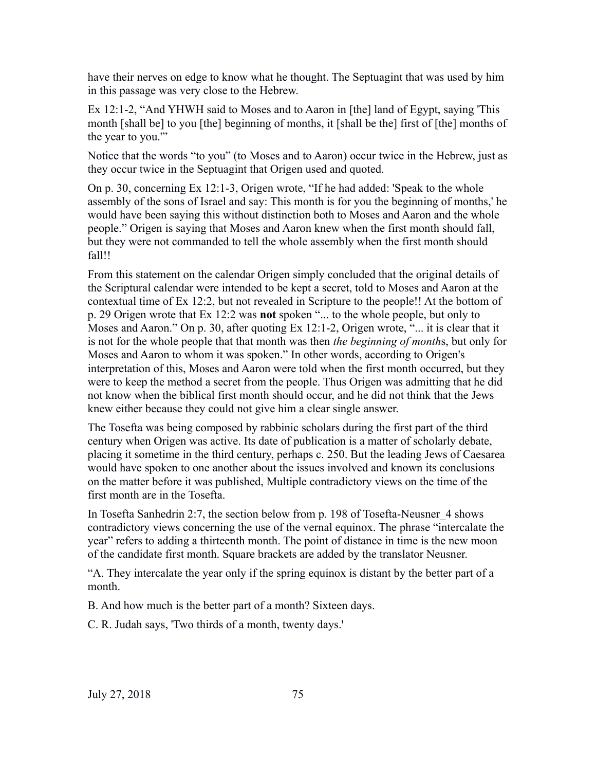have their nerves on edge to know what he thought. The Septuagint that was used by him in this passage was very close to the Hebrew.

Ex 12:1-2, "And YHWH said to Moses and to Aaron in [the] land of Egypt, saying 'This month [shall be] to you [the] beginning of months, it [shall be the] first of [the] months of the year to you."

Notice that the words "to you" (to Moses and to Aaron) occur twice in the Hebrew, just as they occur twice in the Septuagint that Origen used and quoted.

On p. 30, concerning Ex 12:1-3, Origen wrote, "If he had added: 'Speak to the whole assembly of the sons of Israel and say: This month is for you the beginning of months,' he would have been saying this without distinction both to Moses and Aaron and the whole people." Origen is saying that Moses and Aaron knew when the first month should fall, but they were not commanded to tell the whole assembly when the first month should fall!!

From this statement on the calendar Origen simply concluded that the original details of the Scriptural calendar were intended to be kept a secret, told to Moses and Aaron at the contextual time of Ex 12:2, but not revealed in Scripture to the people!! At the bottom of p. 29 Origen wrote that Ex 12:2 was **not** spoken "... to the whole people, but only to Moses and Aaron." On p. 30, after quoting Ex 12:1-2, Origen wrote, "... it is clear that it is not for the whole people that that month was then *the beginning of month*s, but only for Moses and Aaron to whom it was spoken." In other words, according to Origen's interpretation of this, Moses and Aaron were told when the first month occurred, but they were to keep the method a secret from the people. Thus Origen was admitting that he did not know when the biblical first month should occur, and he did not think that the Jews knew either because they could not give him a clear single answer.

The Tosefta was being composed by rabbinic scholars during the first part of the third century when Origen was active. Its date of publication is a matter of scholarly debate, placing it sometime in the third century, perhaps c. 250. But the leading Jews of Caesarea would have spoken to one another about the issues involved and known its conclusions on the matter before it was published, Multiple contradictory views on the time of the first month are in the Tosefta.

In Tosefta Sanhedrin 2:7, the section below from p. 198 of Tosefta-Neusner\_4 shows contradictory views concerning the use of the vernal equinox. The phrase "intercalate the year" refers to adding a thirteenth month. The point of distance in time is the new moon of the candidate first month. Square brackets are added by the translator Neusner.

"A. They intercalate the year only if the spring equinox is distant by the better part of a month.

B. And how much is the better part of a month? Sixteen days.

C. R. Judah says, 'Two thirds of a month, twenty days.'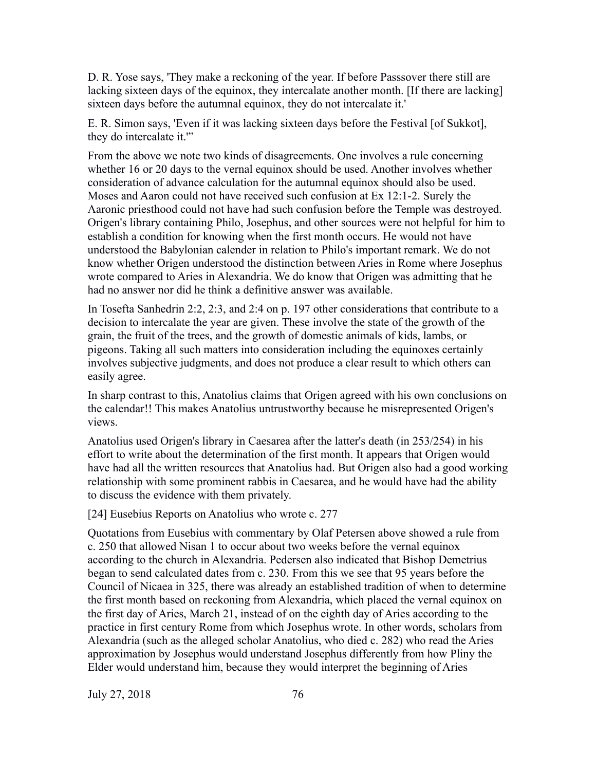D. R. Yose says, 'They make a reckoning of the year. If before Passsover there still are lacking sixteen days of the equinox, they intercalate another month. [If there are lacking] sixteen days before the autumnal equinox, they do not intercalate it.'

E. R. Simon says, 'Even if it was lacking sixteen days before the Festival [of Sukkot], they do intercalate it.'"

From the above we note two kinds of disagreements. One involves a rule concerning whether 16 or 20 days to the vernal equinox should be used. Another involves whether consideration of advance calculation for the autumnal equinox should also be used. Moses and Aaron could not have received such confusion at Ex 12:1-2. Surely the Aaronic priesthood could not have had such confusion before the Temple was destroyed. Origen's library containing Philo, Josephus, and other sources were not helpful for him to establish a condition for knowing when the first month occurs. He would not have understood the Babylonian calender in relation to Philo's important remark. We do not know whether Origen understood the distinction between Aries in Rome where Josephus wrote compared to Aries in Alexandria. We do know that Origen was admitting that he had no answer nor did he think a definitive answer was available.

In Tosefta Sanhedrin 2:2, 2:3, and 2:4 on p. 197 other considerations that contribute to a decision to intercalate the year are given. These involve the state of the growth of the grain, the fruit of the trees, and the growth of domestic animals of kids, lambs, or pigeons. Taking all such matters into consideration including the equinoxes certainly involves subjective judgments, and does not produce a clear result to which others can easily agree.

In sharp contrast to this, Anatolius claims that Origen agreed with his own conclusions on the calendar!! This makes Anatolius untrustworthy because he misrepresented Origen's views.

Anatolius used Origen's library in Caesarea after the latter's death (in 253/254) in his effort to write about the determination of the first month. It appears that Origen would have had all the written resources that Anatolius had. But Origen also had a good working relationship with some prominent rabbis in Caesarea, and he would have had the ability to discuss the evidence with them privately.

[24] Eusebius Reports on Anatolius who wrote c. 277

Quotations from Eusebius with commentary by Olaf Petersen above showed a rule from c. 250 that allowed Nisan 1 to occur about two weeks before the vernal equinox according to the church in Alexandria. Pedersen also indicated that Bishop Demetrius began to send calculated dates from c. 230. From this we see that 95 years before the Council of Nicaea in 325, there was already an established tradition of when to determine the first month based on reckoning from Alexandria, which placed the vernal equinox on the first day of Aries, March 21, instead of on the eighth day of Aries according to the practice in first century Rome from which Josephus wrote. In other words, scholars from Alexandria (such as the alleged scholar Anatolius, who died c. 282) who read the Aries approximation by Josephus would understand Josephus differently from how Pliny the Elder would understand him, because they would interpret the beginning of Aries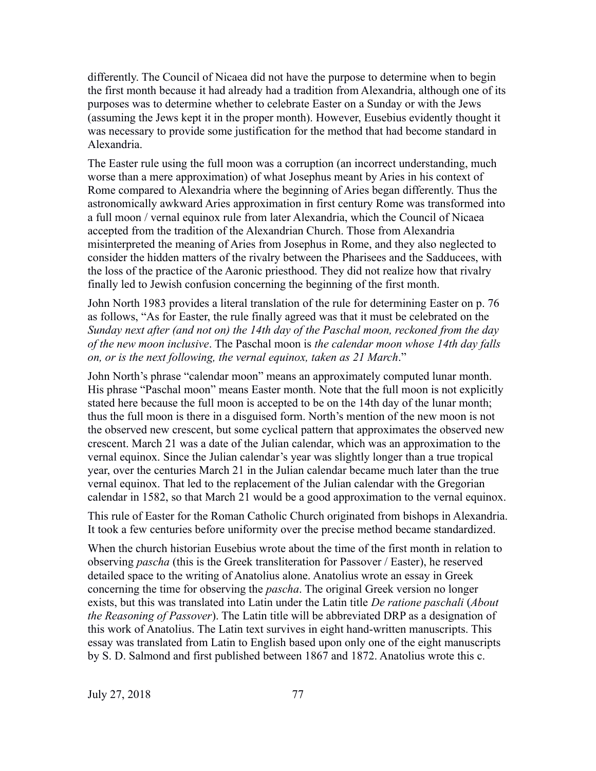differently. The Council of Nicaea did not have the purpose to determine when to begin the first month because it had already had a tradition from Alexandria, although one of its purposes was to determine whether to celebrate Easter on a Sunday or with the Jews (assuming the Jews kept it in the proper month). However, Eusebius evidently thought it was necessary to provide some justification for the method that had become standard in Alexandria.

The Easter rule using the full moon was a corruption (an incorrect understanding, much worse than a mere approximation) of what Josephus meant by Aries in his context of Rome compared to Alexandria where the beginning of Aries began differently. Thus the astronomically awkward Aries approximation in first century Rome was transformed into a full moon / vernal equinox rule from later Alexandria, which the Council of Nicaea accepted from the tradition of the Alexandrian Church. Those from Alexandria misinterpreted the meaning of Aries from Josephus in Rome, and they also neglected to consider the hidden matters of the rivalry between the Pharisees and the Sadducees, with the loss of the practice of the Aaronic priesthood. They did not realize how that rivalry finally led to Jewish confusion concerning the beginning of the first month.

John North 1983 provides a literal translation of the rule for determining Easter on p. 76 as follows, "As for Easter, the rule finally agreed was that it must be celebrated on the *Sunday next after (and not on) the 14th day of the Paschal moon, reckoned from the day of the new moon inclusive*. The Paschal moon is *the calendar moon whose 14th day falls on, or is the next following, the vernal equinox, taken as 21 March*."

John North's phrase "calendar moon" means an approximately computed lunar month. His phrase "Paschal moon" means Easter month. Note that the full moon is not explicitly stated here because the full moon is accepted to be on the 14th day of the lunar month; thus the full moon is there in a disguised form. North's mention of the new moon is not the observed new crescent, but some cyclical pattern that approximates the observed new crescent. March 21 was a date of the Julian calendar, which was an approximation to the vernal equinox. Since the Julian calendar's year was slightly longer than a true tropical year, over the centuries March 21 in the Julian calendar became much later than the true vernal equinox. That led to the replacement of the Julian calendar with the Gregorian calendar in 1582, so that March 21 would be a good approximation to the vernal equinox.

This rule of Easter for the Roman Catholic Church originated from bishops in Alexandria. It took a few centuries before uniformity over the precise method became standardized.

When the church historian Eusebius wrote about the time of the first month in relation to observing *pascha* (this is the Greek transliteration for Passover / Easter), he reserved detailed space to the writing of Anatolius alone. Anatolius wrote an essay in Greek concerning the time for observing the *pascha*. The original Greek version no longer exists, but this was translated into Latin under the Latin title *De ratione paschali* (*About the Reasoning of Passover*). The Latin title will be abbreviated DRP as a designation of this work of Anatolius. The Latin text survives in eight hand-written manuscripts. This essay was translated from Latin to English based upon only one of the eight manuscripts by S. D. Salmond and first published between 1867 and 1872. Anatolius wrote this c.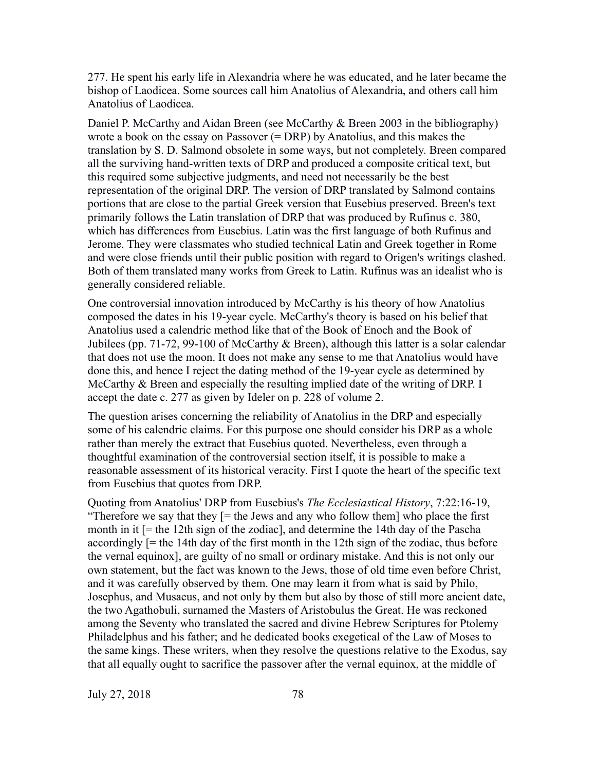277. He spent his early life in Alexandria where he was educated, and he later became the bishop of Laodicea. Some sources call him Anatolius of Alexandria, and others call him Anatolius of Laodicea.

Daniel P. McCarthy and Aidan Breen (see McCarthy & Breen 2003 in the bibliography) wrote a book on the essay on Passover (= DRP) by Anatolius, and this makes the translation by S. D. Salmond obsolete in some ways, but not completely. Breen compared all the surviving hand-written texts of DRP and produced a composite critical text, but this required some subjective judgments, and need not necessarily be the best representation of the original DRP. The version of DRP translated by Salmond contains portions that are close to the partial Greek version that Eusebius preserved. Breen's text primarily follows the Latin translation of DRP that was produced by Rufinus c. 380, which has differences from Eusebius. Latin was the first language of both Rufinus and Jerome. They were classmates who studied technical Latin and Greek together in Rome and were close friends until their public position with regard to Origen's writings clashed. Both of them translated many works from Greek to Latin. Rufinus was an idealist who is generally considered reliable.

One controversial innovation introduced by McCarthy is his theory of how Anatolius composed the dates in his 19-year cycle. McCarthy's theory is based on his belief that Anatolius used a calendric method like that of the Book of Enoch and the Book of Jubilees (pp. 71-72, 99-100 of McCarthy & Breen), although this latter is a solar calendar that does not use the moon. It does not make any sense to me that Anatolius would have done this, and hence I reject the dating method of the 19-year cycle as determined by McCarthy & Breen and especially the resulting implied date of the writing of DRP. I accept the date c. 277 as given by Ideler on p. 228 of volume 2.

The question arises concerning the reliability of Anatolius in the DRP and especially some of his calendric claims. For this purpose one should consider his DRP as a whole rather than merely the extract that Eusebius quoted. Nevertheless, even through a thoughtful examination of the controversial section itself, it is possible to make a reasonable assessment of its historical veracity. First I quote the heart of the specific text from Eusebius that quotes from DRP.

Quoting from Anatolius' DRP from Eusebius's *The Ecclesiastical History*, 7:22:16-19, "Therefore we say that they [= the Jews and any who follow them] who place the first month in it [= the 12th sign of the zodiac], and determine the 14th day of the Pascha accordingly  $[=$  the 14th day of the first month in the 12th sign of the zodiac, thus before the vernal equinox], are guilty of no small or ordinary mistake. And this is not only our own statement, but the fact was known to the Jews, those of old time even before Christ, and it was carefully observed by them. One may learn it from what is said by Philo, Josephus, and Musaeus, and not only by them but also by those of still more ancient date, the two Agathobuli, surnamed the Masters of Aristobulus the Great. He was reckoned among the Seventy who translated the sacred and divine Hebrew Scriptures for Ptolemy Philadelphus and his father; and he dedicated books exegetical of the Law of Moses to the same kings. These writers, when they resolve the questions relative to the Exodus, say that all equally ought to sacrifice the passover after the vernal equinox, at the middle of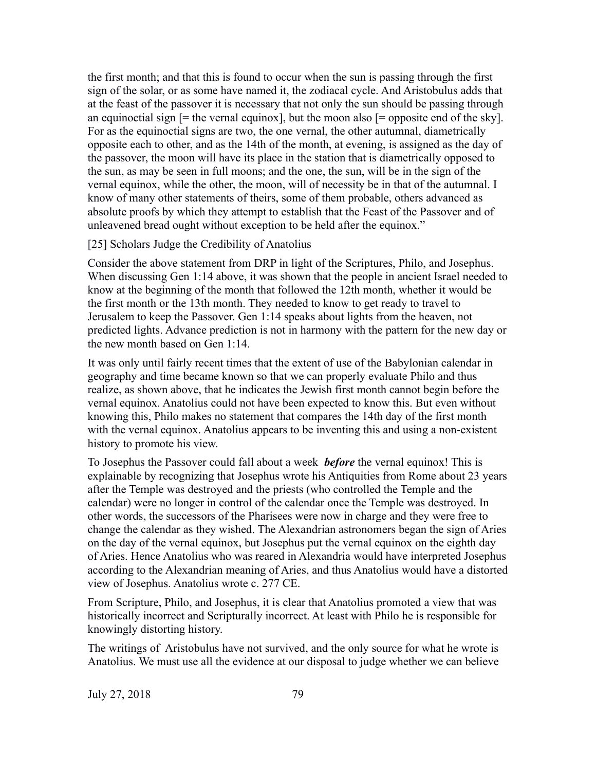the first month; and that this is found to occur when the sun is passing through the first sign of the solar, or as some have named it, the zodiacal cycle. And Aristobulus adds that at the feast of the passover it is necessary that not only the sun should be passing through an equinoctial sign  $[=$  the vernal equinox], but the moon also  $[=$  opposite end of the sky]. For as the equinoctial signs are two, the one vernal, the other autumnal, diametrically opposite each to other, and as the 14th of the month, at evening, is assigned as the day of the passover, the moon will have its place in the station that is diametrically opposed to the sun, as may be seen in full moons; and the one, the sun, will be in the sign of the vernal equinox, while the other, the moon, will of necessity be in that of the autumnal. I know of many other statements of theirs, some of them probable, others advanced as absolute proofs by which they attempt to establish that the Feast of the Passover and of unleavened bread ought without exception to be held after the equinox."

### [25] Scholars Judge the Credibility of Anatolius

Consider the above statement from DRP in light of the Scriptures, Philo, and Josephus. When discussing Gen 1:14 above, it was shown that the people in ancient Israel needed to know at the beginning of the month that followed the 12th month, whether it would be the first month or the 13th month. They needed to know to get ready to travel to Jerusalem to keep the Passover. Gen 1:14 speaks about lights from the heaven, not predicted lights. Advance prediction is not in harmony with the pattern for the new day or the new month based on Gen 1:14.

It was only until fairly recent times that the extent of use of the Babylonian calendar in geography and time became known so that we can properly evaluate Philo and thus realize, as shown above, that he indicates the Jewish first month cannot begin before the vernal equinox. Anatolius could not have been expected to know this. But even without knowing this, Philo makes no statement that compares the 14th day of the first month with the vernal equinox. Anatolius appears to be inventing this and using a non-existent history to promote his view.

To Josephus the Passover could fall about a week *before* the vernal equinox! This is explainable by recognizing that Josephus wrote his Antiquities from Rome about 23 years after the Temple was destroyed and the priests (who controlled the Temple and the calendar) were no longer in control of the calendar once the Temple was destroyed. In other words, the successors of the Pharisees were now in charge and they were free to change the calendar as they wished. The Alexandrian astronomers began the sign of Aries on the day of the vernal equinox, but Josephus put the vernal equinox on the eighth day of Aries. Hence Anatolius who was reared in Alexandria would have interpreted Josephus according to the Alexandrian meaning of Aries, and thus Anatolius would have a distorted view of Josephus. Anatolius wrote c. 277 CE.

From Scripture, Philo, and Josephus, it is clear that Anatolius promoted a view that was historically incorrect and Scripturally incorrect. At least with Philo he is responsible for knowingly distorting history.

The writings of Aristobulus have not survived, and the only source for what he wrote is Anatolius. We must use all the evidence at our disposal to judge whether we can believe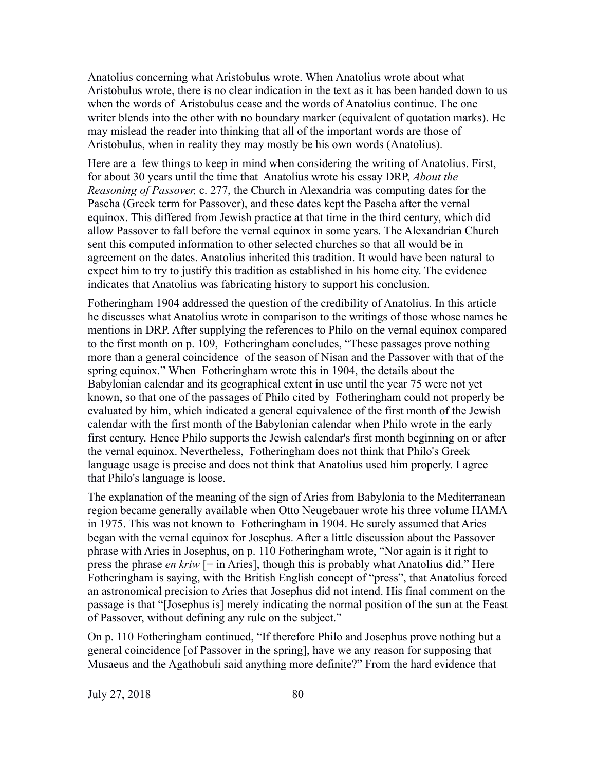Anatolius concerning what Aristobulus wrote. When Anatolius wrote about what Aristobulus wrote, there is no clear indication in the text as it has been handed down to us when the words of Aristobulus cease and the words of Anatolius continue. The one writer blends into the other with no boundary marker (equivalent of quotation marks). He may mislead the reader into thinking that all of the important words are those of Aristobulus, when in reality they may mostly be his own words (Anatolius).

Here are a few things to keep in mind when considering the writing of Anatolius. First, for about 30 years until the time that Anatolius wrote his essay DRP, *About the Reasoning of Passover,* c. 277, the Church in Alexandria was computing dates for the Pascha (Greek term for Passover), and these dates kept the Pascha after the vernal equinox. This differed from Jewish practice at that time in the third century, which did allow Passover to fall before the vernal equinox in some years. The Alexandrian Church sent this computed information to other selected churches so that all would be in agreement on the dates. Anatolius inherited this tradition. It would have been natural to expect him to try to justify this tradition as established in his home city. The evidence indicates that Anatolius was fabricating history to support his conclusion.

Fotheringham 1904 addressed the question of the credibility of Anatolius. In this article he discusses what Anatolius wrote in comparison to the writings of those whose names he mentions in DRP. After supplying the references to Philo on the vernal equinox compared to the first month on p. 109, Fotheringham concludes, "These passages prove nothing more than a general coincidence of the season of Nisan and the Passover with that of the spring equinox." When Fotheringham wrote this in 1904, the details about the Babylonian calendar and its geographical extent in use until the year 75 were not yet known, so that one of the passages of Philo cited by Fotheringham could not properly be evaluated by him, which indicated a general equivalence of the first month of the Jewish calendar with the first month of the Babylonian calendar when Philo wrote in the early first century. Hence Philo supports the Jewish calendar's first month beginning on or after the vernal equinox. Nevertheless, Fotheringham does not think that Philo's Greek language usage is precise and does not think that Anatolius used him properly. I agree that Philo's language is loose.

The explanation of the meaning of the sign of Aries from Babylonia to the Mediterranean region became generally available when Otto Neugebauer wrote his three volume HAMA in 1975. This was not known to Fotheringham in 1904. He surely assumed that Aries began with the vernal equinox for Josephus. After a little discussion about the Passover phrase with Aries in Josephus, on p. 110 Fotheringham wrote, "Nor again is it right to press the phrase *en kriw* [= in Aries], though this is probably what Anatolius did." Here Fotheringham is saying, with the British English concept of "press", that Anatolius forced an astronomical precision to Aries that Josephus did not intend. His final comment on the passage is that "[Josephus is] merely indicating the normal position of the sun at the Feast of Passover, without defining any rule on the subject."

On p. 110 Fotheringham continued, "If therefore Philo and Josephus prove nothing but a general coincidence [of Passover in the spring], have we any reason for supposing that Musaeus and the Agathobuli said anything more definite?" From the hard evidence that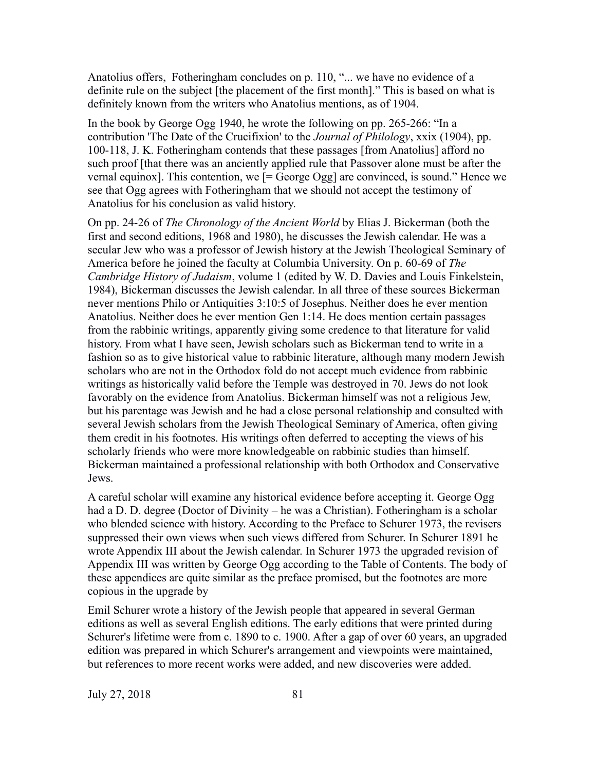Anatolius offers, Fotheringham concludes on p. 110, "... we have no evidence of a definite rule on the subject [the placement of the first month]." This is based on what is definitely known from the writers who Anatolius mentions, as of 1904.

In the book by George Ogg 1940, he wrote the following on pp. 265-266: "In a contribution 'The Date of the Crucifixion' to the *Journal of Philology*, xxix (1904), pp. 100-118, J. K. Fotheringham contends that these passages [from Anatolius] afford no such proof [that there was an anciently applied rule that Passover alone must be after the vernal equinox]. This contention, we  $[= \text{George Ogg}]$  are convinced, is sound." Hence we see that Ogg agrees with Fotheringham that we should not accept the testimony of Anatolius for his conclusion as valid history.

On pp. 24-26 of *The Chronology of the Ancient World* by Elias J. Bickerman (both the first and second editions, 1968 and 1980), he discusses the Jewish calendar. He was a secular Jew who was a professor of Jewish history at the Jewish Theological Seminary of America before he joined the faculty at Columbia University. On p. 60-69 of *The Cambridge History of Judaism*, volume 1 (edited by W. D. Davies and Louis Finkelstein, 1984), Bickerman discusses the Jewish calendar. In all three of these sources Bickerman never mentions Philo or Antiquities 3:10:5 of Josephus. Neither does he ever mention Anatolius. Neither does he ever mention Gen 1:14. He does mention certain passages from the rabbinic writings, apparently giving some credence to that literature for valid history. From what I have seen, Jewish scholars such as Bickerman tend to write in a fashion so as to give historical value to rabbinic literature, although many modern Jewish scholars who are not in the Orthodox fold do not accept much evidence from rabbinic writings as historically valid before the Temple was destroyed in 70. Jews do not look favorably on the evidence from Anatolius. Bickerman himself was not a religious Jew, but his parentage was Jewish and he had a close personal relationship and consulted with several Jewish scholars from the Jewish Theological Seminary of America, often giving them credit in his footnotes. His writings often deferred to accepting the views of his scholarly friends who were more knowledgeable on rabbinic studies than himself. Bickerman maintained a professional relationship with both Orthodox and Conservative Jews.

A careful scholar will examine any historical evidence before accepting it. George Ogg had a D. D. degree (Doctor of Divinity – he was a Christian). Fotheringham is a scholar who blended science with history. According to the Preface to Schurer 1973, the revisers suppressed their own views when such views differed from Schurer. In Schurer 1891 he wrote Appendix III about the Jewish calendar. In Schurer 1973 the upgraded revision of Appendix III was written by George Ogg according to the Table of Contents. The body of these appendices are quite similar as the preface promised, but the footnotes are more copious in the upgrade by

Emil Schurer wrote a history of the Jewish people that appeared in several German editions as well as several English editions. The early editions that were printed during Schurer's lifetime were from c. 1890 to c. 1900. After a gap of over 60 years, an upgraded edition was prepared in which Schurer's arrangement and viewpoints were maintained, but references to more recent works were added, and new discoveries were added.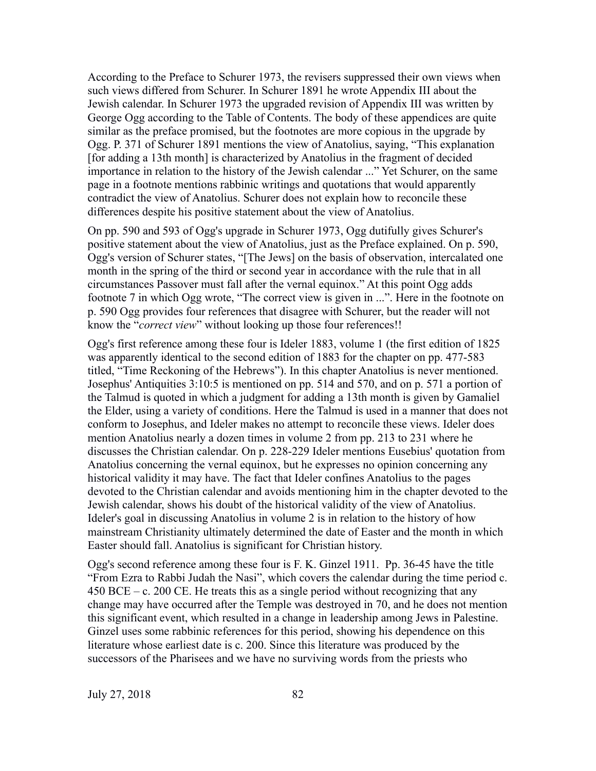According to the Preface to Schurer 1973, the revisers suppressed their own views when such views differed from Schurer. In Schurer 1891 he wrote Appendix III about the Jewish calendar. In Schurer 1973 the upgraded revision of Appendix III was written by George Ogg according to the Table of Contents. The body of these appendices are quite similar as the preface promised, but the footnotes are more copious in the upgrade by Ogg. P. 371 of Schurer 1891 mentions the view of Anatolius, saying, "This explanation [for adding a 13th month] is characterized by Anatolius in the fragment of decided importance in relation to the history of the Jewish calendar ..." Yet Schurer, on the same page in a footnote mentions rabbinic writings and quotations that would apparently contradict the view of Anatolius. Schurer does not explain how to reconcile these differences despite his positive statement about the view of Anatolius.

On pp. 590 and 593 of Ogg's upgrade in Schurer 1973, Ogg dutifully gives Schurer's positive statement about the view of Anatolius, just as the Preface explained. On p. 590, Ogg's version of Schurer states, "[The Jews] on the basis of observation, intercalated one month in the spring of the third or second year in accordance with the rule that in all circumstances Passover must fall after the vernal equinox." At this point Ogg adds footnote 7 in which Ogg wrote, "The correct view is given in ...". Here in the footnote on p. 590 Ogg provides four references that disagree with Schurer, but the reader will not know the "*correct view*" without looking up those four references!!

Ogg's first reference among these four is Ideler 1883, volume 1 (the first edition of 1825 was apparently identical to the second edition of 1883 for the chapter on pp. 477-583 titled, "Time Reckoning of the Hebrews"). In this chapter Anatolius is never mentioned. Josephus' Antiquities 3:10:5 is mentioned on pp. 514 and 570, and on p. 571 a portion of the Talmud is quoted in which a judgment for adding a 13th month is given by Gamaliel the Elder, using a variety of conditions. Here the Talmud is used in a manner that does not conform to Josephus, and Ideler makes no attempt to reconcile these views. Ideler does mention Anatolius nearly a dozen times in volume 2 from pp. 213 to 231 where he discusses the Christian calendar. On p. 228-229 Ideler mentions Eusebius' quotation from Anatolius concerning the vernal equinox, but he expresses no opinion concerning any historical validity it may have. The fact that Ideler confines Anatolius to the pages devoted to the Christian calendar and avoids mentioning him in the chapter devoted to the Jewish calendar, shows his doubt of the historical validity of the view of Anatolius. Ideler's goal in discussing Anatolius in volume 2 is in relation to the history of how mainstream Christianity ultimately determined the date of Easter and the month in which Easter should fall. Anatolius is significant for Christian history.

Ogg's second reference among these four is F. K. Ginzel 1911. Pp. 36-45 have the title "From Ezra to Rabbi Judah the Nasi", which covers the calendar during the time period c. 450 BCE – c. 200 CE. He treats this as a single period without recognizing that any change may have occurred after the Temple was destroyed in 70, and he does not mention this significant event, which resulted in a change in leadership among Jews in Palestine. Ginzel uses some rabbinic references for this period, showing his dependence on this literature whose earliest date is c. 200. Since this literature was produced by the successors of the Pharisees and we have no surviving words from the priests who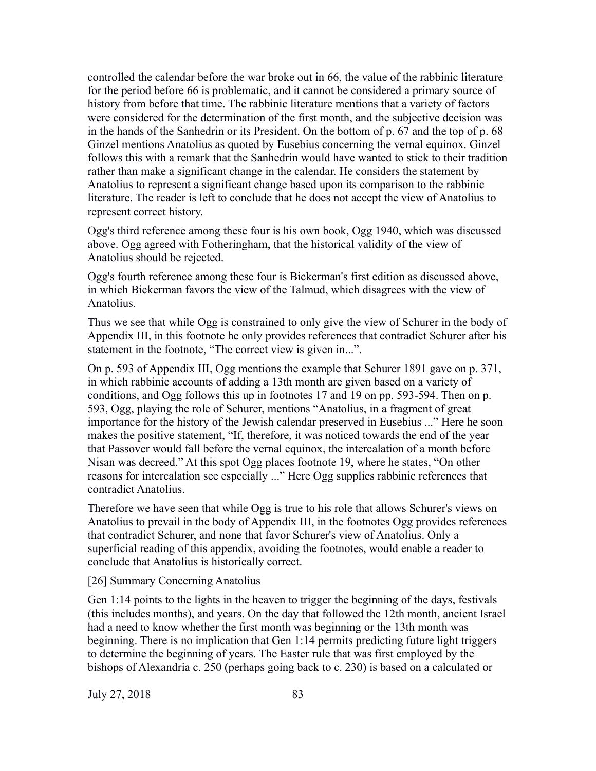controlled the calendar before the war broke out in 66, the value of the rabbinic literature for the period before 66 is problematic, and it cannot be considered a primary source of history from before that time. The rabbinic literature mentions that a variety of factors were considered for the determination of the first month, and the subjective decision was in the hands of the Sanhedrin or its President. On the bottom of p. 67 and the top of p. 68 Ginzel mentions Anatolius as quoted by Eusebius concerning the vernal equinox. Ginzel follows this with a remark that the Sanhedrin would have wanted to stick to their tradition rather than make a significant change in the calendar. He considers the statement by Anatolius to represent a significant change based upon its comparison to the rabbinic literature. The reader is left to conclude that he does not accept the view of Anatolius to represent correct history.

Ogg's third reference among these four is his own book, Ogg 1940, which was discussed above. Ogg agreed with Fotheringham, that the historical validity of the view of Anatolius should be rejected.

Ogg's fourth reference among these four is Bickerman's first edition as discussed above, in which Bickerman favors the view of the Talmud, which disagrees with the view of Anatolius.

Thus we see that while Ogg is constrained to only give the view of Schurer in the body of Appendix III, in this footnote he only provides references that contradict Schurer after his statement in the footnote, "The correct view is given in...".

On p. 593 of Appendix III, Ogg mentions the example that Schurer 1891 gave on p. 371, in which rabbinic accounts of adding a 13th month are given based on a variety of conditions, and Ogg follows this up in footnotes 17 and 19 on pp. 593-594. Then on p. 593, Ogg, playing the role of Schurer, mentions "Anatolius, in a fragment of great importance for the history of the Jewish calendar preserved in Eusebius ..." Here he soon makes the positive statement, "If, therefore, it was noticed towards the end of the year that Passover would fall before the vernal equinox, the intercalation of a month before Nisan was decreed." At this spot Ogg places footnote 19, where he states, "On other reasons for intercalation see especially ..." Here Ogg supplies rabbinic references that contradict Anatolius.

Therefore we have seen that while Ogg is true to his role that allows Schurer's views on Anatolius to prevail in the body of Appendix III, in the footnotes Ogg provides references that contradict Schurer, and none that favor Schurer's view of Anatolius. Only a superficial reading of this appendix, avoiding the footnotes, would enable a reader to conclude that Anatolius is historically correct.

#### [26] Summary Concerning Anatolius

Gen 1:14 points to the lights in the heaven to trigger the beginning of the days, festivals (this includes months), and years. On the day that followed the 12th month, ancient Israel had a need to know whether the first month was beginning or the 13th month was beginning. There is no implication that Gen 1:14 permits predicting future light triggers to determine the beginning of years. The Easter rule that was first employed by the bishops of Alexandria c. 250 (perhaps going back to c. 230) is based on a calculated or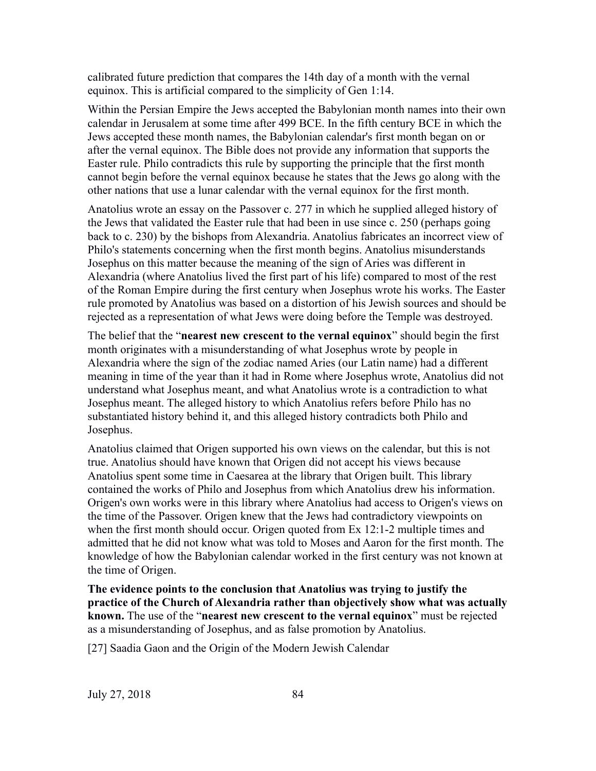calibrated future prediction that compares the 14th day of a month with the vernal equinox. This is artificial compared to the simplicity of Gen 1:14.

Within the Persian Empire the Jews accepted the Babylonian month names into their own calendar in Jerusalem at some time after 499 BCE. In the fifth century BCE in which the Jews accepted these month names, the Babylonian calendar's first month began on or after the vernal equinox. The Bible does not provide any information that supports the Easter rule. Philo contradicts this rule by supporting the principle that the first month cannot begin before the vernal equinox because he states that the Jews go along with the other nations that use a lunar calendar with the vernal equinox for the first month.

Anatolius wrote an essay on the Passover c. 277 in which he supplied alleged history of the Jews that validated the Easter rule that had been in use since c. 250 (perhaps going back to c. 230) by the bishops from Alexandria. Anatolius fabricates an incorrect view of Philo's statements concerning when the first month begins. Anatolius misunderstands Josephus on this matter because the meaning of the sign of Aries was different in Alexandria (where Anatolius lived the first part of his life) compared to most of the rest of the Roman Empire during the first century when Josephus wrote his works. The Easter rule promoted by Anatolius was based on a distortion of his Jewish sources and should be rejected as a representation of what Jews were doing before the Temple was destroyed.

The belief that the "**nearest new crescent to the vernal equinox**" should begin the first month originates with a misunderstanding of what Josephus wrote by people in Alexandria where the sign of the zodiac named Aries (our Latin name) had a different meaning in time of the year than it had in Rome where Josephus wrote, Anatolius did not understand what Josephus meant, and what Anatolius wrote is a contradiction to what Josephus meant. The alleged history to which Anatolius refers before Philo has no substantiated history behind it, and this alleged history contradicts both Philo and Josephus.

Anatolius claimed that Origen supported his own views on the calendar, but this is not true. Anatolius should have known that Origen did not accept his views because Anatolius spent some time in Caesarea at the library that Origen built. This library contained the works of Philo and Josephus from which Anatolius drew his information. Origen's own works were in this library where Anatolius had access to Origen's views on the time of the Passover. Origen knew that the Jews had contradictory viewpoints on when the first month should occur. Origen quoted from Ex 12:1-2 multiple times and admitted that he did not know what was told to Moses and Aaron for the first month. The knowledge of how the Babylonian calendar worked in the first century was not known at the time of Origen.

**The evidence points to the conclusion that Anatolius was trying to justify the practice of the Church of Alexandria rather than objectively show what was actually known.** The use of the "**nearest new crescent to the vernal equinox**" must be rejected as a misunderstanding of Josephus, and as false promotion by Anatolius.

[27] Saadia Gaon and the Origin of the Modern Jewish Calendar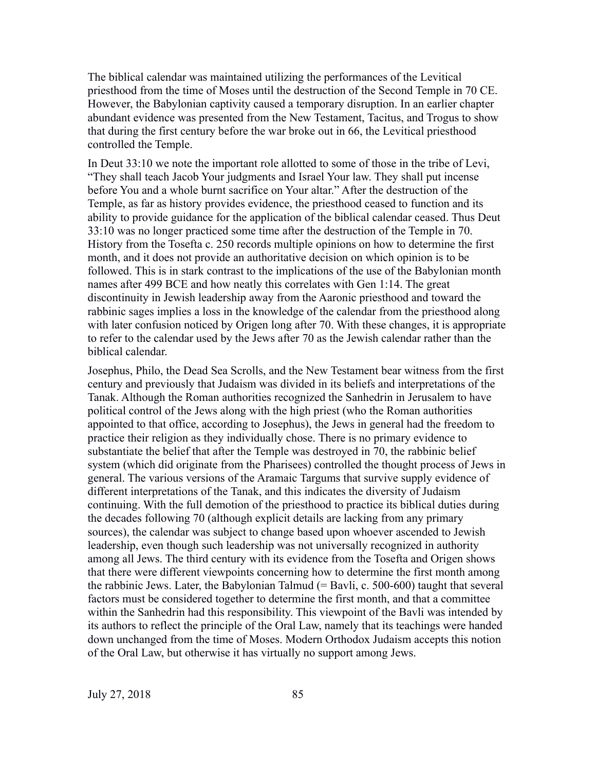The biblical calendar was maintained utilizing the performances of the Levitical priesthood from the time of Moses until the destruction of the Second Temple in 70 CE. However, the Babylonian captivity caused a temporary disruption. In an earlier chapter abundant evidence was presented from the New Testament, Tacitus, and Trogus to show that during the first century before the war broke out in 66, the Levitical priesthood controlled the Temple.

In Deut 33:10 we note the important role allotted to some of those in the tribe of Levi, "They shall teach Jacob Your judgments and Israel Your law. They shall put incense before You and a whole burnt sacrifice on Your altar." After the destruction of the Temple, as far as history provides evidence, the priesthood ceased to function and its ability to provide guidance for the application of the biblical calendar ceased. Thus Deut 33:10 was no longer practiced some time after the destruction of the Temple in 70. History from the Tosefta c. 250 records multiple opinions on how to determine the first month, and it does not provide an authoritative decision on which opinion is to be followed. This is in stark contrast to the implications of the use of the Babylonian month names after 499 BCE and how neatly this correlates with Gen 1:14. The great discontinuity in Jewish leadership away from the Aaronic priesthood and toward the rabbinic sages implies a loss in the knowledge of the calendar from the priesthood along with later confusion noticed by Origen long after 70. With these changes, it is appropriate to refer to the calendar used by the Jews after 70 as the Jewish calendar rather than the biblical calendar.

Josephus, Philo, the Dead Sea Scrolls, and the New Testament bear witness from the first century and previously that Judaism was divided in its beliefs and interpretations of the Tanak. Although the Roman authorities recognized the Sanhedrin in Jerusalem to have political control of the Jews along with the high priest (who the Roman authorities appointed to that office, according to Josephus), the Jews in general had the freedom to practice their religion as they individually chose. There is no primary evidence to substantiate the belief that after the Temple was destroyed in 70, the rabbinic belief system (which did originate from the Pharisees) controlled the thought process of Jews in general. The various versions of the Aramaic Targums that survive supply evidence of different interpretations of the Tanak, and this indicates the diversity of Judaism continuing. With the full demotion of the priesthood to practice its biblical duties during the decades following 70 (although explicit details are lacking from any primary sources), the calendar was subject to change based upon whoever ascended to Jewish leadership, even though such leadership was not universally recognized in authority among all Jews. The third century with its evidence from the Tosefta and Origen shows that there were different viewpoints concerning how to determine the first month among the rabbinic Jews. Later, the Babylonian Talmud  $(=$  Bavli, c. 500-600) taught that several factors must be considered together to determine the first month, and that a committee within the Sanhedrin had this responsibility. This viewpoint of the Bavli was intended by its authors to reflect the principle of the Oral Law, namely that its teachings were handed down unchanged from the time of Moses. Modern Orthodox Judaism accepts this notion of the Oral Law, but otherwise it has virtually no support among Jews.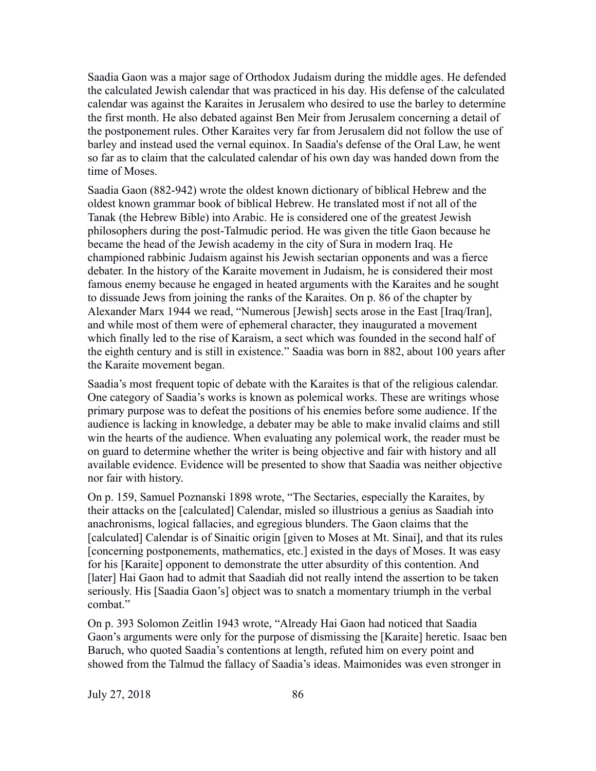Saadia Gaon was a major sage of Orthodox Judaism during the middle ages. He defended the calculated Jewish calendar that was practiced in his day. His defense of the calculated calendar was against the Karaites in Jerusalem who desired to use the barley to determine the first month. He also debated against Ben Meir from Jerusalem concerning a detail of the postponement rules. Other Karaites very far from Jerusalem did not follow the use of barley and instead used the vernal equinox. In Saadia's defense of the Oral Law, he went so far as to claim that the calculated calendar of his own day was handed down from the time of Moses.

Saadia Gaon (882-942) wrote the oldest known dictionary of biblical Hebrew and the oldest known grammar book of biblical Hebrew. He translated most if not all of the Tanak (the Hebrew Bible) into Arabic. He is considered one of the greatest Jewish philosophers during the post-Talmudic period. He was given the title Gaon because he became the head of the Jewish academy in the city of Sura in modern Iraq. He championed rabbinic Judaism against his Jewish sectarian opponents and was a fierce debater. In the history of the Karaite movement in Judaism, he is considered their most famous enemy because he engaged in heated arguments with the Karaites and he sought to dissuade Jews from joining the ranks of the Karaites. On p. 86 of the chapter by Alexander Marx 1944 we read, "Numerous [Jewish] sects arose in the East [Iraq/Iran], and while most of them were of ephemeral character, they inaugurated a movement which finally led to the rise of Karaism, a sect which was founded in the second half of the eighth century and is still in existence." Saadia was born in 882, about 100 years after the Karaite movement began.

Saadia's most frequent topic of debate with the Karaites is that of the religious calendar. One category of Saadia's works is known as polemical works. These are writings whose primary purpose was to defeat the positions of his enemies before some audience. If the audience is lacking in knowledge, a debater may be able to make invalid claims and still win the hearts of the audience. When evaluating any polemical work, the reader must be on guard to determine whether the writer is being objective and fair with history and all available evidence. Evidence will be presented to show that Saadia was neither objective nor fair with history.

On p. 159, Samuel Poznanski 1898 wrote, "The Sectaries, especially the Karaites, by their attacks on the [calculated] Calendar, misled so illustrious a genius as Saadiah into anachronisms, logical fallacies, and egregious blunders. The Gaon claims that the [calculated] Calendar is of Sinaitic origin [given to Moses at Mt. Sinai], and that its rules [concerning postponements, mathematics, etc.] existed in the days of Moses. It was easy for his [Karaite] opponent to demonstrate the utter absurdity of this contention. And [later] Hai Gaon had to admit that Saadiah did not really intend the assertion to be taken seriously. His [Saadia Gaon's] object was to snatch a momentary triumph in the verbal combat."

On p. 393 Solomon Zeitlin 1943 wrote, "Already Hai Gaon had noticed that Saadia Gaon's arguments were only for the purpose of dismissing the [Karaite] heretic. Isaac ben Baruch, who quoted Saadia's contentions at length, refuted him on every point and showed from the Talmud the fallacy of Saadia's ideas. Maimonides was even stronger in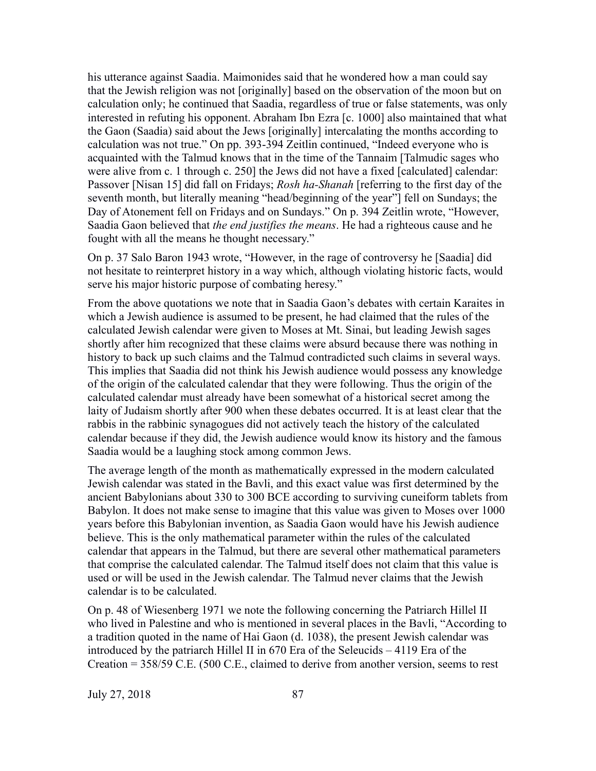his utterance against Saadia. Maimonides said that he wondered how a man could say that the Jewish religion was not [originally] based on the observation of the moon but on calculation only; he continued that Saadia, regardless of true or false statements, was only interested in refuting his opponent. Abraham Ibn Ezra [c. 1000] also maintained that what the Gaon (Saadia) said about the Jews [originally] intercalating the months according to calculation was not true." On pp. 393-394 Zeitlin continued, "Indeed everyone who is acquainted with the Talmud knows that in the time of the Tannaim [Talmudic sages who were alive from c. 1 through c. 250] the Jews did not have a fixed [calculated] calendar: Passover [Nisan 15] did fall on Fridays; *Rosh ha-Shanah* [referring to the first day of the seventh month, but literally meaning "head/beginning of the year"] fell on Sundays; the Day of Atonement fell on Fridays and on Sundays." On p. 394 Zeitlin wrote, "However, Saadia Gaon believed that *the end justifies the means*. He had a righteous cause and he fought with all the means he thought necessary."

On p. 37 Salo Baron 1943 wrote, "However, in the rage of controversy he [Saadia] did not hesitate to reinterpret history in a way which, although violating historic facts, would serve his major historic purpose of combating heresy."

From the above quotations we note that in Saadia Gaon's debates with certain Karaites in which a Jewish audience is assumed to be present, he had claimed that the rules of the calculated Jewish calendar were given to Moses at Mt. Sinai, but leading Jewish sages shortly after him recognized that these claims were absurd because there was nothing in history to back up such claims and the Talmud contradicted such claims in several ways. This implies that Saadia did not think his Jewish audience would possess any knowledge of the origin of the calculated calendar that they were following. Thus the origin of the calculated calendar must already have been somewhat of a historical secret among the laity of Judaism shortly after 900 when these debates occurred. It is at least clear that the rabbis in the rabbinic synagogues did not actively teach the history of the calculated calendar because if they did, the Jewish audience would know its history and the famous Saadia would be a laughing stock among common Jews.

The average length of the month as mathematically expressed in the modern calculated Jewish calendar was stated in the Bavli, and this exact value was first determined by the ancient Babylonians about 330 to 300 BCE according to surviving cuneiform tablets from Babylon. It does not make sense to imagine that this value was given to Moses over 1000 years before this Babylonian invention, as Saadia Gaon would have his Jewish audience believe. This is the only mathematical parameter within the rules of the calculated calendar that appears in the Talmud, but there are several other mathematical parameters that comprise the calculated calendar. The Talmud itself does not claim that this value is used or will be used in the Jewish calendar. The Talmud never claims that the Jewish calendar is to be calculated.

On p. 48 of Wiesenberg 1971 we note the following concerning the Patriarch Hillel II who lived in Palestine and who is mentioned in several places in the Bavli, "According to a tradition quoted in the name of Hai Gaon (d. 1038), the present Jewish calendar was introduced by the patriarch Hillel II in 670 Era of the Seleucids – 4119 Era of the Creation = 358/59 C.E. (500 C.E., claimed to derive from another version, seems to rest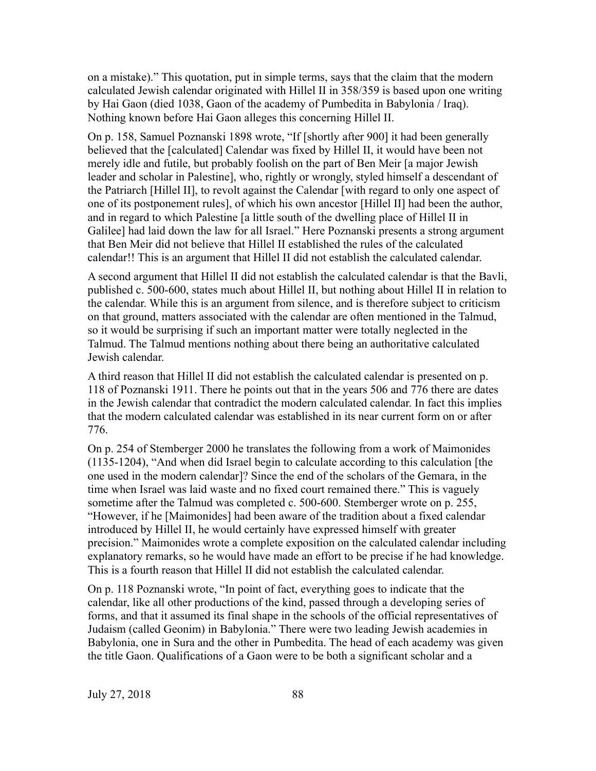on a mistake)." This quotation, put in simple terms, says that the claim that the modern calculated Jewish calendar originated with Hillel II in 358/359 is based upon one writing by Hai Gaon (died 1038, Gaon of the academy of Pumbedita in Babylonia / Iraq). Nothing known before Hai Gaon alleges this concerning Hillel II.

On p. 158, Samuel Poznanski 1898 wrote, "If [shortly after 900] it had been generally believed that the [calculated] Calendar was fixed by Hillel II, it would have been not merely idle and futile, but probably foolish on the part of Ben Meir [a major Jewish leader and scholar in Palestine], who, rightly or wrongly, styled himself a descendant of the Patriarch [Hillel II], to revolt against the Calendar [with regard to only one aspect of one of its postponement rules], of which his own ancestor [Hillel II] had been the author, and in regard to which Palestine [a little south of the dwelling place of Hillel II in Galilee] had laid down the law for all Israel." Here Poznanski presents a strong argument that Ben Meir did not believe that Hillel II established the rules of the calculated calendar!! This is an argument that Hillel II did not establish the calculated calendar.

A second argument that Hillel II did not establish the calculated calendar is that the Bavli, published c. 500-600, states much about Hillel II, but nothing about Hillel II in relation to the calendar. While this is an argument from silence, and is therefore subject to criticism on that ground, matters associated with the calendar are often mentioned in the Talmud, so it would be surprising if such an important matter were totally neglected in the Talmud. The Talmud mentions nothing about there being an authoritative calculated Jewish calendar.

A third reason that Hillel II did not establish the calculated calendar is presented on p. 118 of Poznanski 1911. There he points out that in the years 506 and 776 there are dates in the Jewish calendar that contradict the modern calculated calendar. In fact this implies that the modern calculated calendar was established in its near current form on or after 776.

On p. 254 of Stemberger 2000 he translates the following from a work of Maimonides (1135-1204), "And when did Israel begin to calculate according to this calculation [the one used in the modern calendar]? Since the end of the scholars of the Gemara, in the time when Israel was laid waste and no fixed court remained there." This is vaguely sometime after the Talmud was completed c. 500-600. Stemberger wrote on p. 255, "However, if he [Maimonides] had been aware of the tradition about a fixed calendar introduced by Hillel II, he would certainly have expressed himself with greater precision." Maimonides wrote a complete exposition on the calculated calendar including explanatory remarks, so he would have made an effort to be precise if he had knowledge. This is a fourth reason that Hillel II did not establish the calculated calendar.

On p. 118 Poznanski wrote, "In point of fact, everything goes to indicate that the calendar, like all other productions of the kind, passed through a developing series of forms, and that it assumed its final shape in the schools of the official representatives of Judaism (called Geonim) in Babylonia." There were two leading Jewish academies in Babylonia, one in Sura and the other in Pumbedita. The head of each academy was given the title Gaon. Qualifications of a Gaon were to be both a significant scholar and a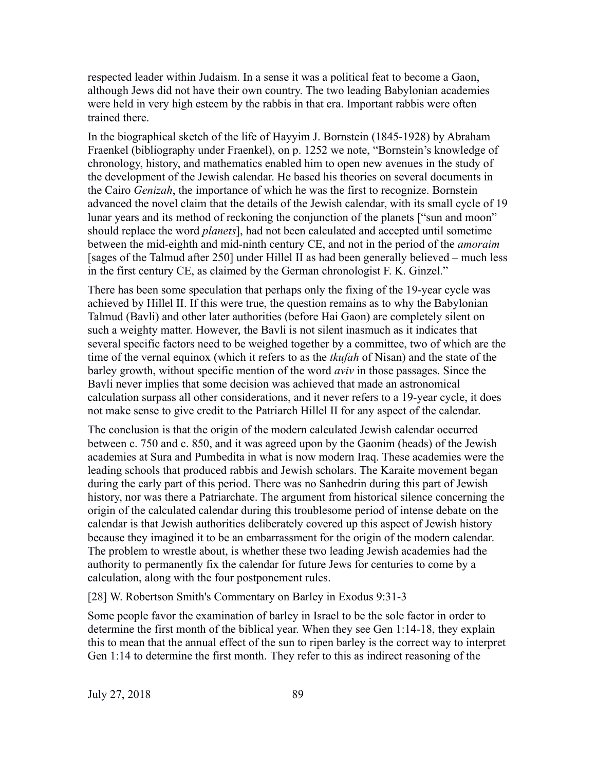respected leader within Judaism. In a sense it was a political feat to become a Gaon, although Jews did not have their own country. The two leading Babylonian academies were held in very high esteem by the rabbis in that era. Important rabbis were often trained there.

In the biographical sketch of the life of Hayyim J. Bornstein (1845-1928) by Abraham Fraenkel (bibliography under Fraenkel), on p. 1252 we note, "Bornstein's knowledge of chronology, history, and mathematics enabled him to open new avenues in the study of the development of the Jewish calendar. He based his theories on several documents in the Cairo *Genizah*, the importance of which he was the first to recognize. Bornstein advanced the novel claim that the details of the Jewish calendar, with its small cycle of 19 lunar years and its method of reckoning the conjunction of the planets ["sun and moon" should replace the word *planets*], had not been calculated and accepted until sometime between the mid-eighth and mid-ninth century CE, and not in the period of the *amoraim* [sages of the Talmud after 250] under Hillel II as had been generally believed – much less in the first century CE, as claimed by the German chronologist F. K. Ginzel."

There has been some speculation that perhaps only the fixing of the 19-year cycle was achieved by Hillel II. If this were true, the question remains as to why the Babylonian Talmud (Bavli) and other later authorities (before Hai Gaon) are completely silent on such a weighty matter. However, the Bavli is not silent inasmuch as it indicates that several specific factors need to be weighed together by a committee, two of which are the time of the vernal equinox (which it refers to as the *tkufah* of Nisan) and the state of the barley growth, without specific mention of the word *aviv* in those passages. Since the Bavli never implies that some decision was achieved that made an astronomical calculation surpass all other considerations, and it never refers to a 19-year cycle, it does not make sense to give credit to the Patriarch Hillel II for any aspect of the calendar.

The conclusion is that the origin of the modern calculated Jewish calendar occurred between c. 750 and c. 850, and it was agreed upon by the Gaonim (heads) of the Jewish academies at Sura and Pumbedita in what is now modern Iraq. These academies were the leading schools that produced rabbis and Jewish scholars. The Karaite movement began during the early part of this period. There was no Sanhedrin during this part of Jewish history, nor was there a Patriarchate. The argument from historical silence concerning the origin of the calculated calendar during this troublesome period of intense debate on the calendar is that Jewish authorities deliberately covered up this aspect of Jewish history because they imagined it to be an embarrassment for the origin of the modern calendar. The problem to wrestle about, is whether these two leading Jewish academies had the authority to permanently fix the calendar for future Jews for centuries to come by a calculation, along with the four postponement rules.

[28] W. Robertson Smith's Commentary on Barley in Exodus 9:31-3

Some people favor the examination of barley in Israel to be the sole factor in order to determine the first month of the biblical year. When they see Gen 1:14-18, they explain this to mean that the annual effect of the sun to ripen barley is the correct way to interpret Gen 1:14 to determine the first month. They refer to this as indirect reasoning of the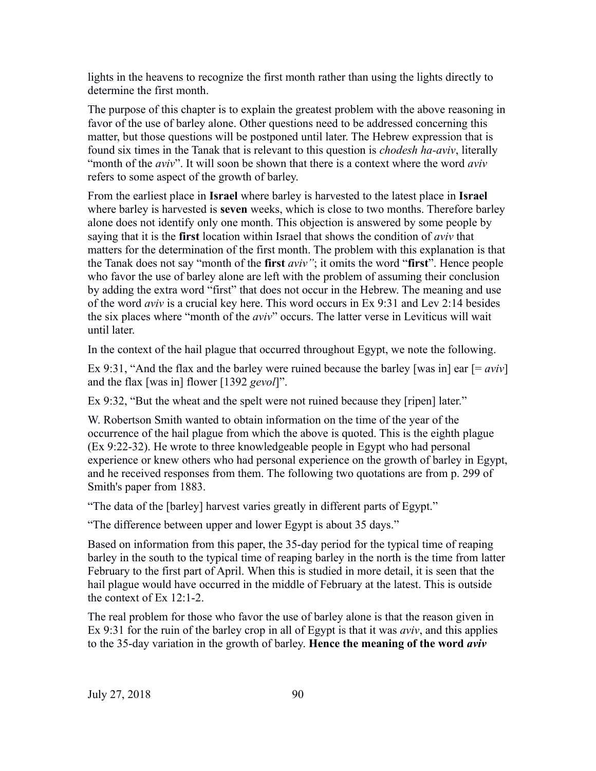lights in the heavens to recognize the first month rather than using the lights directly to determine the first month.

The purpose of this chapter is to explain the greatest problem with the above reasoning in favor of the use of barley alone. Other questions need to be addressed concerning this matter, but those questions will be postponed until later. The Hebrew expression that is found six times in the Tanak that is relevant to this question is *chodesh ha-aviv*, literally "month of the *aviv*". It will soon be shown that there is a context where the word *aviv* refers to some aspect of the growth of barley.

From the earliest place in **Israel** where barley is harvested to the latest place in **Israel** where barley is harvested is **seven** weeks, which is close to two months. Therefore barley alone does not identify only one month. This objection is answered by some people by saying that it is the **first** location within Israel that shows the condition of *aviv* that matters for the determination of the first month. The problem with this explanation is that the Tanak does not say "month of the **first** *aviv"*; it omits the word "**first**". Hence people who favor the use of barley alone are left with the problem of assuming their conclusion by adding the extra word "first" that does not occur in the Hebrew. The meaning and use of the word *aviv* is a crucial key here. This word occurs in Ex 9:31 and Lev 2:14 besides the six places where "month of the *aviv*" occurs. The latter verse in Leviticus will wait until later.

In the context of the hail plague that occurred throughout Egypt, we note the following.

Ex 9:31, "And the flax and the barley were ruined because the barley [was in] ear [= *aviv*] and the flax [was in] flower [1392 *gevol*]".

Ex 9:32, "But the wheat and the spelt were not ruined because they [ripen] later."

W. Robertson Smith wanted to obtain information on the time of the year of the occurrence of the hail plague from which the above is quoted. This is the eighth plague (Ex 9:22-32). He wrote to three knowledgeable people in Egypt who had personal experience or knew others who had personal experience on the growth of barley in Egypt, and he received responses from them. The following two quotations are from p. 299 of Smith's paper from 1883.

"The data of the [barley] harvest varies greatly in different parts of Egypt."

"The difference between upper and lower Egypt is about 35 days."

Based on information from this paper, the 35-day period for the typical time of reaping barley in the south to the typical time of reaping barley in the north is the time from latter February to the first part of April. When this is studied in more detail, it is seen that the hail plague would have occurred in the middle of February at the latest. This is outside the context of Ex 12:1-2.

The real problem for those who favor the use of barley alone is that the reason given in Ex 9:31 for the ruin of the barley crop in all of Egypt is that it was *aviv*, and this applies to the 35-day variation in the growth of barley. **Hence the meaning of the word** *aviv*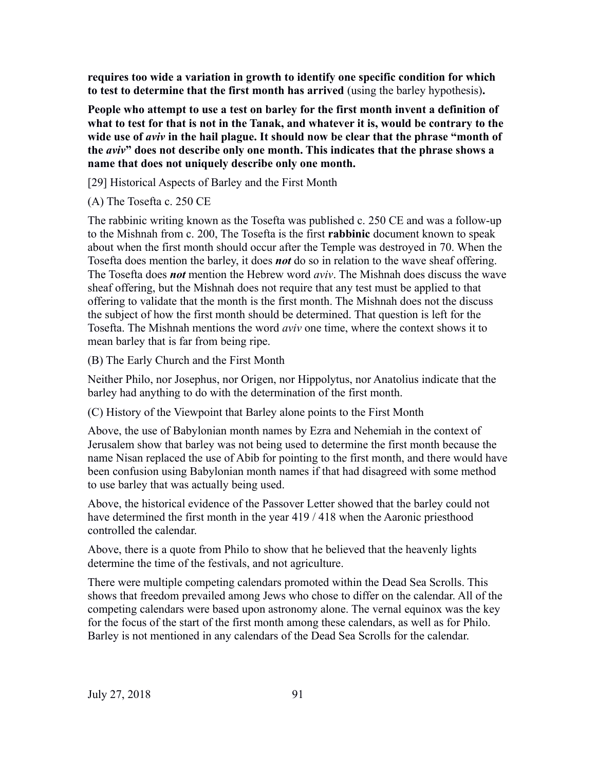**requires too wide a variation in growth to identify one specific condition for which to test to determine that the first month has arrived** (using the barley hypothesis)**.**

**People who attempt to use a test on barley for the first month invent a definition of what to test for that is not in the Tanak, and whatever it is, would be contrary to the wide use of** *aviv* **in the hail plague. It should now be clear that the phrase "month of the** *aviv***" does not describe only one month. This indicates that the phrase shows a name that does not uniquely describe only one month.**

[29] Historical Aspects of Barley and the First Month

(A) The Tosefta c. 250 CE

The rabbinic writing known as the Tosefta was published c. 250 CE and was a follow-up to the Mishnah from c. 200, The Tosefta is the first **rabbinic** document known to speak about when the first month should occur after the Temple was destroyed in 70. When the Tosefta does mention the barley, it does *not* do so in relation to the wave sheaf offering. The Tosefta does *not* mention the Hebrew word *aviv*. The Mishnah does discuss the wave sheaf offering, but the Mishnah does not require that any test must be applied to that offering to validate that the month is the first month. The Mishnah does not the discuss the subject of how the first month should be determined. That question is left for the Tosefta. The Mishnah mentions the word *aviv* one time, where the context shows it to mean barley that is far from being ripe.

(B) The Early Church and the First Month

Neither Philo, nor Josephus, nor Origen, nor Hippolytus, nor Anatolius indicate that the barley had anything to do with the determination of the first month.

(C) History of the Viewpoint that Barley alone points to the First Month

Above, the use of Babylonian month names by Ezra and Nehemiah in the context of Jerusalem show that barley was not being used to determine the first month because the name Nisan replaced the use of Abib for pointing to the first month, and there would have been confusion using Babylonian month names if that had disagreed with some method to use barley that was actually being used.

Above, the historical evidence of the Passover Letter showed that the barley could not have determined the first month in the year 419 / 418 when the Aaronic priesthood controlled the calendar.

Above, there is a quote from Philo to show that he believed that the heavenly lights determine the time of the festivals, and not agriculture.

There were multiple competing calendars promoted within the Dead Sea Scrolls. This shows that freedom prevailed among Jews who chose to differ on the calendar. All of the competing calendars were based upon astronomy alone. The vernal equinox was the key for the focus of the start of the first month among these calendars, as well as for Philo. Barley is not mentioned in any calendars of the Dead Sea Scrolls for the calendar.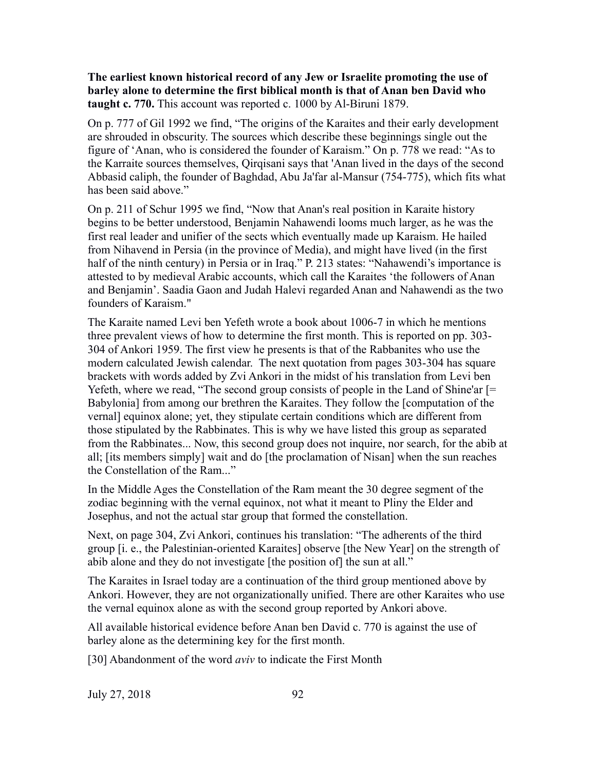## **The earliest known historical record of any Jew or Israelite promoting the use of barley alone to determine the first biblical month is that of Anan ben David who taught c. 770.** This account was reported c. 1000 by Al-Biruni 1879.

On p. 777 of Gil 1992 we find, "The origins of the Karaites and their early development are shrouded in obscurity. The sources which describe these beginnings single out the figure of 'Anan, who is considered the founder of Karaism." On p. 778 we read: "As to the Karraite sources themselves, Qirqisani says that 'Anan lived in the days of the second Abbasid caliph, the founder of Baghdad, Abu Ja'far al-Mansur (754-775), which fits what has been said above."

On p. 211 of Schur 1995 we find, "Now that Anan's real position in Karaite history begins to be better understood, Benjamin Nahawendi looms much larger, as he was the first real leader and unifier of the sects which eventually made up Karaism. He hailed from Nihavend in Persia (in the province of Media), and might have lived (in the first half of the ninth century) in Persia or in Iraq." P. 213 states: "Nahawendi's importance is attested to by medieval Arabic accounts, which call the Karaites 'the followers of Anan and Benjamin'. Saadia Gaon and Judah Halevi regarded Anan and Nahawendi as the two founders of Karaism."

The Karaite named Levi ben Yefeth wrote a book about 1006-7 in which he mentions three prevalent views of how to determine the first month. This is reported on pp. 303- 304 of Ankori 1959. The first view he presents is that of the Rabbanites who use the modern calculated Jewish calendar. The next quotation from pages 303-304 has square brackets with words added by Zvi Ankori in the midst of his translation from Levi ben Yefeth, where we read, "The second group consists of people in the Land of Shine'ar [= Babylonia] from among our brethren the Karaites. They follow the [computation of the vernal] equinox alone; yet, they stipulate certain conditions which are different from those stipulated by the Rabbinates. This is why we have listed this group as separated from the Rabbinates... Now, this second group does not inquire, nor search, for the abib at all; [its members simply] wait and do [the proclamation of Nisan] when the sun reaches the Constellation of the Ram..."

In the Middle Ages the Constellation of the Ram meant the 30 degree segment of the zodiac beginning with the vernal equinox, not what it meant to Pliny the Elder and Josephus, and not the actual star group that formed the constellation.

Next, on page 304, Zvi Ankori, continues his translation: "The adherents of the third group [i. e., the Palestinian-oriented Karaites] observe [the New Year] on the strength of abib alone and they do not investigate [the position of] the sun at all."

The Karaites in Israel today are a continuation of the third group mentioned above by Ankori. However, they are not organizationally unified. There are other Karaites who use the vernal equinox alone as with the second group reported by Ankori above.

All available historical evidence before Anan ben David c. 770 is against the use of barley alone as the determining key for the first month.

[30] Abandonment of the word *aviv* to indicate the First Month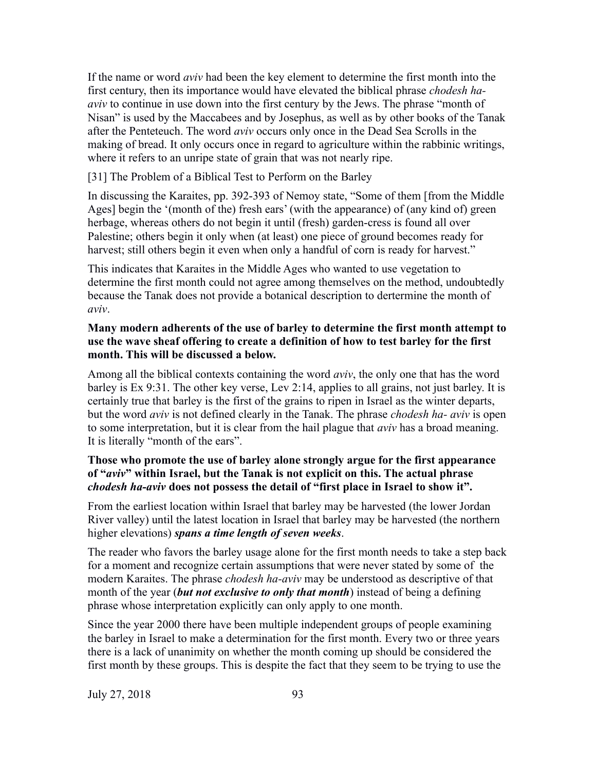If the name or word *aviv* had been the key element to determine the first month into the first century, then its importance would have elevated the biblical phrase *chodesh haaviv* to continue in use down into the first century by the Jews. The phrase "month of Nisan" is used by the Maccabees and by Josephus, as well as by other books of the Tanak after the Penteteuch. The word *aviv* occurs only once in the Dead Sea Scrolls in the making of bread. It only occurs once in regard to agriculture within the rabbinic writings, where it refers to an unripe state of grain that was not nearly ripe.

[31] The Problem of a Biblical Test to Perform on the Barley

In discussing the Karaites, pp. 392-393 of Nemoy state, "Some of them [from the Middle Ages] begin the '(month of the) fresh ears' (with the appearance) of (any kind of) green herbage, whereas others do not begin it until (fresh) garden-cress is found all over Palestine; others begin it only when (at least) one piece of ground becomes ready for harvest; still others begin it even when only a handful of corn is ready for harvest."

This indicates that Karaites in the Middle Ages who wanted to use vegetation to determine the first month could not agree among themselves on the method, undoubtedly because the Tanak does not provide a botanical description to dertermine the month of *aviv*.

## **Many modern adherents of the use of barley to determine the first month attempt to use the wave sheaf offering to create a definition of how to test barley for the first month. This will be discussed a below.**

Among all the biblical contexts containing the word *aviv*, the only one that has the word barley is Ex 9:31. The other key verse, Lev 2:14, applies to all grains, not just barley. It is certainly true that barley is the first of the grains to ripen in Israel as the winter departs, but the word *aviv* is not defined clearly in the Tanak. The phrase *chodesh ha- aviv* is open to some interpretation, but it is clear from the hail plague that *aviv* has a broad meaning. It is literally "month of the ears".

## **Those who promote the use of barley alone strongly argue for the first appearance of "***aviv***" within Israel, but the Tanak is not explicit on this. The actual phrase**  *chodesh ha-aviv* **does not possess the detail of "first place in Israel to show it".**

From the earliest location within Israel that barley may be harvested (the lower Jordan River valley) until the latest location in Israel that barley may be harvested (the northern higher elevations) *spans a time length of seven weeks*.

The reader who favors the barley usage alone for the first month needs to take a step back for a moment and recognize certain assumptions that were never stated by some of the modern Karaites. The phrase *chodesh ha-aviv* may be understood as descriptive of that month of the year (*but not exclusive to only that month*) instead of being a defining phrase whose interpretation explicitly can only apply to one month.

Since the year 2000 there have been multiple independent groups of people examining the barley in Israel to make a determination for the first month. Every two or three years there is a lack of unanimity on whether the month coming up should be considered the first month by these groups. This is despite the fact that they seem to be trying to use the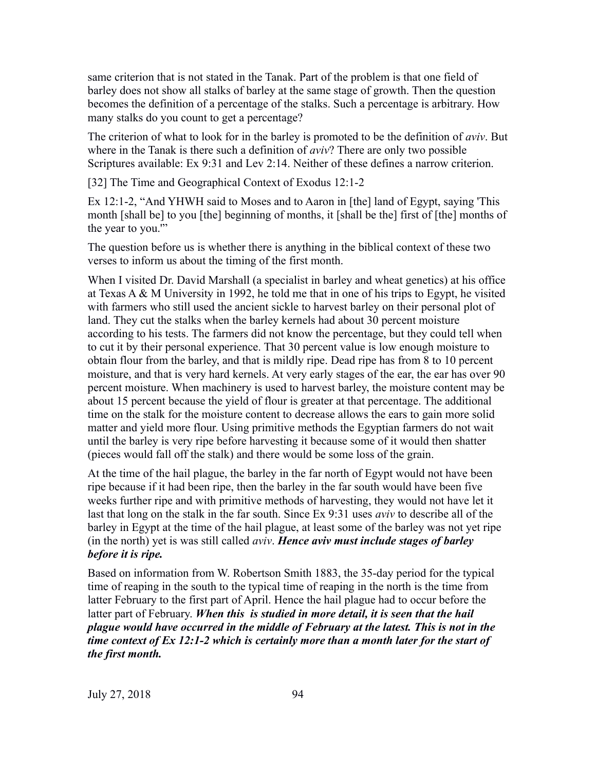same criterion that is not stated in the Tanak. Part of the problem is that one field of barley does not show all stalks of barley at the same stage of growth. Then the question becomes the definition of a percentage of the stalks. Such a percentage is arbitrary. How many stalks do you count to get a percentage?

The criterion of what to look for in the barley is promoted to be the definition of *aviv*. But where in the Tanak is there such a definition of *aviv*? There are only two possible Scriptures available: Ex 9:31 and Lev 2:14. Neither of these defines a narrow criterion.

[32] The Time and Geographical Context of Exodus 12:1-2

Ex 12:1-2, "And YHWH said to Moses and to Aaron in [the] land of Egypt, saying 'This month [shall be] to you [the] beginning of months, it [shall be the] first of [the] months of the year to you.'"

The question before us is whether there is anything in the biblical context of these two verses to inform us about the timing of the first month.

When I visited Dr. David Marshall (a specialist in barley and wheat genetics) at his office at Texas A & M University in 1992, he told me that in one of his trips to Egypt, he visited with farmers who still used the ancient sickle to harvest barley on their personal plot of land. They cut the stalks when the barley kernels had about 30 percent moisture according to his tests. The farmers did not know the percentage, but they could tell when to cut it by their personal experience. That 30 percent value is low enough moisture to obtain flour from the barley, and that is mildly ripe. Dead ripe has from 8 to 10 percent moisture, and that is very hard kernels. At very early stages of the ear, the ear has over 90 percent moisture. When machinery is used to harvest barley, the moisture content may be about 15 percent because the yield of flour is greater at that percentage. The additional time on the stalk for the moisture content to decrease allows the ears to gain more solid matter and yield more flour. Using primitive methods the Egyptian farmers do not wait until the barley is very ripe before harvesting it because some of it would then shatter (pieces would fall off the stalk) and there would be some loss of the grain.

At the time of the hail plague, the barley in the far north of Egypt would not have been ripe because if it had been ripe, then the barley in the far south would have been five weeks further ripe and with primitive methods of harvesting, they would not have let it last that long on the stalk in the far south. Since Ex 9:31 uses *aviv* to describe all of the barley in Egypt at the time of the hail plague, at least some of the barley was not yet ripe (in the north) yet is was still called *aviv*. *Hence aviv must include stages of barley before it is ripe.*

Based on information from W. Robertson Smith 1883, the 35-day period for the typical time of reaping in the south to the typical time of reaping in the north is the time from latter February to the first part of April. Hence the hail plague had to occur before the latter part of February. *When this is studied in more detail, it is seen that the hail plague would have occurred in the middle of February at the latest. This is not in the time context of Ex 12:1-2 which is certainly more than a month later for the start of the first month.*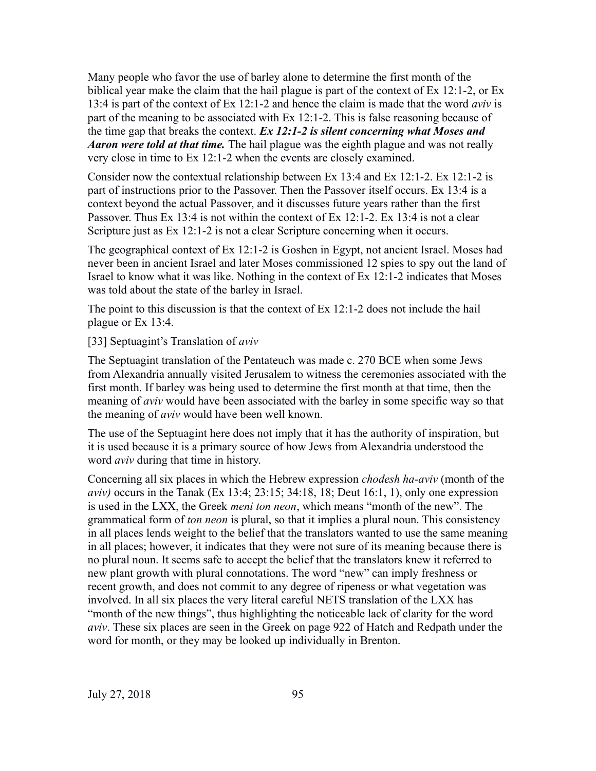Many people who favor the use of barley alone to determine the first month of the biblical year make the claim that the hail plague is part of the context of Ex 12:1-2, or Ex 13:4 is part of the context of Ex 12:1-2 and hence the claim is made that the word *aviv* is part of the meaning to be associated with Ex 12:1-2. This is false reasoning because of the time gap that breaks the context. *Ex 12:1-2 is silent concerning what Moses and Aaron were told at that time.* The hail plague was the eighth plague and was not really very close in time to Ex 12:1-2 when the events are closely examined.

Consider now the contextual relationship between Ex 13:4 and Ex 12:1-2. Ex 12:1-2 is part of instructions prior to the Passover. Then the Passover itself occurs. Ex 13:4 is a context beyond the actual Passover, and it discusses future years rather than the first Passover. Thus Ex 13:4 is not within the context of Ex 12:1-2. Ex 13:4 is not a clear Scripture just as Ex 12:1-2 is not a clear Scripture concerning when it occurs.

The geographical context of Ex 12:1-2 is Goshen in Egypt, not ancient Israel. Moses had never been in ancient Israel and later Moses commissioned 12 spies to spy out the land of Israel to know what it was like. Nothing in the context of Ex 12:1-2 indicates that Moses was told about the state of the barley in Israel.

The point to this discussion is that the context of Ex 12:1-2 does not include the hail plague or Ex 13:4.

[33] Septuagint's Translation of *aviv*

The Septuagint translation of the Pentateuch was made c. 270 BCE when some Jews from Alexandria annually visited Jerusalem to witness the ceremonies associated with the first month. If barley was being used to determine the first month at that time, then the meaning of *aviv* would have been associated with the barley in some specific way so that the meaning of *aviv* would have been well known.

The use of the Septuagint here does not imply that it has the authority of inspiration, but it is used because it is a primary source of how Jews from Alexandria understood the word *aviv* during that time in history.

Concerning all six places in which the Hebrew expression *chodesh ha-aviv* (month of the *aviv)* occurs in the Tanak (Ex 13:4; 23:15; 34:18, 18; Deut 16:1, 1), only one expression is used in the LXX, the Greek *meni ton neon*, which means "month of the new". The grammatical form of *ton neon* is plural, so that it implies a plural noun. This consistency in all places lends weight to the belief that the translators wanted to use the same meaning in all places; however, it indicates that they were not sure of its meaning because there is no plural noun. It seems safe to accept the belief that the translators knew it referred to new plant growth with plural connotations. The word "new" can imply freshness or recent growth, and does not commit to any degree of ripeness or what vegetation was involved. In all six places the very literal careful NETS translation of the LXX has "month of the new things", thus highlighting the noticeable lack of clarity for the word *aviv*. These six places are seen in the Greek on page 922 of Hatch and Redpath under the word for month, or they may be looked up individually in Brenton.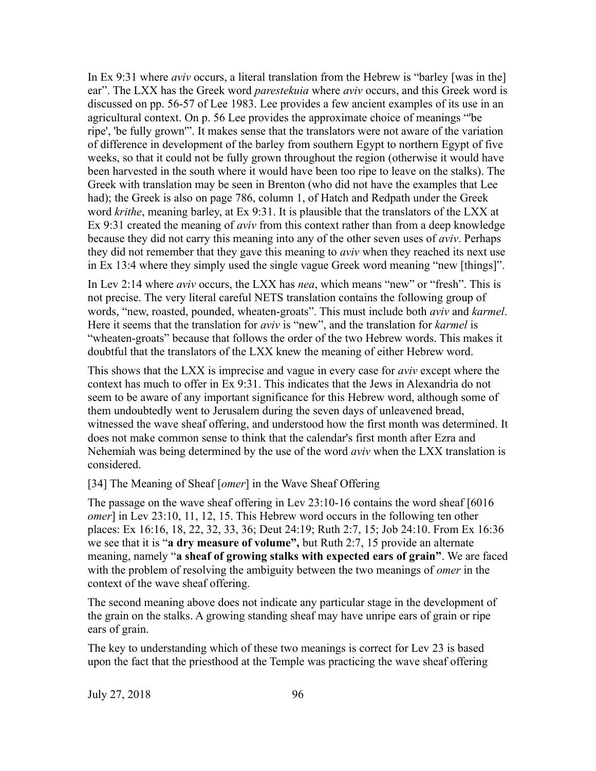In Ex 9:31 where *aviv* occurs, a literal translation from the Hebrew is "barley [was in the] ear". The LXX has the Greek word *parestekuia* where *aviv* occurs, and this Greek word is discussed on pp. 56-57 of Lee 1983. Lee provides a few ancient examples of its use in an agricultural context. On p. 56 Lee provides the approximate choice of meanings "'be ripe', 'be fully grown'". It makes sense that the translators were not aware of the variation of difference in development of the barley from southern Egypt to northern Egypt of five weeks, so that it could not be fully grown throughout the region (otherwise it would have been harvested in the south where it would have been too ripe to leave on the stalks). The Greek with translation may be seen in Brenton (who did not have the examples that Lee had); the Greek is also on page 786, column 1, of Hatch and Redpath under the Greek word *krithe*, meaning barley, at Ex 9:31. It is plausible that the translators of the LXX at Ex 9:31 created the meaning of *aviv* from this context rather than from a deep knowledge because they did not carry this meaning into any of the other seven uses of *aviv*. Perhaps they did not remember that they gave this meaning to *aviv* when they reached its next use in Ex 13:4 where they simply used the single vague Greek word meaning "new [things]".

In Lev 2:14 where *aviv* occurs, the LXX has *nea*, which means "new" or "fresh". This is not precise. The very literal careful NETS translation contains the following group of words, "new, roasted, pounded, wheaten-groats". This must include both *aviv* and *karmel*. Here it seems that the translation for *aviv* is "new", and the translation for *karmel* is "wheaten-groats" because that follows the order of the two Hebrew words. This makes it doubtful that the translators of the LXX knew the meaning of either Hebrew word.

This shows that the LXX is imprecise and vague in every case for *aviv* except where the context has much to offer in Ex 9:31. This indicates that the Jews in Alexandria do not seem to be aware of any important significance for this Hebrew word, although some of them undoubtedly went to Jerusalem during the seven days of unleavened bread, witnessed the wave sheaf offering, and understood how the first month was determined. It does not make common sense to think that the calendar's first month after Ezra and Nehemiah was being determined by the use of the word *aviv* when the LXX translation is considered.

#### [34] The Meaning of Sheaf [*omer*] in the Wave Sheaf Offering

The passage on the wave sheaf offering in Lev 23:10-16 contains the word sheaf [6016 *omer*] in Lev 23:10, 11, 12, 15. This Hebrew word occurs in the following ten other places: Ex 16:16, 18, 22, 32, 33, 36; Deut 24:19; Ruth 2:7, 15; Job 24:10. From Ex 16:36 we see that it is "**a dry measure of volume",** but Ruth 2:7, 15 provide an alternate meaning, namely "**a sheaf of growing stalks with expected ears of grain"**. We are faced with the problem of resolving the ambiguity between the two meanings of *omer* in the context of the wave sheaf offering.

The second meaning above does not indicate any particular stage in the development of the grain on the stalks. A growing standing sheaf may have unripe ears of grain or ripe ears of grain.

The key to understanding which of these two meanings is correct for Lev 23 is based upon the fact that the priesthood at the Temple was practicing the wave sheaf offering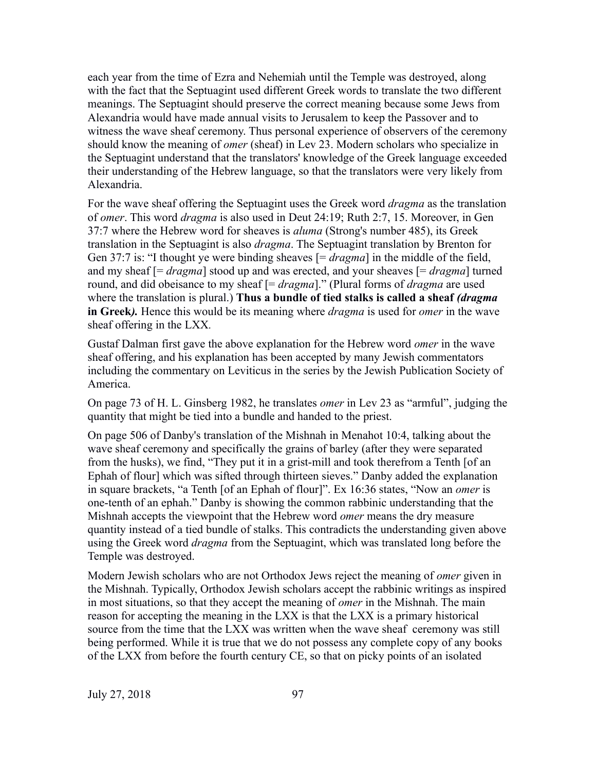each year from the time of Ezra and Nehemiah until the Temple was destroyed, along with the fact that the Septuagint used different Greek words to translate the two different meanings. The Septuagint should preserve the correct meaning because some Jews from Alexandria would have made annual visits to Jerusalem to keep the Passover and to witness the wave sheaf ceremony. Thus personal experience of observers of the ceremony should know the meaning of *omer* (sheaf) in Lev 23. Modern scholars who specialize in the Septuagint understand that the translators' knowledge of the Greek language exceeded their understanding of the Hebrew language, so that the translators were very likely from Alexandria.

For the wave sheaf offering the Septuagint uses the Greek word *dragma* as the translation of *omer*. This word *dragma* is also used in Deut 24:19; Ruth 2:7, 15. Moreover, in Gen 37:7 where the Hebrew word for sheaves is *aluma* (Strong's number 485), its Greek translation in the Septuagint is also *dragma*. The Septuagint translation by Brenton for Gen 37:7 is: "I thought ye were binding sheaves [= *dragma*] in the middle of the field, and my sheaf [= *dragma*] stood up and was erected, and your sheaves [= *dragma*] turned round, and did obeisance to my sheaf [= *dragma*]." (Plural forms of *dragma* are used where the translation is plural.) **Thus a bundle of tied stalks is called a sheaf** *(dragma* **in Greek***).* Hence this would be its meaning where *dragma* is used for *omer* in the wave sheaf offering in the LXX*.*

Gustaf Dalman first gave the above explanation for the Hebrew word *omer* in the wave sheaf offering, and his explanation has been accepted by many Jewish commentators including the commentary on Leviticus in the series by the Jewish Publication Society of America.

On page 73 of H. L. Ginsberg 1982, he translates *omer* in Lev 23 as "armful", judging the quantity that might be tied into a bundle and handed to the priest.

On page 506 of Danby's translation of the Mishnah in Menahot 10:4, talking about the wave sheaf ceremony and specifically the grains of barley (after they were separated from the husks), we find, "They put it in a grist-mill and took therefrom a Tenth [of an Ephah of flour] which was sifted through thirteen sieves." Danby added the explanation in square brackets, "a Tenth [of an Ephah of flour]". Ex 16:36 states, "Now an *omer* is one-tenth of an ephah." Danby is showing the common rabbinic understanding that the Mishnah accepts the viewpoint that the Hebrew word *omer* means the dry measure quantity instead of a tied bundle of stalks. This contradicts the understanding given above using the Greek word *dragma* from the Septuagint, which was translated long before the Temple was destroyed.

Modern Jewish scholars who are not Orthodox Jews reject the meaning of *omer* given in the Mishnah. Typically, Orthodox Jewish scholars accept the rabbinic writings as inspired in most situations, so that they accept the meaning of *omer* in the Mishnah. The main reason for accepting the meaning in the LXX is that the LXX is a primary historical source from the time that the LXX was written when the wave sheaf ceremony was still being performed. While it is true that we do not possess any complete copy of any books of the LXX from before the fourth century CE, so that on picky points of an isolated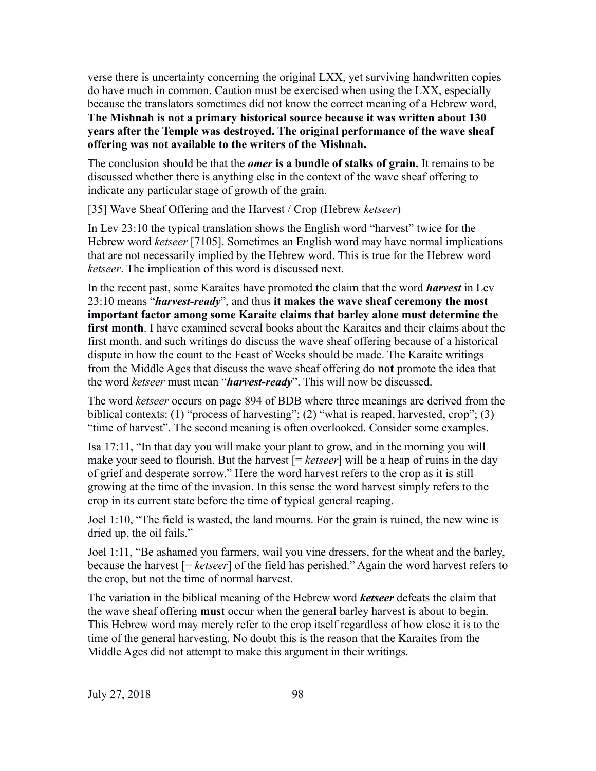verse there is uncertainty concerning the original LXX, yet surviving handwritten copies do have much in common. Caution must be exercised when using the LXX, especially because the translators sometimes did not know the correct meaning of a Hebrew word, **The Mishnah is not a primary historical source because it was written about 130 years after the Temple was destroyed. The original performance of the wave sheaf offering was not available to the writers of the Mishnah.**

The conclusion should be that the *omer* **is a bundle of stalks of grain.** It remains to be discussed whether there is anything else in the context of the wave sheaf offering to indicate any particular stage of growth of the grain.

[35] Wave Sheaf Offering and the Harvest / Crop (Hebrew *ketseer*)

In Lev 23:10 the typical translation shows the English word "harvest" twice for the Hebrew word *ketseer* [7105]. Sometimes an English word may have normal implications that are not necessarily implied by the Hebrew word. This is true for the Hebrew word *ketseer*. The implication of this word is discussed next.

In the recent past, some Karaites have promoted the claim that the word *harvest* in Lev 23:10 means "*harvest-ready*", and thus **it makes the wave sheaf ceremony the most important factor among some Karaite claims that barley alone must determine the first month**. I have examined several books about the Karaites and their claims about the first month, and such writings do discuss the wave sheaf offering because of a historical dispute in how the count to the Feast of Weeks should be made. The Karaite writings from the Middle Ages that discuss the wave sheaf offering do **not** promote the idea that the word *ketseer* must mean "*harvest-ready*". This will now be discussed.

The word *ketseer* occurs on page 894 of BDB where three meanings are derived from the biblical contexts: (1) "process of harvesting"; (2) "what is reaped, harvested, crop"; (3) "time of harvest". The second meaning is often overlooked. Consider some examples.

Isa 17:11, "In that day you will make your plant to grow, and in the morning you will make your seed to flourish. But the harvest [= *ketseer*] will be a heap of ruins in the day of grief and desperate sorrow." Here the word harvest refers to the crop as it is still growing at the time of the invasion. In this sense the word harvest simply refers to the crop in its current state before the time of typical general reaping.

Joel 1:10, "The field is wasted, the land mourns. For the grain is ruined, the new wine is dried up, the oil fails."

Joel 1:11, "Be ashamed you farmers, wail you vine dressers, for the wheat and the barley, because the harvest [= *ketseer*] of the field has perished." Again the word harvest refers to the crop, but not the time of normal harvest.

The variation in the biblical meaning of the Hebrew word *ketseer* defeats the claim that the wave sheaf offering **must** occur when the general barley harvest is about to begin. This Hebrew word may merely refer to the crop itself regardless of how close it is to the time of the general harvesting. No doubt this is the reason that the Karaites from the Middle Ages did not attempt to make this argument in their writings.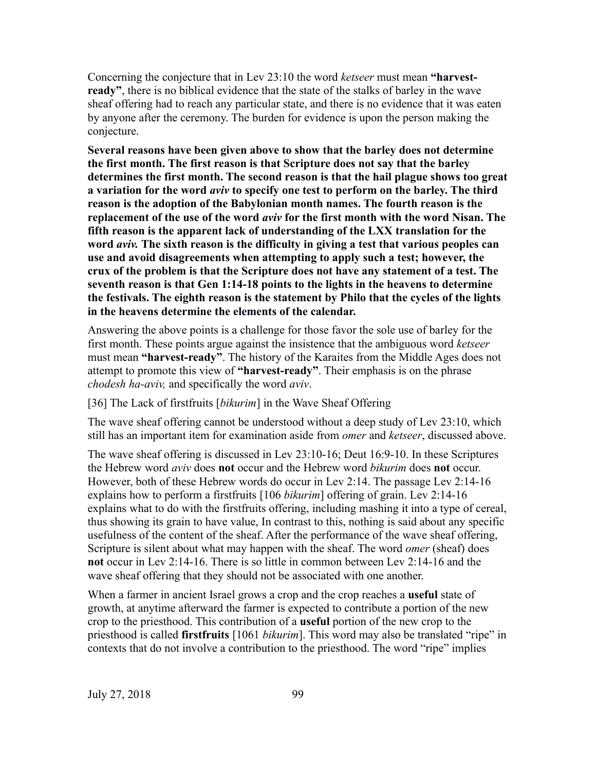Concerning the conjecture that in Lev 23:10 the word *ketseer* must mean **"harvestready"**, there is no biblical evidence that the state of the stalks of barley in the wave sheaf offering had to reach any particular state, and there is no evidence that it was eaten by anyone after the ceremony. The burden for evidence is upon the person making the conjecture.

**Several reasons have been given above to show that the barley does not determine the first month. The first reason is that Scripture does not say that the barley determines the first month. The second reason is that the hail plague shows too great a variation for the word** *aviv* **to specify one test to perform on the barley. The third reason is the adoption of the Babylonian month names. The fourth reason is the replacement of the use of the word** *aviv* **for the first month with the word Nisan. The fifth reason is the apparent lack of understanding of the LXX translation for the word** *aviv.* **The sixth reason is the difficulty in giving a test that various peoples can use and avoid disagreements when attempting to apply such a test; however, the crux of the problem is that the Scripture does not have any statement of a test. The seventh reason is that Gen 1:14-18 points to the lights in the heavens to determine the festivals. The eighth reason is the statement by Philo that the cycles of the lights in the heavens determine the elements of the calendar.**

Answering the above points is a challenge for those favor the sole use of barley for the first month. These points argue against the insistence that the ambiguous word *ketseer* must mean **"harvest-ready"**. The history of the Karaites from the Middle Ages does not attempt to promote this view of **"harvest-ready"**. Their emphasis is on the phrase *chodesh ha-aviv,* and specifically the word *aviv*.

[36] The Lack of firstfruits [*bikurim*] in the Wave Sheaf Offering

The wave sheaf offering cannot be understood without a deep study of Lev 23:10, which still has an important item for examination aside from *omer* and *ketseer*, discussed above.

The wave sheaf offering is discussed in Lev 23:10-16; Deut 16:9-10. In these Scriptures the Hebrew word *aviv* does **not** occur and the Hebrew word *bikurim* does **not** occur. However, both of these Hebrew words do occur in Lev 2:14. The passage Lev 2:14-16 explains how to perform a firstfruits [106 *bikurim*] offering of grain. Lev 2:14-16 explains what to do with the firstfruits offering, including mashing it into a type of cereal, thus showing its grain to have value, In contrast to this, nothing is said about any specific usefulness of the content of the sheaf. After the performance of the wave sheaf offering, Scripture is silent about what may happen with the sheaf. The word *omer* (sheaf) does **not** occur in Lev 2:14-16. There is so little in common between Lev 2:14-16 and the wave sheaf offering that they should not be associated with one another.

When a farmer in ancient Israel grows a crop and the crop reaches a **useful** state of growth, at anytime afterward the farmer is expected to contribute a portion of the new crop to the priesthood. This contribution of a **useful** portion of the new crop to the priesthood is called **firstfruits** [1061 *bikurim*]. This word may also be translated "ripe" in contexts that do not involve a contribution to the priesthood. The word "ripe" implies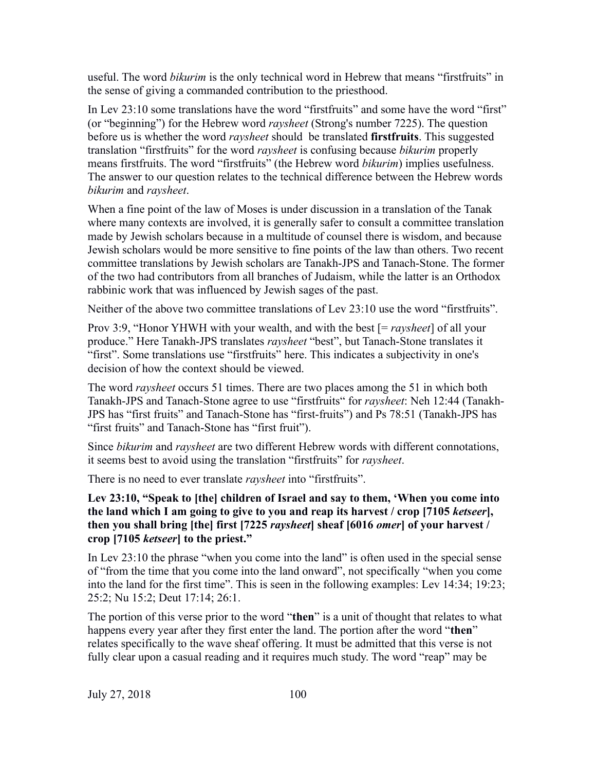useful. The word *bikurim* is the only technical word in Hebrew that means "firstfruits" in the sense of giving a commanded contribution to the priesthood.

In Lev 23:10 some translations have the word "firstfruits" and some have the word "first" (or "beginning") for the Hebrew word *raysheet* (Strong's number 7225). The question before us is whether the word *raysheet* should be translated **firstfruits**. This suggested translation "firstfruits" for the word *raysheet* is confusing because *bikurim* properly means firstfruits. The word "firstfruits" (the Hebrew word *bikurim*) implies usefulness. The answer to our question relates to the technical difference between the Hebrew words *bikurim* and *raysheet*.

When a fine point of the law of Moses is under discussion in a translation of the Tanak where many contexts are involved, it is generally safer to consult a committee translation made by Jewish scholars because in a multitude of counsel there is wisdom, and because Jewish scholars would be more sensitive to fine points of the law than others. Two recent committee translations by Jewish scholars are Tanakh-JPS and Tanach-Stone. The former of the two had contributors from all branches of Judaism, while the latter is an Orthodox rabbinic work that was influenced by Jewish sages of the past.

Neither of the above two committee translations of Lev 23:10 use the word "firstfruits".

Prov 3:9, "Honor YHWH with your wealth, and with the best [= *raysheet*] of all your produce." Here Tanakh-JPS translates *raysheet* "best", but Tanach-Stone translates it "first". Some translations use "firstfruits" here. This indicates a subjectivity in one's decision of how the context should be viewed.

The word *raysheet* occurs 51 times. There are two places among the 51 in which both Tanakh-JPS and Tanach-Stone agree to use "firstfruits" for *raysheet*: Neh 12:44 (Tanakh-JPS has "first fruits" and Tanach-Stone has "first-fruits") and Ps 78:51 (Tanakh-JPS has "first fruits" and Tanach-Stone has "first fruit").

Since *bikurim* and *raysheet* are two different Hebrew words with different connotations, it seems best to avoid using the translation "firstfruits" for *raysheet*.

There is no need to ever translate *raysheet* into "firstfruits".

**Lev 23:10, "Speak to [the] children of Israel and say to them, 'When you come into the land which I am going to give to you and reap its harvest / crop [7105** *ketseer***], then you shall bring [the] first [7225** *raysheet***] sheaf [6016** *omer***] of your harvest / crop [7105** *ketseer***] to the priest."**

In Lev 23:10 the phrase "when you come into the land" is often used in the special sense of "from the time that you come into the land onward", not specifically "when you come into the land for the first time". This is seen in the following examples: Lev 14:34; 19:23; 25:2; Nu 15:2; Deut 17:14; 26:1.

The portion of this verse prior to the word "**then**" is a unit of thought that relates to what happens every year after they first enter the land. The portion after the word "**then**" relates specifically to the wave sheaf offering. It must be admitted that this verse is not fully clear upon a casual reading and it requires much study. The word "reap" may be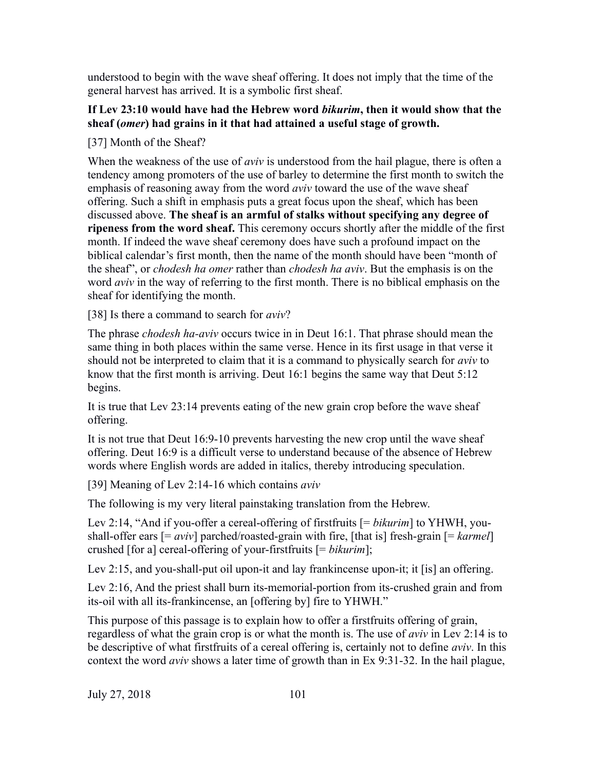understood to begin with the wave sheaf offering. It does not imply that the time of the general harvest has arrived. It is a symbolic first sheaf.

# **If Lev 23:10 would have had the Hebrew word** *bikurim***, then it would show that the sheaf (***omer***) had grains in it that had attained a useful stage of growth.**

[37] Month of the Sheaf?

When the weakness of the use of *aviv* is understood from the hail plague, there is often a tendency among promoters of the use of barley to determine the first month to switch the emphasis of reasoning away from the word *aviv* toward the use of the wave sheaf offering. Such a shift in emphasis puts a great focus upon the sheaf, which has been discussed above. **The sheaf is an armful of stalks without specifying any degree of ripeness from the word sheaf.** This ceremony occurs shortly after the middle of the first month. If indeed the wave sheaf ceremony does have such a profound impact on the biblical calendar's first month, then the name of the month should have been "month of the sheaf", or *chodesh ha omer* rather than *chodesh ha aviv*. But the emphasis is on the word *aviv* in the way of referring to the first month. There is no biblical emphasis on the sheaf for identifying the month.

[38] Is there a command to search for *aviv*?

The phrase *chodesh ha-aviv* occurs twice in in Deut 16:1. That phrase should mean the same thing in both places within the same verse. Hence in its first usage in that verse it should not be interpreted to claim that it is a command to physically search for *aviv* to know that the first month is arriving. Deut 16:1 begins the same way that Deut 5:12 begins.

It is true that Lev 23:14 prevents eating of the new grain crop before the wave sheaf offering.

It is not true that Deut 16:9-10 prevents harvesting the new crop until the wave sheaf offering. Deut 16:9 is a difficult verse to understand because of the absence of Hebrew words where English words are added in italics, thereby introducing speculation.

[39] Meaning of Lev 2:14-16 which contains *aviv*

The following is my very literal painstaking translation from the Hebrew.

Lev 2:14, "And if you-offer a cereal-offering of firstfruits [= *bikurim*] to YHWH, youshall-offer ears [= *aviv*] parched/roasted-grain with fire, [that is] fresh-grain [= *karmel*] crushed [for a] cereal-offering of your-firstfruits [= *bikurim*];

Lev 2:15, and you-shall-put oil upon-it and lay frankincense upon-it; it [is] an offering.

Lev 2:16, And the priest shall burn its-memorial-portion from its-crushed grain and from its-oil with all its-frankincense, an [offering by] fire to YHWH."

This purpose of this passage is to explain how to offer a firstfruits offering of grain, regardless of what the grain crop is or what the month is. The use of *aviv* in Lev 2:14 is to be descriptive of what firstfruits of a cereal offering is, certainly not to define *aviv*. In this context the word *aviv* shows a later time of growth than in Ex 9:31-32. In the hail plague,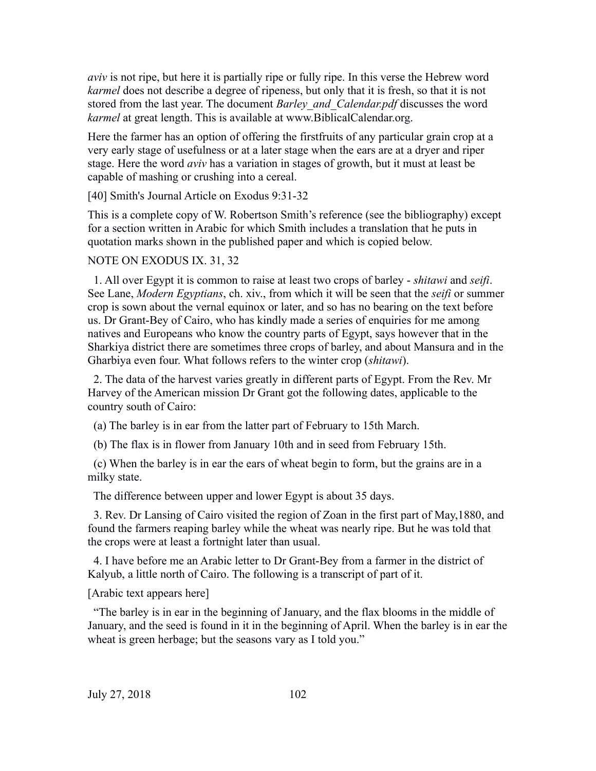*aviv* is not ripe, but here it is partially ripe or fully ripe. In this verse the Hebrew word *karmel* does not describe a degree of ripeness, but only that it is fresh, so that it is not stored from the last year. The document *Barley\_and\_Calendar.pdf* discusses the word *karmel* at great length. This is available at www.BiblicalCalendar.org.

Here the farmer has an option of offering the firstfruits of any particular grain crop at a very early stage of usefulness or at a later stage when the ears are at a dryer and riper stage. Here the word *aviv* has a variation in stages of growth, but it must at least be capable of mashing or crushing into a cereal.

[40] Smith's Journal Article on Exodus 9:31-32

This is a complete copy of W. Robertson Smith's reference (see the bibliography) except for a section written in Arabic for which Smith includes a translation that he puts in quotation marks shown in the published paper and which is copied below.

#### NOTE ON EXODUS IX. 31, 32

 1. All over Egypt it is common to raise at least two crops of barley - *shitawi* and *seifi*. See Lane, *Modern Egyptians*, ch. xiv., from which it will be seen that the *seifi* or summer crop is sown about the vernal equinox or later, and so has no bearing on the text before us. Dr Grant-Bey of Cairo, who has kindly made a series of enquiries for me among natives and Europeans who know the country parts of Egypt, says however that in the Sharkiya district there are sometimes three crops of barley, and about Mansura and in the Gharbiya even four. What follows refers to the winter crop (*shitawi*).

 2. The data of the harvest varies greatly in different parts of Egypt. From the Rev. Mr Harvey of the American mission Dr Grant got the following dates, applicable to the country south of Cairo:

(a) The barley is in ear from the latter part of February to 15th March.

(b) The flax is in flower from January 10th and in seed from February 15th.

 (c) When the barley is in ear the ears of wheat begin to form, but the grains are in a milky state.

The difference between upper and lower Egypt is about 35 days.

 3. Rev. Dr Lansing of Cairo visited the region of Zoan in the first part of May,1880, and found the farmers reaping barley while the wheat was nearly ripe. But he was told that the crops were at least a fortnight later than usual.

 4. I have before me an Arabic letter to Dr Grant-Bey from a farmer in the district of Kalyub, a little north of Cairo. The following is a transcript of part of it.

[Arabic text appears here]

 "The barley is in ear in the beginning of January, and the flax blooms in the middle of January, and the seed is found in it in the beginning of April. When the barley is in ear the wheat is green herbage; but the seasons vary as I told you."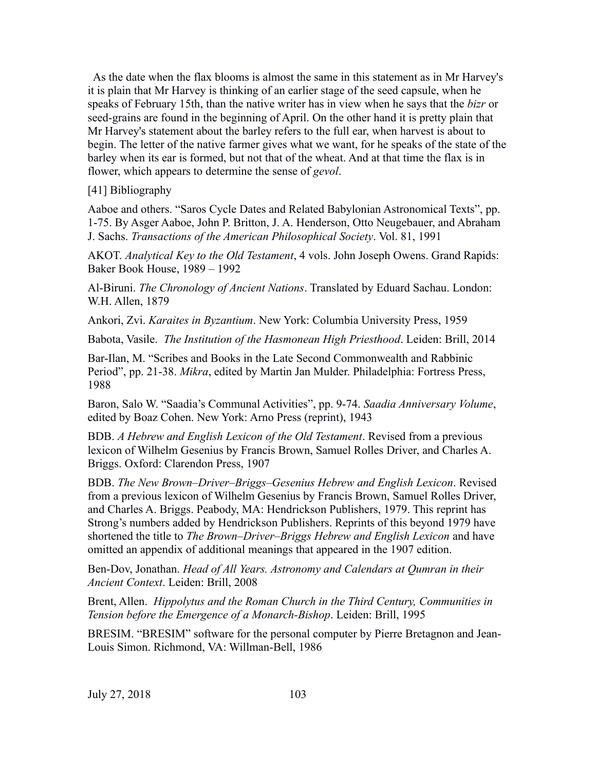As the date when the flax blooms is almost the same in this statement as in Mr Harvey's it is plain that Mr Harvey is thinking of an earlier stage of the seed capsule, when he speaks of February 15th, than the native writer has in view when he says that the *bizr* or seed-grains are found in the beginning of April. On the other hand it is pretty plain that Mr Harvey's statement about the barley refers to the full ear, when harvest is about to begin. The letter of the native farmer gives what we want, for he speaks of the state of the barley when its ear is formed, but not that of the wheat. And at that time the flax is in flower, which appears to determine the sense of *gevol*.

[41] Bibliography

Aaboe and others. "Saros Cycle Dates and Related Babylonian Astronomical Texts", pp. 1-75. By Asger Aaboe, John P. Britton, J. A. Henderson, Otto Neugebauer, and Abraham J. Sachs. *Transactions of the American Philosophical Society*. Vol. 81, 1991

AKOT. *Analytical Key to the Old Testament*, 4 vols. John Joseph Owens. Grand Rapids: Baker Book House, 1989 – 1992

Al-Biruni. *The Chronology of Ancient Nations*. Translated by Eduard Sachau. London: W.H. Allen, 1879

Ankori, Zvi. *Karaites in Byzantium*. New York: Columbia University Press, 1959

Babota, Vasile. *The Institution of the Hasmonean High Priesthood*. Leiden: Brill, 2014

Bar-Ilan, M. "Scribes and Books in the Late Second Commonwealth and Rabbinic Period", pp. 21-38. *Mikra*, edited by Martin Jan Mulder. Philadelphia: Fortress Press, 1988

Baron, Salo W. "Saadia's Communal Activities", pp. 9-74. *Saadia Anniversary Volume*, edited by Boaz Cohen. New York: Arno Press (reprint), 1943

BDB. *A Hebrew and English Lexicon of the Old Testament*. Revised from a previous lexicon of Wilhelm Gesenius by Francis Brown, Samuel Rolles Driver, and Charles A. Briggs. Oxford: Clarendon Press, 1907

BDB. *The New Brown–Driver–Briggs–Gesenius Hebrew and English Lexicon*. Revised from a previous lexicon of Wilhelm Gesenius by Francis Brown, Samuel Rolles Driver, and Charles A. Briggs. Peabody, MA: Hendrickson Publishers, 1979. This reprint has Strong's numbers added by Hendrickson Publishers. Reprints of this beyond 1979 have shortened the title to *The Brown–Driver–Briggs Hebrew and English Lexicon* and have omitted an appendix of additional meanings that appeared in the 1907 edition.

Ben-Dov, Jonathan. *Head of All Years. Astronomy and Calendars at Qumran in their Ancient Context*. Leiden: Brill, 2008

Brent, Allen. *Hippolytus and the Roman Church in the Third Century, Communities in Tension before the Emergence of a Monarch-Bishop*. Leiden: Brill, 1995

BRESIM. "BRESIM" software for the personal computer by Pierre Bretagnon and Jean-Louis Simon. Richmond, VA: Willman-Bell, 1986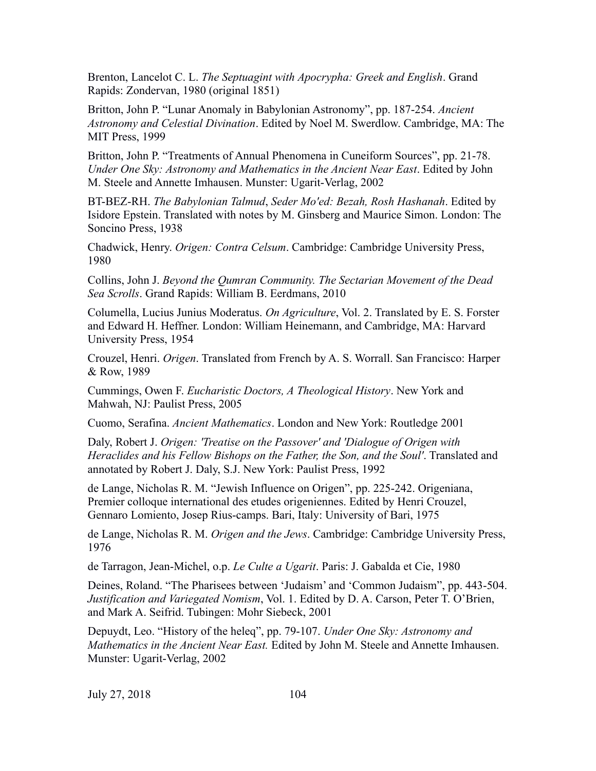Brenton, Lancelot C. L. *The Septuagint with Apocrypha: Greek and English*. Grand Rapids: Zondervan, 1980 (original 1851)

Britton, John P. "Lunar Anomaly in Babylonian Astronomy", pp. 187-254. *Ancient Astronomy and Celestial Divination*. Edited by Noel M. Swerdlow. Cambridge, MA: The MIT Press, 1999

Britton, John P. "Treatments of Annual Phenomena in Cuneiform Sources", pp. 21-78. *Under One Sky: Astronomy and Mathematics in the Ancient Near East*. Edited by John M. Steele and Annette Imhausen. Munster: Ugarit-Verlag, 2002

BT-BEZ-RH. *The Babylonian Talmud*, *Seder Mo'ed: Bezah, Rosh Hashanah*. Edited by Isidore Epstein. Translated with notes by M. Ginsberg and Maurice Simon. London: The Soncino Press, 1938

Chadwick, Henry. *Origen: Contra Celsum*. Cambridge: Cambridge University Press, 1980

Collins, John J. *Beyond the Qumran Community. The Sectarian Movement of the Dead Sea Scrolls*. Grand Rapids: William B. Eerdmans, 2010

Columella, Lucius Junius Moderatus. *On Agriculture*, Vol. 2. Translated by E. S. Forster and Edward H. Heffner. London: William Heinemann, and Cambridge, MA: Harvard University Press, 1954

Crouzel, Henri. *Origen*. Translated from French by A. S. Worrall. San Francisco: Harper & Row, 1989

Cummings, Owen F. *Eucharistic Doctors, A Theological History*. New York and Mahwah, NJ: Paulist Press, 2005

Cuomo, Serafina. *Ancient Mathematics*. London and New York: Routledge 2001

Daly, Robert J. *Origen: 'Treatise on the Passover' and 'Dialogue of Origen with Heraclides and his Fellow Bishops on the Father, the Son, and the Soul'*. Translated and annotated by Robert J. Daly, S.J. New York: Paulist Press, 1992

de Lange, Nicholas R. M. "Jewish Influence on Origen", pp. 225-242. Origeniana, Premier colloque international des etudes origeniennes. Edited by Henri Crouzel, Gennaro Lomiento, Josep Rius-camps. Bari, Italy: University of Bari, 1975

de Lange, Nicholas R. M. *Origen and the Jews*. Cambridge: Cambridge University Press, 1976

de Tarragon, Jean-Michel, o.p. *Le Culte a Ugarit*. Paris: J. Gabalda et Cie, 1980

Deines, Roland. "The Pharisees between 'Judaism' and 'Common Judaism", pp. 443-504. *Justification and Variegated Nomism*, Vol. 1. Edited by D. A. Carson, Peter T. O'Brien, and Mark A. Seifrid. Tubingen: Mohr Siebeck, 2001

Depuydt, Leo. "History of the heleq", pp. 79-107. *Under One Sky: Astronomy and Mathematics in the Ancient Near East.* Edited by John M. Steele and Annette Imhausen. Munster: Ugarit-Verlag, 2002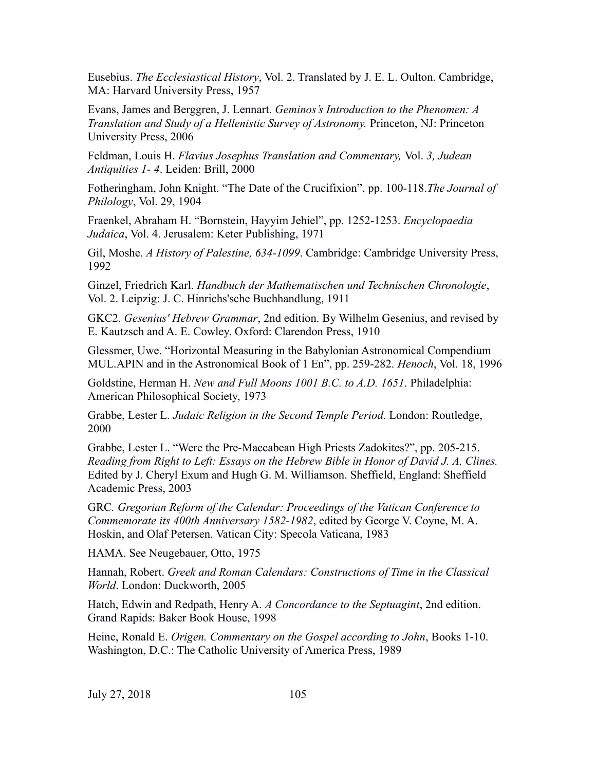Eusebius. *The Ecclesiastical History*, Vol. 2. Translated by J. E. L. Oulton. Cambridge, MA: Harvard University Press, 1957

Evans, James and Berggren, J. Lennart. *Geminos's Introduction to the Phenomen: A Translation and Study of a Hellenistic Survey of Astronomy.* Princeton, NJ: Princeton University Press, 2006

Feldman, Louis H. *Flavius Josephus Translation and Commentary,* Vol. *3, Judean Antiquities 1- 4*. Leiden: Brill, 2000

Fotheringham, John Knight. "The Date of the Crucifixion", pp. 100-118.*The Journal of Philology*, Vol. 29, 1904

Fraenkel, Abraham H. "Bornstein, Hayyim Jehiel", pp. 1252-1253. *Encyclopaedia Judaica*, Vol. 4. Jerusalem: Keter Publishing, 1971

Gil, Moshe. *A History of Palestine, 634-1099*. Cambridge: Cambridge University Press, 1992

Ginzel, Friedrich Karl. *Handbuch der Mathematischen und Technischen Chronologie*, Vol. 2. Leipzig: J. C. Hinrichs'sche Buchhandlung, 1911

GKC2. *Gesenius' Hebrew Grammar*, 2nd edition. By Wilhelm Gesenius, and revised by E. Kautzsch and A. E. Cowley. Oxford: Clarendon Press, 1910

Glessmer, Uwe. "Horizontal Measuring in the Babylonian Astronomical Compendium MUL.APIN and in the Astronomical Book of 1 En", pp. 259-282. *Henoch*, Vol. 18, 1996

Goldstine, Herman H. *New and Full Moons 1001 B.C. to A.D. 1651*. Philadelphia: American Philosophical Society, 1973

Grabbe, Lester L. *Judaic Religion in the Second Temple Period*. London: Routledge, 2000

Grabbe, Lester L. "Were the Pre-Maccabean High Priests Zadokites?", pp. 205-215. *Reading from Right to Left: Essays on the Hebrew Bible in Honor of David J. A, Clines.*  Edited by J. Cheryl Exum and Hugh G. M. Williamson. Sheffield, England: Sheffield Academic Press, 2003

GRC*. Gregorian Reform of the Calendar: Proceedings of the Vatican Conference to Commemorate its 400th Anniversary 1582-1982*, edited by George V. Coyne, M. A. Hoskin, and Olaf Petersen. Vatican City: Specola Vaticana, 1983

HAMA. See Neugebauer, Otto, 1975

Hannah, Robert. *Greek and Roman Calendars: Constructions of Time in the Classical World*. London: Duckworth, 2005

Hatch, Edwin and Redpath, Henry A. *A Concordance to the Septuagint*, 2nd edition. Grand Rapids: Baker Book House, 1998

Heine, Ronald E. *Origen. Commentary on the Gospel according to John*, Books 1-10. Washington, D.C.: The Catholic University of America Press, 1989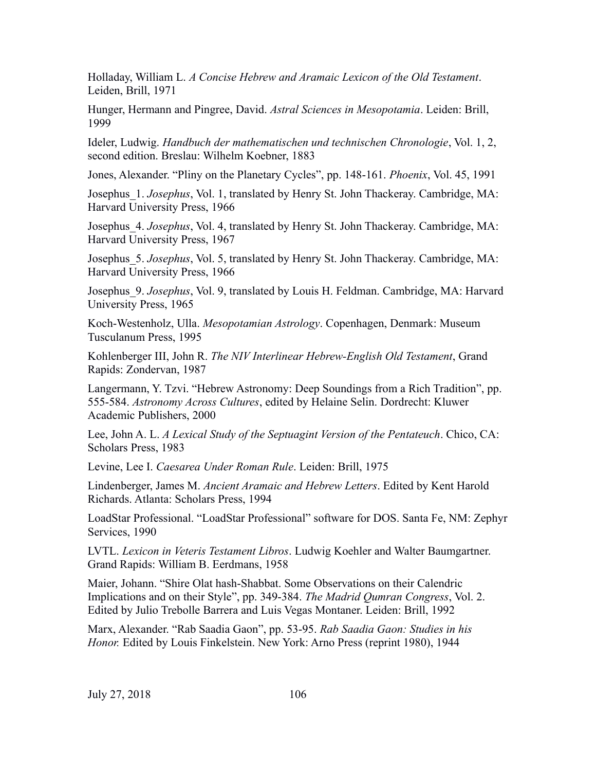Holladay, William L. *A Concise Hebrew and Aramaic Lexicon of the Old Testament*. Leiden, Brill, 1971

Hunger, Hermann and Pingree, David. *Astral Sciences in Mesopotamia*. Leiden: Brill, 1999

Ideler, Ludwig. *Handbuch der mathematischen und technischen Chronologie*, Vol. 1, 2, second edition. Breslau: Wilhelm Koebner, 1883

Jones, Alexander. "Pliny on the Planetary Cycles", pp. 148-161. *Phoenix*, Vol. 45, 1991

Josephus\_1. *Josephus*, Vol. 1, translated by Henry St. John Thackeray. Cambridge, MA: Harvard University Press, 1966

Josephus\_4. *Josephus*, Vol. 4, translated by Henry St. John Thackeray. Cambridge, MA: Harvard University Press, 1967

Josephus\_5. *Josephus*, Vol. 5, translated by Henry St. John Thackeray. Cambridge, MA: Harvard University Press, 1966

Josephus\_9. *Josephus*, Vol. 9, translated by Louis H. Feldman. Cambridge, MA: Harvard University Press, 1965

Koch-Westenholz, Ulla. *Mesopotamian Astrology*. Copenhagen, Denmark: Museum Tusculanum Press, 1995

Kohlenberger III, John R. *The NIV Interlinear Hebrew-English Old Testament*, Grand Rapids: Zondervan, 1987

Langermann, Y. Tzvi. "Hebrew Astronomy: Deep Soundings from a Rich Tradition", pp. 555-584. *Astronomy Across Cultures*, edited by Helaine Selin. Dordrecht: Kluwer Academic Publishers, 2000

Lee, John A. L. *A Lexical Study of the Septuagint Version of the Pentateuch*. Chico, CA: Scholars Press, 1983

Levine, Lee I. *Caesarea Under Roman Rule*. Leiden: Brill, 1975

Lindenberger, James M. *Ancient Aramaic and Hebrew Letters*. Edited by Kent Harold Richards. Atlanta: Scholars Press, 1994

LoadStar Professional. "LoadStar Professional" software for DOS. Santa Fe, NM: Zephyr Services, 1990

LVTL. *Lexicon in Veteris Testament Libros*. Ludwig Koehler and Walter Baumgartner. Grand Rapids: William B. Eerdmans, 1958

Maier, Johann. "Shire Olat hash-Shabbat. Some Observations on their Calendric Implications and on their Style", pp. 349-384. *The Madrid Qumran Congress*, Vol. 2. Edited by Julio Trebolle Barrera and Luis Vegas Montaner. Leiden: Brill, 1992

Marx, Alexander. "Rab Saadia Gaon", pp. 53-95. *Rab Saadia Gaon: Studies in his Honor.* Edited by Louis Finkelstein. New York: Arno Press (reprint 1980), 1944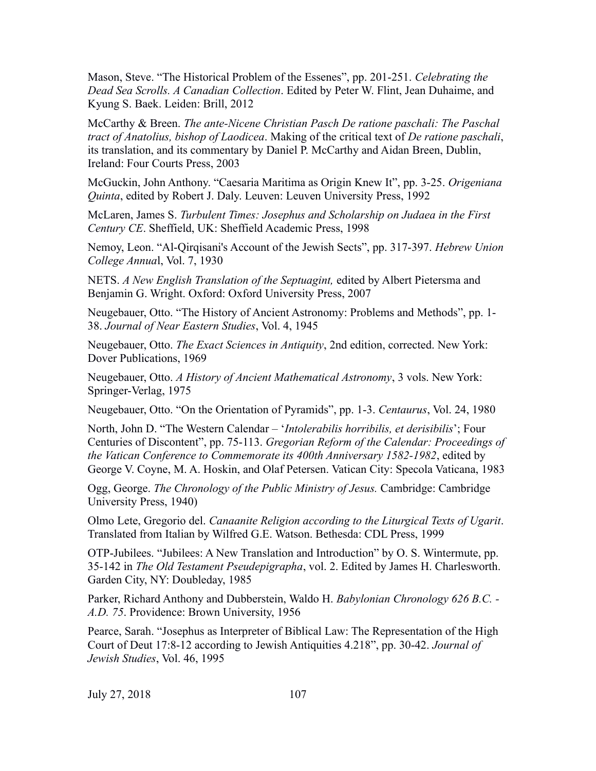Mason, Steve. "The Historical Problem of the Essenes", pp. 201-251. *Celebrating the Dead Sea Scrolls. A Canadian Collection*. Edited by Peter W. Flint, Jean Duhaime, and Kyung S. Baek. Leiden: Brill, 2012

McCarthy & Breen. *The ante-Nicene Christian Pasch De ratione paschali: The Paschal tract of Anatolius, bishop of Laodicea*. Making of the critical text of *De ratione paschali*, its translation, and its commentary by Daniel P. McCarthy and Aidan Breen, Dublin, Ireland: Four Courts Press, 2003

McGuckin, John Anthony. "Caesaria Maritima as Origin Knew It", pp. 3-25. *Origeniana Quinta*, edited by Robert J. Daly. Leuven: Leuven University Press, 1992

McLaren, James S. *Turbulent Times: Josephus and Scholarship on Judaea in the First Century CE*. Sheffield, UK: Sheffield Academic Press, 1998

Nemoy, Leon. "Al-Qirqisani's Account of the Jewish Sects", pp. 317-397. *Hebrew Union College Annua*l, Vol. 7, 1930

NETS. *A New English Translation of the Septuagint,* edited by Albert Pietersma and Benjamin G. Wright. Oxford: Oxford University Press, 2007

Neugebauer, Otto. "The History of Ancient Astronomy: Problems and Methods", pp. 1- 38. *Journal of Near Eastern Studies*, Vol. 4, 1945

Neugebauer, Otto. *The Exact Sciences in Antiquity*, 2nd edition, corrected. New York: Dover Publications, 1969

Neugebauer, Otto. *A History of Ancient Mathematical Astronomy*, 3 vols. New York: Springer-Verlag, 1975

Neugebauer, Otto. "On the Orientation of Pyramids", pp. 1-3. *Centaurus*, Vol. 24, 1980

North, John D. "The Western Calendar – '*Intolerabilis horribilis, et derisibilis*'; Four Centuries of Discontent", pp. 75-113. *Gregorian Reform of the Calendar: Proceedings of the Vatican Conference to Commemorate its 400th Anniversary 1582-1982*, edited by George V. Coyne, M. A. Hoskin, and Olaf Petersen. Vatican City: Specola Vaticana, 1983

Ogg, George. *The Chronology of the Public Ministry of Jesus.* Cambridge: Cambridge University Press, 1940)

Olmo Lete, Gregorio del. *Canaanite Religion according to the Liturgical Texts of Ugarit*. Translated from Italian by Wilfred G.E. Watson. Bethesda: CDL Press, 1999

OTP-Jubilees. "Jubilees: A New Translation and Introduction" by O. S. Wintermute, pp. 35-142 in *The Old Testament Pseudepigrapha*, vol. 2. Edited by James H. Charlesworth. Garden City, NY: Doubleday, 1985

Parker, Richard Anthony and Dubberstein, Waldo H. *Babylonian Chronology 626 B.C. - A.D. 75*. Providence: Brown University, 1956

Pearce, Sarah. "Josephus as Interpreter of Biblical Law: The Representation of the High Court of Deut 17:8-12 according to Jewish Antiquities 4.218", pp. 30-42. *Journal of Jewish Studies*, Vol. 46, 1995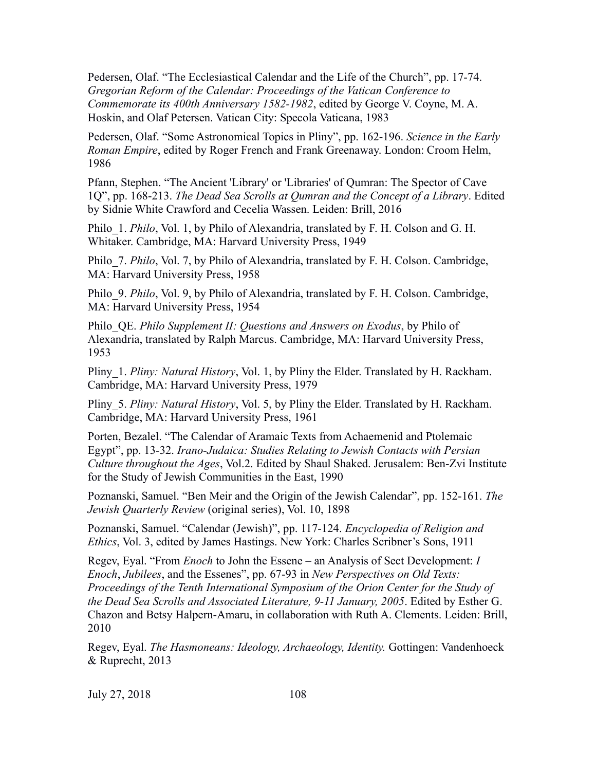Pedersen, Olaf. "The Ecclesiastical Calendar and the Life of the Church", pp. 17-74. *Gregorian Reform of the Calendar: Proceedings of the Vatican Conference to Commemorate its 400th Anniversary 1582-1982*, edited by George V. Coyne, M. A. Hoskin, and Olaf Petersen. Vatican City: Specola Vaticana, 1983

Pedersen, Olaf. "Some Astronomical Topics in Pliny", pp. 162-196. *Science in the Early Roman Empire*, edited by Roger French and Frank Greenaway. London: Croom Helm, 1986

Pfann, Stephen. "The Ancient 'Library' or 'Libraries' of Qumran: The Spector of Cave 1Q", pp. 168-213. *The Dead Sea Scrolls at Qumran and the Concept of a Library*. Edited by Sidnie White Crawford and Cecelia Wassen. Leiden: Brill, 2016

Philo\_1. *Philo*, Vol. 1, by Philo of Alexandria, translated by F. H. Colson and G. H. Whitaker. Cambridge, MA: Harvard University Press, 1949

Philo 7. *Philo*, Vol. 7, by Philo of Alexandria, translated by F. H. Colson. Cambridge, MA: Harvard University Press, 1958

Philo\_9. *Philo*, Vol. 9, by Philo of Alexandria, translated by F. H. Colson. Cambridge, MA: Harvard University Press, 1954

Philo\_QE. *Philo Supplement II: Questions and Answers on Exodus*, by Philo of Alexandria, translated by Ralph Marcus. Cambridge, MA: Harvard University Press, 1953

Pliny\_1. *Pliny: Natural History*, Vol. 1, by Pliny the Elder. Translated by H. Rackham. Cambridge, MA: Harvard University Press, 1979

Pliny\_5. *Pliny: Natural History*, Vol. 5, by Pliny the Elder. Translated by H. Rackham. Cambridge, MA: Harvard University Press, 1961

Porten, Bezalel. "The Calendar of Aramaic Texts from Achaemenid and Ptolemaic Egypt", pp. 13-32. *Irano-Judaica: Studies Relating to Jewish Contacts with Persian Culture throughout the Ages*, Vol.2. Edited by Shaul Shaked. Jerusalem: Ben-Zvi Institute for the Study of Jewish Communities in the East, 1990

Poznanski, Samuel. "Ben Meir and the Origin of the Jewish Calendar", pp. 152-161. *The Jewish Quarterly Review* (original series), Vol. 10, 1898

Poznanski, Samuel. "Calendar (Jewish)", pp. 117-124. *Encyclopedia of Religion and Ethics*, Vol. 3, edited by James Hastings. New York: Charles Scribner's Sons, 1911

Regev, Eyal. "From *Enoch* to John the Essene – an Analysis of Sect Development: *I Enoch*, *Jubilees*, and the Essenes", pp. 67-93 in *New Perspectives on Old Texts: Proceedings of the Tenth International Symposium of the Orion Center for the Study of the Dead Sea Scrolls and Associated Literature, 9-11 January, 2005*. Edited by Esther G. Chazon and Betsy Halpern-Amaru, in collaboration with Ruth A. Clements. Leiden: Brill, 2010

Regev, Eyal. *The Hasmoneans: Ideology, Archaeology, Identity.* Gottingen: Vandenhoeck & Ruprecht, 2013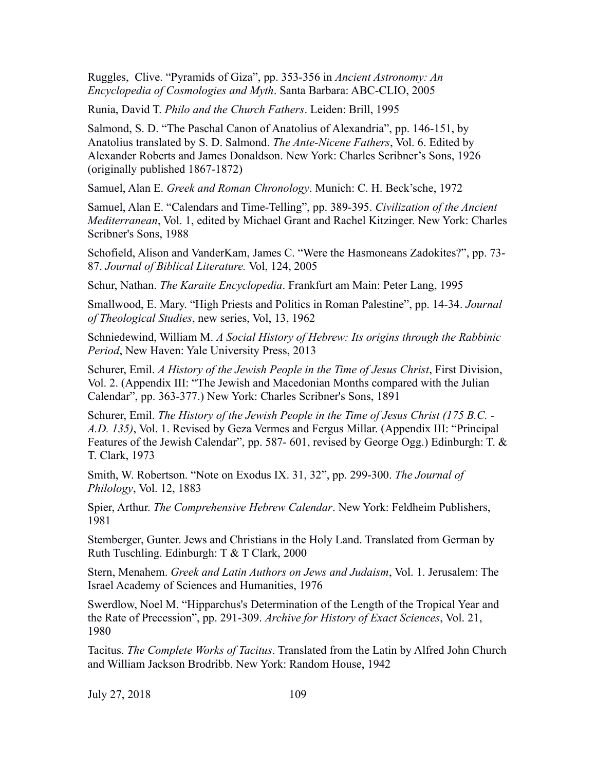Ruggles, Clive. "Pyramids of Giza", pp. 353-356 in *Ancient Astronomy: An Encyclopedia of Cosmologies and Myth*. Santa Barbara: ABC-CLIO, 2005

Runia, David T. *Philo and the Church Fathers*. Leiden: Brill, 1995

Salmond, S. D. "The Paschal Canon of Anatolius of Alexandria", pp. 146-151, by Anatolius translated by S. D. Salmond. *The Ante-Nicene Fathers*, Vol. 6. Edited by Alexander Roberts and James Donaldson. New York: Charles Scribner's Sons, 1926 (originally published 1867-1872)

Samuel, Alan E. *Greek and Roman Chronology*. Munich: C. H. Beck'sche, 1972

Samuel, Alan E. "Calendars and Time-Telling", pp. 389-395. *Civilization of the Ancient Mediterranean*, Vol. 1, edited by Michael Grant and Rachel Kitzinger. New York: Charles Scribner's Sons, 1988

Schofield, Alison and VanderKam, James C. "Were the Hasmoneans Zadokites?", pp. 73- 87. *Journal of Biblical Literature.* Vol, 124, 2005

Schur, Nathan. *The Karaite Encyclopedia*. Frankfurt am Main: Peter Lang, 1995

Smallwood, E. Mary. "High Priests and Politics in Roman Palestine", pp. 14-34. *Journal of Theological Studies*, new series, Vol, 13, 1962

Schniedewind, William M. *A Social History of Hebrew: Its origins through the Rabbinic Period*, New Haven: Yale University Press, 2013

Schurer, Emil. *A History of the Jewish People in the Time of Jesus Christ*, First Division, Vol. 2. (Appendix III: "The Jewish and Macedonian Months compared with the Julian Calendar", pp. 363-377.) New York: Charles Scribner's Sons, 1891

Schurer, Emil. *The History of the Jewish People in the Time of Jesus Christ (175 B.C. - A.D. 135)*, Vol. 1. Revised by Geza Vermes and Fergus Millar. (Appendix III: "Principal Features of the Jewish Calendar", pp. 587- 601, revised by George Ogg.) Edinburgh: T. & T. Clark, 1973

Smith, W. Robertson. "Note on Exodus IX. 31, 32", pp. 299-300. *The Journal of Philology*, Vol. 12, 1883

Spier, Arthur. *The Comprehensive Hebrew Calendar*. New York: Feldheim Publishers, 1981

Stemberger, Gunter. Jews and Christians in the Holy Land. Translated from German by Ruth Tuschling. Edinburgh: T & T Clark, 2000

Stern, Menahem. *Greek and Latin Authors on Jews and Judaism*, Vol. 1. Jerusalem: The Israel Academy of Sciences and Humanities, 1976

Swerdlow, Noel M. "Hipparchus's Determination of the Length of the Tropical Year and the Rate of Precession", pp. 291-309. *Archive for History of Exact Sciences*, Vol. 21, 1980

Tacitus. *The Complete Works of Tacitus*. Translated from the Latin by Alfred John Church and William Jackson Brodribb. New York: Random House, 1942

July 27, 2018 109